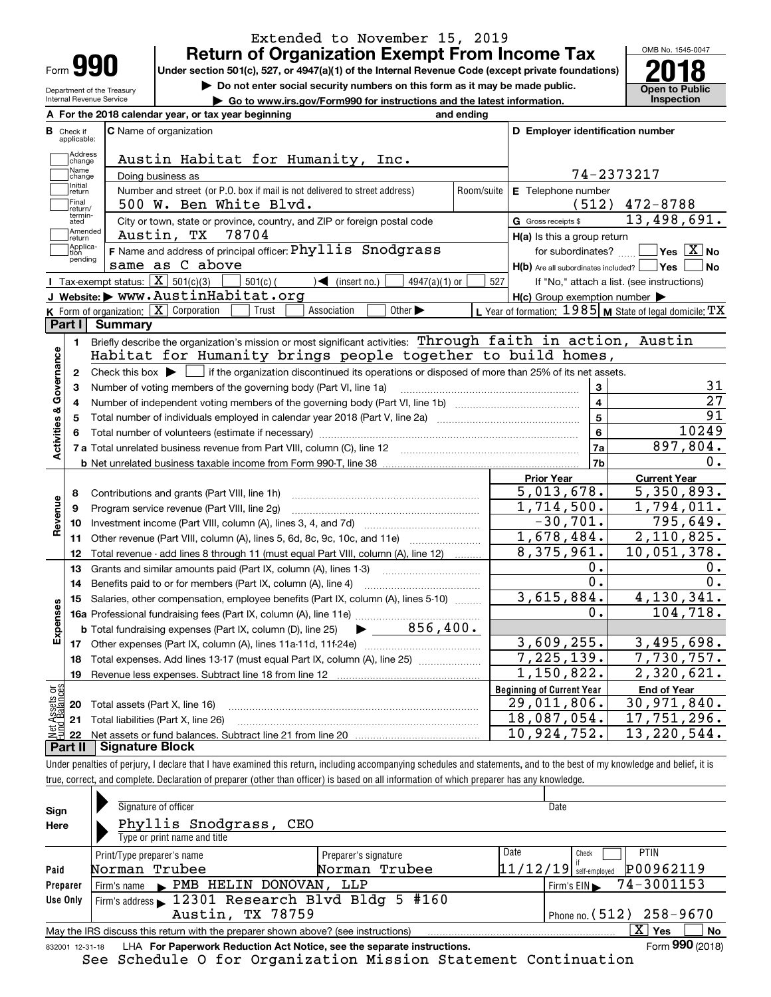| Form |  |
|------|--|
|      |  |

## **Return of Organization Exempt From Income Tax** Extended to November 15, 2019

Under section 501(c), 527, or 4947(a)(1) of the Internal Revenue Code (except private foundations) **2018** 

Department of the Treasury Internal Revenue Service

**| Do not enter social security numbers on this form as it may be made public.**

**| Go to www.irs.gov/Form990 for instructions and the latest information. Inspection**



|                         |                         | A For the 2018 calendar year, or tax year beginning                                                                                                      | and ending |                                                           |                                              |
|-------------------------|-------------------------|----------------------------------------------------------------------------------------------------------------------------------------------------------|------------|-----------------------------------------------------------|----------------------------------------------|
| В                       | Check if<br>applicable: | <b>C</b> Name of organization                                                                                                                            |            | D Employer identification number                          |                                              |
|                         | Address<br>change       | Austin Habitat for Humanity, Inc.                                                                                                                        |            |                                                           |                                              |
|                         | Name<br>change          | Doing business as                                                                                                                                        |            |                                                           | 74-2373217                                   |
|                         | Initial<br>return       | Number and street (or P.O. box if mail is not delivered to street address)                                                                               | Room/suite | E Telephone number                                        |                                              |
|                         | Final<br>return/        | 500 W. Ben White Blvd.                                                                                                                                   |            |                                                           | $(512)$ 472-8788                             |
|                         | termin-<br>ated         | City or town, state or province, country, and ZIP or foreign postal code                                                                                 |            | G Gross receipts \$                                       | 13,498,691.                                  |
|                         | Amended<br>return       | Austin, TX<br>78704                                                                                                                                      |            | $H(a)$ is this a group return                             |                                              |
|                         | Applica-<br>tion        | <b>F</b> Name and address of principal officer: $Phy\overline{11is}$ Snodgrass                                                                           |            | for subordinates?                                         | $\sqrt{\mathsf{Yes}\ \boxed{\mathrm{X}}}$ No |
|                         | pending                 | same as C above                                                                                                                                          |            | $H(b)$ Are all subordinates included? $\Box$ Yes          | No                                           |
|                         |                         | Tax-exempt status: $\boxed{\mathbf{X}}$ 501(c)(3)<br>$\sum$ (insert no.)<br>$501(c)$ (<br>$4947(a)(1)$ or                                                | 527        |                                                           | If "No," attach a list. (see instructions)   |
|                         |                         | J Website: > www.AustinHabitat.org                                                                                                                       |            | $H(c)$ Group exemption number $\blacktriangleright$       |                                              |
|                         |                         | K Form of organization: $\boxed{\mathbf{X}}$ Corporation<br>Other $\blacktriangleright$<br>Trust<br>Association                                          |            | L Year of formation: $1985$ M State of legal domicile: TX |                                              |
|                         | Part I                  | Summary                                                                                                                                                  |            |                                                           |                                              |
|                         | 1.                      | Briefly describe the organization's mission or most significant activities: Through faith in action, Austin                                              |            |                                                           |                                              |
|                         |                         | Habitat for Humanity brings people together to build homes,                                                                                              |            |                                                           |                                              |
| Activities & Governance | $\mathbf{2}$            | Check this box $\blacktriangleright$ $\Box$ if the organization discontinued its operations or disposed of more than 25% of its net assets.              |            |                                                           |                                              |
|                         | 3                       | Number of voting members of the governing body (Part VI, line 1a)                                                                                        |            | 3                                                         | 31                                           |
|                         | 4                       |                                                                                                                                                          |            | $\overline{\mathbf{4}}$                                   | $\overline{27}$                              |
|                         | 5                       | Total number of individuals employed in calendar year 2018 (Part V, line 2a) manufacture of individuals employed in calendar year 2018 (Part V, line 2a) |            | 5                                                         | $\overline{91}$                              |
|                         | 6                       |                                                                                                                                                          |            | 6                                                         | 10249                                        |
|                         |                         |                                                                                                                                                          |            | 7a                                                        | 897,804.                                     |
|                         |                         |                                                                                                                                                          |            | 7b                                                        | 0.                                           |
|                         |                         |                                                                                                                                                          |            | <b>Prior Year</b>                                         | <b>Current Year</b>                          |
|                         | 8                       | Contributions and grants (Part VIII, line 1h)                                                                                                            |            | 5,013,678.                                                | 5,350,893.                                   |
|                         | 9                       | Program service revenue (Part VIII, line 2g)                                                                                                             |            | 1,714,500.                                                | 1,794,011.                                   |
| Revenue                 | 10                      |                                                                                                                                                          |            | $-30,701.$                                                | 795,649.                                     |
|                         | 11                      | Other revenue (Part VIII, column (A), lines 5, 6d, 8c, 9c, 10c, and 11e)                                                                                 |            | 1,678,484.                                                | 2,110,825.                                   |
|                         | 12                      | Total revenue - add lines 8 through 11 (must equal Part VIII, column (A), line 12)                                                                       |            | 8,375,961.                                                | 10,051,378.                                  |
|                         | 13                      | Grants and similar amounts paid (Part IX, column (A), lines 1-3)                                                                                         |            | 0.                                                        | 0.                                           |
|                         | 14                      | Benefits paid to or for members (Part IX, column (A), line 4)                                                                                            |            | $0$ .                                                     | $\overline{0}$ .                             |
|                         | 15                      | Salaries, other compensation, employee benefits (Part IX, column (A), lines 5-10)                                                                        |            | 3,615,884.                                                | 4,130,341.                                   |
| Expenses                |                         |                                                                                                                                                          |            | 0.                                                        | 104,718.                                     |
|                         |                         | 856,400.<br><b>b</b> Total fundraising expenses (Part IX, column (D), line 25)                                                                           |            |                                                           |                                              |
|                         |                         |                                                                                                                                                          |            | 3,609,255.                                                | 3,495,698.                                   |
|                         | 18                      | Total expenses. Add lines 13-17 (must equal Part IX, column (A), line 25)                                                                                |            | 7, 225, 139.                                              | 7,730,757.                                   |
|                         | 19                      |                                                                                                                                                          |            | 1,150,822.                                                | 2,320,621.                                   |
| ăğ                      |                         |                                                                                                                                                          |            | <b>Beginning of Current Year</b>                          | <b>End of Year</b>                           |
|                         |                         | <b>20</b> Total assets (Part X, line 16)                                                                                                                 |            | $\overline{29}$ , 011, 806.                               | 30,971,840.                                  |
| Assets                  |                         | 21 Total liabilities (Part X, line 26)                                                                                                                   |            | 18,087,054.                                               | 17,751,296.                                  |
|                         | 22                      |                                                                                                                                                          |            | 10,924,752.                                               | 13, 220, 544.                                |
|                         | Part II                 | <b>Signature Block</b>                                                                                                                                   |            |                                                           |                                              |

Under penalties of perjury, I declare that I have examined this return, including accompanying schedules and statements, and to the best of my knowledge and belief, it is true, correct, and complete. Declaration of preparer (other than officer) is based on all information of which preparer has any knowledge.

| Sign                                           | Signature of officer                                                              |                      | Date                                |                 |  |  |  |
|------------------------------------------------|-----------------------------------------------------------------------------------|----------------------|-------------------------------------|-----------------|--|--|--|
| Here                                           | Phyllis Snodgrass,<br>CEO<br>Type or print name and title                         |                      |                                     |                 |  |  |  |
|                                                | Print/Type preparer's name                                                        | Preparer's signature | Date<br><b>PTIN</b><br>Check        |                 |  |  |  |
| Paid                                           | Norman Trubee                                                                     | Norman Trubee        | $11/12/19$ self-employed            | P00962119       |  |  |  |
| Preparer                                       | Firm's name PMB HELIN DONOVAN,                                                    | LLP                  | Firm's EIN $\rightarrow$ 74-3001153 |                 |  |  |  |
| Use Only                                       | Firm's address 12301 Research Blvd Bldg 5 #160                                    |                      |                                     |                 |  |  |  |
| Austin, TX 78759<br>Phone no. $(512)$ 258-9670 |                                                                                   |                      |                                     |                 |  |  |  |
|                                                | May the IRS discuss this return with the preparer shown above? (see instructions) |                      | $X \mid Y$ es                       | <b>No</b>       |  |  |  |
| 832001 12-31-18                                | LHA For Paperwork Reduction Act Notice, see the separate instructions.            |                      |                                     | Form 990 (2018) |  |  |  |

See Schedule O for Organization Mission Statement Continuation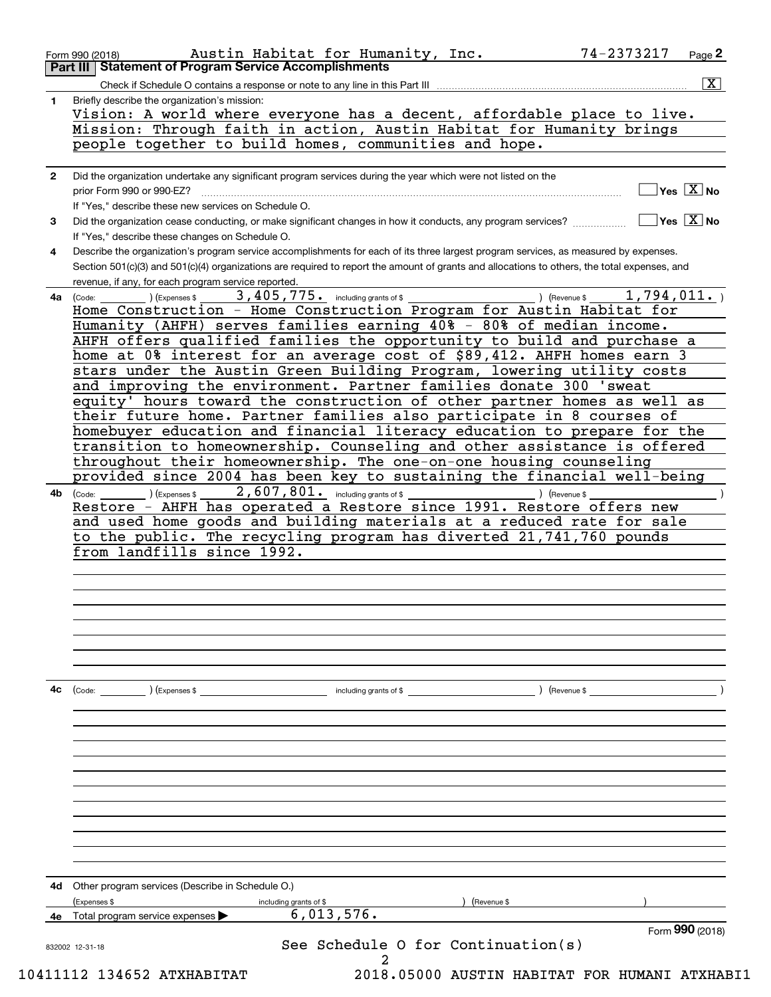|            | prior Form 990 or 990-EZ?                                                                                                                                                                                                                                                                                                                                                                                                                                                                                                                                                                                                                                                                                                                                                                                                                                                                                                                                                                                                                                                                                                                                          |
|------------|--------------------------------------------------------------------------------------------------------------------------------------------------------------------------------------------------------------------------------------------------------------------------------------------------------------------------------------------------------------------------------------------------------------------------------------------------------------------------------------------------------------------------------------------------------------------------------------------------------------------------------------------------------------------------------------------------------------------------------------------------------------------------------------------------------------------------------------------------------------------------------------------------------------------------------------------------------------------------------------------------------------------------------------------------------------------------------------------------------------------------------------------------------------------|
|            | $\overline{\mathsf{Yes} \ \mathbb{X}}$ No<br>If "Yes," describe these new services on Schedule O.                                                                                                                                                                                                                                                                                                                                                                                                                                                                                                                                                                                                                                                                                                                                                                                                                                                                                                                                                                                                                                                                  |
| 3          | $\sqrt{}$ Yes $\sqrt{}$ X $\sqrt{}$ No<br>Did the organization cease conducting, or make significant changes in how it conducts, any program services?<br>If "Yes," describe these changes on Schedule O.                                                                                                                                                                                                                                                                                                                                                                                                                                                                                                                                                                                                                                                                                                                                                                                                                                                                                                                                                          |
| 4          | Describe the organization's program service accomplishments for each of its three largest program services, as measured by expenses.<br>Section 501(c)(3) and 501(c)(4) organizations are required to report the amount of grants and allocations to others, the total expenses, and<br>revenue, if any, for each program service reported.                                                                                                                                                                                                                                                                                                                                                                                                                                                                                                                                                                                                                                                                                                                                                                                                                        |
| 4a l<br>4b | 3, 405, 775. including grants of \$<br>1,794,011.<br>) (Revenue \$<br>) (Expenses \$<br>(Code:<br>Home Construction - Home Construction Program for Austin Habitat for<br>Humanity (AHFH) serves families earning 40% - 80% of median income.<br>AHFH offers qualified families the opportunity to build and purchase a<br>home at 0% interest for an average cost of \$89,412. AHFH homes earn 3<br>stars under the Austin Green Building Program, lowering utility costs<br>and improving the environment. Partner families donate 300 'sweat<br>equity' hours toward the construction of other partner homes as well as<br>their future home. Partner families also participate in 8 courses of<br>homebuyer education and financial literacy education to prepare for the<br>transition to homeownership. Counseling and other assistance is offered<br>throughout their homeownership. The one-on-one housing counseling<br>provided since 2004 has been key to sustaining the financial well-being<br>2,607,801. including grants of \$<br>(Code:<br>) (Expenses \$<br>) (Revenue \$<br>Restore - AHFH has operated a Restore since 1991. Restore offers new |
|            | and used home goods and building materials at a reduced rate for sale<br>to the public. The recycling program has diverted 21,741,760 pounds<br>from landfills since 1992.                                                                                                                                                                                                                                                                                                                                                                                                                                                                                                                                                                                                                                                                                                                                                                                                                                                                                                                                                                                         |
|            |                                                                                                                                                                                                                                                                                                                                                                                                                                                                                                                                                                                                                                                                                                                                                                                                                                                                                                                                                                                                                                                                                                                                                                    |
| 4с         | (Code:<br>(Expenses \$<br>including grants of \$<br>) (Revenue \$                                                                                                                                                                                                                                                                                                                                                                                                                                                                                                                                                                                                                                                                                                                                                                                                                                                                                                                                                                                                                                                                                                  |
| 4d         | Other program services (Describe in Schedule O.)<br>(Revenue \$                                                                                                                                                                                                                                                                                                                                                                                                                                                                                                                                                                                                                                                                                                                                                                                                                                                                                                                                                                                                                                                                                                    |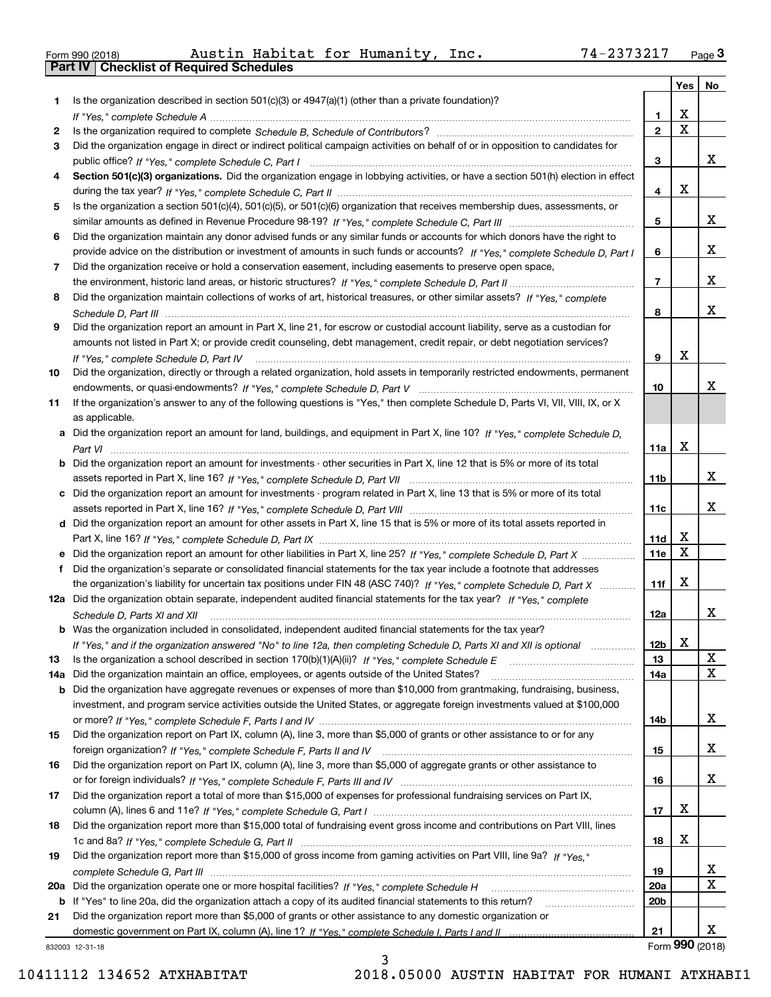| Form 990 (2018) |  |  |
|-----------------|--|--|

Form 990 (2018) Austin Habitat for Humanity, Inc**.** 74-2373217 <sub>Page</sub> 3<br>**Part IV | Checklist of Required Schedules** 

|     |                                                                                                                                                                         |                 | Yes   No                |                 |
|-----|-------------------------------------------------------------------------------------------------------------------------------------------------------------------------|-----------------|-------------------------|-----------------|
| 1   | Is the organization described in section $501(c)(3)$ or $4947(a)(1)$ (other than a private foundation)?                                                                 |                 |                         |                 |
|     |                                                                                                                                                                         | 1.              | X                       |                 |
| 2   |                                                                                                                                                                         | $\overline{2}$  | $\overline{\mathbf{x}}$ |                 |
| 3   | Did the organization engage in direct or indirect political campaign activities on behalf of or in opposition to candidates for                                         |                 |                         |                 |
|     |                                                                                                                                                                         | 3               |                         | x               |
| 4   | Section 501(c)(3) organizations. Did the organization engage in lobbying activities, or have a section 501(h) election in effect                                        |                 |                         |                 |
|     |                                                                                                                                                                         | 4               | X                       |                 |
| 5   | Is the organization a section 501(c)(4), 501(c)(5), or 501(c)(6) organization that receives membership dues, assessments, or                                            |                 |                         |                 |
|     |                                                                                                                                                                         | 5               |                         | X               |
| 6   | Did the organization maintain any donor advised funds or any similar funds or accounts for which donors have the right to                                               |                 |                         | X               |
|     | provide advice on the distribution or investment of amounts in such funds or accounts? If "Yes," complete Schedule D, Part I                                            | 6               |                         |                 |
| 7   | Did the organization receive or hold a conservation easement, including easements to preserve open space,                                                               | $\overline{7}$  |                         | X               |
|     |                                                                                                                                                                         |                 |                         |                 |
| 8   | Did the organization maintain collections of works of art, historical treasures, or other similar assets? If "Yes," complete                                            | 8               |                         | X               |
|     | Did the organization report an amount in Part X, line 21, for escrow or custodial account liability, serve as a custodian for                                           |                 |                         |                 |
| 9   | amounts not listed in Part X; or provide credit counseling, debt management, credit repair, or debt negotiation services?                                               |                 |                         |                 |
|     |                                                                                                                                                                         | 9               | Χ                       |                 |
| 10  | If "Yes," complete Schedule D, Part IV<br>Did the organization, directly or through a related organization, hold assets in temporarily restricted endowments, permanent |                 |                         |                 |
|     |                                                                                                                                                                         | 10              |                         | Χ               |
| 11  | If the organization's answer to any of the following questions is "Yes," then complete Schedule D, Parts VI, VII, VIII, IX, or X                                        |                 |                         |                 |
|     | as applicable.                                                                                                                                                          |                 |                         |                 |
| a   | Did the organization report an amount for land, buildings, and equipment in Part X, line 10? If "Yes," complete Schedule D.                                             |                 |                         |                 |
|     |                                                                                                                                                                         | 11a             | X                       |                 |
| b   | Did the organization report an amount for investments - other securities in Part X, line 12 that is 5% or more of its total                                             |                 |                         |                 |
|     |                                                                                                                                                                         | 11 <sub>b</sub> |                         | x               |
|     | Did the organization report an amount for investments - program related in Part X, line 13 that is 5% or more of its total                                              |                 |                         |                 |
|     |                                                                                                                                                                         | 11c             |                         | x               |
|     | d Did the organization report an amount for other assets in Part X, line 15 that is 5% or more of its total assets reported in                                          |                 |                         |                 |
|     |                                                                                                                                                                         | 11d             | X                       |                 |
|     | Did the organization report an amount for other liabilities in Part X, line 25? If "Yes," complete Schedule D, Part X                                                   | 11e             | $\mathbf X$             |                 |
| f   | Did the organization's separate or consolidated financial statements for the tax year include a footnote that addresses                                                 |                 |                         |                 |
|     | the organization's liability for uncertain tax positions under FIN 48 (ASC 740)? If "Yes," complete Schedule D, Part X                                                  | 11f             | X                       |                 |
|     | 12a Did the organization obtain separate, independent audited financial statements for the tax year? If "Yes," complete                                                 |                 |                         |                 |
|     | Schedule D, Parts XI and XII                                                                                                                                            | 12a             |                         | x               |
|     | <b>b</b> Was the organization included in consolidated, independent audited financial statements for the tax year?                                                      |                 |                         |                 |
|     | If "Yes," and if the organization answered "No" to line 12a, then completing Schedule D, Parts XI and XII is optional                                                   | 12 <sub>b</sub> | Y<br>▵                  |                 |
| 13  |                                                                                                                                                                         | 13              |                         | X               |
| 14a | Did the organization maintain an office, employees, or agents outside of the United States?                                                                             | 14a             |                         | $\mathbf X$     |
| b   | Did the organization have aggregate revenues or expenses of more than \$10,000 from grantmaking, fundraising, business,                                                 |                 |                         |                 |
|     | investment, and program service activities outside the United States, or aggregate foreign investments valued at \$100,000                                              |                 |                         |                 |
|     |                                                                                                                                                                         | 14b             |                         | X               |
| 15  | Did the organization report on Part IX, column (A), line 3, more than \$5,000 of grants or other assistance to or for any                                               |                 |                         |                 |
|     |                                                                                                                                                                         | 15              |                         | x               |
| 16  | Did the organization report on Part IX, column (A), line 3, more than \$5,000 of aggregate grants or other assistance to                                                |                 |                         |                 |
|     |                                                                                                                                                                         | 16              |                         | X               |
| 17  | Did the organization report a total of more than \$15,000 of expenses for professional fundraising services on Part IX,                                                 |                 |                         |                 |
|     |                                                                                                                                                                         | 17              | X                       |                 |
| 18  | Did the organization report more than \$15,000 total of fundraising event gross income and contributions on Part VIII, lines                                            |                 |                         |                 |
|     |                                                                                                                                                                         | 18              | X                       |                 |
| 19  | Did the organization report more than \$15,000 of gross income from gaming activities on Part VIII, line 9a? If "Yes."                                                  |                 |                         |                 |
|     |                                                                                                                                                                         | 19              |                         | x               |
| 20a |                                                                                                                                                                         | 20a             |                         | $\mathbf x$     |
|     | b If "Yes" to line 20a, did the organization attach a copy of its audited financial statements to this return?                                                          | 20 <sub>b</sub> |                         |                 |
| 21  | Did the organization report more than \$5,000 of grants or other assistance to any domestic organization or                                                             |                 |                         | x               |
|     |                                                                                                                                                                         | 21              |                         | Form 990 (2018) |
|     | 832003 12-31-18                                                                                                                                                         |                 |                         |                 |

3

832003 12-31-18

10411112 134652 ATXHABITAT 2018.05000 AUSTIN HABITAT FOR HUMANI ATXHABI1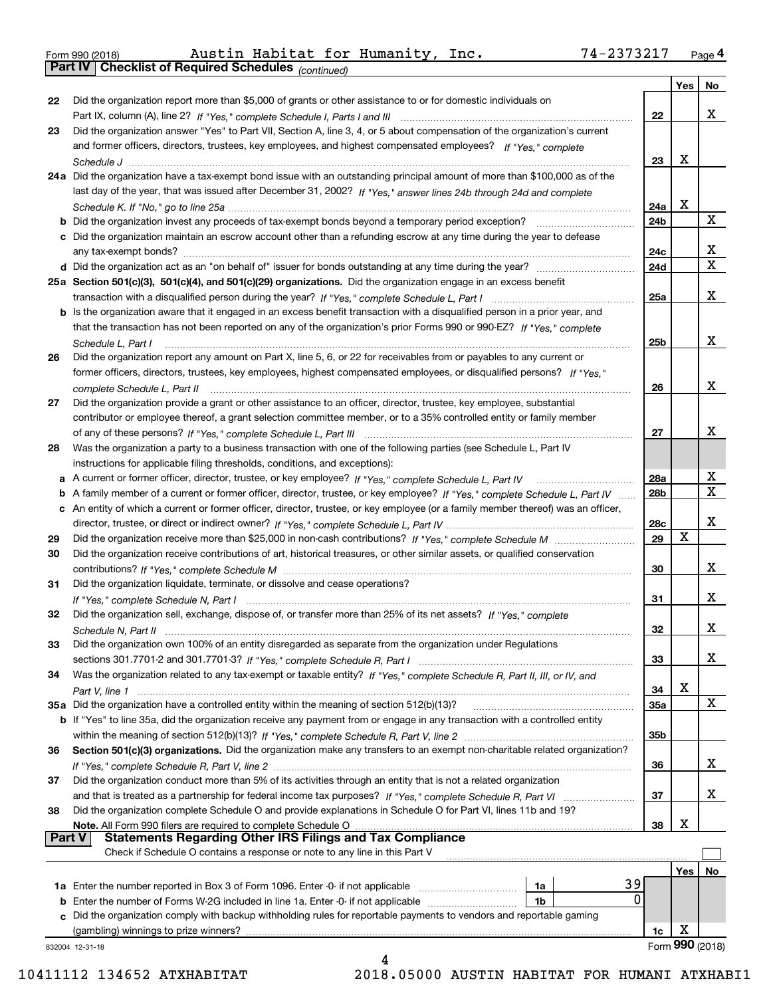| Form 990 (2018) |  |  |
|-----------------|--|--|

|               |                                                                                                                                   |                 | Yes | No              |
|---------------|-----------------------------------------------------------------------------------------------------------------------------------|-----------------|-----|-----------------|
| 22            | Did the organization report more than \$5,000 of grants or other assistance to or for domestic individuals on                     |                 |     |                 |
|               |                                                                                                                                   | 22              |     | x               |
| 23            | Did the organization answer "Yes" to Part VII, Section A, line 3, 4, or 5 about compensation of the organization's current        |                 |     |                 |
|               | and former officers, directors, trustees, key employees, and highest compensated employees? If "Yes," complete                    |                 |     |                 |
|               |                                                                                                                                   | 23              | x   |                 |
|               | 24a Did the organization have a tax-exempt bond issue with an outstanding principal amount of more than \$100,000 as of the       |                 |     |                 |
|               | last day of the year, that was issued after December 31, 2002? If "Yes," answer lines 24b through 24d and complete                |                 |     |                 |
|               |                                                                                                                                   | 24a             | х   |                 |
|               |                                                                                                                                   | 24b             |     | x               |
|               | c Did the organization maintain an escrow account other than a refunding escrow at any time during the year to defease            |                 |     |                 |
|               |                                                                                                                                   | 24c             |     | х               |
|               |                                                                                                                                   | 24d             |     | X               |
|               | 25a Section 501(c)(3), 501(c)(4), and 501(c)(29) organizations. Did the organization engage in an excess benefit                  |                 |     |                 |
|               |                                                                                                                                   | 25a             |     | x               |
|               | b Is the organization aware that it engaged in an excess benefit transaction with a disqualified person in a prior year, and      |                 |     |                 |
|               | that the transaction has not been reported on any of the organization's prior Forms 990 or 990-EZ? If "Yes," complete             |                 |     |                 |
|               | Schedule L, Part I                                                                                                                | 25 <sub>b</sub> |     | x               |
| 26            | Did the organization report any amount on Part X, line 5, 6, or 22 for receivables from or payables to any current or             |                 |     |                 |
|               | former officers, directors, trustees, key employees, highest compensated employees, or disqualified persons? If "Yes."            |                 |     |                 |
|               |                                                                                                                                   | 26              |     | x               |
| 27            | Did the organization provide a grant or other assistance to an officer, director, trustee, key employee, substantial              |                 |     |                 |
|               | contributor or employee thereof, a grant selection committee member, or to a 35% controlled entity or family member               |                 |     |                 |
|               |                                                                                                                                   | 27              |     | x               |
| 28            | Was the organization a party to a business transaction with one of the following parties (see Schedule L, Part IV                 |                 |     |                 |
|               | instructions for applicable filing thresholds, conditions, and exceptions):                                                       |                 |     |                 |
|               |                                                                                                                                   | 28a             |     | x               |
| b             | A family member of a current or former officer, director, trustee, or key employee? If "Yes," complete Schedule L, Part IV        | 28 <sub>b</sub> |     | X               |
|               | c An entity of which a current or former officer, director, trustee, or key employee (or a family member thereof) was an officer, |                 |     |                 |
|               |                                                                                                                                   | 28c             |     | x               |
| 29            |                                                                                                                                   | 29              | х   |                 |
| 30            | Did the organization receive contributions of art, historical treasures, or other similar assets, or qualified conservation       |                 |     |                 |
|               |                                                                                                                                   | 30              |     | x               |
| 31            | Did the organization liquidate, terminate, or dissolve and cease operations?                                                      |                 |     |                 |
|               |                                                                                                                                   | 31              |     | x.              |
| 32            | Did the organization sell, exchange, dispose of, or transfer more than 25% of its net assets? If "Yes," complete                  |                 |     |                 |
|               |                                                                                                                                   | 32              |     | x.              |
|               | Did the organization own 100% of an entity disregarded as separate from the organization under Regulations                        |                 |     |                 |
|               |                                                                                                                                   | 33              |     | x               |
| 34            | Was the organization related to any tax-exempt or taxable entity? If "Yes," complete Schedule R, Part II, III, or IV, and         |                 |     |                 |
|               |                                                                                                                                   | 34              | х   |                 |
|               | 35a Did the organization have a controlled entity within the meaning of section 512(b)(13)?                                       | <b>35a</b>      |     | X               |
|               | b If "Yes" to line 35a, did the organization receive any payment from or engage in any transaction with a controlled entity       |                 |     |                 |
|               |                                                                                                                                   | 35b             |     |                 |
| 36            | Section 501(c)(3) organizations. Did the organization make any transfers to an exempt non-charitable related organization?        |                 |     |                 |
|               |                                                                                                                                   | 36              |     | X.              |
| 37            | Did the organization conduct more than 5% of its activities through an entity that is not a related organization                  |                 |     |                 |
|               |                                                                                                                                   | 37              |     | X.              |
| 38            | Did the organization complete Schedule O and provide explanations in Schedule O for Part VI, lines 11b and 19?                    |                 |     |                 |
|               | Note. All Form 990 filers are required to complete Schedule O                                                                     | 38              | х   |                 |
| <b>Part V</b> | <b>Statements Regarding Other IRS Filings and Tax Compliance</b>                                                                  |                 |     |                 |
|               | Check if Schedule O contains a response or note to any line in this Part V                                                        |                 |     |                 |
|               |                                                                                                                                   |                 | Yes | No              |
|               | 39<br>1a                                                                                                                          |                 |     |                 |
|               | 0<br><b>b</b> Enter the number of Forms W-2G included in line 1a. Enter -0- if not applicable<br>1b                               |                 |     |                 |
|               | c Did the organization comply with backup withholding rules for reportable payments to vendors and reportable gaming              |                 |     |                 |
|               | (gambling) winnings to prize winners?                                                                                             | 1c              | х   |                 |
|               | 832004 12-31-18                                                                                                                   |                 |     | Form 990 (2018) |
|               | 4                                                                                                                                 |                 |     |                 |

10411112 134652 ATXHABITAT 2018.05000 AUSTIN HABITAT FOR HUMANI ATXHABI1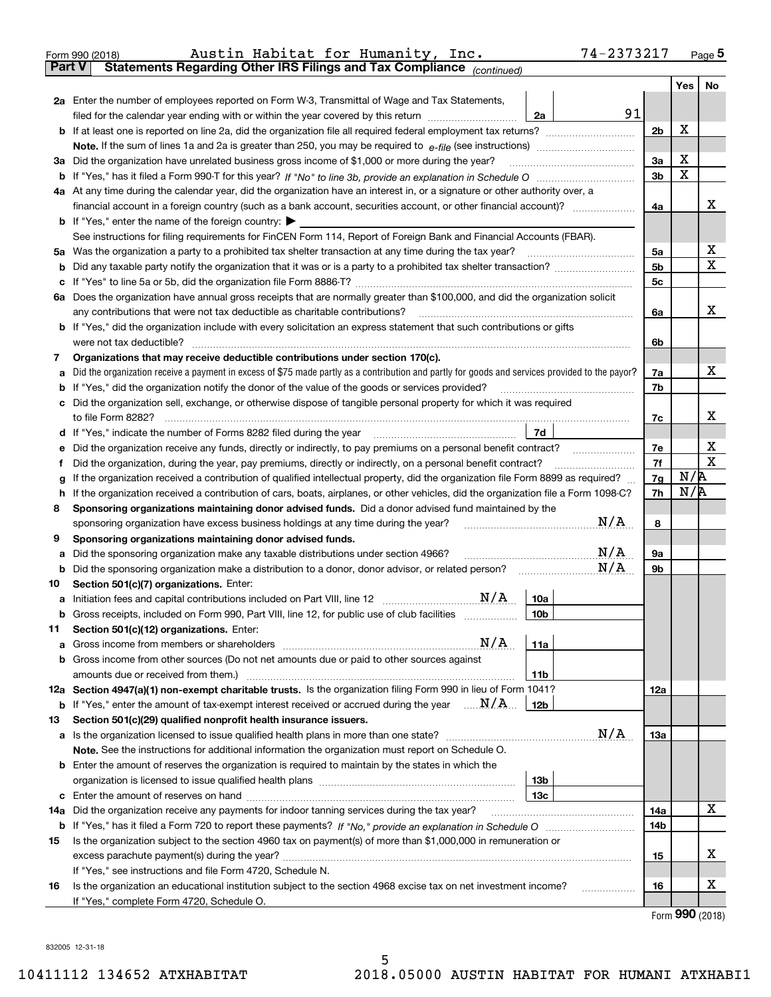|               | 74-2373217<br>Austin Habitat for Humanity, Inc.<br>Form 990 (2018)                                                                                                                                                                         |                |     | Page $5$         |
|---------------|--------------------------------------------------------------------------------------------------------------------------------------------------------------------------------------------------------------------------------------------|----------------|-----|------------------|
| <b>Part V</b> | Statements Regarding Other IRS Filings and Tax Compliance (continued)                                                                                                                                                                      |                |     |                  |
|               |                                                                                                                                                                                                                                            |                | Yes | No               |
|               | 2a Enter the number of employees reported on Form W-3, Transmittal of Wage and Tax Statements,                                                                                                                                             |                |     |                  |
|               | 91<br>filed for the calendar year ending with or within the year covered by this return<br>2a                                                                                                                                              |                |     |                  |
| b             |                                                                                                                                                                                                                                            | 2 <sub>b</sub> | X   |                  |
|               |                                                                                                                                                                                                                                            |                |     |                  |
| За            | Did the organization have unrelated business gross income of \$1,000 or more during the year?                                                                                                                                              | 3a             | X   |                  |
| b             |                                                                                                                                                                                                                                            | 3 <sub>b</sub> | X   |                  |
|               | 4a At any time during the calendar year, did the organization have an interest in, or a signature or other authority over, a                                                                                                               |                |     |                  |
|               |                                                                                                                                                                                                                                            | 4a             |     | х                |
|               | <b>b</b> If "Yes," enter the name of the foreign country: $\blacktriangleright$                                                                                                                                                            |                |     |                  |
|               | See instructions for filing requirements for FinCEN Form 114, Report of Foreign Bank and Financial Accounts (FBAR).                                                                                                                        |                |     |                  |
| 5a            |                                                                                                                                                                                                                                            | 5a             |     | X                |
| b             |                                                                                                                                                                                                                                            | 5b             |     | X                |
| с             |                                                                                                                                                                                                                                            | 5 <sub>c</sub> |     |                  |
|               | 6a Does the organization have annual gross receipts that are normally greater than \$100,000, and did the organization solicit                                                                                                             |                |     |                  |
|               | any contributions that were not tax deductible as charitable contributions?                                                                                                                                                                | 6a             |     | x                |
| b             | If "Yes," did the organization include with every solicitation an express statement that such contributions or gifts                                                                                                                       |                |     |                  |
|               | were not tax deductible?                                                                                                                                                                                                                   | 6b             |     |                  |
| 7             | Organizations that may receive deductible contributions under section 170(c).                                                                                                                                                              |                |     |                  |
| а             | Did the organization receive a payment in excess of \$75 made partly as a contribution and partly for goods and services provided to the payor?                                                                                            | 7a             |     | х                |
| b             | If "Yes," did the organization notify the donor of the value of the goods or services provided?                                                                                                                                            | 7b             |     |                  |
| с             | Did the organization sell, exchange, or otherwise dispose of tangible personal property for which it was required                                                                                                                          |                |     |                  |
|               |                                                                                                                                                                                                                                            | 7c             |     | х                |
| d             | 7d                                                                                                                                                                                                                                         |                |     |                  |
| е             | Did the organization receive any funds, directly or indirectly, to pay premiums on a personal benefit contract?                                                                                                                            | 7e             |     | X<br>$\mathbf X$ |
| f             | Did the organization, during the year, pay premiums, directly or indirectly, on a personal benefit contract?                                                                                                                               | 7f             | N/R |                  |
| g             | If the organization received a contribution of qualified intellectual property, did the organization file Form 8899 as required?                                                                                                           | 7g             | N/R |                  |
| h             | If the organization received a contribution of cars, boats, airplanes, or other vehicles, did the organization file a Form 1098-C?<br>Sponsoring organizations maintaining donor advised funds. Did a donor advised fund maintained by the | 7h             |     |                  |
| 8             | N/A<br>sponsoring organization have excess business holdings at any time during the year?                                                                                                                                                  | 8              |     |                  |
| 9             | Sponsoring organizations maintaining donor advised funds.                                                                                                                                                                                  |                |     |                  |
| а             | N/A<br>Did the sponsoring organization make any taxable distributions under section 4966?                                                                                                                                                  | 9а             |     |                  |
| b             | N/A<br>Did the sponsoring organization make a distribution to a donor, donor advisor, or related person?                                                                                                                                   | 9b             |     |                  |
| 10            | Section 501(c)(7) organizations. Enter:                                                                                                                                                                                                    |                |     |                  |
| а             | 10a                                                                                                                                                                                                                                        |                |     |                  |
|               | Gross receipts, included on Form 990, Part VIII, line 12, for public use of club facilities<br>10 <sub>b</sub>                                                                                                                             |                |     |                  |
| 11            | Section 501(c)(12) organizations. Enter:                                                                                                                                                                                                   |                |     |                  |
| а             | N/A<br>11a<br>Gross income from members or shareholders                                                                                                                                                                                    |                |     |                  |
| b             | Gross income from other sources (Do not net amounts due or paid to other sources against                                                                                                                                                   |                |     |                  |
|               | 11 <sub>b</sub><br>amounts due or received from them.)                                                                                                                                                                                     |                |     |                  |
|               | 12a Section 4947(a)(1) non-exempt charitable trusts. Is the organization filing Form 990 in lieu of Form 1041?                                                                                                                             | 12a            |     |                  |
|               | <b>b</b> If "Yes," enter the amount of tax-exempt interest received or accrued during the year $\ldots \mathbf{N}/\mathbf{A}$<br>12b                                                                                                       |                |     |                  |
| 13            | Section 501(c)(29) qualified nonprofit health insurance issuers.                                                                                                                                                                           |                |     |                  |
| a             | N/A<br>Is the organization licensed to issue qualified health plans in more than one state?                                                                                                                                                | <b>13a</b>     |     |                  |
|               | Note. See the instructions for additional information the organization must report on Schedule O.                                                                                                                                          |                |     |                  |
| b             | Enter the amount of reserves the organization is required to maintain by the states in which the                                                                                                                                           |                |     |                  |
|               | 13 <sub>b</sub><br>organization is licensed to issue qualified health plans [111] matter contains an interest in the set of an in                                                                                                          |                |     |                  |
| c             | 13 <sub>c</sub>                                                                                                                                                                                                                            |                |     |                  |
| 14a           | Did the organization receive any payments for indoor tanning services during the tax year?                                                                                                                                                 | 14a            |     | х                |
|               |                                                                                                                                                                                                                                            | 14b            |     |                  |
| 15            | Is the organization subject to the section 4960 tax on payment(s) of more than \$1,000,000 in remuneration or                                                                                                                              |                |     |                  |
|               | excess parachute payment(s) during the year?                                                                                                                                                                                               | 15             |     | х                |
|               | If "Yes," see instructions and file Form 4720, Schedule N.                                                                                                                                                                                 |                |     |                  |
| 16            | Is the organization an educational institution subject to the section 4968 excise tax on net investment income?                                                                                                                            | 16             |     | х                |
|               | If "Yes," complete Form 4720, Schedule O.                                                                                                                                                                                                  |                |     | Form 990 (2018)  |
|               |                                                                                                                                                                                                                                            |                |     |                  |

832005 12-31-18

5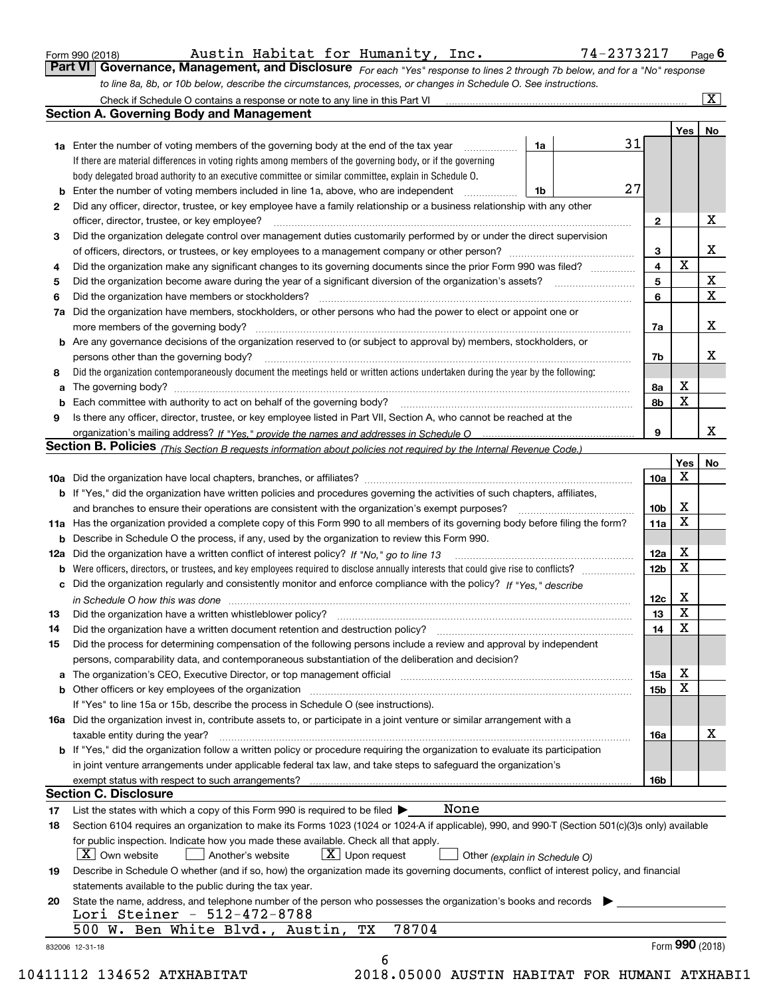| Form 990 (2018) |  |
|-----------------|--|
|                 |  |

Austin Habitat for Humanity, Inc. 74-2373217

*For each "Yes" response to lines 2 through 7b below, and for a "No" response to line 8a, 8b, or 10b below, describe the circumstances, processes, or changes in Schedule O. See instructions.* Form 990 (2018) Austin Habitat for Humanity, Inc. 74–2373217 <sub>Page</sub> 6<br>**Part VI** | Governance, Management, and Disclosure <sub>For each "Yes" response to lines 2 t</sub> Check if Schedule O contains a response or note to any line in this Part VI

| If there are material differences in voting rights among members of the governing body, or if the governing<br>body delegated broad authority to an executive committee or similar committee, explain in Schedule O.<br>27<br>Enter the number of voting members included in line 1a, above, who are independent<br>1b<br>b<br>Did any officer, director, trustee, or key employee have a family relationship or a business relationship with any other<br>2<br>officer, director, trustee, or key employee?<br>$\mathbf{2}$<br>Did the organization delegate control over management duties customarily performed by or under the direct supervision<br>З<br>X<br>3<br>$\mathbf x$<br>$\overline{\mathbf{4}}$<br>Did the organization make any significant changes to its governing documents since the prior Form 990 was filed?<br>4<br>$\mathbf X$<br>5<br>Did the organization become aware during the year of a significant diversion of the organization's assets? <i>manageranian</i> managerance.<br>5<br>$\overline{\mathbf{x}}$<br>6<br>Did the organization have members or stockholders?<br>6<br>Did the organization have members, stockholders, or other persons who had the power to elect or appoint one or<br>7a<br>X<br>7a<br><b>b</b> Are any governance decisions of the organization reserved to (or subject to approval by) members, stockholders, or<br>х<br>persons other than the governing body?<br>7b<br>Did the organization contemporaneously document the meetings held or written actions undertaken during the year by the following:<br>8<br>X<br>8а<br>a<br>X<br>8b<br>b<br>Is there any officer, director, trustee, or key employee listed in Part VII, Section A, who cannot be reached at the<br>9<br>X<br>9<br>Section B. Policies (This Section B requests information about policies not required by the Internal Revenue Code.)<br>Yes<br>No<br>X<br>10a<br><b>b</b> If "Yes," did the organization have written policies and procedures governing the activities of such chapters, affiliates,<br>X<br>10 <sub>b</sub><br>X<br>11a Has the organization provided a complete copy of this Form 990 to all members of its governing body before filing the form?<br>11a<br><b>b</b> Describe in Schedule O the process, if any, used by the organization to review this Form 990.<br>X<br>12a<br>12a Did the organization have a written conflict of interest policy? If "No," go to line 13<br>X<br>12 <sub>b</sub><br><b>b</b> Were officers, directors, or trustees, and key employees required to disclose annually interests that could give rise to conflicts?<br>c Did the organization regularly and consistently monitor and enforce compliance with the policy? If "Yes." describe<br>X<br>12c<br>in Schedule O how this was done manufactured and continuum control of the Schedule O how this was done manufactured and continuum control of the Schedule O how this was done<br>X<br>13<br>13<br>X<br>14<br>14<br>15<br>Did the process for determining compensation of the following persons include a review and approval by independent<br>persons, comparability data, and contemporaneous substantiation of the deliberation and decision?<br>х<br>a The organization's CEO, Executive Director, or top management official manufactured content content of the organization's CEO, Executive Director, or top management official manufactured content of the state of the state<br>15a<br>X<br>15b<br>If "Yes" to line 15a or 15b, describe the process in Schedule O (see instructions).<br>16a Did the organization invest in, contribute assets to, or participate in a joint venture or similar arrangement with a<br>taxable entity during the year?<br>16a<br>b If "Yes," did the organization follow a written policy or procedure requiring the organization to evaluate its participation<br>in joint venture arrangements under applicable federal tax law, and take steps to safeguard the organization's<br>exempt status with respect to such arrangements?<br>16b<br><b>Section C. Disclosure</b><br>None<br>List the states with which a copy of this Form 990 is required to be filed $\blacktriangleright$<br>17<br>Section 6104 requires an organization to make its Forms 1023 (1024 or 1024 A if applicable), 990, and 990-T (Section 501(c)(3)s only) available<br>18<br>for public inspection. Indicate how you made these available. Check all that apply.<br>$X$ Upon request<br>$\lfloor x \rfloor$ Own website<br>Another's website<br>Other (explain in Schedule O)<br>Describe in Schedule O whether (and if so, how) the organization made its governing documents, conflict of interest policy, and financial<br>19<br>statements available to the public during the tax year.<br>State the name, address, and telephone number of the person who possesses the organization's books and records<br>20<br>Lori Steiner - 512-472-8788<br>78704<br>ТX | <b>1a</b> Enter the number of voting members of the governing body at the end of the tax year | 1a |  | 31 |  | Yes <sub>1</sub> | No |
|-------------------------------------------------------------------------------------------------------------------------------------------------------------------------------------------------------------------------------------------------------------------------------------------------------------------------------------------------------------------------------------------------------------------------------------------------------------------------------------------------------------------------------------------------------------------------------------------------------------------------------------------------------------------------------------------------------------------------------------------------------------------------------------------------------------------------------------------------------------------------------------------------------------------------------------------------------------------------------------------------------------------------------------------------------------------------------------------------------------------------------------------------------------------------------------------------------------------------------------------------------------------------------------------------------------------------------------------------------------------------------------------------------------------------------------------------------------------------------------------------------------------------------------------------------------------------------------------------------------------------------------------------------------------------------------------------------------------------------------------------------------------------------------------------------------------------------------------------------------------------------------------------------------------------------------------------------------------------------------------------------------------------------------------------------------------------------------------------------------------------------------------------------------------------------------------------------------------------------------------------------------------------------------------------------------------------------------------------------------------------------------------------------------------------------------------------------------------------------------------------------------------------------------------------------------------------------------------------------------------------------------------------------------------------------------------------------------------------------------------------------------------------------------------------------------------------------------------------------------------------------------------------------------------------------------------------------------------------------------------------------------------------------------------------------------------------------------------------------------------------------------------------------------------------------------------------------------------------------------------------------------------------------------------------------------------------------------------------------------------------------------------------------------------------------------------------------------------------------------------------------------------------------------------------------------------------------------------------------------------------------------------------------------------------------------------------------------------------------------------------------------------------------------------------------------------------------------------------------------------------------------------------------------------------------------------------------------------------------------------------------------------------------------------------------------------------------------------------------------------------------------------------------------------------------------------------------------------------------------------------------------------------------------------------------------------------------------------------------------------------------------------------------------------------------------------------------------------------------------------------------------------------------------------------------------------------------------------------------------------------------------------------------------------------------------------------------------------------------------------------------------------------------------------------------------------------------------------------------------------------------------------------------------------------------------------------|-----------------------------------------------------------------------------------------------|----|--|----|--|------------------|----|
|                                                                                                                                                                                                                                                                                                                                                                                                                                                                                                                                                                                                                                                                                                                                                                                                                                                                                                                                                                                                                                                                                                                                                                                                                                                                                                                                                                                                                                                                                                                                                                                                                                                                                                                                                                                                                                                                                                                                                                                                                                                                                                                                                                                                                                                                                                                                                                                                                                                                                                                                                                                                                                                                                                                                                                                                                                                                                                                                                                                                                                                                                                                                                                                                                                                                                                                                                                                                                                                                                                                                                                                                                                                                                                                                                                                                                                                                                                                                                                                                                                                                                                                                                                                                                                                                                                                                                                                                                                                                                                                                                                                                                                                                                                                                                                                                                                                                                                                                                 |                                                                                               |    |  |    |  |                  |    |
|                                                                                                                                                                                                                                                                                                                                                                                                                                                                                                                                                                                                                                                                                                                                                                                                                                                                                                                                                                                                                                                                                                                                                                                                                                                                                                                                                                                                                                                                                                                                                                                                                                                                                                                                                                                                                                                                                                                                                                                                                                                                                                                                                                                                                                                                                                                                                                                                                                                                                                                                                                                                                                                                                                                                                                                                                                                                                                                                                                                                                                                                                                                                                                                                                                                                                                                                                                                                                                                                                                                                                                                                                                                                                                                                                                                                                                                                                                                                                                                                                                                                                                                                                                                                                                                                                                                                                                                                                                                                                                                                                                                                                                                                                                                                                                                                                                                                                                                                                 |                                                                                               |    |  |    |  |                  |    |
|                                                                                                                                                                                                                                                                                                                                                                                                                                                                                                                                                                                                                                                                                                                                                                                                                                                                                                                                                                                                                                                                                                                                                                                                                                                                                                                                                                                                                                                                                                                                                                                                                                                                                                                                                                                                                                                                                                                                                                                                                                                                                                                                                                                                                                                                                                                                                                                                                                                                                                                                                                                                                                                                                                                                                                                                                                                                                                                                                                                                                                                                                                                                                                                                                                                                                                                                                                                                                                                                                                                                                                                                                                                                                                                                                                                                                                                                                                                                                                                                                                                                                                                                                                                                                                                                                                                                                                                                                                                                                                                                                                                                                                                                                                                                                                                                                                                                                                                                                 |                                                                                               |    |  |    |  |                  |    |
|                                                                                                                                                                                                                                                                                                                                                                                                                                                                                                                                                                                                                                                                                                                                                                                                                                                                                                                                                                                                                                                                                                                                                                                                                                                                                                                                                                                                                                                                                                                                                                                                                                                                                                                                                                                                                                                                                                                                                                                                                                                                                                                                                                                                                                                                                                                                                                                                                                                                                                                                                                                                                                                                                                                                                                                                                                                                                                                                                                                                                                                                                                                                                                                                                                                                                                                                                                                                                                                                                                                                                                                                                                                                                                                                                                                                                                                                                                                                                                                                                                                                                                                                                                                                                                                                                                                                                                                                                                                                                                                                                                                                                                                                                                                                                                                                                                                                                                                                                 |                                                                                               |    |  |    |  |                  |    |
|                                                                                                                                                                                                                                                                                                                                                                                                                                                                                                                                                                                                                                                                                                                                                                                                                                                                                                                                                                                                                                                                                                                                                                                                                                                                                                                                                                                                                                                                                                                                                                                                                                                                                                                                                                                                                                                                                                                                                                                                                                                                                                                                                                                                                                                                                                                                                                                                                                                                                                                                                                                                                                                                                                                                                                                                                                                                                                                                                                                                                                                                                                                                                                                                                                                                                                                                                                                                                                                                                                                                                                                                                                                                                                                                                                                                                                                                                                                                                                                                                                                                                                                                                                                                                                                                                                                                                                                                                                                                                                                                                                                                                                                                                                                                                                                                                                                                                                                                                 |                                                                                               |    |  |    |  |                  | X  |
|                                                                                                                                                                                                                                                                                                                                                                                                                                                                                                                                                                                                                                                                                                                                                                                                                                                                                                                                                                                                                                                                                                                                                                                                                                                                                                                                                                                                                                                                                                                                                                                                                                                                                                                                                                                                                                                                                                                                                                                                                                                                                                                                                                                                                                                                                                                                                                                                                                                                                                                                                                                                                                                                                                                                                                                                                                                                                                                                                                                                                                                                                                                                                                                                                                                                                                                                                                                                                                                                                                                                                                                                                                                                                                                                                                                                                                                                                                                                                                                                                                                                                                                                                                                                                                                                                                                                                                                                                                                                                                                                                                                                                                                                                                                                                                                                                                                                                                                                                 |                                                                                               |    |  |    |  |                  |    |
|                                                                                                                                                                                                                                                                                                                                                                                                                                                                                                                                                                                                                                                                                                                                                                                                                                                                                                                                                                                                                                                                                                                                                                                                                                                                                                                                                                                                                                                                                                                                                                                                                                                                                                                                                                                                                                                                                                                                                                                                                                                                                                                                                                                                                                                                                                                                                                                                                                                                                                                                                                                                                                                                                                                                                                                                                                                                                                                                                                                                                                                                                                                                                                                                                                                                                                                                                                                                                                                                                                                                                                                                                                                                                                                                                                                                                                                                                                                                                                                                                                                                                                                                                                                                                                                                                                                                                                                                                                                                                                                                                                                                                                                                                                                                                                                                                                                                                                                                                 |                                                                                               |    |  |    |  |                  |    |
|                                                                                                                                                                                                                                                                                                                                                                                                                                                                                                                                                                                                                                                                                                                                                                                                                                                                                                                                                                                                                                                                                                                                                                                                                                                                                                                                                                                                                                                                                                                                                                                                                                                                                                                                                                                                                                                                                                                                                                                                                                                                                                                                                                                                                                                                                                                                                                                                                                                                                                                                                                                                                                                                                                                                                                                                                                                                                                                                                                                                                                                                                                                                                                                                                                                                                                                                                                                                                                                                                                                                                                                                                                                                                                                                                                                                                                                                                                                                                                                                                                                                                                                                                                                                                                                                                                                                                                                                                                                                                                                                                                                                                                                                                                                                                                                                                                                                                                                                                 |                                                                                               |    |  |    |  |                  |    |
|                                                                                                                                                                                                                                                                                                                                                                                                                                                                                                                                                                                                                                                                                                                                                                                                                                                                                                                                                                                                                                                                                                                                                                                                                                                                                                                                                                                                                                                                                                                                                                                                                                                                                                                                                                                                                                                                                                                                                                                                                                                                                                                                                                                                                                                                                                                                                                                                                                                                                                                                                                                                                                                                                                                                                                                                                                                                                                                                                                                                                                                                                                                                                                                                                                                                                                                                                                                                                                                                                                                                                                                                                                                                                                                                                                                                                                                                                                                                                                                                                                                                                                                                                                                                                                                                                                                                                                                                                                                                                                                                                                                                                                                                                                                                                                                                                                                                                                                                                 |                                                                                               |    |  |    |  |                  |    |
|                                                                                                                                                                                                                                                                                                                                                                                                                                                                                                                                                                                                                                                                                                                                                                                                                                                                                                                                                                                                                                                                                                                                                                                                                                                                                                                                                                                                                                                                                                                                                                                                                                                                                                                                                                                                                                                                                                                                                                                                                                                                                                                                                                                                                                                                                                                                                                                                                                                                                                                                                                                                                                                                                                                                                                                                                                                                                                                                                                                                                                                                                                                                                                                                                                                                                                                                                                                                                                                                                                                                                                                                                                                                                                                                                                                                                                                                                                                                                                                                                                                                                                                                                                                                                                                                                                                                                                                                                                                                                                                                                                                                                                                                                                                                                                                                                                                                                                                                                 |                                                                                               |    |  |    |  |                  |    |
|                                                                                                                                                                                                                                                                                                                                                                                                                                                                                                                                                                                                                                                                                                                                                                                                                                                                                                                                                                                                                                                                                                                                                                                                                                                                                                                                                                                                                                                                                                                                                                                                                                                                                                                                                                                                                                                                                                                                                                                                                                                                                                                                                                                                                                                                                                                                                                                                                                                                                                                                                                                                                                                                                                                                                                                                                                                                                                                                                                                                                                                                                                                                                                                                                                                                                                                                                                                                                                                                                                                                                                                                                                                                                                                                                                                                                                                                                                                                                                                                                                                                                                                                                                                                                                                                                                                                                                                                                                                                                                                                                                                                                                                                                                                                                                                                                                                                                                                                                 |                                                                                               |    |  |    |  |                  |    |
|                                                                                                                                                                                                                                                                                                                                                                                                                                                                                                                                                                                                                                                                                                                                                                                                                                                                                                                                                                                                                                                                                                                                                                                                                                                                                                                                                                                                                                                                                                                                                                                                                                                                                                                                                                                                                                                                                                                                                                                                                                                                                                                                                                                                                                                                                                                                                                                                                                                                                                                                                                                                                                                                                                                                                                                                                                                                                                                                                                                                                                                                                                                                                                                                                                                                                                                                                                                                                                                                                                                                                                                                                                                                                                                                                                                                                                                                                                                                                                                                                                                                                                                                                                                                                                                                                                                                                                                                                                                                                                                                                                                                                                                                                                                                                                                                                                                                                                                                                 |                                                                                               |    |  |    |  |                  |    |
|                                                                                                                                                                                                                                                                                                                                                                                                                                                                                                                                                                                                                                                                                                                                                                                                                                                                                                                                                                                                                                                                                                                                                                                                                                                                                                                                                                                                                                                                                                                                                                                                                                                                                                                                                                                                                                                                                                                                                                                                                                                                                                                                                                                                                                                                                                                                                                                                                                                                                                                                                                                                                                                                                                                                                                                                                                                                                                                                                                                                                                                                                                                                                                                                                                                                                                                                                                                                                                                                                                                                                                                                                                                                                                                                                                                                                                                                                                                                                                                                                                                                                                                                                                                                                                                                                                                                                                                                                                                                                                                                                                                                                                                                                                                                                                                                                                                                                                                                                 |                                                                                               |    |  |    |  |                  |    |
|                                                                                                                                                                                                                                                                                                                                                                                                                                                                                                                                                                                                                                                                                                                                                                                                                                                                                                                                                                                                                                                                                                                                                                                                                                                                                                                                                                                                                                                                                                                                                                                                                                                                                                                                                                                                                                                                                                                                                                                                                                                                                                                                                                                                                                                                                                                                                                                                                                                                                                                                                                                                                                                                                                                                                                                                                                                                                                                                                                                                                                                                                                                                                                                                                                                                                                                                                                                                                                                                                                                                                                                                                                                                                                                                                                                                                                                                                                                                                                                                                                                                                                                                                                                                                                                                                                                                                                                                                                                                                                                                                                                                                                                                                                                                                                                                                                                                                                                                                 |                                                                                               |    |  |    |  |                  |    |
|                                                                                                                                                                                                                                                                                                                                                                                                                                                                                                                                                                                                                                                                                                                                                                                                                                                                                                                                                                                                                                                                                                                                                                                                                                                                                                                                                                                                                                                                                                                                                                                                                                                                                                                                                                                                                                                                                                                                                                                                                                                                                                                                                                                                                                                                                                                                                                                                                                                                                                                                                                                                                                                                                                                                                                                                                                                                                                                                                                                                                                                                                                                                                                                                                                                                                                                                                                                                                                                                                                                                                                                                                                                                                                                                                                                                                                                                                                                                                                                                                                                                                                                                                                                                                                                                                                                                                                                                                                                                                                                                                                                                                                                                                                                                                                                                                                                                                                                                                 |                                                                                               |    |  |    |  |                  |    |
|                                                                                                                                                                                                                                                                                                                                                                                                                                                                                                                                                                                                                                                                                                                                                                                                                                                                                                                                                                                                                                                                                                                                                                                                                                                                                                                                                                                                                                                                                                                                                                                                                                                                                                                                                                                                                                                                                                                                                                                                                                                                                                                                                                                                                                                                                                                                                                                                                                                                                                                                                                                                                                                                                                                                                                                                                                                                                                                                                                                                                                                                                                                                                                                                                                                                                                                                                                                                                                                                                                                                                                                                                                                                                                                                                                                                                                                                                                                                                                                                                                                                                                                                                                                                                                                                                                                                                                                                                                                                                                                                                                                                                                                                                                                                                                                                                                                                                                                                                 |                                                                                               |    |  |    |  |                  |    |
|                                                                                                                                                                                                                                                                                                                                                                                                                                                                                                                                                                                                                                                                                                                                                                                                                                                                                                                                                                                                                                                                                                                                                                                                                                                                                                                                                                                                                                                                                                                                                                                                                                                                                                                                                                                                                                                                                                                                                                                                                                                                                                                                                                                                                                                                                                                                                                                                                                                                                                                                                                                                                                                                                                                                                                                                                                                                                                                                                                                                                                                                                                                                                                                                                                                                                                                                                                                                                                                                                                                                                                                                                                                                                                                                                                                                                                                                                                                                                                                                                                                                                                                                                                                                                                                                                                                                                                                                                                                                                                                                                                                                                                                                                                                                                                                                                                                                                                                                                 |                                                                                               |    |  |    |  |                  |    |
|                                                                                                                                                                                                                                                                                                                                                                                                                                                                                                                                                                                                                                                                                                                                                                                                                                                                                                                                                                                                                                                                                                                                                                                                                                                                                                                                                                                                                                                                                                                                                                                                                                                                                                                                                                                                                                                                                                                                                                                                                                                                                                                                                                                                                                                                                                                                                                                                                                                                                                                                                                                                                                                                                                                                                                                                                                                                                                                                                                                                                                                                                                                                                                                                                                                                                                                                                                                                                                                                                                                                                                                                                                                                                                                                                                                                                                                                                                                                                                                                                                                                                                                                                                                                                                                                                                                                                                                                                                                                                                                                                                                                                                                                                                                                                                                                                                                                                                                                                 |                                                                                               |    |  |    |  |                  |    |
|                                                                                                                                                                                                                                                                                                                                                                                                                                                                                                                                                                                                                                                                                                                                                                                                                                                                                                                                                                                                                                                                                                                                                                                                                                                                                                                                                                                                                                                                                                                                                                                                                                                                                                                                                                                                                                                                                                                                                                                                                                                                                                                                                                                                                                                                                                                                                                                                                                                                                                                                                                                                                                                                                                                                                                                                                                                                                                                                                                                                                                                                                                                                                                                                                                                                                                                                                                                                                                                                                                                                                                                                                                                                                                                                                                                                                                                                                                                                                                                                                                                                                                                                                                                                                                                                                                                                                                                                                                                                                                                                                                                                                                                                                                                                                                                                                                                                                                                                                 |                                                                                               |    |  |    |  |                  |    |
|                                                                                                                                                                                                                                                                                                                                                                                                                                                                                                                                                                                                                                                                                                                                                                                                                                                                                                                                                                                                                                                                                                                                                                                                                                                                                                                                                                                                                                                                                                                                                                                                                                                                                                                                                                                                                                                                                                                                                                                                                                                                                                                                                                                                                                                                                                                                                                                                                                                                                                                                                                                                                                                                                                                                                                                                                                                                                                                                                                                                                                                                                                                                                                                                                                                                                                                                                                                                                                                                                                                                                                                                                                                                                                                                                                                                                                                                                                                                                                                                                                                                                                                                                                                                                                                                                                                                                                                                                                                                                                                                                                                                                                                                                                                                                                                                                                                                                                                                                 |                                                                                               |    |  |    |  |                  |    |
|                                                                                                                                                                                                                                                                                                                                                                                                                                                                                                                                                                                                                                                                                                                                                                                                                                                                                                                                                                                                                                                                                                                                                                                                                                                                                                                                                                                                                                                                                                                                                                                                                                                                                                                                                                                                                                                                                                                                                                                                                                                                                                                                                                                                                                                                                                                                                                                                                                                                                                                                                                                                                                                                                                                                                                                                                                                                                                                                                                                                                                                                                                                                                                                                                                                                                                                                                                                                                                                                                                                                                                                                                                                                                                                                                                                                                                                                                                                                                                                                                                                                                                                                                                                                                                                                                                                                                                                                                                                                                                                                                                                                                                                                                                                                                                                                                                                                                                                                                 |                                                                                               |    |  |    |  |                  |    |
|                                                                                                                                                                                                                                                                                                                                                                                                                                                                                                                                                                                                                                                                                                                                                                                                                                                                                                                                                                                                                                                                                                                                                                                                                                                                                                                                                                                                                                                                                                                                                                                                                                                                                                                                                                                                                                                                                                                                                                                                                                                                                                                                                                                                                                                                                                                                                                                                                                                                                                                                                                                                                                                                                                                                                                                                                                                                                                                                                                                                                                                                                                                                                                                                                                                                                                                                                                                                                                                                                                                                                                                                                                                                                                                                                                                                                                                                                                                                                                                                                                                                                                                                                                                                                                                                                                                                                                                                                                                                                                                                                                                                                                                                                                                                                                                                                                                                                                                                                 |                                                                                               |    |  |    |  |                  |    |
|                                                                                                                                                                                                                                                                                                                                                                                                                                                                                                                                                                                                                                                                                                                                                                                                                                                                                                                                                                                                                                                                                                                                                                                                                                                                                                                                                                                                                                                                                                                                                                                                                                                                                                                                                                                                                                                                                                                                                                                                                                                                                                                                                                                                                                                                                                                                                                                                                                                                                                                                                                                                                                                                                                                                                                                                                                                                                                                                                                                                                                                                                                                                                                                                                                                                                                                                                                                                                                                                                                                                                                                                                                                                                                                                                                                                                                                                                                                                                                                                                                                                                                                                                                                                                                                                                                                                                                                                                                                                                                                                                                                                                                                                                                                                                                                                                                                                                                                                                 |                                                                                               |    |  |    |  |                  |    |
|                                                                                                                                                                                                                                                                                                                                                                                                                                                                                                                                                                                                                                                                                                                                                                                                                                                                                                                                                                                                                                                                                                                                                                                                                                                                                                                                                                                                                                                                                                                                                                                                                                                                                                                                                                                                                                                                                                                                                                                                                                                                                                                                                                                                                                                                                                                                                                                                                                                                                                                                                                                                                                                                                                                                                                                                                                                                                                                                                                                                                                                                                                                                                                                                                                                                                                                                                                                                                                                                                                                                                                                                                                                                                                                                                                                                                                                                                                                                                                                                                                                                                                                                                                                                                                                                                                                                                                                                                                                                                                                                                                                                                                                                                                                                                                                                                                                                                                                                                 |                                                                                               |    |  |    |  |                  |    |
|                                                                                                                                                                                                                                                                                                                                                                                                                                                                                                                                                                                                                                                                                                                                                                                                                                                                                                                                                                                                                                                                                                                                                                                                                                                                                                                                                                                                                                                                                                                                                                                                                                                                                                                                                                                                                                                                                                                                                                                                                                                                                                                                                                                                                                                                                                                                                                                                                                                                                                                                                                                                                                                                                                                                                                                                                                                                                                                                                                                                                                                                                                                                                                                                                                                                                                                                                                                                                                                                                                                                                                                                                                                                                                                                                                                                                                                                                                                                                                                                                                                                                                                                                                                                                                                                                                                                                                                                                                                                                                                                                                                                                                                                                                                                                                                                                                                                                                                                                 |                                                                                               |    |  |    |  |                  |    |
|                                                                                                                                                                                                                                                                                                                                                                                                                                                                                                                                                                                                                                                                                                                                                                                                                                                                                                                                                                                                                                                                                                                                                                                                                                                                                                                                                                                                                                                                                                                                                                                                                                                                                                                                                                                                                                                                                                                                                                                                                                                                                                                                                                                                                                                                                                                                                                                                                                                                                                                                                                                                                                                                                                                                                                                                                                                                                                                                                                                                                                                                                                                                                                                                                                                                                                                                                                                                                                                                                                                                                                                                                                                                                                                                                                                                                                                                                                                                                                                                                                                                                                                                                                                                                                                                                                                                                                                                                                                                                                                                                                                                                                                                                                                                                                                                                                                                                                                                                 |                                                                                               |    |  |    |  |                  |    |
|                                                                                                                                                                                                                                                                                                                                                                                                                                                                                                                                                                                                                                                                                                                                                                                                                                                                                                                                                                                                                                                                                                                                                                                                                                                                                                                                                                                                                                                                                                                                                                                                                                                                                                                                                                                                                                                                                                                                                                                                                                                                                                                                                                                                                                                                                                                                                                                                                                                                                                                                                                                                                                                                                                                                                                                                                                                                                                                                                                                                                                                                                                                                                                                                                                                                                                                                                                                                                                                                                                                                                                                                                                                                                                                                                                                                                                                                                                                                                                                                                                                                                                                                                                                                                                                                                                                                                                                                                                                                                                                                                                                                                                                                                                                                                                                                                                                                                                                                                 |                                                                                               |    |  |    |  |                  |    |
|                                                                                                                                                                                                                                                                                                                                                                                                                                                                                                                                                                                                                                                                                                                                                                                                                                                                                                                                                                                                                                                                                                                                                                                                                                                                                                                                                                                                                                                                                                                                                                                                                                                                                                                                                                                                                                                                                                                                                                                                                                                                                                                                                                                                                                                                                                                                                                                                                                                                                                                                                                                                                                                                                                                                                                                                                                                                                                                                                                                                                                                                                                                                                                                                                                                                                                                                                                                                                                                                                                                                                                                                                                                                                                                                                                                                                                                                                                                                                                                                                                                                                                                                                                                                                                                                                                                                                                                                                                                                                                                                                                                                                                                                                                                                                                                                                                                                                                                                                 |                                                                                               |    |  |    |  |                  |    |
|                                                                                                                                                                                                                                                                                                                                                                                                                                                                                                                                                                                                                                                                                                                                                                                                                                                                                                                                                                                                                                                                                                                                                                                                                                                                                                                                                                                                                                                                                                                                                                                                                                                                                                                                                                                                                                                                                                                                                                                                                                                                                                                                                                                                                                                                                                                                                                                                                                                                                                                                                                                                                                                                                                                                                                                                                                                                                                                                                                                                                                                                                                                                                                                                                                                                                                                                                                                                                                                                                                                                                                                                                                                                                                                                                                                                                                                                                                                                                                                                                                                                                                                                                                                                                                                                                                                                                                                                                                                                                                                                                                                                                                                                                                                                                                                                                                                                                                                                                 |                                                                                               |    |  |    |  |                  |    |
|                                                                                                                                                                                                                                                                                                                                                                                                                                                                                                                                                                                                                                                                                                                                                                                                                                                                                                                                                                                                                                                                                                                                                                                                                                                                                                                                                                                                                                                                                                                                                                                                                                                                                                                                                                                                                                                                                                                                                                                                                                                                                                                                                                                                                                                                                                                                                                                                                                                                                                                                                                                                                                                                                                                                                                                                                                                                                                                                                                                                                                                                                                                                                                                                                                                                                                                                                                                                                                                                                                                                                                                                                                                                                                                                                                                                                                                                                                                                                                                                                                                                                                                                                                                                                                                                                                                                                                                                                                                                                                                                                                                                                                                                                                                                                                                                                                                                                                                                                 |                                                                                               |    |  |    |  |                  |    |
|                                                                                                                                                                                                                                                                                                                                                                                                                                                                                                                                                                                                                                                                                                                                                                                                                                                                                                                                                                                                                                                                                                                                                                                                                                                                                                                                                                                                                                                                                                                                                                                                                                                                                                                                                                                                                                                                                                                                                                                                                                                                                                                                                                                                                                                                                                                                                                                                                                                                                                                                                                                                                                                                                                                                                                                                                                                                                                                                                                                                                                                                                                                                                                                                                                                                                                                                                                                                                                                                                                                                                                                                                                                                                                                                                                                                                                                                                                                                                                                                                                                                                                                                                                                                                                                                                                                                                                                                                                                                                                                                                                                                                                                                                                                                                                                                                                                                                                                                                 |                                                                                               |    |  |    |  |                  |    |
|                                                                                                                                                                                                                                                                                                                                                                                                                                                                                                                                                                                                                                                                                                                                                                                                                                                                                                                                                                                                                                                                                                                                                                                                                                                                                                                                                                                                                                                                                                                                                                                                                                                                                                                                                                                                                                                                                                                                                                                                                                                                                                                                                                                                                                                                                                                                                                                                                                                                                                                                                                                                                                                                                                                                                                                                                                                                                                                                                                                                                                                                                                                                                                                                                                                                                                                                                                                                                                                                                                                                                                                                                                                                                                                                                                                                                                                                                                                                                                                                                                                                                                                                                                                                                                                                                                                                                                                                                                                                                                                                                                                                                                                                                                                                                                                                                                                                                                                                                 |                                                                                               |    |  |    |  |                  |    |
|                                                                                                                                                                                                                                                                                                                                                                                                                                                                                                                                                                                                                                                                                                                                                                                                                                                                                                                                                                                                                                                                                                                                                                                                                                                                                                                                                                                                                                                                                                                                                                                                                                                                                                                                                                                                                                                                                                                                                                                                                                                                                                                                                                                                                                                                                                                                                                                                                                                                                                                                                                                                                                                                                                                                                                                                                                                                                                                                                                                                                                                                                                                                                                                                                                                                                                                                                                                                                                                                                                                                                                                                                                                                                                                                                                                                                                                                                                                                                                                                                                                                                                                                                                                                                                                                                                                                                                                                                                                                                                                                                                                                                                                                                                                                                                                                                                                                                                                                                 |                                                                                               |    |  |    |  |                  |    |
|                                                                                                                                                                                                                                                                                                                                                                                                                                                                                                                                                                                                                                                                                                                                                                                                                                                                                                                                                                                                                                                                                                                                                                                                                                                                                                                                                                                                                                                                                                                                                                                                                                                                                                                                                                                                                                                                                                                                                                                                                                                                                                                                                                                                                                                                                                                                                                                                                                                                                                                                                                                                                                                                                                                                                                                                                                                                                                                                                                                                                                                                                                                                                                                                                                                                                                                                                                                                                                                                                                                                                                                                                                                                                                                                                                                                                                                                                                                                                                                                                                                                                                                                                                                                                                                                                                                                                                                                                                                                                                                                                                                                                                                                                                                                                                                                                                                                                                                                                 |                                                                                               |    |  |    |  |                  |    |
|                                                                                                                                                                                                                                                                                                                                                                                                                                                                                                                                                                                                                                                                                                                                                                                                                                                                                                                                                                                                                                                                                                                                                                                                                                                                                                                                                                                                                                                                                                                                                                                                                                                                                                                                                                                                                                                                                                                                                                                                                                                                                                                                                                                                                                                                                                                                                                                                                                                                                                                                                                                                                                                                                                                                                                                                                                                                                                                                                                                                                                                                                                                                                                                                                                                                                                                                                                                                                                                                                                                                                                                                                                                                                                                                                                                                                                                                                                                                                                                                                                                                                                                                                                                                                                                                                                                                                                                                                                                                                                                                                                                                                                                                                                                                                                                                                                                                                                                                                 |                                                                                               |    |  |    |  |                  |    |
|                                                                                                                                                                                                                                                                                                                                                                                                                                                                                                                                                                                                                                                                                                                                                                                                                                                                                                                                                                                                                                                                                                                                                                                                                                                                                                                                                                                                                                                                                                                                                                                                                                                                                                                                                                                                                                                                                                                                                                                                                                                                                                                                                                                                                                                                                                                                                                                                                                                                                                                                                                                                                                                                                                                                                                                                                                                                                                                                                                                                                                                                                                                                                                                                                                                                                                                                                                                                                                                                                                                                                                                                                                                                                                                                                                                                                                                                                                                                                                                                                                                                                                                                                                                                                                                                                                                                                                                                                                                                                                                                                                                                                                                                                                                                                                                                                                                                                                                                                 |                                                                                               |    |  |    |  |                  |    |
|                                                                                                                                                                                                                                                                                                                                                                                                                                                                                                                                                                                                                                                                                                                                                                                                                                                                                                                                                                                                                                                                                                                                                                                                                                                                                                                                                                                                                                                                                                                                                                                                                                                                                                                                                                                                                                                                                                                                                                                                                                                                                                                                                                                                                                                                                                                                                                                                                                                                                                                                                                                                                                                                                                                                                                                                                                                                                                                                                                                                                                                                                                                                                                                                                                                                                                                                                                                                                                                                                                                                                                                                                                                                                                                                                                                                                                                                                                                                                                                                                                                                                                                                                                                                                                                                                                                                                                                                                                                                                                                                                                                                                                                                                                                                                                                                                                                                                                                                                 |                                                                                               |    |  |    |  |                  |    |
|                                                                                                                                                                                                                                                                                                                                                                                                                                                                                                                                                                                                                                                                                                                                                                                                                                                                                                                                                                                                                                                                                                                                                                                                                                                                                                                                                                                                                                                                                                                                                                                                                                                                                                                                                                                                                                                                                                                                                                                                                                                                                                                                                                                                                                                                                                                                                                                                                                                                                                                                                                                                                                                                                                                                                                                                                                                                                                                                                                                                                                                                                                                                                                                                                                                                                                                                                                                                                                                                                                                                                                                                                                                                                                                                                                                                                                                                                                                                                                                                                                                                                                                                                                                                                                                                                                                                                                                                                                                                                                                                                                                                                                                                                                                                                                                                                                                                                                                                                 |                                                                                               |    |  |    |  |                  |    |
|                                                                                                                                                                                                                                                                                                                                                                                                                                                                                                                                                                                                                                                                                                                                                                                                                                                                                                                                                                                                                                                                                                                                                                                                                                                                                                                                                                                                                                                                                                                                                                                                                                                                                                                                                                                                                                                                                                                                                                                                                                                                                                                                                                                                                                                                                                                                                                                                                                                                                                                                                                                                                                                                                                                                                                                                                                                                                                                                                                                                                                                                                                                                                                                                                                                                                                                                                                                                                                                                                                                                                                                                                                                                                                                                                                                                                                                                                                                                                                                                                                                                                                                                                                                                                                                                                                                                                                                                                                                                                                                                                                                                                                                                                                                                                                                                                                                                                                                                                 |                                                                                               |    |  |    |  |                  |    |
|                                                                                                                                                                                                                                                                                                                                                                                                                                                                                                                                                                                                                                                                                                                                                                                                                                                                                                                                                                                                                                                                                                                                                                                                                                                                                                                                                                                                                                                                                                                                                                                                                                                                                                                                                                                                                                                                                                                                                                                                                                                                                                                                                                                                                                                                                                                                                                                                                                                                                                                                                                                                                                                                                                                                                                                                                                                                                                                                                                                                                                                                                                                                                                                                                                                                                                                                                                                                                                                                                                                                                                                                                                                                                                                                                                                                                                                                                                                                                                                                                                                                                                                                                                                                                                                                                                                                                                                                                                                                                                                                                                                                                                                                                                                                                                                                                                                                                                                                                 |                                                                                               |    |  |    |  |                  | X  |
|                                                                                                                                                                                                                                                                                                                                                                                                                                                                                                                                                                                                                                                                                                                                                                                                                                                                                                                                                                                                                                                                                                                                                                                                                                                                                                                                                                                                                                                                                                                                                                                                                                                                                                                                                                                                                                                                                                                                                                                                                                                                                                                                                                                                                                                                                                                                                                                                                                                                                                                                                                                                                                                                                                                                                                                                                                                                                                                                                                                                                                                                                                                                                                                                                                                                                                                                                                                                                                                                                                                                                                                                                                                                                                                                                                                                                                                                                                                                                                                                                                                                                                                                                                                                                                                                                                                                                                                                                                                                                                                                                                                                                                                                                                                                                                                                                                                                                                                                                 |                                                                                               |    |  |    |  |                  |    |
|                                                                                                                                                                                                                                                                                                                                                                                                                                                                                                                                                                                                                                                                                                                                                                                                                                                                                                                                                                                                                                                                                                                                                                                                                                                                                                                                                                                                                                                                                                                                                                                                                                                                                                                                                                                                                                                                                                                                                                                                                                                                                                                                                                                                                                                                                                                                                                                                                                                                                                                                                                                                                                                                                                                                                                                                                                                                                                                                                                                                                                                                                                                                                                                                                                                                                                                                                                                                                                                                                                                                                                                                                                                                                                                                                                                                                                                                                                                                                                                                                                                                                                                                                                                                                                                                                                                                                                                                                                                                                                                                                                                                                                                                                                                                                                                                                                                                                                                                                 |                                                                                               |    |  |    |  |                  |    |
|                                                                                                                                                                                                                                                                                                                                                                                                                                                                                                                                                                                                                                                                                                                                                                                                                                                                                                                                                                                                                                                                                                                                                                                                                                                                                                                                                                                                                                                                                                                                                                                                                                                                                                                                                                                                                                                                                                                                                                                                                                                                                                                                                                                                                                                                                                                                                                                                                                                                                                                                                                                                                                                                                                                                                                                                                                                                                                                                                                                                                                                                                                                                                                                                                                                                                                                                                                                                                                                                                                                                                                                                                                                                                                                                                                                                                                                                                                                                                                                                                                                                                                                                                                                                                                                                                                                                                                                                                                                                                                                                                                                                                                                                                                                                                                                                                                                                                                                                                 |                                                                                               |    |  |    |  |                  |    |
|                                                                                                                                                                                                                                                                                                                                                                                                                                                                                                                                                                                                                                                                                                                                                                                                                                                                                                                                                                                                                                                                                                                                                                                                                                                                                                                                                                                                                                                                                                                                                                                                                                                                                                                                                                                                                                                                                                                                                                                                                                                                                                                                                                                                                                                                                                                                                                                                                                                                                                                                                                                                                                                                                                                                                                                                                                                                                                                                                                                                                                                                                                                                                                                                                                                                                                                                                                                                                                                                                                                                                                                                                                                                                                                                                                                                                                                                                                                                                                                                                                                                                                                                                                                                                                                                                                                                                                                                                                                                                                                                                                                                                                                                                                                                                                                                                                                                                                                                                 |                                                                                               |    |  |    |  |                  |    |
|                                                                                                                                                                                                                                                                                                                                                                                                                                                                                                                                                                                                                                                                                                                                                                                                                                                                                                                                                                                                                                                                                                                                                                                                                                                                                                                                                                                                                                                                                                                                                                                                                                                                                                                                                                                                                                                                                                                                                                                                                                                                                                                                                                                                                                                                                                                                                                                                                                                                                                                                                                                                                                                                                                                                                                                                                                                                                                                                                                                                                                                                                                                                                                                                                                                                                                                                                                                                                                                                                                                                                                                                                                                                                                                                                                                                                                                                                                                                                                                                                                                                                                                                                                                                                                                                                                                                                                                                                                                                                                                                                                                                                                                                                                                                                                                                                                                                                                                                                 |                                                                                               |    |  |    |  |                  |    |
|                                                                                                                                                                                                                                                                                                                                                                                                                                                                                                                                                                                                                                                                                                                                                                                                                                                                                                                                                                                                                                                                                                                                                                                                                                                                                                                                                                                                                                                                                                                                                                                                                                                                                                                                                                                                                                                                                                                                                                                                                                                                                                                                                                                                                                                                                                                                                                                                                                                                                                                                                                                                                                                                                                                                                                                                                                                                                                                                                                                                                                                                                                                                                                                                                                                                                                                                                                                                                                                                                                                                                                                                                                                                                                                                                                                                                                                                                                                                                                                                                                                                                                                                                                                                                                                                                                                                                                                                                                                                                                                                                                                                                                                                                                                                                                                                                                                                                                                                                 |                                                                                               |    |  |    |  |                  |    |
|                                                                                                                                                                                                                                                                                                                                                                                                                                                                                                                                                                                                                                                                                                                                                                                                                                                                                                                                                                                                                                                                                                                                                                                                                                                                                                                                                                                                                                                                                                                                                                                                                                                                                                                                                                                                                                                                                                                                                                                                                                                                                                                                                                                                                                                                                                                                                                                                                                                                                                                                                                                                                                                                                                                                                                                                                                                                                                                                                                                                                                                                                                                                                                                                                                                                                                                                                                                                                                                                                                                                                                                                                                                                                                                                                                                                                                                                                                                                                                                                                                                                                                                                                                                                                                                                                                                                                                                                                                                                                                                                                                                                                                                                                                                                                                                                                                                                                                                                                 |                                                                                               |    |  |    |  |                  |    |
|                                                                                                                                                                                                                                                                                                                                                                                                                                                                                                                                                                                                                                                                                                                                                                                                                                                                                                                                                                                                                                                                                                                                                                                                                                                                                                                                                                                                                                                                                                                                                                                                                                                                                                                                                                                                                                                                                                                                                                                                                                                                                                                                                                                                                                                                                                                                                                                                                                                                                                                                                                                                                                                                                                                                                                                                                                                                                                                                                                                                                                                                                                                                                                                                                                                                                                                                                                                                                                                                                                                                                                                                                                                                                                                                                                                                                                                                                                                                                                                                                                                                                                                                                                                                                                                                                                                                                                                                                                                                                                                                                                                                                                                                                                                                                                                                                                                                                                                                                 |                                                                                               |    |  |    |  |                  |    |
|                                                                                                                                                                                                                                                                                                                                                                                                                                                                                                                                                                                                                                                                                                                                                                                                                                                                                                                                                                                                                                                                                                                                                                                                                                                                                                                                                                                                                                                                                                                                                                                                                                                                                                                                                                                                                                                                                                                                                                                                                                                                                                                                                                                                                                                                                                                                                                                                                                                                                                                                                                                                                                                                                                                                                                                                                                                                                                                                                                                                                                                                                                                                                                                                                                                                                                                                                                                                                                                                                                                                                                                                                                                                                                                                                                                                                                                                                                                                                                                                                                                                                                                                                                                                                                                                                                                                                                                                                                                                                                                                                                                                                                                                                                                                                                                                                                                                                                                                                 |                                                                                               |    |  |    |  |                  |    |
|                                                                                                                                                                                                                                                                                                                                                                                                                                                                                                                                                                                                                                                                                                                                                                                                                                                                                                                                                                                                                                                                                                                                                                                                                                                                                                                                                                                                                                                                                                                                                                                                                                                                                                                                                                                                                                                                                                                                                                                                                                                                                                                                                                                                                                                                                                                                                                                                                                                                                                                                                                                                                                                                                                                                                                                                                                                                                                                                                                                                                                                                                                                                                                                                                                                                                                                                                                                                                                                                                                                                                                                                                                                                                                                                                                                                                                                                                                                                                                                                                                                                                                                                                                                                                                                                                                                                                                                                                                                                                                                                                                                                                                                                                                                                                                                                                                                                                                                                                 |                                                                                               |    |  |    |  |                  |    |
|                                                                                                                                                                                                                                                                                                                                                                                                                                                                                                                                                                                                                                                                                                                                                                                                                                                                                                                                                                                                                                                                                                                                                                                                                                                                                                                                                                                                                                                                                                                                                                                                                                                                                                                                                                                                                                                                                                                                                                                                                                                                                                                                                                                                                                                                                                                                                                                                                                                                                                                                                                                                                                                                                                                                                                                                                                                                                                                                                                                                                                                                                                                                                                                                                                                                                                                                                                                                                                                                                                                                                                                                                                                                                                                                                                                                                                                                                                                                                                                                                                                                                                                                                                                                                                                                                                                                                                                                                                                                                                                                                                                                                                                                                                                                                                                                                                                                                                                                                 |                                                                                               |    |  |    |  |                  |    |
|                                                                                                                                                                                                                                                                                                                                                                                                                                                                                                                                                                                                                                                                                                                                                                                                                                                                                                                                                                                                                                                                                                                                                                                                                                                                                                                                                                                                                                                                                                                                                                                                                                                                                                                                                                                                                                                                                                                                                                                                                                                                                                                                                                                                                                                                                                                                                                                                                                                                                                                                                                                                                                                                                                                                                                                                                                                                                                                                                                                                                                                                                                                                                                                                                                                                                                                                                                                                                                                                                                                                                                                                                                                                                                                                                                                                                                                                                                                                                                                                                                                                                                                                                                                                                                                                                                                                                                                                                                                                                                                                                                                                                                                                                                                                                                                                                                                                                                                                                 |                                                                                               |    |  |    |  |                  |    |
|                                                                                                                                                                                                                                                                                                                                                                                                                                                                                                                                                                                                                                                                                                                                                                                                                                                                                                                                                                                                                                                                                                                                                                                                                                                                                                                                                                                                                                                                                                                                                                                                                                                                                                                                                                                                                                                                                                                                                                                                                                                                                                                                                                                                                                                                                                                                                                                                                                                                                                                                                                                                                                                                                                                                                                                                                                                                                                                                                                                                                                                                                                                                                                                                                                                                                                                                                                                                                                                                                                                                                                                                                                                                                                                                                                                                                                                                                                                                                                                                                                                                                                                                                                                                                                                                                                                                                                                                                                                                                                                                                                                                                                                                                                                                                                                                                                                                                                                                                 | 500 W. Ben White Blvd., Austin,                                                               |    |  |    |  |                  |    |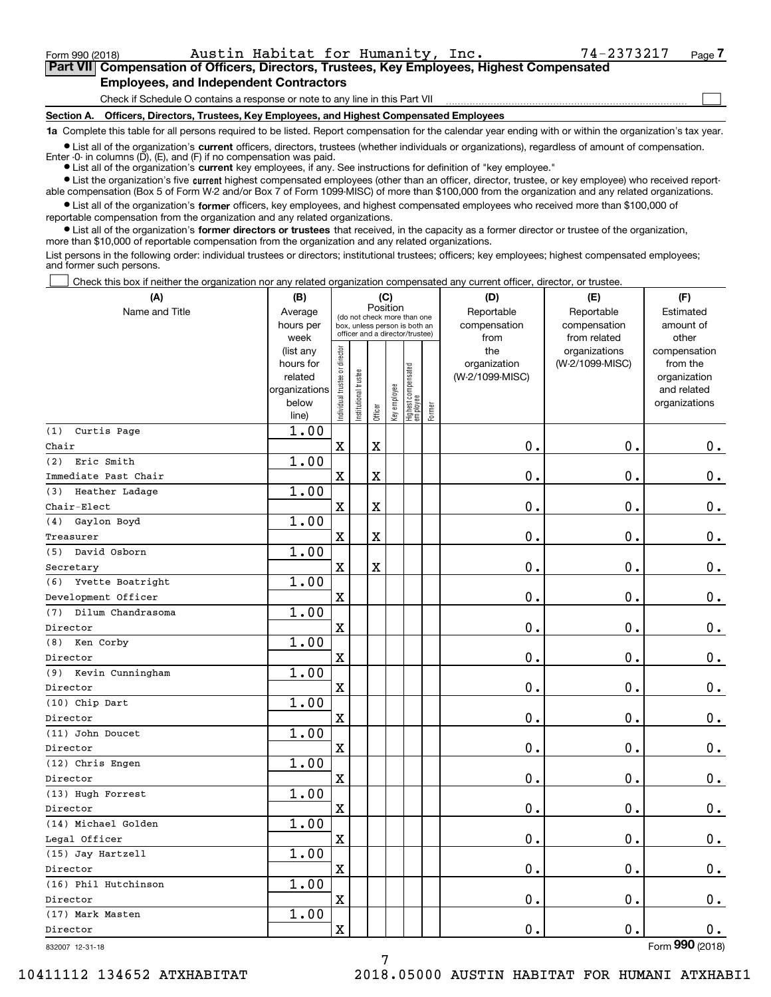$\mathcal{L}^{\text{max}}$ 

# **7Part VII Compensation of Officers, Directors, Trustees, Key Employees, Highest Compensated Employees, and Independent Contractors**

Check if Schedule O contains a response or note to any line in this Part VII

**Section A. Officers, Directors, Trustees, Key Employees, and Highest Compensated Employees**

**1a**  Complete this table for all persons required to be listed. Report compensation for the calendar year ending with or within the organization's tax year.

**•** List all of the organization's current officers, directors, trustees (whether individuals or organizations), regardless of amount of compensation. Enter -0- in columns  $(D)$ ,  $(E)$ , and  $(F)$  if no compensation was paid.

● List all of the organization's **current** key employees, if any. See instructions for definition of "key employee."

**•** List the organization's five current highest compensated employees (other than an officer, director, trustee, or key employee) who received reportable compensation (Box 5 of Form W-2 and/or Box 7 of Form 1099-MISC) of more than \$100,000 from the organization and any related organizations.

 $\bullet$  List all of the organization's **former** officers, key employees, and highest compensated employees who received more than \$100,000 of reportable compensation from the organization and any related organizations.

**•** List all of the organization's former directors or trustees that received, in the capacity as a former director or trustee of the organization, more than \$10,000 of reportable compensation from the organization and any related organizations.

List persons in the following order: individual trustees or directors; institutional trustees; officers; key employees; highest compensated employees; and former such persons.

Check this box if neither the organization nor any related organization compensated any current officer, director, or trustee.  $\mathcal{L}^{\text{max}}$ 

| (A)                     | (B)                    |                                |                       |                         | (C)          |                                                                  |        | (D)                             | (E)                              | (F)                      |
|-------------------------|------------------------|--------------------------------|-----------------------|-------------------------|--------------|------------------------------------------------------------------|--------|---------------------------------|----------------------------------|--------------------------|
| Name and Title          | Average                |                                |                       | Position                |              | (do not check more than one                                      |        | Reportable                      | Reportable                       | Estimated                |
|                         | hours per              |                                |                       |                         |              | box, unless person is both an<br>officer and a director/trustee) |        | compensation                    | compensation                     | amount of                |
|                         | week                   |                                |                       |                         |              |                                                                  |        | from                            | from related                     | other                    |
|                         | (list any<br>hours for |                                |                       |                         |              |                                                                  |        | the                             | organizations<br>(W-2/1099-MISC) | compensation<br>from the |
|                         | related                |                                |                       |                         |              |                                                                  |        | organization<br>(W-2/1099-MISC) |                                  | organization             |
|                         | organizations          |                                |                       |                         |              |                                                                  |        |                                 |                                  | and related              |
|                         | below                  | Individual trustee or director | Institutional trustee |                         | Key employee |                                                                  |        |                                 |                                  | organizations            |
|                         | line)                  |                                |                       | Officer                 |              | Highest compensated<br> employee                                 | Former |                                 |                                  |                          |
| Curtis Page<br>(1)      | 1.00                   |                                |                       |                         |              |                                                                  |        |                                 |                                  |                          |
| Chair                   |                        | $\mathbf x$                    |                       | $\rm X$                 |              |                                                                  |        | 0.                              | $\mathbf 0$ .                    | $\mathbf 0$ .            |
| (2)<br>Eric Smith       | 1.00                   |                                |                       |                         |              |                                                                  |        |                                 |                                  |                          |
| Immediate Past Chair    |                        | X                              |                       | $\mathbf X$             |              |                                                                  |        | 0.                              | 0.                               | $\mathbf 0$ .            |
| Heather Ladage<br>(3)   | 1.00                   |                                |                       |                         |              |                                                                  |        |                                 |                                  |                          |
| $Chair-Elect$           |                        | $\mathbf x$                    |                       | $\rm X$                 |              |                                                                  |        | 0.                              | $\mathbf 0$ .                    | $\mathbf 0$ .            |
| (4) Gaylon Boyd         | 1.00                   |                                |                       |                         |              |                                                                  |        |                                 |                                  |                          |
| Treasurer               |                        | X                              |                       | $\overline{\textbf{X}}$ |              |                                                                  |        | 0.                              | $\mathbf 0$ .                    | $\mathbf 0$ .            |
| (5) David Osborn        | 1.00                   |                                |                       |                         |              |                                                                  |        |                                 |                                  |                          |
| Secretary               |                        | $\mathbf X$                    |                       | $\overline{\mathbf{X}}$ |              |                                                                  |        | 0.                              | $\mathbf 0$ .                    | $\mathbf 0$ .            |
| (6) Yvette Boatright    | 1.00                   |                                |                       |                         |              |                                                                  |        |                                 |                                  |                          |
| Development Officer     |                        | X                              |                       |                         |              |                                                                  |        | 0.                              | 0.                               | 0.                       |
| (7) Dilum Chandrasoma   | 1.00                   |                                |                       |                         |              |                                                                  |        |                                 |                                  |                          |
| Director                |                        | X                              |                       |                         |              |                                                                  |        | 0.                              | $\mathbf 0$ .                    | $\mathbf 0$ .            |
| Ken Corby<br>(8)        | 1.00                   |                                |                       |                         |              |                                                                  |        |                                 |                                  |                          |
| Director                |                        | $\mathbf x$                    |                       |                         |              |                                                                  |        | 0.                              | $\mathbf 0$ .                    | $\mathbf 0$ .            |
| (9)<br>Kevin Cunningham | 1.00                   |                                |                       |                         |              |                                                                  |        |                                 |                                  |                          |
| Director                |                        | $\rm X$                        |                       |                         |              |                                                                  |        | 0.                              | 0.                               | $0_{.}$                  |
| (10) Chip Dart          | 1.00                   |                                |                       |                         |              |                                                                  |        |                                 |                                  |                          |
| Director                |                        | $\mathbf x$                    |                       |                         |              |                                                                  |        | 0.                              | $\mathbf{0}$ .                   | $0$ .                    |
| (11) John Doucet        | 1.00                   |                                |                       |                         |              |                                                                  |        |                                 |                                  |                          |
| Director                |                        | $\mathbf X$                    |                       |                         |              |                                                                  |        | 0.                              | $\mathbf 0$ .                    | 0.                       |
| (12) Chris Engen        | 1.00                   |                                |                       |                         |              |                                                                  |        |                                 |                                  |                          |
| Director                |                        | $\mathbf X$                    |                       |                         |              |                                                                  |        | 0.                              | $\mathbf 0$ .                    | 0.                       |
| (13) Hugh Forrest       | 1.00                   |                                |                       |                         |              |                                                                  |        |                                 |                                  |                          |
| Director                |                        | $\mathbf X$                    |                       |                         |              |                                                                  |        | 0.                              | 0.                               | $\mathbf 0$ .            |
| (14) Michael Golden     | 1.00                   |                                |                       |                         |              |                                                                  |        |                                 |                                  |                          |
| Legal Officer           |                        | $\mathbf X$                    |                       |                         |              |                                                                  |        | 0.                              | $\mathbf 0$ .                    | $0$ .                    |
| (15) Jay Hartzell       | 1.00                   |                                |                       |                         |              |                                                                  |        |                                 |                                  |                          |
| Director                |                        | $\mathbf X$                    |                       |                         |              |                                                                  |        | 0.                              | 0.                               | 0.                       |
| (16) Phil Hutchinson    | 1.00                   |                                |                       |                         |              |                                                                  |        |                                 |                                  |                          |
| Director                |                        | $\mathbf X$                    |                       |                         |              |                                                                  |        | 0.                              | $\mathbf 0$ .                    | $\mathbf 0$ .            |
| (17) Mark Masten        | 1.00                   |                                |                       |                         |              |                                                                  |        |                                 |                                  |                          |
| Director                |                        | $\mathbf X$                    |                       |                         |              |                                                                  |        | 0.                              | $\mathbf 0$ .                    | 0.<br>$\overline{2}$     |

7

832007 12-31-18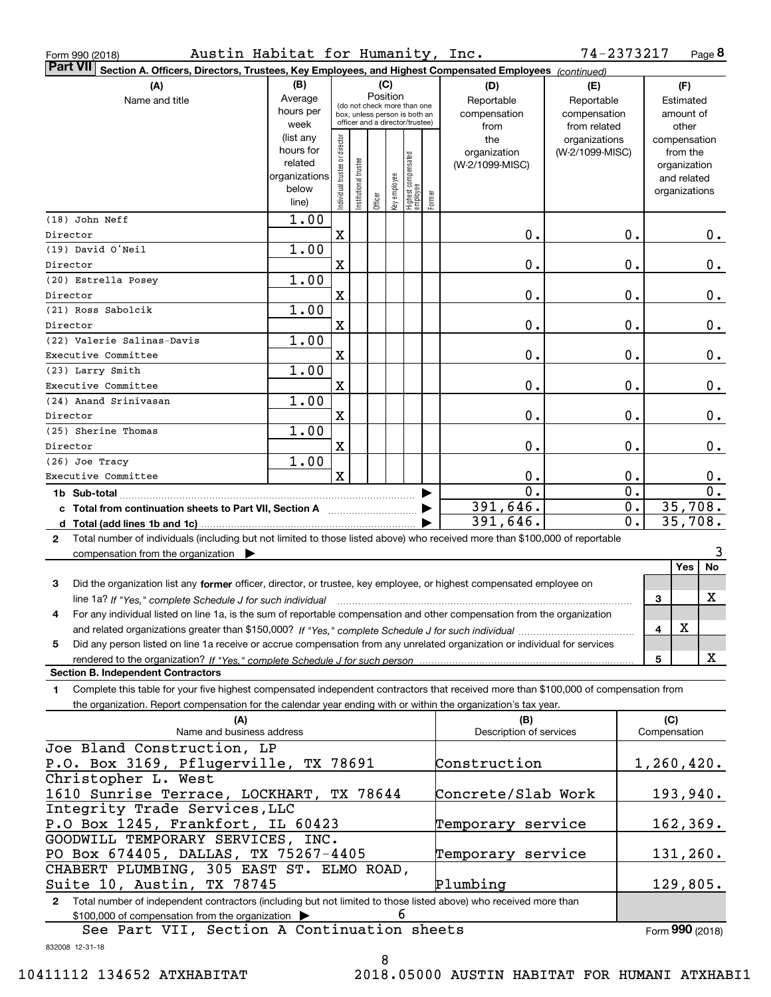| Austin Habitat for Humanity, Inc.<br>Form 990 (2018)                                                                                                                                                                                                                  |                                                                                                        |                                                              |                      |         |               |                                  |              |                         | 74-2373217      |                  |               | Page 8           |
|-----------------------------------------------------------------------------------------------------------------------------------------------------------------------------------------------------------------------------------------------------------------------|--------------------------------------------------------------------------------------------------------|--------------------------------------------------------------|----------------------|---------|---------------|----------------------------------|--------------|-------------------------|-----------------|------------------|---------------|------------------|
| <b>Part VII</b>                                                                                                                                                                                                                                                       | Section A. Officers, Directors, Trustees, Key Employees, and Highest Compensated Employees (continued) |                                                              |                      |         |               |                                  |              |                         |                 |                  |               |                  |
| (A)                                                                                                                                                                                                                                                                   | (B)                                                                                                    |                                                              |                      |         | (C)           |                                  |              | (D)                     | (E)             |                  | (F)           |                  |
| Name and title                                                                                                                                                                                                                                                        | Average                                                                                                |                                                              |                      |         | Position      |                                  |              | Reportable              | Reportable      |                  | Estimated     |                  |
|                                                                                                                                                                                                                                                                       | hours per                                                                                              | (do not check more than one<br>box, unless person is both an |                      |         |               |                                  | compensation | compensation            |                 | amount of        |               |                  |
|                                                                                                                                                                                                                                                                       | week                                                                                                   |                                                              |                      |         |               | officer and a director/trustee)  |              | from                    | from related    |                  | other         |                  |
|                                                                                                                                                                                                                                                                       | (list any                                                                                              |                                                              |                      |         |               |                                  |              | the                     | organizations   |                  | compensation  |                  |
|                                                                                                                                                                                                                                                                       | hours for                                                                                              |                                                              |                      |         |               |                                  |              | organization            | (W-2/1099-MISC) |                  | from the      |                  |
|                                                                                                                                                                                                                                                                       | related                                                                                                |                                                              |                      |         |               |                                  |              | (W-2/1099-MISC)         |                 |                  | organization  |                  |
|                                                                                                                                                                                                                                                                       | organizations<br>below                                                                                 |                                                              |                      |         |               |                                  |              |                         |                 |                  | and related   |                  |
|                                                                                                                                                                                                                                                                       | line)                                                                                                  | Individual trustee or director                               | nstitutional trustee | Officer | əə/old wə Aəy | Highest compensated<br> employee | Former       |                         |                 |                  | organizations |                  |
| (18) John Neff                                                                                                                                                                                                                                                        | 1.00                                                                                                   |                                                              |                      |         |               |                                  |              |                         |                 |                  |               |                  |
| Director                                                                                                                                                                                                                                                              |                                                                                                        | $\mathbf X$                                                  |                      |         |               |                                  |              | 0.                      |                 | 0.               |               | $0$ .            |
| (19) David O'Neil                                                                                                                                                                                                                                                     | 1.00                                                                                                   |                                                              |                      |         |               |                                  |              |                         |                 |                  |               |                  |
| Director                                                                                                                                                                                                                                                              |                                                                                                        | $\mathbf X$                                                  |                      |         |               |                                  |              | 0.                      |                 | 0.               |               | $0$ .            |
| (20) Estrella Posey                                                                                                                                                                                                                                                   | 1.00                                                                                                   |                                                              |                      |         |               |                                  |              |                         |                 |                  |               |                  |
| Director                                                                                                                                                                                                                                                              |                                                                                                        | $\mathbf X$                                                  |                      |         |               |                                  |              | 0.                      |                 | 0.               |               | 0.               |
| (21) Ross Sabolcik                                                                                                                                                                                                                                                    | 1.00                                                                                                   |                                                              |                      |         |               |                                  |              |                         |                 |                  |               |                  |
| Director                                                                                                                                                                                                                                                              |                                                                                                        | $\mathbf X$                                                  |                      |         |               |                                  |              | 0.                      |                 | 0.               |               | 0.               |
| (22) Valerie Salinas-Davis                                                                                                                                                                                                                                            | 1.00                                                                                                   |                                                              |                      |         |               |                                  |              |                         |                 |                  |               |                  |
| Executive Committee                                                                                                                                                                                                                                                   |                                                                                                        | $\mathbf X$                                                  |                      |         |               |                                  |              | 0.                      |                 | 0.               |               | 0.               |
| (23) Larry Smith                                                                                                                                                                                                                                                      | 1.00                                                                                                   |                                                              |                      |         |               |                                  |              |                         |                 |                  |               |                  |
| Executive Committee                                                                                                                                                                                                                                                   |                                                                                                        | $\mathbf X$                                                  |                      |         |               |                                  |              | 0.                      |                 | 0.               |               | 0.               |
| (24) Anand Srinivasan                                                                                                                                                                                                                                                 | 1.00                                                                                                   |                                                              |                      |         |               |                                  |              |                         |                 |                  |               |                  |
| Director                                                                                                                                                                                                                                                              |                                                                                                        | $\mathbf X$                                                  |                      |         |               |                                  |              | 0.                      |                 | 0.               |               | 0.               |
| (25) Sherine Thomas                                                                                                                                                                                                                                                   | 1.00                                                                                                   |                                                              |                      |         |               |                                  |              |                         |                 |                  |               |                  |
| Director                                                                                                                                                                                                                                                              |                                                                                                        | X                                                            |                      |         |               |                                  |              | 0.                      |                 | 0.               |               | 0.               |
| $(26)$ Joe Tracy                                                                                                                                                                                                                                                      | 1.00                                                                                                   |                                                              |                      |         |               |                                  |              |                         |                 |                  |               |                  |
| Executive Committee                                                                                                                                                                                                                                                   |                                                                                                        | $\mathbf x$                                                  |                      |         |               |                                  |              | 0.                      |                 | 0.               |               | $0$ .            |
|                                                                                                                                                                                                                                                                       |                                                                                                        |                                                              |                      |         |               |                                  |              | $\mathbf{0}$ .          |                 | $\overline{0}$ . |               | $\overline{0}$ . |
| c Total from continuation sheets to Part VII, Section A                                                                                                                                                                                                               |                                                                                                        |                                                              |                      |         |               |                                  |              | 391,646.                |                 | $\mathbf 0$ .    |               | 35,708.          |
|                                                                                                                                                                                                                                                                       |                                                                                                        |                                                              |                      |         |               |                                  |              | 391,646.                |                 | 0.               |               | 35,708.          |
| Total number of individuals (including but not limited to those listed above) who received more than \$100,000 of reportable<br>$\mathbf{2}$                                                                                                                          |                                                                                                        |                                                              |                      |         |               |                                  |              |                         |                 |                  |               |                  |
| compensation from the organization $\blacktriangleright$                                                                                                                                                                                                              |                                                                                                        |                                                              |                      |         |               |                                  |              |                         |                 |                  | Yes           | 3<br>No          |
|                                                                                                                                                                                                                                                                       |                                                                                                        |                                                              |                      |         |               |                                  |              |                         |                 |                  |               |                  |
| 3<br>Did the organization list any former officer, director, or trustee, key employee, or highest compensated employee on                                                                                                                                             |                                                                                                        |                                                              |                      |         |               |                                  |              |                         |                 |                  |               | X                |
| line 1a? If "Yes," complete Schedule J for such individual manufactured contained and the visitor complete schedule J for such individual<br>For any individual listed on line 1a, is the sum of reportable compensation and other compensation from the organization |                                                                                                        |                                                              |                      |         |               |                                  |              |                         |                 |                  | 3             |                  |
|                                                                                                                                                                                                                                                                       |                                                                                                        |                                                              |                      |         |               |                                  |              |                         |                 |                  | X<br>4        |                  |
| Did any person listed on line 1a receive or accrue compensation from any unrelated organization or individual for services<br>5.                                                                                                                                      |                                                                                                        |                                                              |                      |         |               |                                  |              |                         |                 |                  |               |                  |
| rendered to the organization? If "Yes." complete Schedule J for such person                                                                                                                                                                                           |                                                                                                        |                                                              |                      |         |               |                                  |              |                         |                 |                  | 5             | X                |
| <b>Section B. Independent Contractors</b>                                                                                                                                                                                                                             |                                                                                                        |                                                              |                      |         |               |                                  |              |                         |                 |                  |               |                  |
| Complete this table for your five highest compensated independent contractors that received more than \$100,000 of compensation from<br>1.                                                                                                                            |                                                                                                        |                                                              |                      |         |               |                                  |              |                         |                 |                  |               |                  |
| the organization. Report compensation for the calendar year ending with or within the organization's tax year.                                                                                                                                                        |                                                                                                        |                                                              |                      |         |               |                                  |              |                         |                 |                  |               |                  |
| (A)                                                                                                                                                                                                                                                                   |                                                                                                        |                                                              |                      |         |               |                                  |              | (B)                     |                 |                  | (C)           |                  |
| Name and business address                                                                                                                                                                                                                                             |                                                                                                        |                                                              |                      |         |               |                                  |              | Description of services |                 |                  | Compensation  |                  |
| Joe Bland Construction, LP                                                                                                                                                                                                                                            |                                                                                                        |                                                              |                      |         |               |                                  |              |                         |                 |                  |               |                  |
| P.O. Box 3169, Pflugerville, TX 78691                                                                                                                                                                                                                                 |                                                                                                        |                                                              |                      |         |               |                                  |              | Construction            |                 |                  | $1,260,420$ . |                  |
| Christopher L. West                                                                                                                                                                                                                                                   |                                                                                                        |                                                              |                      |         |               |                                  |              |                         |                 |                  |               |                  |
| 1610 Sunrise Terrace, LOCKHART, TX 78644                                                                                                                                                                                                                              |                                                                                                        |                                                              |                      |         |               |                                  |              | Concrete/Slab Work      |                 |                  |               | 193,940.         |
| Integrity Trade Services, LLC                                                                                                                                                                                                                                         |                                                                                                        |                                                              |                      |         |               |                                  |              |                         |                 |                  |               |                  |
| P.O Box 1245, Frankfort, IL 60423                                                                                                                                                                                                                                     |                                                                                                        |                                                              |                      |         |               |                                  |              | Temporary service       |                 |                  |               | 162, 369.        |
| GOODWILL TEMPORARY SERVICES, INC.                                                                                                                                                                                                                                     |                                                                                                        |                                                              |                      |         |               |                                  |              |                         |                 |                  |               |                  |
| PO Box 674405, DALLAS, TX 75267-4405                                                                                                                                                                                                                                  |                                                                                                        |                                                              |                      |         |               |                                  |              | Temporary service       |                 |                  |               | 131,260.         |
| CHABERT PLUMBING, 305 EAST ST. ELMO ROAD,<br>Suite 10, Austin, TX 78745                                                                                                                                                                                               |                                                                                                        |                                                              |                      |         |               |                                  |              | Plumbing                |                 |                  |               |                  |
|                                                                                                                                                                                                                                                                       |                                                                                                        |                                                              |                      |         |               |                                  |              |                         |                 |                  |               | 129,805.         |
| Total number of independent contractors (including but not limited to those listed above) who received more than<br>$\mathbf{2}$<br>\$100,000 of compensation from the organization                                                                                   |                                                                                                        |                                                              |                      |         | 6             |                                  |              |                         |                 |                  |               |                  |
|                                                                                                                                                                                                                                                                       |                                                                                                        |                                                              |                      |         |               |                                  |              |                         |                 |                  |               |                  |

See Part VII, Section A Continuation sheets

Form (2018) **990**

832008 12-31-18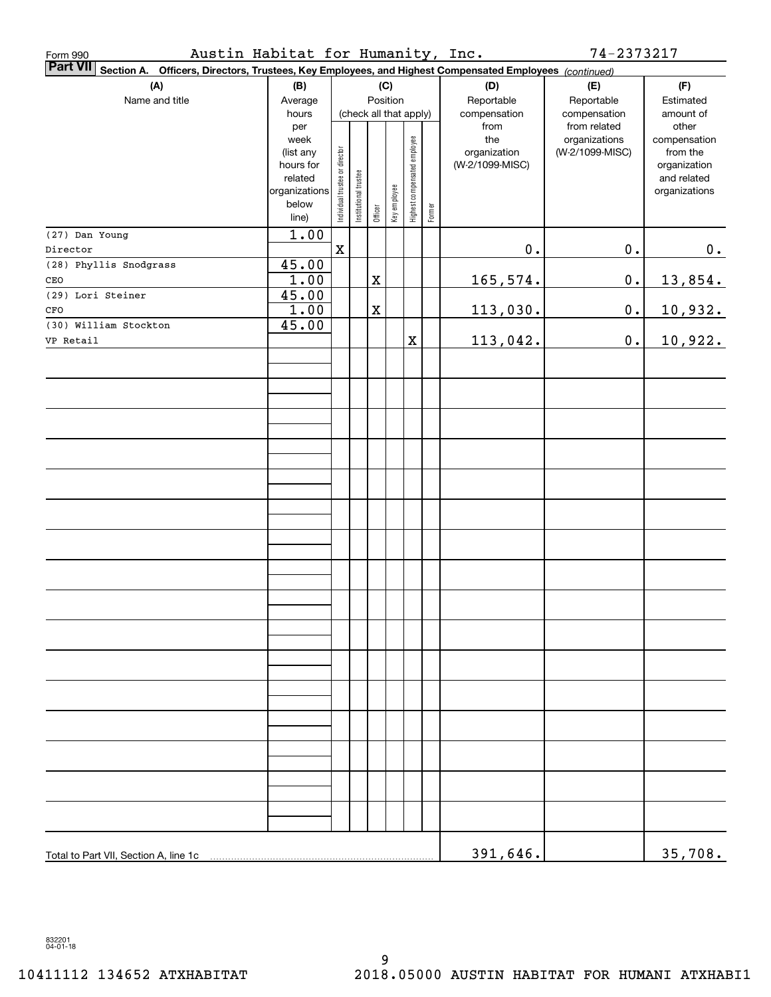| Austin Habitat for Humanity, Inc.<br>Form 990                                                                   |                      |                                |                       |                        |              |                              |        |                 | 74-2373217      |                             |
|-----------------------------------------------------------------------------------------------------------------|----------------------|--------------------------------|-----------------------|------------------------|--------------|------------------------------|--------|-----------------|-----------------|-----------------------------|
| Part VII Section A. Officers, Directors, Trustees, Key Employees, and Highest Compensated Employees (continued) |                      |                                |                       |                        |              |                              |        |                 |                 |                             |
| (A)                                                                                                             | (B)                  |                                |                       |                        | (C)          |                              |        | (D)             | (E)             | (F)                         |
| Name and title                                                                                                  | Average              | Position                       |                       |                        |              |                              |        | Reportable      | Reportable      | Estimated                   |
|                                                                                                                 | hours                |                                |                       | (check all that apply) |              |                              |        | compensation    | compensation    | amount of                   |
|                                                                                                                 | per                  |                                |                       |                        |              |                              |        | from            | from related    | other                       |
|                                                                                                                 | week                 |                                |                       |                        |              |                              |        | the             | organizations   | compensation                |
|                                                                                                                 | (list any            |                                |                       |                        |              |                              |        | organization    | (W-2/1099-MISC) | from the                    |
|                                                                                                                 | hours for<br>related |                                |                       |                        |              |                              |        | (W-2/1099-MISC) |                 | organization<br>and related |
|                                                                                                                 | organizations        |                                |                       |                        |              |                              |        |                 |                 | organizations               |
|                                                                                                                 | below                | Individual trustee or director | Institutional trustee |                        | Key employee | Highest compensated employee |        |                 |                 |                             |
|                                                                                                                 | line)                |                                |                       | Officer                |              |                              | Former |                 |                 |                             |
| (27) Dan Young                                                                                                  | 1.00                 |                                |                       |                        |              |                              |        |                 |                 |                             |
| Director                                                                                                        |                      | $\mathbf x$                    |                       |                        |              |                              |        | $\mathbf 0$ .   | $0$ .           | 0.                          |
| (28) Phyllis Snodgrass                                                                                          | 45.00                |                                |                       |                        |              |                              |        |                 |                 |                             |
| CEO                                                                                                             | 1.00                 |                                |                       | X                      |              |                              |        | <u>165,574.</u> | $\mathbf 0$ .   | 13,854.                     |
| (29) Lori Steiner                                                                                               | 45.00                |                                |                       |                        |              |                              |        |                 |                 |                             |
| CFO                                                                                                             | 1.00                 |                                |                       | X                      |              |                              |        | 113,030.        | $\mathbf 0$ .   | 10,932.                     |
| (30) William Stockton                                                                                           | 45.00                |                                |                       |                        |              |                              |        |                 |                 |                             |
| VP Retail                                                                                                       |                      |                                |                       |                        |              | X                            |        | 113,042.        | $0$ .           | 10,922.                     |
|                                                                                                                 |                      |                                |                       |                        |              |                              |        |                 |                 |                             |
|                                                                                                                 |                      |                                |                       |                        |              |                              |        |                 |                 |                             |
|                                                                                                                 |                      |                                |                       |                        |              |                              |        |                 |                 |                             |
|                                                                                                                 |                      |                                |                       |                        |              |                              |        |                 |                 |                             |
|                                                                                                                 |                      |                                |                       |                        |              |                              |        |                 |                 |                             |
|                                                                                                                 |                      |                                |                       |                        |              |                              |        |                 |                 |                             |
|                                                                                                                 |                      |                                |                       |                        |              |                              |        |                 |                 |                             |
|                                                                                                                 |                      |                                |                       |                        |              |                              |        |                 |                 |                             |
|                                                                                                                 |                      |                                |                       |                        |              |                              |        |                 |                 |                             |
|                                                                                                                 |                      |                                |                       |                        |              |                              |        |                 |                 |                             |
|                                                                                                                 |                      |                                |                       |                        |              |                              |        |                 |                 |                             |
|                                                                                                                 |                      |                                |                       |                        |              |                              |        |                 |                 |                             |
|                                                                                                                 |                      |                                |                       |                        |              |                              |        |                 |                 |                             |
|                                                                                                                 |                      |                                |                       |                        |              |                              |        |                 |                 |                             |
|                                                                                                                 |                      |                                |                       |                        |              |                              |        |                 |                 |                             |
|                                                                                                                 |                      |                                |                       |                        |              |                              |        |                 |                 |                             |
|                                                                                                                 |                      |                                |                       |                        |              |                              |        |                 |                 |                             |
|                                                                                                                 |                      |                                |                       |                        |              |                              |        |                 |                 |                             |
|                                                                                                                 |                      |                                |                       |                        |              |                              |        |                 |                 |                             |
|                                                                                                                 |                      |                                |                       |                        |              |                              |        |                 |                 |                             |
|                                                                                                                 |                      |                                |                       |                        |              |                              |        |                 |                 |                             |
|                                                                                                                 |                      |                                |                       |                        |              |                              |        |                 |                 |                             |
|                                                                                                                 |                      |                                |                       |                        |              |                              |        |                 |                 |                             |
|                                                                                                                 |                      |                                |                       |                        |              |                              |        |                 |                 |                             |
|                                                                                                                 |                      |                                |                       |                        |              |                              |        |                 |                 |                             |
|                                                                                                                 |                      |                                |                       |                        |              |                              |        |                 |                 |                             |
|                                                                                                                 |                      |                                |                       |                        |              |                              |        |                 |                 |                             |
|                                                                                                                 |                      |                                |                       |                        |              |                              |        |                 |                 |                             |
|                                                                                                                 |                      |                                |                       |                        |              |                              |        |                 |                 |                             |
|                                                                                                                 |                      |                                |                       |                        |              |                              |        |                 |                 |                             |
|                                                                                                                 |                      |                                |                       |                        |              |                              |        | 391,646.        |                 | 35,708.                     |
|                                                                                                                 |                      |                                |                       |                        |              |                              |        |                 |                 |                             |

832201 04-01-18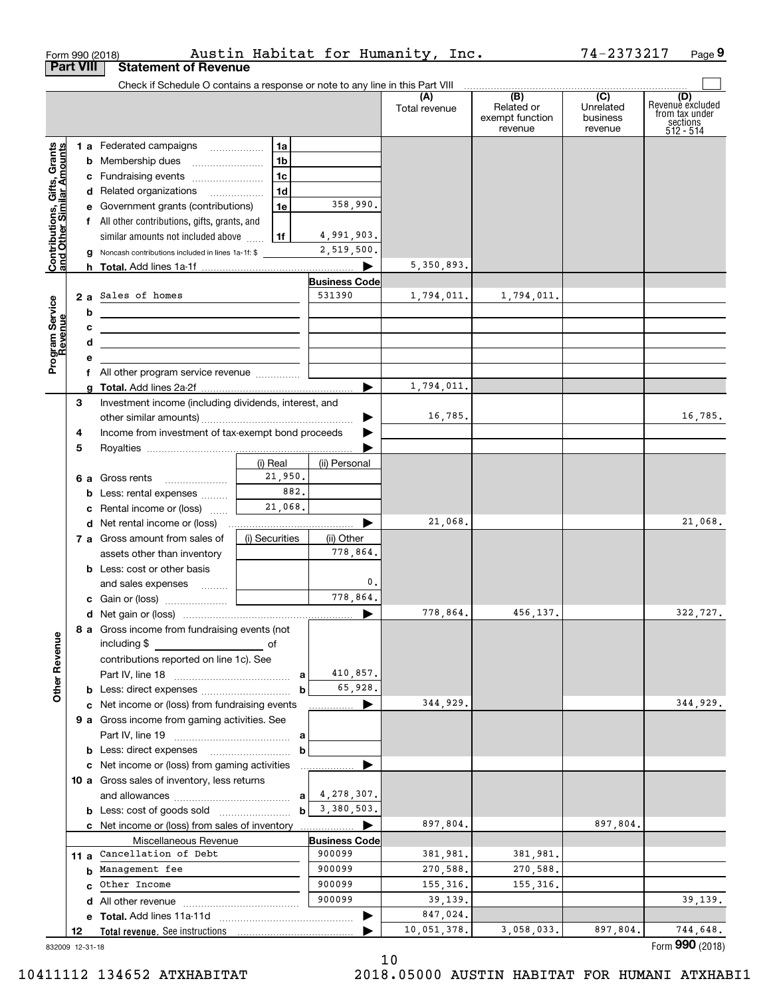|                                                           |                  | Form 990 (2018)                                                               |                 |                          | Austin Habitat for Humanity, Inc. |                                                 | 74-2373217                              | Page 9                                                             |
|-----------------------------------------------------------|------------------|-------------------------------------------------------------------------------|-----------------|--------------------------|-----------------------------------|-------------------------------------------------|-----------------------------------------|--------------------------------------------------------------------|
|                                                           | <b>Part VIII</b> | <b>Statement of Revenue</b>                                                   |                 |                          |                                   |                                                 |                                         |                                                                    |
|                                                           |                  | Check if Schedule O contains a response or note to any line in this Part VIII |                 |                          | (A)<br>Total revenue              | (B)<br>Related or<br>exempt function<br>revenue | (C)<br>Unrelated<br>business<br>revenue | (D)<br>Revenue excluded<br>from tax under<br>sections<br>512 - 514 |
|                                                           |                  | 1 a Federated campaigns                                                       | 1a              |                          |                                   |                                                 |                                         |                                                                    |
|                                                           |                  |                                                                               | 1 <sub>b</sub>  |                          |                                   |                                                 |                                         |                                                                    |
|                                                           |                  | c Fundraising events                                                          | 1c              |                          |                                   |                                                 |                                         |                                                                    |
|                                                           |                  | d Related organizations                                                       | 1d              |                          |                                   |                                                 |                                         |                                                                    |
|                                                           |                  | e Government grants (contributions)                                           | 1e              | 358,990.                 |                                   |                                                 |                                         |                                                                    |
|                                                           |                  | f All other contributions, gifts, grants, and                                 |                 |                          |                                   |                                                 |                                         |                                                                    |
| Contributions, Gifts, Grants<br>and Other Similar Amounts |                  | similar amounts not included above                                            | 1f              | 4,991,903.<br>2,519,500. |                                   |                                                 |                                         |                                                                    |
|                                                           |                  | <b>g</b> Noncash contributions included in lines 1a-1f: \$                    |                 |                          | 5,350,893.                        |                                                 |                                         |                                                                    |
|                                                           |                  |                                                                               |                 | <b>Business Code</b>     |                                   |                                                 |                                         |                                                                    |
|                                                           |                  | 2 a Sales of homes                                                            |                 | 531390                   | 1,794,011.                        | 1,794,011.                                      |                                         |                                                                    |
| Program Service<br>Revenue                                | b                | <u> 1980 - Andrea Andrew Maria (h. 1980).</u>                                 |                 |                          |                                   |                                                 |                                         |                                                                    |
|                                                           |                  | с<br><u> 1989 - Johann Stein, mars an de Francisco (f. 1989)</u>              |                 |                          |                                   |                                                 |                                         |                                                                    |
|                                                           |                  | d<br><u> 1989 - Johann Stein, mars an deutscher Stein († 1958)</u>            |                 |                          |                                   |                                                 |                                         |                                                                    |
|                                                           | е                |                                                                               |                 |                          |                                   |                                                 |                                         |                                                                    |
|                                                           |                  | f All other program service revenue                                           |                 |                          |                                   |                                                 |                                         |                                                                    |
|                                                           |                  |                                                                               |                 |                          | 1,794,011.                        |                                                 |                                         |                                                                    |
|                                                           | 3                | Investment income (including dividends, interest, and                         |                 |                          |                                   |                                                 |                                         |                                                                    |
|                                                           |                  |                                                                               |                 |                          | 16,785.                           |                                                 |                                         | 16,785.                                                            |
|                                                           | 4                | Income from investment of tax-exempt bond proceeds                            |                 |                          |                                   |                                                 |                                         |                                                                    |
|                                                           | 5                |                                                                               |                 |                          |                                   |                                                 |                                         |                                                                    |
|                                                           |                  |                                                                               | (i) Real        | (ii) Personal            |                                   |                                                 |                                         |                                                                    |
|                                                           |                  | <b>6 a</b> Gross rents                                                        | 21,950.<br>882. |                          |                                   |                                                 |                                         |                                                                    |
|                                                           |                  | <b>b</b> Less: rental expenses                                                | 21,068.         |                          |                                   |                                                 |                                         |                                                                    |
|                                                           |                  | <b>c</b> Rental income or (loss)<br><b>d</b> Net rental income or (loss)      |                 | $\blacktriangleright$    | 21,068.                           |                                                 |                                         | 21,068.                                                            |
|                                                           |                  | 7 a Gross amount from sales of                                                | (i) Securities  | (ii) Other               |                                   |                                                 |                                         |                                                                    |
|                                                           |                  | assets other than inventory                                                   |                 | 778,864.                 |                                   |                                                 |                                         |                                                                    |
|                                                           |                  | <b>b</b> Less: cost or other basis                                            |                 |                          |                                   |                                                 |                                         |                                                                    |
|                                                           |                  | and sales expenses                                                            |                 | 0.                       |                                   |                                                 |                                         |                                                                    |
|                                                           |                  | <b>c</b> Gain or (loss) $\ldots$ [100]                                        |                 | 778,864.                 |                                   |                                                 |                                         |                                                                    |
|                                                           |                  |                                                                               |                 |                          | 778,864.                          | 456,137.                                        |                                         | 322,727.                                                           |
| <b>Other Revenue</b>                                      |                  | 8 a Gross income from fundraising events (not<br>including \$                 |                 |                          |                                   |                                                 |                                         |                                                                    |
|                                                           |                  | contributions reported on line 1c). See                                       |                 |                          |                                   |                                                 |                                         |                                                                    |
|                                                           |                  |                                                                               |                 | 410,857.                 |                                   |                                                 |                                         |                                                                    |
|                                                           |                  |                                                                               |                 | 65,928.                  |                                   |                                                 |                                         |                                                                    |
|                                                           |                  | c Net income or (loss) from fundraising events                                |                 | ▶                        | 344,929.                          |                                                 |                                         | 344.929.                                                           |
|                                                           |                  | 9 a Gross income from gaming activities. See                                  |                 |                          |                                   |                                                 |                                         |                                                                    |
|                                                           |                  |                                                                               | a               |                          |                                   |                                                 |                                         |                                                                    |
|                                                           |                  | <b>b</b> Less: direct expenses                                                | $\mathbf b$     |                          |                                   |                                                 |                                         |                                                                    |
|                                                           |                  | c Net income or (loss) from gaming activities                                 |                 |                          |                                   |                                                 |                                         |                                                                    |
|                                                           |                  | 10 a Gross sales of inventory, less returns                                   |                 | $a \mid 4, 278, 307.$    |                                   |                                                 |                                         |                                                                    |
|                                                           |                  |                                                                               | $\mathbf b$     | 3,380,503.               |                                   |                                                 |                                         |                                                                    |
|                                                           |                  | c Net income or (loss) from sales of inventory                                |                 |                          | 897,804.                          |                                                 | 897,804.                                |                                                                    |
|                                                           |                  | Miscellaneous Revenue                                                         |                 | <b>Business Code</b>     |                                   |                                                 |                                         |                                                                    |
|                                                           | 11 $a$           | Cancellation of Debt                                                          |                 | 900099                   | 381,981.                          | 381,981.                                        |                                         |                                                                    |
|                                                           |                  | Management fee<br>b                                                           |                 | 900099                   | 270,588.                          | 270,588.                                        |                                         |                                                                    |
|                                                           | C                | Other Income                                                                  |                 | 900099                   | 155, 316.                         | 155, 316.                                       |                                         |                                                                    |
|                                                           |                  |                                                                               |                 | 900099                   | 39,139.                           |                                                 |                                         | 39,139.                                                            |
|                                                           |                  |                                                                               |                 |                          | 847,024.                          |                                                 |                                         |                                                                    |
|                                                           | 12               |                                                                               |                 |                          | 10,051,378.                       | 3,058,033.                                      | 897,804.                                | 744,648.                                                           |
| 832009 12-31-18                                           |                  |                                                                               |                 |                          |                                   |                                                 |                                         | Form 990 (2018)                                                    |

832009 12-31-18

10

10411112 134652 ATXHABITAT 2018.05000 AUSTIN HABITAT FOR HUMANI ATXHABI1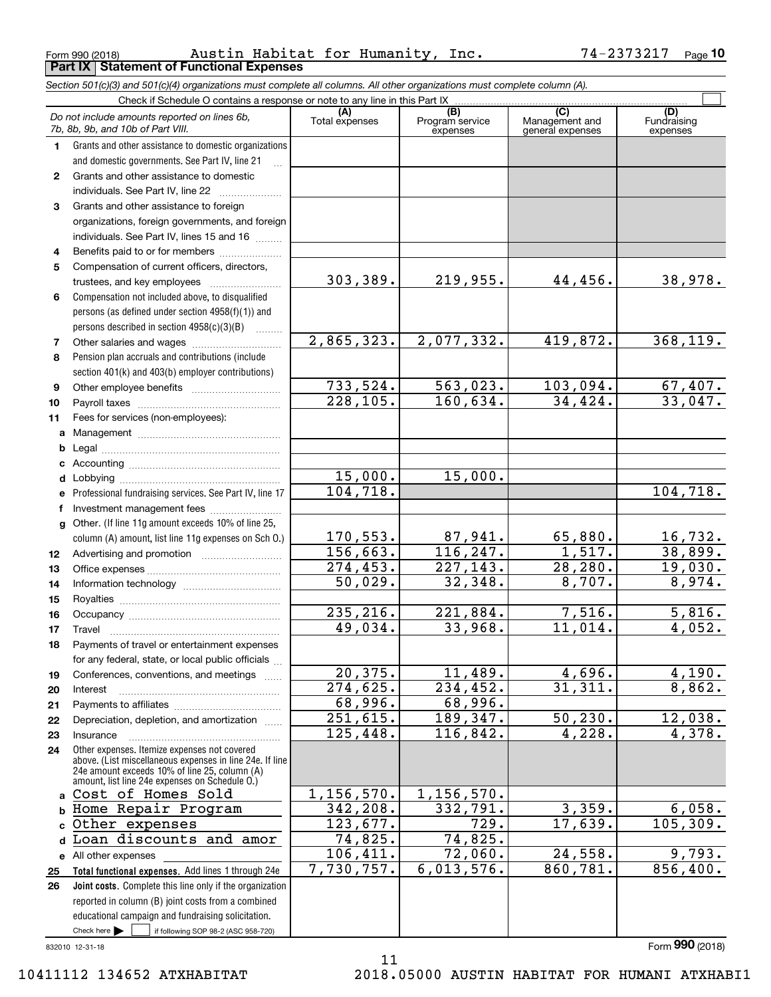**Part IX Statement of Functional Expenses**

*Section 501(c)(3) and 501(c)(4) organizations must complete all columns. All other organizations must complete column (A).*

 $\mathcal{L}^{\text{max}}$ 

Check here  $\bullet$  if following SOP 98-2 (ASC 958-720) 832010 12-31-18 **Total functional expenses.**  Add lines 1 through 24e **Joint costs.** Complete this line only if the organization **(A)**<br>Total expenses **(C)** (C) (C)<br>
penses Program service Management and Fundrai<br>
expenses general expenses expen **1234567891011abcdefg12131415161718192021222324abcd**Loan discounts and amor **e** All other expenses **2526**Grants and other assistance to domestic organizations and domestic governments. See Part IV, line 21 Compensation not included above, to disqualified persons (as defined under section 4958(f)(1)) and persons described in section 4958(c)(3)(B)  $\quad \ldots \ldots \ldots$ Pension plan accruals and contributions (include section 401(k) and 403(b) employer contributions) Professional fundraising services. See Part IV, line 17 Other. (If line 11g amount exceeds 10% of line 25, column (A) amount, list line 11g expenses on Sch O.) Other expenses. Itemize expenses not covered above. (List miscellaneous expenses in line 24e. If line 24e amount exceeds 10% of line 25, column (A) amount, list line 24e expenses on Schedule O.) reported in column (B) joint costs from a combined educational campaign and fundraising solicitation. Check if Schedule O contains a response or note to any line in this Part IX (C) (C) (C) (C) (C) (C) Program service expensesFundraising expenses Grants and other assistance to domestic  $individuals. See Part IV, line 22$  .............. Grants and other assistance to foreign organizations, foreign governments, and foreign individuals. See Part IV, lines 15 and 16  $\ldots$ Benefits paid to or for members ..................... Compensation of current officers, directors, trustees, and key employees  $\ldots$   $\ldots$   $\ldots$   $\ldots$   $\ldots$ Other salaries and wages ~~~~~~~~~~ Other employee benefits ~~~~~~~~~~ Payroll taxes ~~~~~~~~~~~~~~~~ Fees for services (non-employees): Management ~~~~~~~~~~~~~~~~ Legal ~~~~~~~~~~~~~~~~~~~~Accounting ~~~~~~~~~~~~~~~~~ Lobbying ~~~~~~~~~~~~~~~~~~ lnvestment management fees ....................... Advertising and promotion www.communication Office expenses ~~~~~~~~~~~~~~~Information technology ~~~~~~~~~~~ Royalties ~~~~~~~~~~~~~~~~~~ Occupancy ~~~~~~~~~~~~~~~~~ Travel ……………………………………………… Payments of travel or entertainment expenses for any federal, state, or local public officials ... Conferences, conventions, and meetings Interest ……………………………………………… Payments to affiliates ~~~~~~~~~~~~ Depreciation, depletion, and amortization  $\,\,\ldots\,\,$ Insurance~~~~~~~~~~~~~~~~~Check here  $\blacktriangleright$ Form (2018) **990***Do not include amounts reported on lines 6b, 7b, 8b, 9b, and 10b of Part VIII.* 303,389. 2,865,323. 733,524. 228,105. 15,000. 104,718. 170,553. 156,663. 274,453. 50,029. 235,216. 49,034. 20,375. 274,625. 68,996. 251,615. 125,448. 1,156,570. 342,208. 123,677. 74,825. 106,411. 7,730,757. 219,955. 44,456. 38,978. 2,077,332. 419,872. 368,119.  $563,023.$  103,094. 67,407. 160,634. 34,424. 33,047. 15,000. 104,718. 87,941. 65,880. 16,732.  $116, 247.$  1,517. 38,899. 227,143. 28,280. 19,030.  $32,348.$  8,707. 8,974. 221,884. 7,516. 5,816. 33,968. 11,014. 4,052.  $11,489.$  4,696. 4,190. 234,452. 31,311. 8,862. 68,996. 189,347. 50,230. 12,038. 116,842. 4,228. 4,378. 1,156,570.  $332,791.$  3,359. 6,058. 729. 17,639. 105,309. 74,825. 72,060. 24,558. 9,793.  $6,013,576.$  860,781. 856,400. Cost of Homes Sold Home Repair Program Other expenses

11

10411112 134652 ATXHABITAT 2018.05000 AUSTIN HABITAT FOR HUMANI ATXHABI1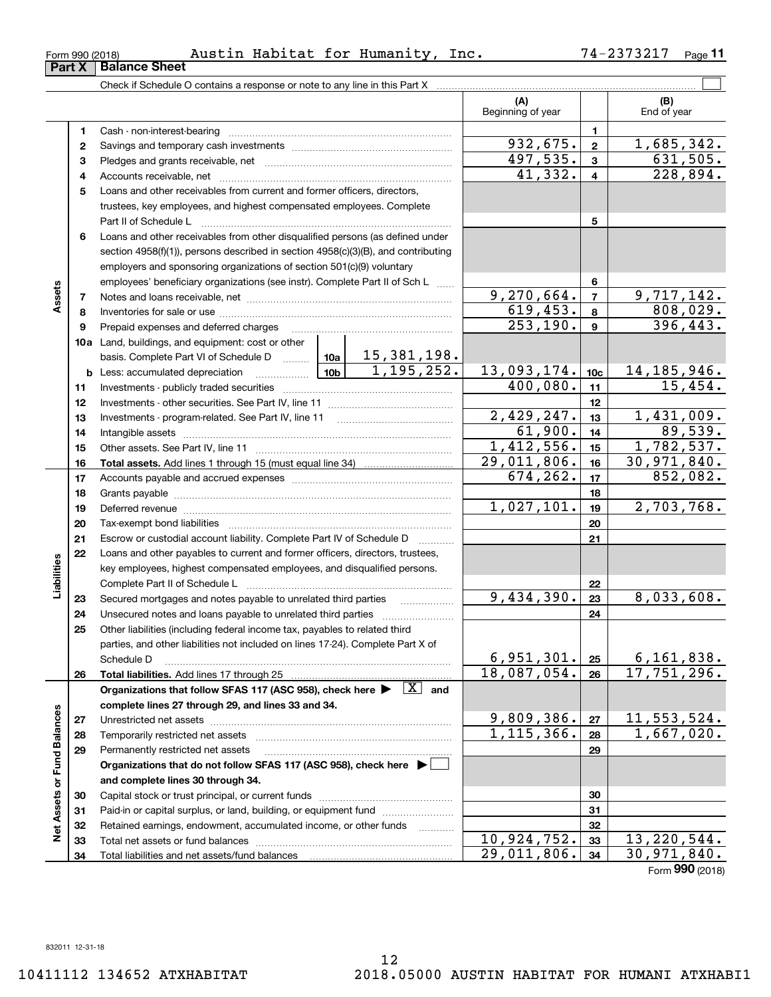**Assets**

**Liabilities**

Liabilities

**Net Assets or Fund Balances**

**Net Assets or Fund Balances** 

**(A) (B) 123** Pledges and grants receivable, net www.communically.communically.com **45**Loans and other receivables from current and former officers, directors, **6**Check if Schedule O contains a response or note to any line in this Part X Beginning of year | | End of year Cash - non-interest-bearing ~~~~~~~~~~~~~~~~~~~~~~~~~ Savings and temporary cash investments ~~~~~~~~~~~~~~~~~~Accounts receivable, net ~~~~~~~~~~~~~~~~~~~~~~~~~~ trustees, key employees, and highest compensated employees. Complete Part II of Schedule L ~~~~~~~~~~~~~~~~~~~~~~~~~~~~ Loans and other receivables from other disqualified persons (as defined under section 4958(f)(1)), persons described in section 4958(c)(3)(B), and contributing employers and sponsoring organizations of section 501(c)(9) voluntary employees' beneficiary organizations (see instr). Complete Part II of Sch L ...... **Part X** Balance Sheet  $932,675. | z | 1,685,342.$ 

# Form 990 (2018) Austin Habitat for Humanity, Inc. 74-2373217 <sub>Page</sub>

**78910a**Land, buildings, and equipment: cost or other **111213141516171819202122232425262728293031323334345678910c11121314151617181920212223242526b** Less: accumulated depreciation \_\_\_\_\_\_\_\_\_\_\_\_\_\_\_ Lub basis. Complete Part VI of Schedule D will aller **Total assets.**  Add lines 1 through 15 (must equal line 34) **Total liabilities.**  Add lines 17 through 25 Organizations that follow SFAS 117 (ASC 958), check here  $\blacktriangleright$   $\boxed{\text{X}}$  and **complete lines 27 through 29, and lines 33 and 34. 272829Organizations that do not follow SFAS 117 (ASC 958), check here** | **and complete lines 30 through 34. 3031323334**Notes and loans receivable, net ~~~~~~~~~~~~~~~~~~~~~~~ Inventories for sale or use ~~~~~~~~~~~~~~~~~~~~~~~~~~ Prepaid expenses and deferred charges Investments - publicly traded securities ~~~~~~~~~~~~~~~~~~~ Investments - other securities. See Part IV, line 11 ~~~~~~~~~~~~~~Investments - program-related. See Part IV, line 11 Intangible assets …………………………………………………………………………………… Other assets. See Part IV, line 11 ~~~~~~~~~~~~~~~~~~~~~~ Accounts payable and accrued expenses ~~~~~~~~~~~~~~~~~~Grants payable ~~~~~~~~~~~~~~~~~~~~~~~~~~~~~~~ Deferred revenue et al. **Deferred** revenue et al. **Deferred** revenue et al. **Deferred** revenue Tax-exempt bond liabilities …………………………………………………………… Escrow or custodial account liability. Complete Part IV of Schedule D Loans and other payables to current and former officers, directors, trustees, key employees, highest compensated employees, and disqualified persons. Complete Part II of Schedule L <sub>…………………………………………………………</sub> Secured mortgages and notes payable to unrelated third parties Unsecured notes and loans payable to unrelated third parties ~~~~~~~~~~~~~~~~~~~~ Other liabilities (including federal income tax, payables to related third parties, and other liabilities not included on lines 17-24). Complete Part X of Schedule D ~~~~~~~~~~~~~~~~~~~~~~~~~~~~~~~~ Unrestricted net assets <sub>………………………………………………………………</sub>…… Temporarily restricted net assets ~~~~~~~~~~~~~~~~~~~~~~ Permanently restricted net assets …………………………………………………… Capital stock or trust principal, or current funds ~~~~~~~~~~~~~~~ Paid-in or capital surplus, or land, building, or equipment fund with the manusure Retained earnings, endowment, accumulated income, or other funds www.com Total net assets or fund balances ~~~~~~~~~~~~~~~~~~~~~~ Total liabilities and net assets/fund balances  $41,332. | 4 | 228,894.$  $497,535.$   $3 \mid 631,505.$  $2,429,247.$  13 1,431,009.  $9,270,664.$   $7$  |  $9,717,142.$ 619,453. 8 808,029.  $253, 190.$  9 396,443.  $400,080.$  | 11 | 15,454. 15,381,198.  $1,195,252.$  13,093,174. 10c 14,185,946.  $1,412,556.$   $15$  1,782,537. 29,011,806. 30,971,840. 89,539.  $674, 262.$  17 852,082.  $1,027,101.$  19 2,703,768.  $9,434,390.$   $23$  8,033,608.  $6,951,301. |25 | 6,161,838.$ 18,087,054. 17,751,296.  $9,809,386.$   $27$  11,553,524.  $1,115,366. |28 | 1,667,020.$  $10,924,752.$  33 13,220,544. 29,011,806. 30,971,840. 61,900.

Form (2018) **990**

## 74-2373217 <sub>Page</sub> 11

 $\mathcal{L}^{\text{max}}$ 

**12**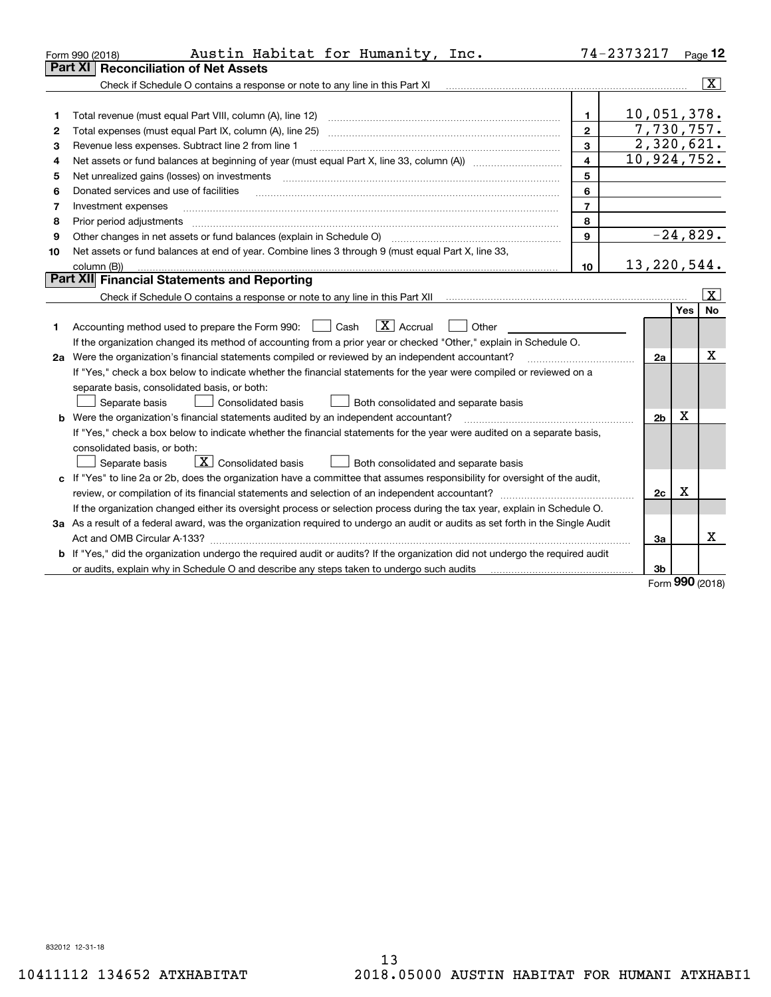|    | Austin Habitat for Humanity, Inc.<br>Form 990 (2018)                                                                            |                         | 74-2373217                  |             | Page 12 |
|----|---------------------------------------------------------------------------------------------------------------------------------|-------------------------|-----------------------------|-------------|---------|
|    | <b>Reconciliation of Net Assets</b><br>Part XI                                                                                  |                         |                             |             |         |
|    | Check if Schedule O contains a response or note to any line in this Part XI                                                     |                         |                             |             | X       |
|    |                                                                                                                                 |                         |                             |             |         |
| 1  | Total revenue (must equal Part VIII, column (A), line 12)                                                                       | 1                       | 10,051,378.                 |             |         |
| 2  | Total expenses (must equal Part IX, column (A), line 25)                                                                        | $\overline{2}$          | 7,730,757.                  |             |         |
| 3  | Revenue less expenses. Subtract line 2 from line 1                                                                              | 3                       | 2,320,621.                  |             |         |
| 4  |                                                                                                                                 | $\overline{\mathbf{4}}$ | $\overline{10}$ , 924, 752. |             |         |
| 5  | Net unrealized gains (losses) on investments                                                                                    | 5                       |                             |             |         |
| 6  | Donated services and use of facilities                                                                                          | 6                       |                             |             |         |
| 7  | Investment expenses                                                                                                             | $\overline{7}$          |                             |             |         |
| 8  | Prior period adjustments                                                                                                        | 8                       |                             |             |         |
| 9  | Other changes in net assets or fund balances (explain in Schedule O) [11] [2000] [2000] [2000] [2000] [2000] [                  | 9                       | $-24,829.$                  |             |         |
| 10 | Net assets or fund balances at end of year. Combine lines 3 through 9 (must equal Part X, line 33,                              |                         |                             |             |         |
|    | column (B))                                                                                                                     | 10                      | 13, 220, 544.               |             |         |
|    | Part XII Financial Statements and Reporting                                                                                     |                         |                             |             |         |
|    |                                                                                                                                 |                         |                             |             | x       |
|    |                                                                                                                                 |                         |                             | <b>Yes</b>  | No      |
| 1  | $\boxed{\mathbf{X}}$ Accrual<br>Accounting method used to prepare the Form 990: <u>[</u> Cash<br>Other                          |                         |                             |             |         |
|    | If the organization changed its method of accounting from a prior year or checked "Other," explain in Schedule O.               |                         |                             |             |         |
|    | 2a Were the organization's financial statements compiled or reviewed by an independent accountant?                              |                         | 2a                          |             | х       |
|    | If "Yes," check a box below to indicate whether the financial statements for the year were compiled or reviewed on a            |                         |                             |             |         |
|    | separate basis, consolidated basis, or both:                                                                                    |                         |                             |             |         |
|    | Separate basis<br>Consolidated basis<br>Both consolidated and separate basis                                                    |                         |                             |             |         |
|    | <b>b</b> Were the organization's financial statements audited by an independent accountant?                                     |                         | 2 <sub>b</sub>              | $\mathbf X$ |         |
|    | If "Yes," check a box below to indicate whether the financial statements for the year were audited on a separate basis,         |                         |                             |             |         |
|    | consolidated basis, or both:                                                                                                    |                         |                             |             |         |
|    | $\boxed{\textbf{X}}$ Consolidated basis<br>Separate basis<br>Both consolidated and separate basis                               |                         |                             |             |         |
|    | c If "Yes" to line 2a or 2b, does the organization have a committee that assumes responsibility for oversight of the audit,     |                         |                             |             |         |
|    |                                                                                                                                 |                         | 2c                          | $\mathbf X$ |         |
|    | If the organization changed either its oversight process or selection process during the tax year, explain in Schedule O.       |                         |                             |             |         |
|    | 3a As a result of a federal award, was the organization required to undergo an audit or audits as set forth in the Single Audit |                         |                             |             |         |
|    | Act and OMB Circular A-133?                                                                                                     |                         | 3a                          |             | x       |
|    | b If "Yes," did the organization undergo the required audit or audits? If the organization did not undergo the required audit   |                         |                             |             |         |
|    | or audits, explain why in Schedule O and describe any steps taken to undergo such audits                                        |                         | 3b                          | $\Omega$    |         |

Form (2018) **990**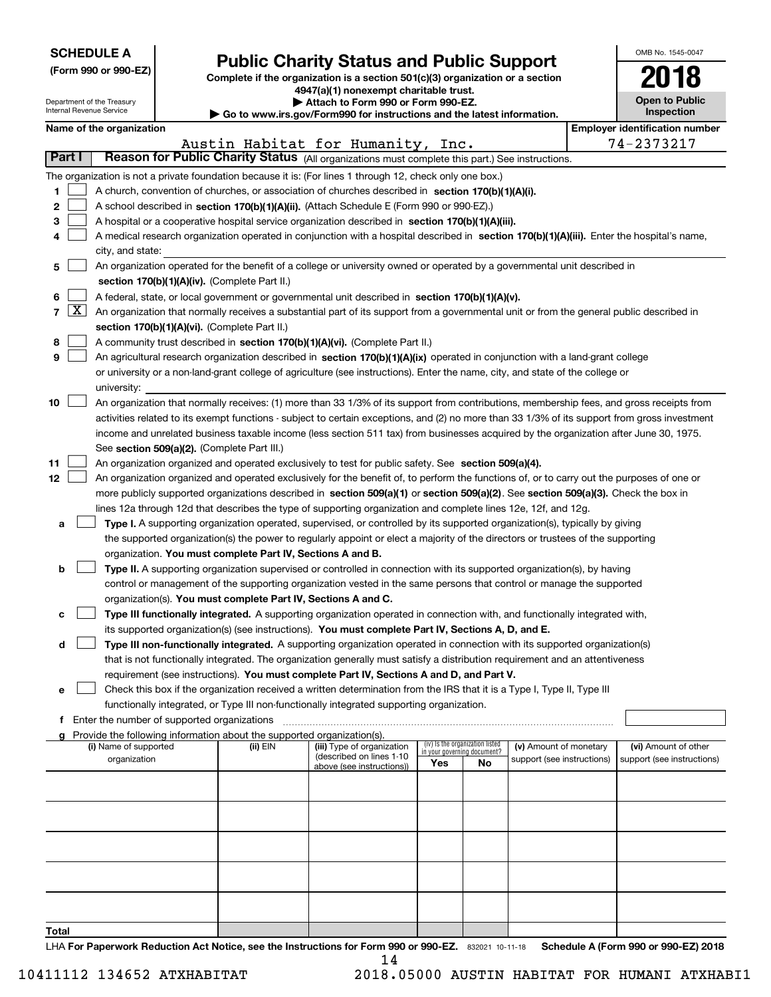| <b>SCHEDULE A</b> |  |
|-------------------|--|
|-------------------|--|

Department of the Treasury Internal Revenue Service

**(Form 990 or 990-EZ)**

# **Public Charity Status and Public Support**

**Complete if the organization is a section 501(c)(3) organization or a section 4947(a)(1) nonexempt charitable trust. | Attach to Form 990 or Form 990-EZ.**   $\blacktriangleright$  Go to

| o www.irs.gov/Form990 for instructions and the latest information. |  |  |
|--------------------------------------------------------------------|--|--|

| OMB No. 1545-0047                   |
|-------------------------------------|
| 2018                                |
| <b>Open to Public</b><br>Inspection |

| Name of the organization |  |
|--------------------------|--|
|--------------------------|--|

|        |                     | Name of the organization                                                                                                                                                                                                        |          |                                                       |                             |                                 |                            |  | <b>Employer identification number</b> |
|--------|---------------------|---------------------------------------------------------------------------------------------------------------------------------------------------------------------------------------------------------------------------------|----------|-------------------------------------------------------|-----------------------------|---------------------------------|----------------------------|--|---------------------------------------|
|        |                     |                                                                                                                                                                                                                                 |          | Austin Habitat for Humanity, Inc.                     |                             |                                 |                            |  | 74-2373217                            |
| Part I |                     | Reason for Public Charity Status (All organizations must complete this part.) See instructions.                                                                                                                                 |          |                                                       |                             |                                 |                            |  |                                       |
|        |                     | The organization is not a private foundation because it is: (For lines 1 through 12, check only one box.)                                                                                                                       |          |                                                       |                             |                                 |                            |  |                                       |
| 1.     |                     | A church, convention of churches, or association of churches described in section 170(b)(1)(A)(i).                                                                                                                              |          |                                                       |                             |                                 |                            |  |                                       |
| 2      |                     | A school described in section 170(b)(1)(A)(ii). (Attach Schedule E (Form 990 or 990-EZ).)                                                                                                                                       |          |                                                       |                             |                                 |                            |  |                                       |
| з      |                     | A hospital or a cooperative hospital service organization described in section 170(b)(1)(A)(iii).                                                                                                                               |          |                                                       |                             |                                 |                            |  |                                       |
| 4      |                     | A medical research organization operated in conjunction with a hospital described in section 170(b)(1)(A)(iii). Enter the hospital's name,                                                                                      |          |                                                       |                             |                                 |                            |  |                                       |
|        |                     | city, and state:                                                                                                                                                                                                                |          |                                                       |                             |                                 |                            |  |                                       |
| 5      |                     | An organization operated for the benefit of a college or university owned or operated by a governmental unit described in                                                                                                       |          |                                                       |                             |                                 |                            |  |                                       |
|        |                     | section 170(b)(1)(A)(iv). (Complete Part II.)                                                                                                                                                                                   |          |                                                       |                             |                                 |                            |  |                                       |
| 6      |                     | A federal, state, or local government or governmental unit described in section 170(b)(1)(A)(v).                                                                                                                                |          |                                                       |                             |                                 |                            |  |                                       |
| 7      | $\lfloor x \rfloor$ | An organization that normally receives a substantial part of its support from a governmental unit or from the general public described in                                                                                       |          |                                                       |                             |                                 |                            |  |                                       |
|        |                     | section 170(b)(1)(A)(vi). (Complete Part II.)                                                                                                                                                                                   |          |                                                       |                             |                                 |                            |  |                                       |
| 8      |                     | A community trust described in section 170(b)(1)(A)(vi). (Complete Part II.)                                                                                                                                                    |          |                                                       |                             |                                 |                            |  |                                       |
| 9      |                     | An agricultural research organization described in section 170(b)(1)(A)(ix) operated in conjunction with a land-grant college                                                                                                   |          |                                                       |                             |                                 |                            |  |                                       |
|        |                     | or university or a non-land-grant college of agriculture (see instructions). Enter the name, city, and state of the college or                                                                                                  |          |                                                       |                             |                                 |                            |  |                                       |
|        |                     | university:                                                                                                                                                                                                                     |          |                                                       |                             |                                 |                            |  |                                       |
| 10     |                     | An organization that normally receives: (1) more than 33 1/3% of its support from contributions, membership fees, and gross receipts from                                                                                       |          |                                                       |                             |                                 |                            |  |                                       |
|        |                     | activities related to its exempt functions - subject to certain exceptions, and (2) no more than 33 1/3% of its support from gross investment                                                                                   |          |                                                       |                             |                                 |                            |  |                                       |
|        |                     | income and unrelated business taxable income (less section 511 tax) from businesses acquired by the organization after June 30, 1975.                                                                                           |          |                                                       |                             |                                 |                            |  |                                       |
|        |                     | See section 509(a)(2). (Complete Part III.)                                                                                                                                                                                     |          |                                                       |                             |                                 |                            |  |                                       |
| 11     |                     | An organization organized and operated exclusively to test for public safety. See section 509(a)(4).                                                                                                                            |          |                                                       |                             |                                 |                            |  |                                       |
| 12     |                     | An organization organized and operated exclusively for the benefit of, to perform the functions of, or to carry out the purposes of one or                                                                                      |          |                                                       |                             |                                 |                            |  |                                       |
|        |                     | more publicly supported organizations described in section 509(a)(1) or section 509(a)(2). See section 509(a)(3). Check the box in                                                                                              |          |                                                       |                             |                                 |                            |  |                                       |
|        |                     | lines 12a through 12d that describes the type of supporting organization and complete lines 12e, 12f, and 12g.                                                                                                                  |          |                                                       |                             |                                 |                            |  |                                       |
| а      |                     | Type I. A supporting organization operated, supervised, or controlled by its supported organization(s), typically by giving                                                                                                     |          |                                                       |                             |                                 |                            |  |                                       |
|        |                     | the supported organization(s) the power to regularly appoint or elect a majority of the directors or trustees of the supporting                                                                                                 |          |                                                       |                             |                                 |                            |  |                                       |
|        |                     | organization. You must complete Part IV, Sections A and B.                                                                                                                                                                      |          |                                                       |                             |                                 |                            |  |                                       |
| b      |                     | Type II. A supporting organization supervised or controlled in connection with its supported organization(s), by having                                                                                                         |          |                                                       |                             |                                 |                            |  |                                       |
|        |                     | control or management of the supporting organization vested in the same persons that control or manage the supported                                                                                                            |          |                                                       |                             |                                 |                            |  |                                       |
|        |                     | organization(s). You must complete Part IV, Sections A and C.                                                                                                                                                                   |          |                                                       |                             |                                 |                            |  |                                       |
| с      |                     | Type III functionally integrated. A supporting organization operated in connection with, and functionally integrated with,                                                                                                      |          |                                                       |                             |                                 |                            |  |                                       |
| d      |                     | its supported organization(s) (see instructions). You must complete Part IV, Sections A, D, and E.<br>Type III non-functionally integrated. A supporting organization operated in connection with its supported organization(s) |          |                                                       |                             |                                 |                            |  |                                       |
|        |                     | that is not functionally integrated. The organization generally must satisfy a distribution requirement and an attentiveness                                                                                                    |          |                                                       |                             |                                 |                            |  |                                       |
|        |                     | requirement (see instructions). You must complete Part IV, Sections A and D, and Part V.                                                                                                                                        |          |                                                       |                             |                                 |                            |  |                                       |
| е      |                     | Check this box if the organization received a written determination from the IRS that it is a Type I, Type II, Type III                                                                                                         |          |                                                       |                             |                                 |                            |  |                                       |
|        |                     | functionally integrated, or Type III non-functionally integrated supporting organization.                                                                                                                                       |          |                                                       |                             |                                 |                            |  |                                       |
|        |                     | f Enter the number of supported organizations                                                                                                                                                                                   |          |                                                       |                             |                                 |                            |  |                                       |
|        |                     | Provide the following information about the supported organization(s).                                                                                                                                                          |          |                                                       |                             |                                 |                            |  |                                       |
|        |                     | (i) Name of supported                                                                                                                                                                                                           | (ii) EIN | (iii) Type of organization                            | in your governing document? | (iv) Is the organization listed | (v) Amount of monetary     |  | (vi) Amount of other                  |
|        |                     | organization                                                                                                                                                                                                                    |          | (described on lines 1-10<br>above (see instructions)) | Yes                         | No                              | support (see instructions) |  | support (see instructions)            |
|        |                     |                                                                                                                                                                                                                                 |          |                                                       |                             |                                 |                            |  |                                       |
|        |                     |                                                                                                                                                                                                                                 |          |                                                       |                             |                                 |                            |  |                                       |
|        |                     |                                                                                                                                                                                                                                 |          |                                                       |                             |                                 |                            |  |                                       |
|        |                     |                                                                                                                                                                                                                                 |          |                                                       |                             |                                 |                            |  |                                       |
|        |                     |                                                                                                                                                                                                                                 |          |                                                       |                             |                                 |                            |  |                                       |
|        |                     |                                                                                                                                                                                                                                 |          |                                                       |                             |                                 |                            |  |                                       |
|        |                     |                                                                                                                                                                                                                                 |          |                                                       |                             |                                 |                            |  |                                       |
|        |                     |                                                                                                                                                                                                                                 |          |                                                       |                             |                                 |                            |  |                                       |
|        |                     |                                                                                                                                                                                                                                 |          |                                                       |                             |                                 |                            |  |                                       |
| Total  |                     |                                                                                                                                                                                                                                 |          |                                                       |                             |                                 |                            |  |                                       |

LHA For Paperwork Reduction Act Notice, see the Instructions for Form 990 or 990-EZ. 832021 10-11-18 Schedule A (Form 990 or 990-EZ) 2018 14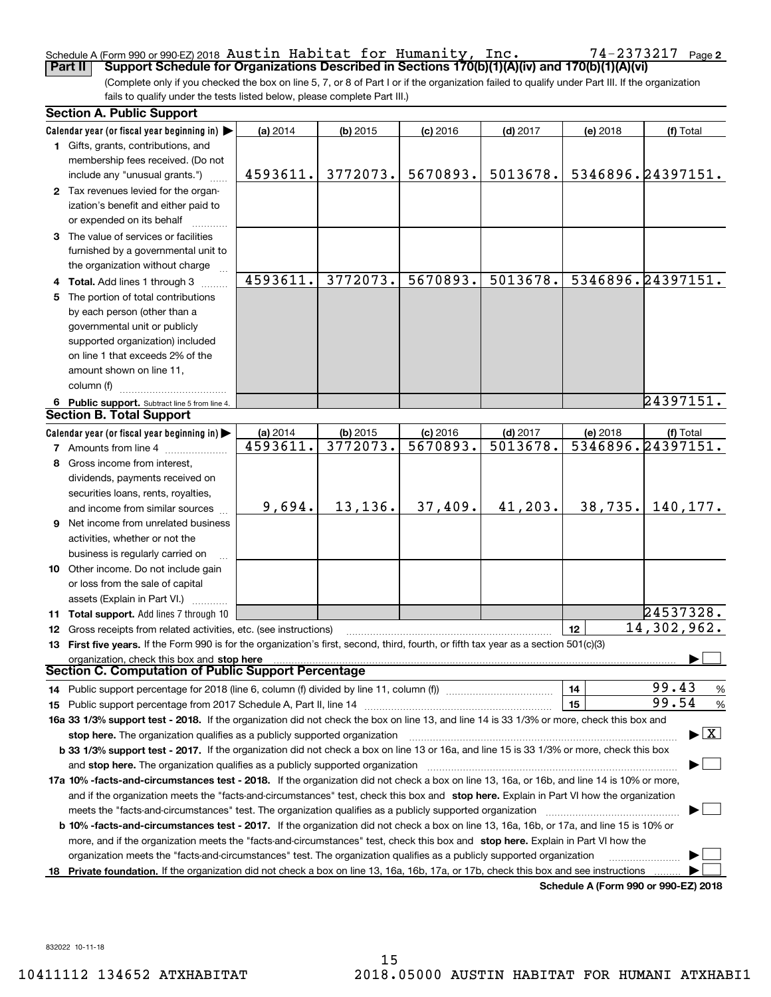### Schedule A (Form 990 or 990-EZ) 2018 Page **Part II Support Schedule for Organizations Described in Sections 170(b)(1)(A)(iv) and 170(b)(1)(A)(vi)** Austin Habitat for Humanity, Inc. 74-2373217

(Complete only if you checked the box on line 5, 7, or 8 of Part I or if the organization failed to qualify under Part III. If the organization fails to qualify under the tests listed below, please complete Part III.)

|    | <b>Section A. Public Support</b>                                                                                                               |          |            |            |            |          |                                          |
|----|------------------------------------------------------------------------------------------------------------------------------------------------|----------|------------|------------|------------|----------|------------------------------------------|
|    | Calendar year (or fiscal year beginning in) $\blacktriangleright$                                                                              | (a) 2014 | $(b)$ 2015 | $(c)$ 2016 | $(d)$ 2017 | (e) 2018 | (f) Total                                |
|    | 1 Gifts, grants, contributions, and                                                                                                            |          |            |            |            |          |                                          |
|    | membership fees received. (Do not                                                                                                              |          |            |            |            |          |                                          |
|    | include any "unusual grants.")                                                                                                                 | 4593611. | 3772073.   | 5670893.   | 5013678.   |          | 5346896.24397151.                        |
|    | 2 Tax revenues levied for the organ-                                                                                                           |          |            |            |            |          |                                          |
|    | ization's benefit and either paid to                                                                                                           |          |            |            |            |          |                                          |
|    | or expended on its behalf                                                                                                                      |          |            |            |            |          |                                          |
|    | 3 The value of services or facilities                                                                                                          |          |            |            |            |          |                                          |
|    | furnished by a governmental unit to                                                                                                            |          |            |            |            |          |                                          |
|    | the organization without charge                                                                                                                |          |            |            |            |          |                                          |
|    | 4 Total. Add lines 1 through 3                                                                                                                 | 4593611. | 3772073.   | 5670893.   | 5013678.   |          | 5346896.24397151.                        |
| 5. | The portion of total contributions                                                                                                             |          |            |            |            |          |                                          |
|    | by each person (other than a                                                                                                                   |          |            |            |            |          |                                          |
|    | governmental unit or publicly                                                                                                                  |          |            |            |            |          |                                          |
|    | supported organization) included                                                                                                               |          |            |            |            |          |                                          |
|    | on line 1 that exceeds 2% of the                                                                                                               |          |            |            |            |          |                                          |
|    | amount shown on line 11,                                                                                                                       |          |            |            |            |          |                                          |
|    | column (f)                                                                                                                                     |          |            |            |            |          |                                          |
|    | 6 Public support. Subtract line 5 from line 4.                                                                                                 |          |            |            |            |          | 24397151.                                |
|    | <b>Section B. Total Support</b>                                                                                                                |          |            |            |            |          |                                          |
|    | Calendar year (or fiscal year beginning in) $\blacktriangleright$                                                                              | (a) 2014 | $(b)$ 2015 | $(c)$ 2016 | $(d)$ 2017 | (e) 2018 | (f) Total                                |
|    | <b>7</b> Amounts from line 4                                                                                                                   | 4593611. | 3772073.   | 5670893.   | 5013678.   |          | 5346896.24397151.                        |
| 8  | Gross income from interest,                                                                                                                    |          |            |            |            |          |                                          |
|    | dividends, payments received on                                                                                                                |          |            |            |            |          |                                          |
|    |                                                                                                                                                |          |            |            |            |          |                                          |
|    | securities loans, rents, royalties,                                                                                                            | 9,694.   | 13,136.    | 37,409.    | 41, 203.   | 38,735.  | 140,177.                                 |
|    | and income from similar sources                                                                                                                |          |            |            |            |          |                                          |
|    | <b>9</b> Net income from unrelated business                                                                                                    |          |            |            |            |          |                                          |
|    | activities, whether or not the                                                                                                                 |          |            |            |            |          |                                          |
|    | business is regularly carried on                                                                                                               |          |            |            |            |          |                                          |
|    | 10 Other income. Do not include gain                                                                                                           |          |            |            |            |          |                                          |
|    | or loss from the sale of capital                                                                                                               |          |            |            |            |          |                                          |
|    | assets (Explain in Part VI.)                                                                                                                   |          |            |            |            |          | 24537328.                                |
|    | 11 Total support. Add lines 7 through 10                                                                                                       |          |            |            |            |          | 14,302,962.                              |
|    | 12 Gross receipts from related activities, etc. (see instructions)                                                                             |          |            |            |            | 12       |                                          |
|    | 13 First five years. If the Form 990 is for the organization's first, second, third, fourth, or fifth tax year as a section 501(c)(3)          |          |            |            |            |          |                                          |
|    | organization, check this box and stop here<br><b>Section C. Computation of Public Support Percentage</b>                                       |          |            |            |            |          |                                          |
|    |                                                                                                                                                |          |            |            |            |          | 99.43                                    |
|    | 14 Public support percentage for 2018 (line 6, column (f) divided by line 11, column (f) <i></i>                                               |          |            |            |            | 14       | %<br>99.54                               |
|    |                                                                                                                                                |          |            |            |            | 15       | $\%$                                     |
|    | 16a 33 1/3% support test - 2018. If the organization did not check the box on line 13, and line 14 is 33 1/3% or more, check this box and      |          |            |            |            |          |                                          |
|    | stop here. The organization qualifies as a publicly supported organization                                                                     |          |            |            |            |          | $\blacktriangleright$ $\boxed{\text{X}}$ |
|    | b 33 1/3% support test - 2017. If the organization did not check a box on line 13 or 16a, and line 15 is 33 1/3% or more, check this box       |          |            |            |            |          |                                          |
|    |                                                                                                                                                |          |            |            |            |          |                                          |
|    | 17a 10% -facts-and-circumstances test - 2018. If the organization did not check a box on line 13, 16a, or 16b, and line 14 is 10% or more,     |          |            |            |            |          |                                          |
|    | and if the organization meets the "facts-and-circumstances" test, check this box and stop here. Explain in Part VI how the organization        |          |            |            |            |          |                                          |
|    |                                                                                                                                                |          |            |            |            |          |                                          |
|    | <b>b 10% -facts-and-circumstances test - 2017.</b> If the organization did not check a box on line 13, 16a, 16b, or 17a, and line 15 is 10% or |          |            |            |            |          |                                          |
|    | more, and if the organization meets the "facts-and-circumstances" test, check this box and stop here. Explain in Part VI how the               |          |            |            |            |          |                                          |
|    | organization meets the "facts-and-circumstances" test. The organization qualifies as a publicly supported organization                         |          |            |            |            |          |                                          |
| 18 | Private foundation. If the organization did not check a box on line 13, 16a, 16b, 17a, or 17b, check this box and see instructions             |          |            |            |            |          | Schodule A (Form 000 or 000 F7) 2018     |

**Schedule A (Form 990 or 990-EZ) 2018**

832022 10-11-18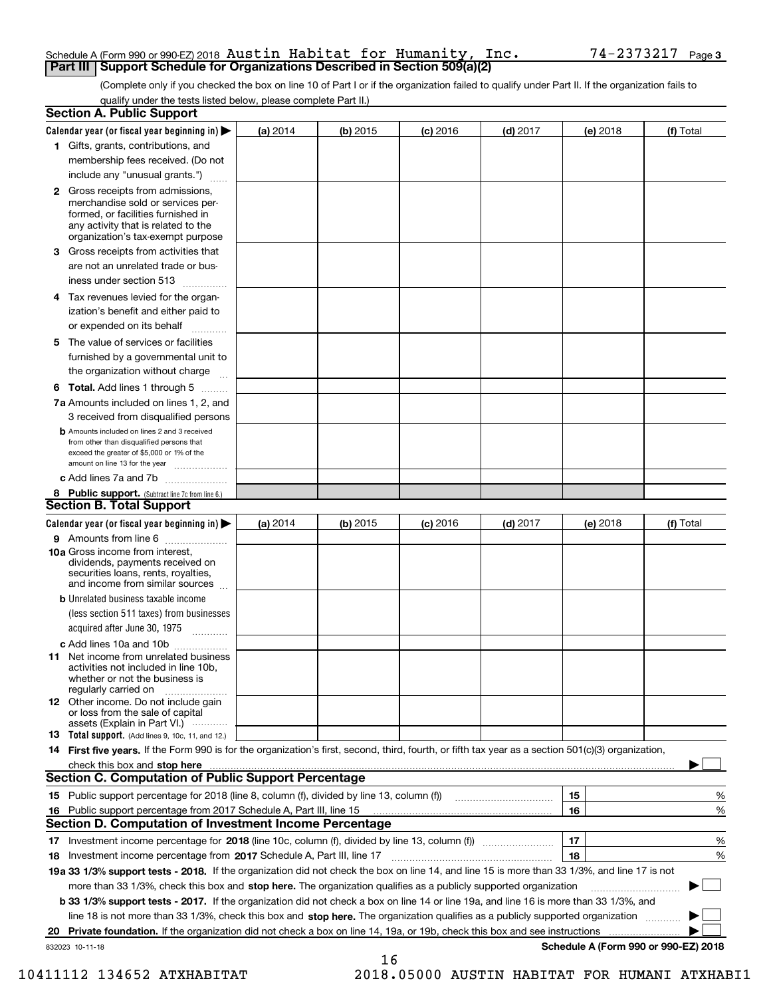## Schedule A (Form 990 or 990-EZ) 2018  ${\tt Austin}$   ${\tt Habitat}$   ${\tt for}$   ${\tt Humanity}$ ,  ${\tt Inc.}$   ${\tt 74-2373217}$   ${\tt Page}$ **Schedule A (Form 990 or 990-EZ) 2018 Austin Habitat for Humanity, Inc.**<br>**Part III** Support Schedule for Organizations Described in Section 509(a)(2)

(Complete only if you checked the box on line 10 of Part I or if the organization failed to qualify under Part II. If the organization fails to qualify under the tests listed below, please complete Part II.)

|     | <b>Section A. Public Support</b>                                                                                                                                                                                               |          |          |            |            |          |                                      |
|-----|--------------------------------------------------------------------------------------------------------------------------------------------------------------------------------------------------------------------------------|----------|----------|------------|------------|----------|--------------------------------------|
|     | Calendar year (or fiscal year beginning in) $\blacktriangleright$                                                                                                                                                              | (a) 2014 | (b) 2015 | $(c)$ 2016 | $(d)$ 2017 | (e) 2018 | (f) Total                            |
|     | 1 Gifts, grants, contributions, and                                                                                                                                                                                            |          |          |            |            |          |                                      |
|     | membership fees received. (Do not                                                                                                                                                                                              |          |          |            |            |          |                                      |
|     | include any "unusual grants.")                                                                                                                                                                                                 |          |          |            |            |          |                                      |
|     | <b>2</b> Gross receipts from admissions,<br>merchandise sold or services per-<br>formed, or facilities furnished in<br>any activity that is related to the<br>organization's tax-exempt purpose                                |          |          |            |            |          |                                      |
|     | 3 Gross receipts from activities that<br>are not an unrelated trade or bus-                                                                                                                                                    |          |          |            |            |          |                                      |
|     | iness under section 513                                                                                                                                                                                                        |          |          |            |            |          |                                      |
|     | 4 Tax revenues levied for the organ-                                                                                                                                                                                           |          |          |            |            |          |                                      |
|     | ization's benefit and either paid to<br>or expended on its behalf                                                                                                                                                              |          |          |            |            |          |                                      |
|     | 5 The value of services or facilities                                                                                                                                                                                          |          |          |            |            |          |                                      |
|     | furnished by a governmental unit to                                                                                                                                                                                            |          |          |            |            |          |                                      |
|     | the organization without charge                                                                                                                                                                                                |          |          |            |            |          |                                      |
|     | <b>6 Total.</b> Add lines 1 through 5                                                                                                                                                                                          |          |          |            |            |          |                                      |
|     | 7a Amounts included on lines 1, 2, and<br>3 received from disqualified persons                                                                                                                                                 |          |          |            |            |          |                                      |
|     | <b>b</b> Amounts included on lines 2 and 3 received<br>from other than disqualified persons that<br>exceed the greater of \$5,000 or 1% of the<br>amount on line 13 for the year                                               |          |          |            |            |          |                                      |
|     | c Add lines 7a and 7b                                                                                                                                                                                                          |          |          |            |            |          |                                      |
|     | 8 Public support. (Subtract line 7c from line 6.)                                                                                                                                                                              |          |          |            |            |          |                                      |
|     | <b>Section B. Total Support</b>                                                                                                                                                                                                |          |          |            |            |          |                                      |
|     | Calendar year (or fiscal year beginning in)                                                                                                                                                                                    | (a) 2014 | (b) 2015 | $(c)$ 2016 | $(d)$ 2017 | (e) 2018 | (f) Total                            |
|     | 9 Amounts from line 6                                                                                                                                                                                                          |          |          |            |            |          |                                      |
|     | <b>10a</b> Gross income from interest,<br>dividends, payments received on<br>securities loans, rents, royalties,<br>and income from similar sources                                                                            |          |          |            |            |          |                                      |
|     | <b>b</b> Unrelated business taxable income                                                                                                                                                                                     |          |          |            |            |          |                                      |
|     | (less section 511 taxes) from businesses                                                                                                                                                                                       |          |          |            |            |          |                                      |
|     | acquired after June 30, 1975                                                                                                                                                                                                   |          |          |            |            |          |                                      |
|     | c Add lines 10a and 10b                                                                                                                                                                                                        |          |          |            |            |          |                                      |
|     | 11 Net income from unrelated business<br>activities not included in line 10b,<br>whether or not the business is<br>regularly carried on                                                                                        |          |          |            |            |          |                                      |
|     | <b>12</b> Other income. Do not include gain<br>or loss from the sale of capital<br>assets (Explain in Part VI.)                                                                                                                |          |          |            |            |          |                                      |
|     | 13 Total support. (Add lines 9, 10c, 11, and 12.)                                                                                                                                                                              |          |          |            |            |          |                                      |
|     | 14 First five years. If the Form 990 is for the organization's first, second, third, fourth, or fifth tax year as a section 501(c)(3) organization,                                                                            |          |          |            |            |          |                                      |
|     | check this box and stop here measurements and contact the contract of the contract of the contract of the contract of the contract of the contract of the contract of the contract of the contract of the contract of the cont |          |          |            |            |          |                                      |
|     | <b>Section C. Computation of Public Support Percentage</b>                                                                                                                                                                     |          |          |            |            |          |                                      |
|     |                                                                                                                                                                                                                                |          |          |            |            | 15       | %                                    |
| 16. | Public support percentage from 2017 Schedule A, Part III, line 15                                                                                                                                                              |          |          |            |            | 16       | %                                    |
|     | <b>Section D. Computation of Investment Income Percentage</b>                                                                                                                                                                  |          |          |            |            |          |                                      |
|     | 17 Investment income percentage for 2018 (line 10c, column (f), divided by line 13, column (f))                                                                                                                                |          |          |            |            | 17       | %                                    |
|     | 18 Investment income percentage from 2017 Schedule A, Part III, line 17                                                                                                                                                        |          |          |            |            | 18       | %                                    |
|     | 19a 33 1/3% support tests - 2018. If the organization did not check the box on line 14, and line 15 is more than 33 1/3%, and line 17 is not                                                                                   |          |          |            |            |          |                                      |
|     | more than 33 1/3%, check this box and stop here. The organization qualifies as a publicly supported organization                                                                                                               |          |          |            |            |          |                                      |
|     | b 33 1/3% support tests - 2017. If the organization did not check a box on line 14 or line 19a, and line 16 is more than 33 1/3%, and                                                                                          |          |          |            |            |          |                                      |
|     | line 18 is not more than 33 1/3%, check this box and stop here. The organization qualifies as a publicly supported organization                                                                                                |          |          |            |            |          |                                      |
| 20  | <b>Private foundation.</b> If the organization did not check a box on line 14, 19a, or 19b, check this box and see instructions                                                                                                |          |          |            |            |          | .                                    |
|     | 832023 10-11-18                                                                                                                                                                                                                |          | 16       |            |            |          | Schedule A (Form 990 or 990-EZ) 2018 |

10411112 134652 ATXHABITAT 2018.05000 AUSTIN HABITAT FOR HUMANI ATXHABI1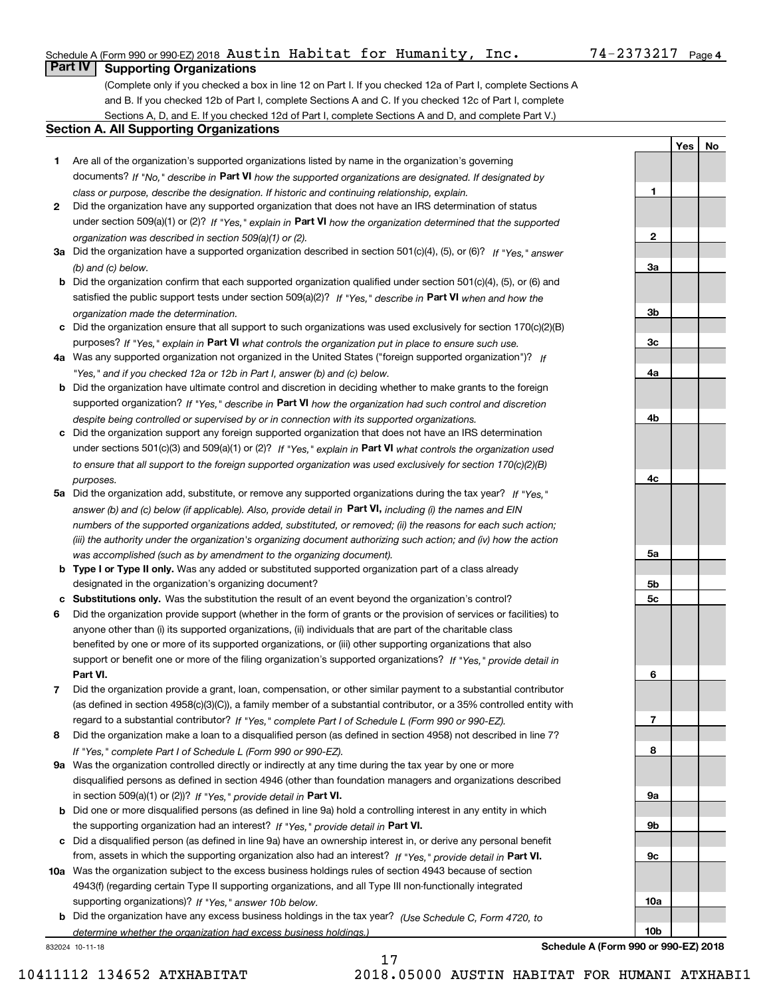## Schedule A (Form 990 or 990-EZ) 2018  ${\tt Austin}$   ${\tt Habitat}$   ${\tt for}$   ${\tt Humanity}$ ,  ${\tt Inc.}$   ${\tt 74-2373217}$   ${\tt Page}$

## **Part IV Supporting Organizations**

(Complete only if you checked a box in line 12 on Part I. If you checked 12a of Part I, complete Sections A and B. If you checked 12b of Part I, complete Sections A and C. If you checked 12c of Part I, complete Sections A, D, and E. If you checked 12d of Part I, complete Sections A and D, and complete Part V.)

## **Section A. All Supporting Organizations**

- **1** Are all of the organization's supported organizations listed by name in the organization's governing documents? If "No," describe in **Part VI** how the supported organizations are designated. If designated by *class or purpose, describe the designation. If historic and continuing relationship, explain.*
- **2** Did the organization have any supported organization that does not have an IRS determination of status under section 509(a)(1) or (2)? If "Yes," explain in Part VI how the organization determined that the supported *organization was described in section 509(a)(1) or (2).*
- **3a** Did the organization have a supported organization described in section 501(c)(4), (5), or (6)? If "Yes," answer *(b) and (c) below.*
- **b** Did the organization confirm that each supported organization qualified under section 501(c)(4), (5), or (6) and satisfied the public support tests under section 509(a)(2)? If "Yes," describe in **Part VI** when and how the *organization made the determination.*
- **c**Did the organization ensure that all support to such organizations was used exclusively for section 170(c)(2)(B) purposes? If "Yes," explain in **Part VI** what controls the organization put in place to ensure such use.
- **4a***If* Was any supported organization not organized in the United States ("foreign supported organization")? *"Yes," and if you checked 12a or 12b in Part I, answer (b) and (c) below.*
- **b** Did the organization have ultimate control and discretion in deciding whether to make grants to the foreign supported organization? If "Yes," describe in **Part VI** how the organization had such control and discretion *despite being controlled or supervised by or in connection with its supported organizations.*
- **c** Did the organization support any foreign supported organization that does not have an IRS determination under sections 501(c)(3) and 509(a)(1) or (2)? If "Yes," explain in **Part VI** what controls the organization used *to ensure that all support to the foreign supported organization was used exclusively for section 170(c)(2)(B) purposes.*
- **5a** Did the organization add, substitute, or remove any supported organizations during the tax year? If "Yes," answer (b) and (c) below (if applicable). Also, provide detail in **Part VI,** including (i) the names and EIN *numbers of the supported organizations added, substituted, or removed; (ii) the reasons for each such action; (iii) the authority under the organization's organizing document authorizing such action; and (iv) how the action was accomplished (such as by amendment to the organizing document).*
- **b** Type I or Type II only. Was any added or substituted supported organization part of a class already designated in the organization's organizing document?
- **cSubstitutions only.**  Was the substitution the result of an event beyond the organization's control?
- **6** Did the organization provide support (whether in the form of grants or the provision of services or facilities) to **Part VI.** *If "Yes," provide detail in* support or benefit one or more of the filing organization's supported organizations? anyone other than (i) its supported organizations, (ii) individuals that are part of the charitable class benefited by one or more of its supported organizations, or (iii) other supporting organizations that also
- **7**Did the organization provide a grant, loan, compensation, or other similar payment to a substantial contributor *If "Yes," complete Part I of Schedule L (Form 990 or 990-EZ).* regard to a substantial contributor? (as defined in section 4958(c)(3)(C)), a family member of a substantial contributor, or a 35% controlled entity with
- **8** Did the organization make a loan to a disqualified person (as defined in section 4958) not described in line 7? *If "Yes," complete Part I of Schedule L (Form 990 or 990-EZ).*
- **9a** Was the organization controlled directly or indirectly at any time during the tax year by one or more in section 509(a)(1) or (2))? If "Yes," *provide detail in* <code>Part VI.</code> disqualified persons as defined in section 4946 (other than foundation managers and organizations described
- **b** Did one or more disqualified persons (as defined in line 9a) hold a controlling interest in any entity in which the supporting organization had an interest? If "Yes," provide detail in P**art VI**.
- **c**Did a disqualified person (as defined in line 9a) have an ownership interest in, or derive any personal benefit from, assets in which the supporting organization also had an interest? If "Yes," provide detail in P**art VI.**
- **10a** Was the organization subject to the excess business holdings rules of section 4943 because of section supporting organizations)? If "Yes," answer 10b below. 4943(f) (regarding certain Type II supporting organizations, and all Type III non-functionally integrated
- **b** Did the organization have any excess business holdings in the tax year? (Use Schedule C, Form 4720, to *determine whether the organization had excess business holdings.)*

17

832024 10-11-18

**Schedule A (Form 990 or 990-EZ) 2018**

**1**

**2**

**3a**

**3b**

**3c**

**4a**

**4b**

**4c**

**5a**

**5b5c**

**6**

**7**

**8**

**9a**

**9b**

**9c**

**10a**

**10b**

**YesNo**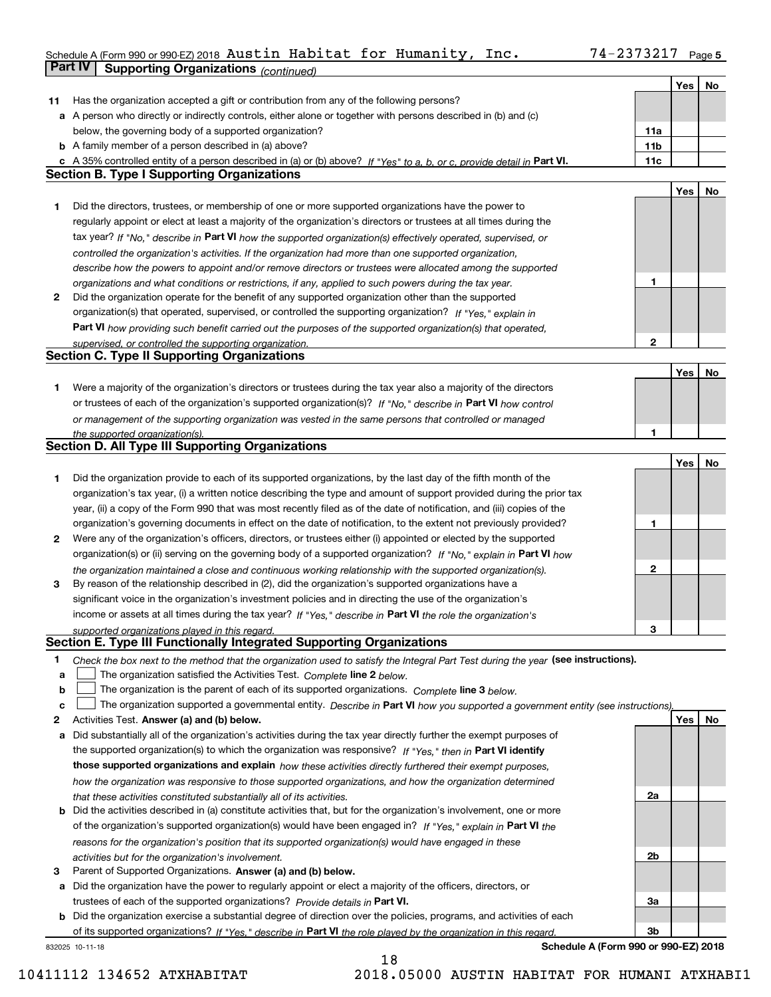### Schedule A (Form 990 or 990-EZ) 2018 <code>Austin Habitat for Humanity, Inc. 74–2373217 Page 5</code> Austin Habitat for Humanity, Inc. 74-2373217

|    | Part IV<br><b>Supporting Organizations (continued)</b>                                                                            |                 |     |    |
|----|-----------------------------------------------------------------------------------------------------------------------------------|-----------------|-----|----|
|    |                                                                                                                                   |                 | Yes | No |
| 11 | Has the organization accepted a gift or contribution from any of the following persons?                                           |                 |     |    |
|    | a A person who directly or indirectly controls, either alone or together with persons described in (b) and (c)                    |                 |     |    |
|    | below, the governing body of a supported organization?                                                                            | 11a             |     |    |
|    | <b>b</b> A family member of a person described in (a) above?                                                                      | 11 <sub>b</sub> |     |    |
|    | c A 35% controlled entity of a person described in (a) or (b) above? If "Yes" to a, b, or c, provide detail in Part VI.           | 11c             |     |    |
|    | <b>Section B. Type I Supporting Organizations</b>                                                                                 |                 |     |    |
|    |                                                                                                                                   |                 | Yes | No |
| 1  | Did the directors, trustees, or membership of one or more supported organizations have the power to                               |                 |     |    |
|    | regularly appoint or elect at least a majority of the organization's directors or trustees at all times during the                |                 |     |    |
|    | tax year? If "No," describe in Part VI how the supported organization(s) effectively operated, supervised, or                     |                 |     |    |
|    | controlled the organization's activities. If the organization had more than one supported organization,                           |                 |     |    |
|    | describe how the powers to appoint and/or remove directors or trustees were allocated among the supported                         |                 |     |    |
|    | organizations and what conditions or restrictions, if any, applied to such powers during the tax year.                            | 1               |     |    |
| 2  | Did the organization operate for the benefit of any supported organization other than the supported                               |                 |     |    |
|    | organization(s) that operated, supervised, or controlled the supporting organization? If "Yes," explain in                        |                 |     |    |
|    |                                                                                                                                   |                 |     |    |
|    | Part VI how providing such benefit carried out the purposes of the supported organization(s) that operated,                       | 2               |     |    |
|    | supervised, or controlled the supporting organization.<br><b>Section C. Type II Supporting Organizations</b>                      |                 |     |    |
|    |                                                                                                                                   |                 | Yes | No |
|    | Were a majority of the organization's directors or trustees during the tax year also a majority of the directors                  |                 |     |    |
| 1  |                                                                                                                                   |                 |     |    |
|    | or trustees of each of the organization's supported organization(s)? If "No." describe in Part VI how control                     |                 |     |    |
|    | or management of the supporting organization was vested in the same persons that controlled or managed                            |                 |     |    |
|    | the supported organization(s).<br><b>Section D. All Type III Supporting Organizations</b>                                         | 1               |     |    |
|    |                                                                                                                                   |                 |     |    |
|    |                                                                                                                                   |                 | Yes | No |
| 1  | Did the organization provide to each of its supported organizations, by the last day of the fifth month of the                    |                 |     |    |
|    | organization's tax year, (i) a written notice describing the type and amount of support provided during the prior tax             |                 |     |    |
|    | year, (ii) a copy of the Form 990 that was most recently filed as of the date of notification, and (iii) copies of the            |                 |     |    |
|    | organization's governing documents in effect on the date of notification, to the extent not previously provided?                  | 1               |     |    |
| 2  | Were any of the organization's officers, directors, or trustees either (i) appointed or elected by the supported                  |                 |     |    |
|    | organization(s) or (ii) serving on the governing body of a supported organization? If "No," explain in Part VI how                |                 |     |    |
|    | the organization maintained a close and continuous working relationship with the supported organization(s).                       | 2               |     |    |
| 3  | By reason of the relationship described in (2), did the organization's supported organizations have a                             |                 |     |    |
|    | significant voice in the organization's investment policies and in directing the use of the organization's                        |                 |     |    |
|    | income or assets at all times during the tax year? If "Yes," describe in Part VI the role the organization's                      |                 |     |    |
|    | supported organizations played in this regard.                                                                                    | 3               |     |    |
|    | Section E. Type III Functionally Integrated Supporting Organizations                                                              |                 |     |    |
| 1  | Check the box next to the method that the organization used to satisfy the Integral Part Test during the year (see instructions). |                 |     |    |
| a  | The organization satisfied the Activities Test. Complete line 2 below.                                                            |                 |     |    |
| b  | The organization is the parent of each of its supported organizations. Complete line 3 below.                                     |                 |     |    |
| c  | The organization supported a governmental entity. Describe in Part VI how you supported a government entity (see instructions),   |                 |     |    |
| 2  | Activities Test. Answer (a) and (b) below.                                                                                        |                 | Yes | No |
| а  | Did substantially all of the organization's activities during the tax year directly further the exempt purposes of                |                 |     |    |
|    | the supported organization(s) to which the organization was responsive? If "Yes," then in Part VI identify                        |                 |     |    |
|    | those supported organizations and explain how these activities directly furthered their exempt purposes,                          |                 |     |    |
|    | how the organization was responsive to those supported organizations, and how the organization determined                         |                 |     |    |
|    | that these activities constituted substantially all of its activities.                                                            | 2a              |     |    |
|    | <b>b</b> Did the activities described in (a) constitute activities that, but for the organization's involvement, one or more      |                 |     |    |
|    | of the organization's supported organization(s) would have been engaged in? If "Yes," explain in Part VI the                      |                 |     |    |
|    | reasons for the organization's position that its supported organization(s) would have engaged in these                            |                 |     |    |
|    | activities but for the organization's involvement.                                                                                | 2b              |     |    |
| з  | Parent of Supported Organizations. Answer (a) and (b) below.                                                                      |                 |     |    |
|    | a Did the organization have the power to regularly appoint or elect a majority of the officers, directors, or                     |                 |     |    |
|    | trustees of each of the supported organizations? Provide details in Part VI.                                                      | За              |     |    |
|    | <b>b</b> Did the organization exercise a substantial degree of direction over the policies, programs, and activities of each      |                 |     |    |
|    | of its supported organizations? If "Yes." describe in Part VI the role played by the organization in this regard.                 | Зb              |     |    |
|    |                                                                                                                                   |                 |     |    |

18

832025 10-11-18

**Schedule A (Form 990 or 990-EZ) 2018**

10411112 134652 ATXHABITAT 2018.05000 AUSTIN HABITAT FOR HUMANI ATXHABI1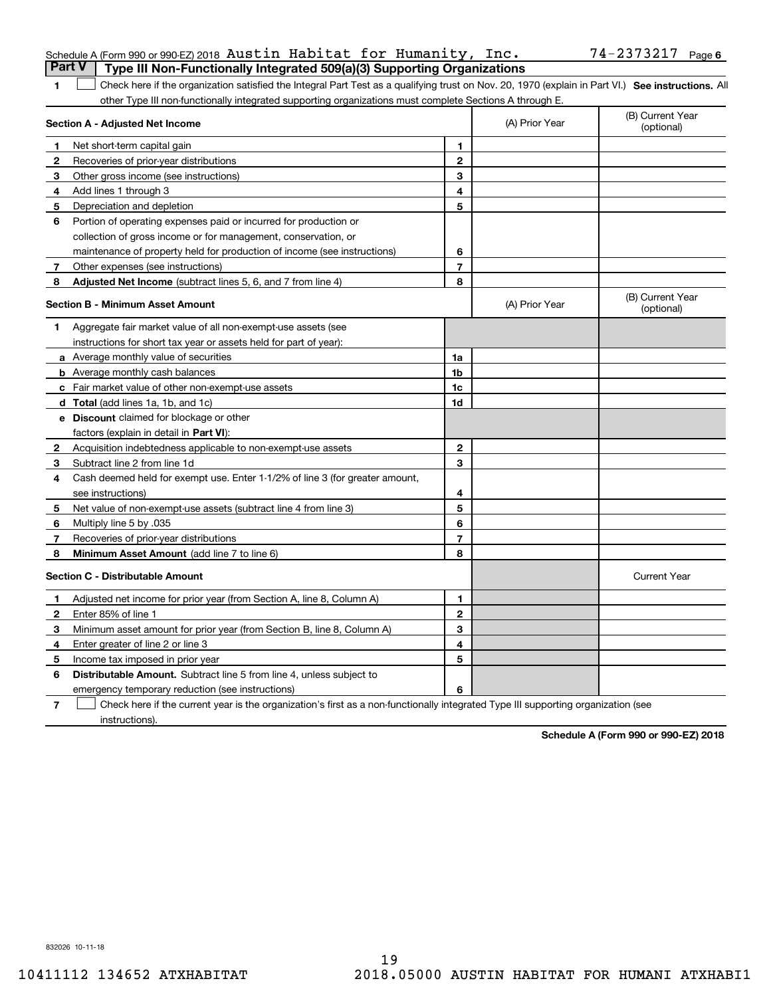|    | Schedule A (Form 990 or 990-EZ) 2018 Austin Habitat for Humanity, Inc.                                                                             |                |                                | 74-2373217 Page 6              |
|----|----------------------------------------------------------------------------------------------------------------------------------------------------|----------------|--------------------------------|--------------------------------|
|    | <b>Part V</b><br>Type III Non-Functionally Integrated 509(a)(3) Supporting Organizations                                                           |                |                                |                                |
| 1  | Check here if the organization satisfied the Integral Part Test as a qualifying trust on Nov. 20, 1970 (explain in Part VI.) See instructions. All |                |                                |                                |
|    | other Type III non-functionally integrated supporting organizations must complete Sections A through E.                                            |                |                                |                                |
|    | Section A - Adjusted Net Income                                                                                                                    | (A) Prior Year | (B) Current Year<br>(optional) |                                |
| 1  | Net short-term capital gain                                                                                                                        | 1              |                                |                                |
| 2  | Recoveries of prior-year distributions                                                                                                             | $\mathbf 2$    |                                |                                |
| 3  | Other gross income (see instructions)                                                                                                              | 3              |                                |                                |
| 4  | Add lines 1 through 3                                                                                                                              | 4              |                                |                                |
| 5  | Depreciation and depletion                                                                                                                         | 5              |                                |                                |
| 6  | Portion of operating expenses paid or incurred for production or                                                                                   |                |                                |                                |
|    | collection of gross income or for management, conservation, or                                                                                     |                |                                |                                |
|    | maintenance of property held for production of income (see instructions)                                                                           | 6              |                                |                                |
| 7  | Other expenses (see instructions)                                                                                                                  | 7              |                                |                                |
| 8  | Adjusted Net Income (subtract lines 5, 6, and 7 from line 4)                                                                                       | 8              |                                |                                |
|    | <b>Section B - Minimum Asset Amount</b>                                                                                                            |                | (A) Prior Year                 | (B) Current Year<br>(optional) |
| 1. | Aggregate fair market value of all non-exempt-use assets (see                                                                                      |                |                                |                                |
|    | instructions for short tax year or assets held for part of year):                                                                                  |                |                                |                                |
|    | a Average monthly value of securities                                                                                                              | 1a             |                                |                                |
|    | <b>b</b> Average monthly cash balances                                                                                                             | 1b             |                                |                                |
|    | c Fair market value of other non-exempt-use assets                                                                                                 | 1c             |                                |                                |
|    | d Total (add lines 1a, 1b, and 1c)                                                                                                                 | 1d             |                                |                                |
|    | <b>e</b> Discount claimed for blockage or other                                                                                                    |                |                                |                                |
|    | factors (explain in detail in Part VI):                                                                                                            |                |                                |                                |
| 2  | Acquisition indebtedness applicable to non-exempt-use assets                                                                                       | $\mathbf{2}$   |                                |                                |
| 3  | Subtract line 2 from line 1d                                                                                                                       | 3              |                                |                                |
| 4  | Cash deemed held for exempt use. Enter 1-1/2% of line 3 (for greater amount,                                                                       |                |                                |                                |
|    | see instructions)                                                                                                                                  | 4              |                                |                                |
| 5  | Net value of non-exempt-use assets (subtract line 4 from line 3)                                                                                   | 5              |                                |                                |
| 6  | Multiply line 5 by .035                                                                                                                            | 6              |                                |                                |
| 7  | Recoveries of prior-year distributions                                                                                                             | $\overline{7}$ |                                |                                |
| 8  | Minimum Asset Amount (add line 7 to line 6)                                                                                                        | 8              |                                |                                |
|    | <b>Section C - Distributable Amount</b>                                                                                                            |                |                                | <b>Current Year</b>            |
| 1  | Adjusted net income for prior year (from Section A, line 8, Column A)                                                                              | 1              |                                |                                |
| 2  | Enter 85% of line 1                                                                                                                                | $\mathbf{2}$   |                                |                                |
| 3  | Minimum asset amount for prior year (from Section B, line 8, Column A)                                                                             | 3              |                                |                                |
| 4  | Enter greater of line 2 or line 3                                                                                                                  | 4              |                                |                                |
| 5  | Income tax imposed in prior year                                                                                                                   | 5              |                                |                                |
| 6  | Distributable Amount. Subtract line 5 from line 4, unless subject to                                                                               |                |                                |                                |
|    | emergency temporary reduction (see instructions)                                                                                                   | 6              |                                |                                |
|    |                                                                                                                                                    |                |                                |                                |

instructions).

**7** Check here if the current year is the organization's first as a non-functionally integrated Type III supporting organization (see

**Schedule A (Form 990 or 990-EZ) 2018**

832026 10-11-18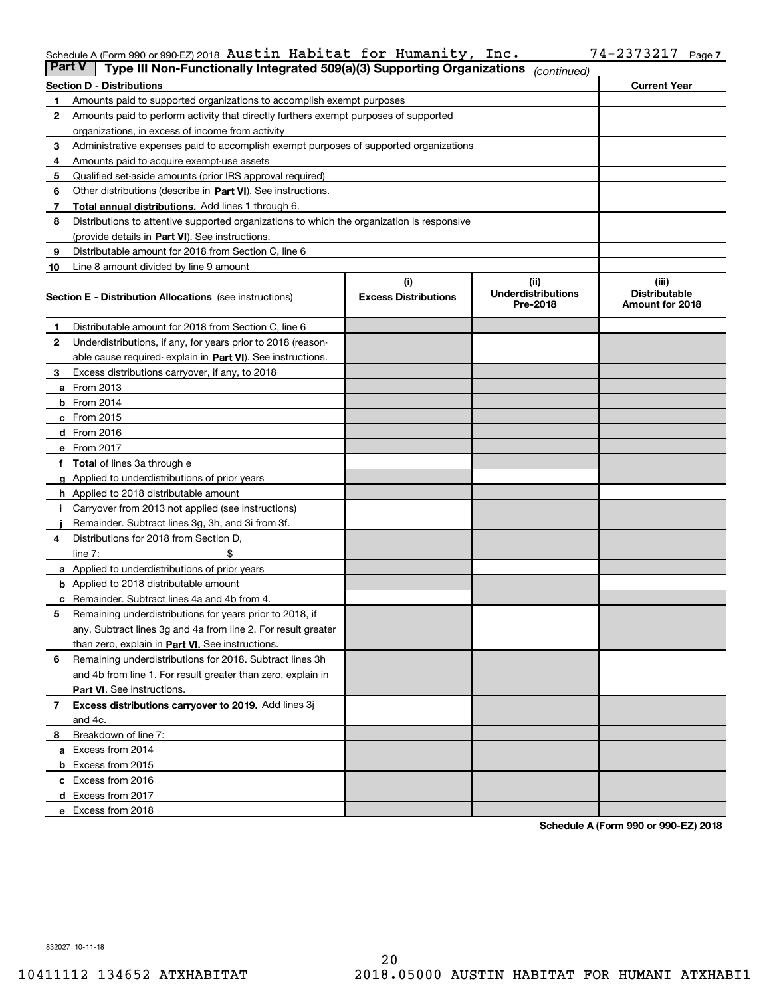|       | Schedule A (Form 990 or 990-EZ) 2018 $\,$ Austin $\,$ Ha $\,$ bitat for Humanity, $\,$ |  |  | Inc. | 34 L | Page, |
|-------|----------------------------------------------------------------------------------------|--|--|------|------|-------|
| _____ |                                                                                        |  |  |      |      |       |

| <b>Part V</b> | Type III Non-Functionally Integrated 509(a)(3) Supporting Organizations                    |                             | (continued)                           |                                         |
|---------------|--------------------------------------------------------------------------------------------|-----------------------------|---------------------------------------|-----------------------------------------|
|               | <b>Section D - Distributions</b>                                                           | <b>Current Year</b>         |                                       |                                         |
| 1             | Amounts paid to supported organizations to accomplish exempt purposes                      |                             |                                       |                                         |
| 2             | Amounts paid to perform activity that directly furthers exempt purposes of supported       |                             |                                       |                                         |
|               | organizations, in excess of income from activity                                           |                             |                                       |                                         |
| 3             | Administrative expenses paid to accomplish exempt purposes of supported organizations      |                             |                                       |                                         |
| 4             | Amounts paid to acquire exempt-use assets                                                  |                             |                                       |                                         |
| 5             | Qualified set-aside amounts (prior IRS approval required)                                  |                             |                                       |                                         |
| 6             | Other distributions (describe in Part VI). See instructions.                               |                             |                                       |                                         |
| 7             | <b>Total annual distributions.</b> Add lines 1 through 6.                                  |                             |                                       |                                         |
| 8             | Distributions to attentive supported organizations to which the organization is responsive |                             |                                       |                                         |
|               | (provide details in Part VI). See instructions.                                            |                             |                                       |                                         |
| 9             | Distributable amount for 2018 from Section C, line 6                                       |                             |                                       |                                         |
| 10            | Line 8 amount divided by line 9 amount                                                     |                             |                                       |                                         |
|               |                                                                                            | (i)                         | (iii)                                 | (iii)                                   |
|               | <b>Section E - Distribution Allocations</b> (see instructions)                             | <b>Excess Distributions</b> | <b>Underdistributions</b><br>Pre-2018 | <b>Distributable</b><br>Amount for 2018 |
| 1             | Distributable amount for 2018 from Section C, line 6                                       |                             |                                       |                                         |
| 2             | Underdistributions, if any, for years prior to 2018 (reason-                               |                             |                                       |                                         |
|               | able cause required- explain in Part VI). See instructions.                                |                             |                                       |                                         |
| З             | Excess distributions carryover, if any, to 2018                                            |                             |                                       |                                         |
|               | <b>a</b> From 2013                                                                         |                             |                                       |                                         |
|               | <b>b</b> From 2014                                                                         |                             |                                       |                                         |
|               | $c$ From 2015                                                                              |                             |                                       |                                         |
|               | d From 2016                                                                                |                             |                                       |                                         |
|               | e From 2017                                                                                |                             |                                       |                                         |
|               | Total of lines 3a through e                                                                |                             |                                       |                                         |
| g             | Applied to underdistributions of prior years                                               |                             |                                       |                                         |
|               | <b>h</b> Applied to 2018 distributable amount                                              |                             |                                       |                                         |
|               | Carryover from 2013 not applied (see instructions)                                         |                             |                                       |                                         |
|               | Remainder. Subtract lines 3g, 3h, and 3i from 3f.                                          |                             |                                       |                                         |
| 4             | Distributions for 2018 from Section D,                                                     |                             |                                       |                                         |
|               | line $7:$                                                                                  |                             |                                       |                                         |
|               | <b>a</b> Applied to underdistributions of prior years                                      |                             |                                       |                                         |
|               | <b>b</b> Applied to 2018 distributable amount                                              |                             |                                       |                                         |
|               | c Remainder. Subtract lines 4a and 4b from 4.                                              |                             |                                       |                                         |
| 5             | Remaining underdistributions for years prior to 2018, if                                   |                             |                                       |                                         |
|               | any. Subtract lines 3g and 4a from line 2. For result greater                              |                             |                                       |                                         |
|               | than zero, explain in Part VI. See instructions.                                           |                             |                                       |                                         |
| 6             | Remaining underdistributions for 2018. Subtract lines 3h                                   |                             |                                       |                                         |
|               | and 4b from line 1. For result greater than zero, explain in                               |                             |                                       |                                         |
|               | Part VI. See instructions.                                                                 |                             |                                       |                                         |
|               |                                                                                            |                             |                                       |                                         |
| 7             | Excess distributions carryover to 2019. Add lines 3j                                       |                             |                                       |                                         |
|               | and 4c.                                                                                    |                             |                                       |                                         |
| 8             | Breakdown of line 7:                                                                       |                             |                                       |                                         |
|               | a Excess from 2014                                                                         |                             |                                       |                                         |
|               | <b>b</b> Excess from 2015                                                                  |                             |                                       |                                         |
|               | c Excess from 2016                                                                         |                             |                                       |                                         |
|               | d Excess from 2017                                                                         |                             |                                       |                                         |
|               | e Excess from 2018                                                                         |                             |                                       |                                         |

**Schedule A (Form 990 or 990-EZ) 2018**

832027 10-11-18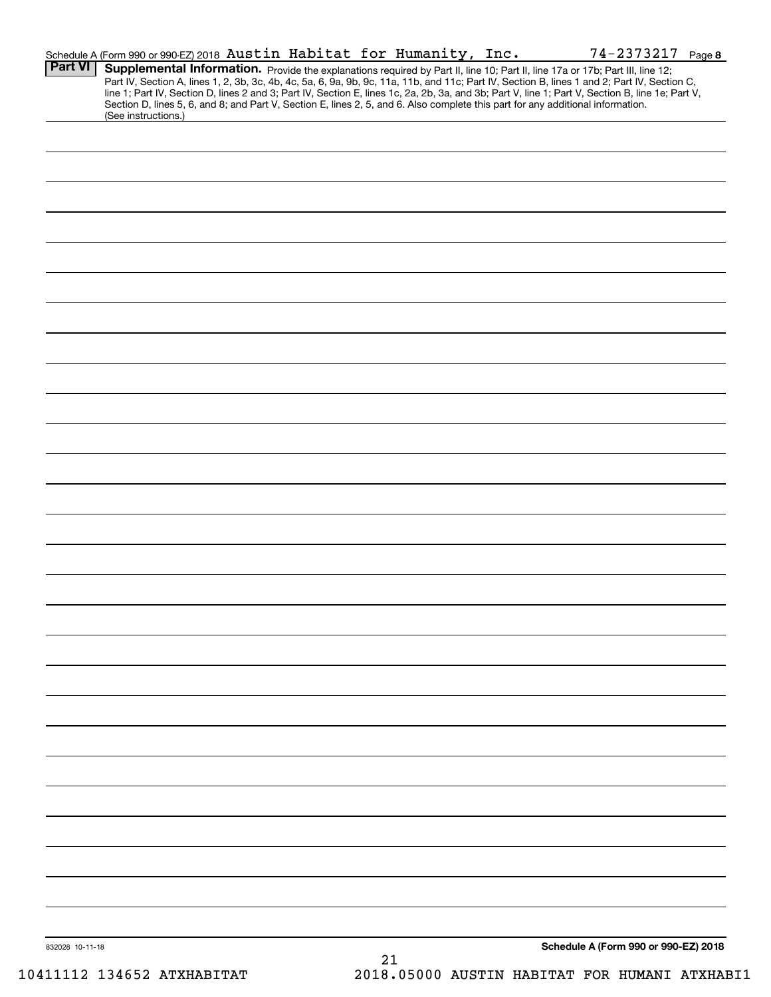| <b>Part VI</b>  | Schedule A (Form 990 or 990-EZ) 2018 Austin Habitat for Humanity, Inc.<br><b>Supplemental Information.</b> Provide the explanations required by Part II, line 10; Part II, line 17a or 17b; Part III, line 12;<br>Part IV, Section A, lines 1, 2, 3b, 3c, 4b, 4c, 5a, 6, 9a, 9b, 9c, 11a, 11b, and 11c; Part IV,<br>line 1; Part IV, Section D, lines 2 and 3; Part IV, Section E, lines 1c, 2a, 2b, 3a, and 3b; Part V, line 1; Part V, Section B, line 1e; Part V, |    |  |                                      |
|-----------------|----------------------------------------------------------------------------------------------------------------------------------------------------------------------------------------------------------------------------------------------------------------------------------------------------------------------------------------------------------------------------------------------------------------------------------------------------------------------|----|--|--------------------------------------|
|                 | Section D, lines 5, 6, and 8; and Part V, Section E, lines 2, 5, and 6. Also complete this part for any additional information.<br>(See instructions.)                                                                                                                                                                                                                                                                                                               |    |  |                                      |
|                 |                                                                                                                                                                                                                                                                                                                                                                                                                                                                      |    |  |                                      |
|                 |                                                                                                                                                                                                                                                                                                                                                                                                                                                                      |    |  |                                      |
|                 |                                                                                                                                                                                                                                                                                                                                                                                                                                                                      |    |  |                                      |
|                 |                                                                                                                                                                                                                                                                                                                                                                                                                                                                      |    |  |                                      |
|                 |                                                                                                                                                                                                                                                                                                                                                                                                                                                                      |    |  |                                      |
|                 |                                                                                                                                                                                                                                                                                                                                                                                                                                                                      |    |  |                                      |
|                 |                                                                                                                                                                                                                                                                                                                                                                                                                                                                      |    |  |                                      |
|                 |                                                                                                                                                                                                                                                                                                                                                                                                                                                                      |    |  |                                      |
|                 |                                                                                                                                                                                                                                                                                                                                                                                                                                                                      |    |  |                                      |
|                 |                                                                                                                                                                                                                                                                                                                                                                                                                                                                      |    |  |                                      |
|                 |                                                                                                                                                                                                                                                                                                                                                                                                                                                                      |    |  |                                      |
|                 |                                                                                                                                                                                                                                                                                                                                                                                                                                                                      |    |  |                                      |
|                 |                                                                                                                                                                                                                                                                                                                                                                                                                                                                      |    |  |                                      |
|                 |                                                                                                                                                                                                                                                                                                                                                                                                                                                                      |    |  |                                      |
|                 |                                                                                                                                                                                                                                                                                                                                                                                                                                                                      |    |  |                                      |
|                 |                                                                                                                                                                                                                                                                                                                                                                                                                                                                      |    |  |                                      |
|                 |                                                                                                                                                                                                                                                                                                                                                                                                                                                                      |    |  |                                      |
|                 |                                                                                                                                                                                                                                                                                                                                                                                                                                                                      |    |  |                                      |
|                 |                                                                                                                                                                                                                                                                                                                                                                                                                                                                      |    |  |                                      |
|                 |                                                                                                                                                                                                                                                                                                                                                                                                                                                                      |    |  |                                      |
|                 |                                                                                                                                                                                                                                                                                                                                                                                                                                                                      |    |  |                                      |
|                 |                                                                                                                                                                                                                                                                                                                                                                                                                                                                      |    |  |                                      |
|                 |                                                                                                                                                                                                                                                                                                                                                                                                                                                                      |    |  |                                      |
|                 |                                                                                                                                                                                                                                                                                                                                                                                                                                                                      |    |  |                                      |
|                 |                                                                                                                                                                                                                                                                                                                                                                                                                                                                      |    |  |                                      |
|                 |                                                                                                                                                                                                                                                                                                                                                                                                                                                                      |    |  |                                      |
|                 |                                                                                                                                                                                                                                                                                                                                                                                                                                                                      |    |  |                                      |
|                 |                                                                                                                                                                                                                                                                                                                                                                                                                                                                      |    |  |                                      |
|                 |                                                                                                                                                                                                                                                                                                                                                                                                                                                                      |    |  |                                      |
|                 |                                                                                                                                                                                                                                                                                                                                                                                                                                                                      |    |  |                                      |
|                 |                                                                                                                                                                                                                                                                                                                                                                                                                                                                      |    |  |                                      |
|                 |                                                                                                                                                                                                                                                                                                                                                                                                                                                                      |    |  |                                      |
|                 |                                                                                                                                                                                                                                                                                                                                                                                                                                                                      |    |  |                                      |
|                 |                                                                                                                                                                                                                                                                                                                                                                                                                                                                      |    |  |                                      |
|                 |                                                                                                                                                                                                                                                                                                                                                                                                                                                                      |    |  |                                      |
|                 |                                                                                                                                                                                                                                                                                                                                                                                                                                                                      |    |  |                                      |
| 832028 10-11-18 |                                                                                                                                                                                                                                                                                                                                                                                                                                                                      | 21 |  | Schedule A (Form 990 or 990-EZ) 2018 |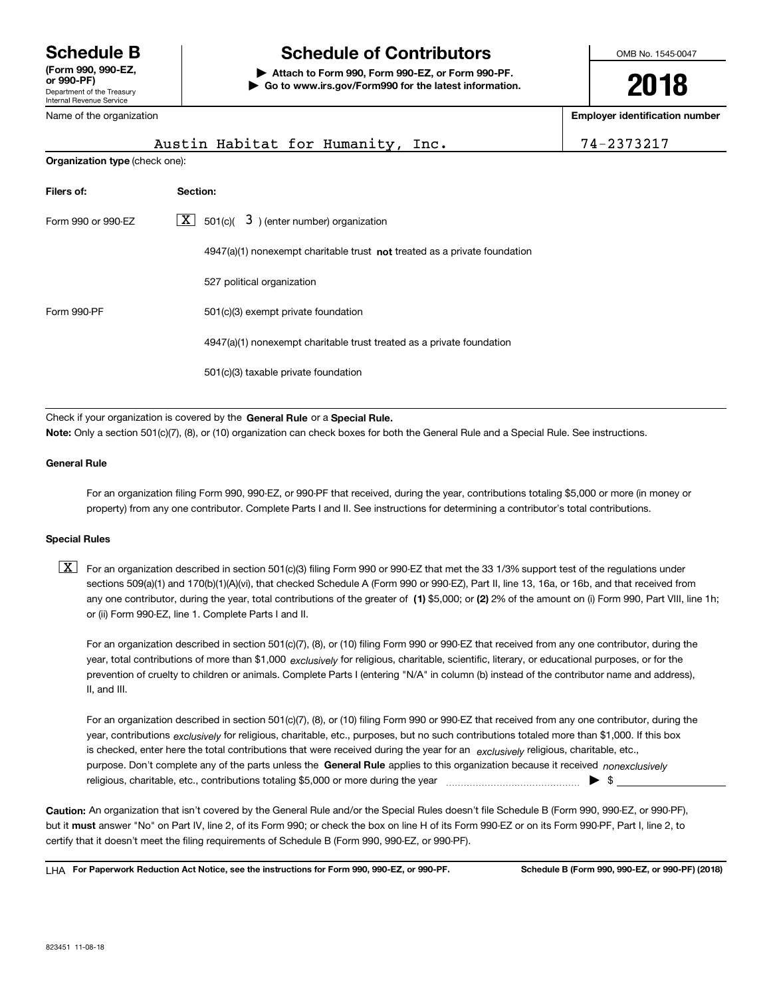### Department of the Treasury Internal Revenue Service **or 990-PF)** Name of the organization

# **Schedule B Schedule of Contributors**

**| Attach to Form 990, Form 990-EZ, or Form 990-PF. | Go to www.irs.gov/Form990 for the latest information.** OMB No. 1545-0047

**2018**

**Employer identification number**

|                                                    | Austin Habitat for Humanity, Inc.                                           | 74-2373217 |  |  |
|----------------------------------------------------|-----------------------------------------------------------------------------|------------|--|--|
|                                                    | <b>Organization type (check one):</b>                                       |            |  |  |
| Filers of:                                         | Section:                                                                    |            |  |  |
| Form 990 or 990-EZ                                 | $\boxed{\textbf{X}}$ 501(c)( 3) (enter number) organization                 |            |  |  |
|                                                    | $4947(a)(1)$ nonexempt charitable trust not treated as a private foundation |            |  |  |
|                                                    | 527 political organization                                                  |            |  |  |
| Form 990-PF<br>501(c)(3) exempt private foundation |                                                                             |            |  |  |
|                                                    | 4947(a)(1) nonexempt charitable trust treated as a private foundation       |            |  |  |
|                                                    | 501(c)(3) taxable private foundation                                        |            |  |  |

Check if your organization is covered by the **General Rule** or a **Special Rule.**<br>Nota: Only a section 501(c)(7), (8), or (10) erganization can chock boxes for be **Note:**Only a section 501(c)(7), (8), or (10) organization can check boxes for both the General Rule and a Special Rule. See instructions.

## **General Rule**

For an organization filing Form 990, 990-EZ, or 990-PF that received, during the year, contributions totaling \$5,000 or more (in money or property) from any one contributor. Complete Parts I and II. See instructions for determining a contributor's total contributions.

### **Special Rules**

any one contributor, during the year, total contributions of the greater of  $\,$  (1) \$5,000; or **(2)** 2% of the amount on (i) Form 990, Part VIII, line 1h;  $\boxed{\textbf{X}}$  For an organization described in section 501(c)(3) filing Form 990 or 990-EZ that met the 33 1/3% support test of the regulations under sections 509(a)(1) and 170(b)(1)(A)(vi), that checked Schedule A (Form 990 or 990-EZ), Part II, line 13, 16a, or 16b, and that received from or (ii) Form 990-EZ, line 1. Complete Parts I and II.

year, total contributions of more than \$1,000 *exclusively* for religious, charitable, scientific, literary, or educational purposes, or for the For an organization described in section 501(c)(7), (8), or (10) filing Form 990 or 990-EZ that received from any one contributor, during the prevention of cruelty to children or animals. Complete Parts I (entering "N/A" in column (b) instead of the contributor name and address), II, and III.

purpose. Don't complete any of the parts unless the **General Rule** applies to this organization because it received *nonexclusively* year, contributions <sub>exclusively</sub> for religious, charitable, etc., purposes, but no such contributions totaled more than \$1,000. If this box is checked, enter here the total contributions that were received during the year for an  $\;$ exclusively religious, charitable, etc., For an organization described in section 501(c)(7), (8), or (10) filing Form 990 or 990-EZ that received from any one contributor, during the religious, charitable, etc., contributions totaling \$5,000 or more during the year  $\Box$ — $\Box$   $\Box$ 

**Caution:**An organization that isn't covered by the General Rule and/or the Special Rules doesn't file Schedule B (Form 990, 990-EZ, or 990-PF), but it **must** answer "No" on Part IV, line 2, of its Form 990; or check the box on line H of its Form 990-EZ or on its Form 990-PF, Part I, line 2, to<br>cortify that it doesn't meet the filipe requirements of Schodule B (Fer certify that it doesn't meet the filing requirements of Schedule B (Form 990, 990-EZ, or 990-PF).

**For Paperwork Reduction Act Notice, see the instructions for Form 990, 990-EZ, or 990-PF. Schedule B (Form 990, 990-EZ, or 990-PF) (2018)** LHA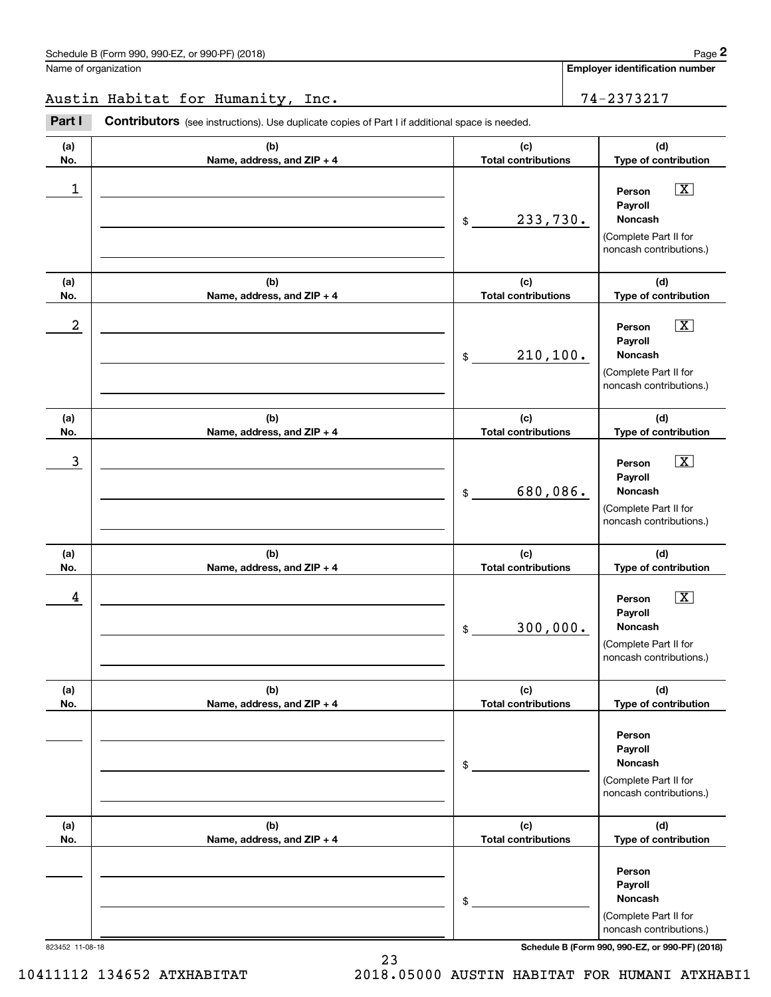**Employer identification number**

## Austin Habitat for Humanity, Inc. 74-2373217

**Part I Contributors** (see instructions). Use duplicate copies of Part I if additional space is needed.

| (a) | (b)                        | (c)                                   | (d)                                                                                                                |
|-----|----------------------------|---------------------------------------|--------------------------------------------------------------------------------------------------------------------|
| No. | Name, address, and ZIP + 4 | <b>Total contributions</b>            | Type of contribution                                                                                               |
| 1   |                            | 233,730.<br>$\boldsymbol{\mathsf{S}}$ | $\boxed{\text{X}}$<br>Person<br>Payroll<br>Noncash<br>(Complete Part II for<br>noncash contributions.)             |
| (a) | (b)                        | (c)                                   | (d)                                                                                                                |
| No. | Name, address, and ZIP + 4 | <b>Total contributions</b>            | Type of contribution                                                                                               |
| 2   |                            | 210, 100.<br>\$                       | $\boxed{\text{X}}$<br>Person<br>Payroll<br>Noncash<br>(Complete Part II for<br>noncash contributions.)             |
| (a) | (b)                        | (c)                                   | (d)                                                                                                                |
| No. | Name, address, and ZIP + 4 | <b>Total contributions</b>            | Type of contribution                                                                                               |
| 3   |                            | 680,086.<br>\$                        | $\overline{\mathbf{X}}$<br>Person<br>Payroll<br><b>Noncash</b><br>(Complete Part II for<br>noncash contributions.) |
| (a) | (b)                        | (c)                                   | (d)                                                                                                                |
| No. | Name, address, and ZIP + 4 | <b>Total contributions</b>            | Type of contribution                                                                                               |
| 4   |                            | 300,000.<br>$\boldsymbol{\mathsf{S}}$ | $\overline{\mathbf{X}}$<br>Person<br>Payroll<br><b>Noncash</b><br>(Complete Part II for<br>noncash contributions.) |
| (a) | (b)                        | (c)                                   | (d)                                                                                                                |
| No. | Name, address, and ZIP + 4 | <b>Total contributions</b>            | Type of contribution                                                                                               |
|     |                            | \$                                    | Person<br>Payroll<br>Noncash<br>(Complete Part II for<br>noncash contributions.)                                   |
| (a) | (b)                        | (c)                                   | (d)                                                                                                                |
| No. | Name, address, and ZIP + 4 | <b>Total contributions</b>            | Type of contribution                                                                                               |
|     |                            | \$                                    | Person<br>Payroll<br>Noncash<br>(Complete Part II for<br>noncash contributions.)                                   |

823452 11-08-18 **Schedule B (Form 990, 990-EZ, or 990-PF) (2018)**

<sup>10411112</sup> <sup>134652</sup> ATXHABITAT 2018.05000 AUSTIN HABITAT FOR HUMANI ATXHABI1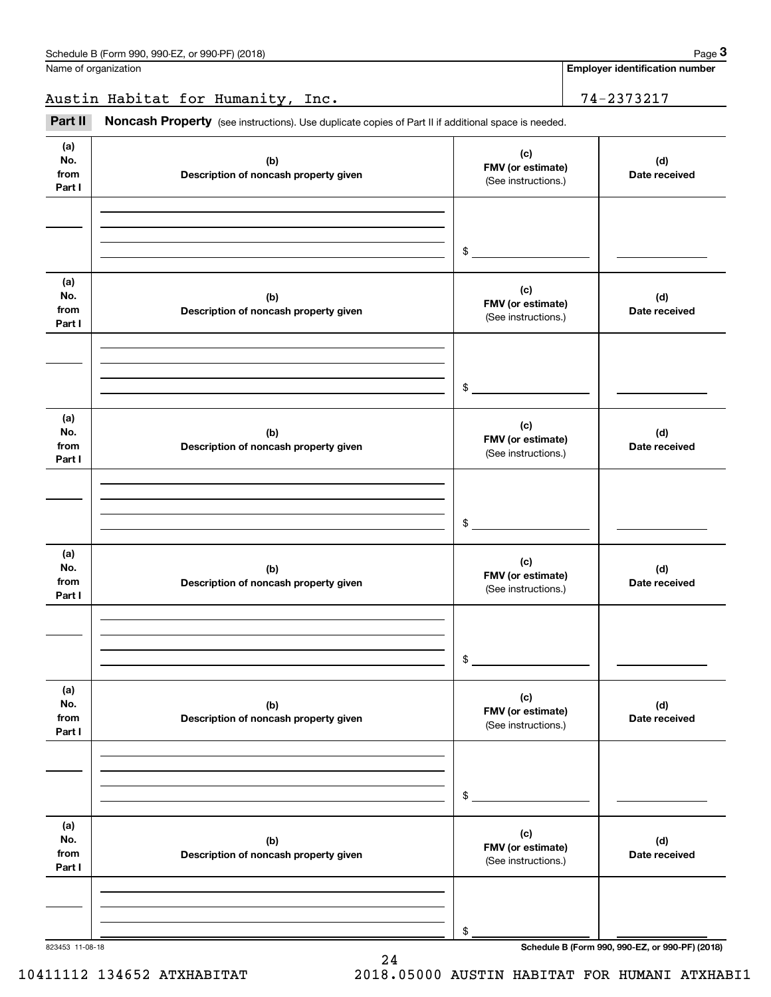**Employer identification number**

Austin Habitat for Humanity, Inc. 74-2373217

Fage 3 Employer identification pumber<br>
lame of organization<br> **3Part II Noncash Property** (see instructions). Use duplicate copies of Part II if additional space is needed.

| (a)<br>No.<br>from<br>Part I | (b)<br>Description of noncash property given | (c)<br>FMV (or estimate)<br>(See instructions.) | (d)<br>Date received |
|------------------------------|----------------------------------------------|-------------------------------------------------|----------------------|
|                              |                                              | $\frac{1}{2}$                                   |                      |
| (a)<br>No.<br>from<br>Part I | (b)<br>Description of noncash property given | (c)<br>FMV (or estimate)<br>(See instructions.) | (d)<br>Date received |
|                              |                                              | $\frac{1}{2}$                                   |                      |
| (a)<br>No.<br>from<br>Part I | (b)<br>Description of noncash property given | (c)<br>FMV (or estimate)<br>(See instructions.) | (d)<br>Date received |
|                              |                                              | $\frac{1}{2}$                                   |                      |
| (a)<br>No.<br>from<br>Part I | (b)<br>Description of noncash property given | (c)<br>FMV (or estimate)<br>(See instructions.) | (d)<br>Date received |
|                              |                                              | $\mathsf{\$}$                                   |                      |
| (a)<br>No.<br>from<br>Part I | (b)<br>Description of noncash property given | (c)<br>FMV (or estimate)<br>(See instructions.) | (d)<br>Date received |
|                              |                                              | \$                                              |                      |
| (a)<br>No.<br>from<br>Part I | (b)<br>Description of noncash property given | (c)<br>FMV (or estimate)<br>(See instructions.) | (d)<br>Date received |
|                              |                                              | \$                                              |                      |

10411112 134652 ATXHABITAT 2018.05000 AUSTIN HABITAT FOR HUMANI ATXHABI1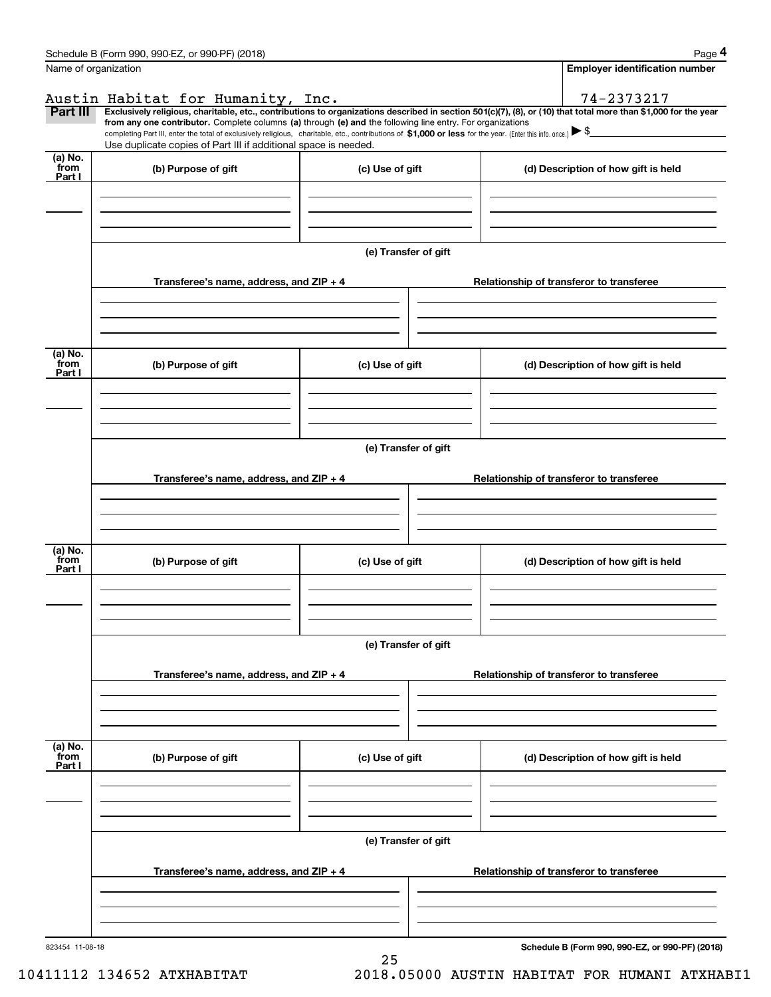| Schedule B (Form 990, 990-EZ, or 990-PF)<br>) (2018) | Page |
|------------------------------------------------------|------|
|------------------------------------------------------|------|

|--|--|--|

|                           | Schedule B (Form 990, 990-EZ, or 990-PF) (2018)                                                                                                                                                                                 |                      | Page 4                                                                                                                                                         |  |  |  |  |
|---------------------------|---------------------------------------------------------------------------------------------------------------------------------------------------------------------------------------------------------------------------------|----------------------|----------------------------------------------------------------------------------------------------------------------------------------------------------------|--|--|--|--|
| Name of organization      |                                                                                                                                                                                                                                 |                      | <b>Employer identification number</b>                                                                                                                          |  |  |  |  |
|                           | Austin Habitat for Humanity, Inc.                                                                                                                                                                                               |                      | 74-2373217                                                                                                                                                     |  |  |  |  |
| Part III                  | from any one contributor. Complete columns (a) through (e) and the following line entry. For organizations                                                                                                                      |                      | Exclusively religious, charitable, etc., contributions to organizations described in section 501(c)(7), (8), or (10) that total more than \$1,000 for the year |  |  |  |  |
|                           | completing Part III, enter the total of exclusively religious, charitable, etc., contributions of \$1,000 or less for the year. (Enter this info. once.) \\$<br>Use duplicate copies of Part III if additional space is needed. |                      |                                                                                                                                                                |  |  |  |  |
| $(a)$ No.                 |                                                                                                                                                                                                                                 |                      |                                                                                                                                                                |  |  |  |  |
| from<br>Part I            | (b) Purpose of gift                                                                                                                                                                                                             | (c) Use of gift      | (d) Description of how gift is held                                                                                                                            |  |  |  |  |
|                           |                                                                                                                                                                                                                                 |                      |                                                                                                                                                                |  |  |  |  |
|                           |                                                                                                                                                                                                                                 |                      |                                                                                                                                                                |  |  |  |  |
|                           |                                                                                                                                                                                                                                 |                      |                                                                                                                                                                |  |  |  |  |
|                           |                                                                                                                                                                                                                                 | (e) Transfer of gift |                                                                                                                                                                |  |  |  |  |
|                           | Transferee's name, address, and ZIP + 4                                                                                                                                                                                         |                      | Relationship of transferor to transferee                                                                                                                       |  |  |  |  |
|                           |                                                                                                                                                                                                                                 |                      |                                                                                                                                                                |  |  |  |  |
|                           |                                                                                                                                                                                                                                 |                      |                                                                                                                                                                |  |  |  |  |
| (a) No.<br>from           | (b) Purpose of gift<br>(c) Use of gift                                                                                                                                                                                          |                      | (d) Description of how gift is held                                                                                                                            |  |  |  |  |
| Part I                    |                                                                                                                                                                                                                                 |                      |                                                                                                                                                                |  |  |  |  |
|                           |                                                                                                                                                                                                                                 |                      |                                                                                                                                                                |  |  |  |  |
|                           |                                                                                                                                                                                                                                 |                      |                                                                                                                                                                |  |  |  |  |
|                           | (e) Transfer of gift                                                                                                                                                                                                            |                      |                                                                                                                                                                |  |  |  |  |
|                           | Transferee's name, address, and ZIP + 4<br>Relationship of transferor to transferee                                                                                                                                             |                      |                                                                                                                                                                |  |  |  |  |
|                           |                                                                                                                                                                                                                                 |                      |                                                                                                                                                                |  |  |  |  |
|                           |                                                                                                                                                                                                                                 |                      |                                                                                                                                                                |  |  |  |  |
| (a) No.                   |                                                                                                                                                                                                                                 |                      |                                                                                                                                                                |  |  |  |  |
| from<br>Part I            | (b) Purpose of gift                                                                                                                                                                                                             | (c) Use of gift      | (d) Description of how gift is held                                                                                                                            |  |  |  |  |
|                           |                                                                                                                                                                                                                                 |                      |                                                                                                                                                                |  |  |  |  |
|                           |                                                                                                                                                                                                                                 |                      |                                                                                                                                                                |  |  |  |  |
|                           |                                                                                                                                                                                                                                 | (e) Transfer of gift |                                                                                                                                                                |  |  |  |  |
|                           |                                                                                                                                                                                                                                 |                      |                                                                                                                                                                |  |  |  |  |
|                           | Transferee's name, address, and $ZIP + 4$                                                                                                                                                                                       |                      | Relationship of transferor to transferee                                                                                                                       |  |  |  |  |
|                           |                                                                                                                                                                                                                                 |                      |                                                                                                                                                                |  |  |  |  |
|                           |                                                                                                                                                                                                                                 |                      |                                                                                                                                                                |  |  |  |  |
| (a) No.<br>from<br>Part I | (b) Purpose of gift                                                                                                                                                                                                             | (c) Use of gift      | (d) Description of how gift is held                                                                                                                            |  |  |  |  |
|                           |                                                                                                                                                                                                                                 |                      |                                                                                                                                                                |  |  |  |  |
|                           |                                                                                                                                                                                                                                 |                      |                                                                                                                                                                |  |  |  |  |
|                           |                                                                                                                                                                                                                                 |                      |                                                                                                                                                                |  |  |  |  |
|                           |                                                                                                                                                                                                                                 | (e) Transfer of gift |                                                                                                                                                                |  |  |  |  |
|                           | Transferee's name, address, and $ZIP + 4$                                                                                                                                                                                       |                      | Relationship of transferor to transferee                                                                                                                       |  |  |  |  |
|                           |                                                                                                                                                                                                                                 |                      |                                                                                                                                                                |  |  |  |  |
|                           |                                                                                                                                                                                                                                 |                      |                                                                                                                                                                |  |  |  |  |
|                           | 823454 11-08-18                                                                                                                                                                                                                 |                      | Schedule B (Form 990, 990-EZ, or 990-PF) (2018)                                                                                                                |  |  |  |  |

25

10411112 134652 ATXHABITAT 2018.05000 AUSTIN HABITAT FOR HUMANI ATXHABI1

**Schedule B (Form 990, 990-EZ, or 990-PF) (2018)**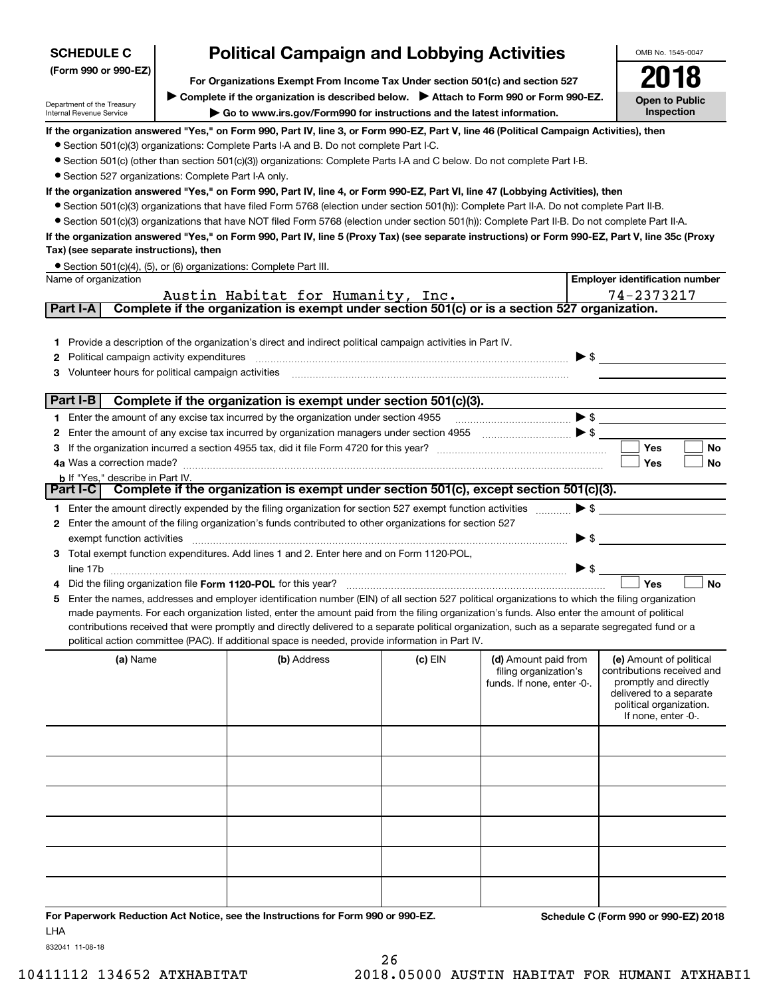| <b>Political Campaign and Lobbying Activities</b><br><b>SCHEDULE C</b>                                |                                                                                                                                                                                                                                                                               |                                                                                                                                                                                                                                                    |           |                                                                             |                          | OMB No. 1545-0047                                                                                                                                           |  |  |  |
|-------------------------------------------------------------------------------------------------------|-------------------------------------------------------------------------------------------------------------------------------------------------------------------------------------------------------------------------------------------------------------------------------|----------------------------------------------------------------------------------------------------------------------------------------------------------------------------------------------------------------------------------------------------|-----------|-----------------------------------------------------------------------------|--------------------------|-------------------------------------------------------------------------------------------------------------------------------------------------------------|--|--|--|
| (Form 990 or 990-EZ)<br>For Organizations Exempt From Income Tax Under section 501(c) and section 527 |                                                                                                                                                                                                                                                                               |                                                                                                                                                                                                                                                    |           |                                                                             |                          |                                                                                                                                                             |  |  |  |
|                                                                                                       |                                                                                                                                                                                                                                                                               |                                                                                                                                                                                                                                                    |           |                                                                             |                          |                                                                                                                                                             |  |  |  |
| Department of the Treasury                                                                            | Complete if the organization is described below. Attach to Form 990 or Form 990-EZ.<br>Go to www.irs.gov/Form990 for instructions and the latest information.                                                                                                                 |                                                                                                                                                                                                                                                    |           |                                                                             |                          |                                                                                                                                                             |  |  |  |
| Internal Revenue Service                                                                              |                                                                                                                                                                                                                                                                               |                                                                                                                                                                                                                                                    |           |                                                                             |                          | Inspection                                                                                                                                                  |  |  |  |
|                                                                                                       |                                                                                                                                                                                                                                                                               | If the organization answered "Yes," on Form 990, Part IV, line 3, or Form 990-EZ, Part V, line 46 (Political Campaign Activities), then                                                                                                            |           |                                                                             |                          |                                                                                                                                                             |  |  |  |
|                                                                                                       |                                                                                                                                                                                                                                                                               | • Section 501(c)(3) organizations: Complete Parts I-A and B. Do not complete Part I-C.                                                                                                                                                             |           |                                                                             |                          |                                                                                                                                                             |  |  |  |
|                                                                                                       |                                                                                                                                                                                                                                                                               | • Section 501(c) (other than section 501(c)(3)) organizations: Complete Parts I-A and C below. Do not complete Part I-B.                                                                                                                           |           |                                                                             |                          |                                                                                                                                                             |  |  |  |
| • Section 527 organizations: Complete Part I-A only.                                                  |                                                                                                                                                                                                                                                                               |                                                                                                                                                                                                                                                    |           |                                                                             |                          |                                                                                                                                                             |  |  |  |
|                                                                                                       | If the organization answered "Yes," on Form 990, Part IV, line 4, or Form 990-EZ, Part VI, line 47 (Lobbying Activities), then<br>• Section 501(c)(3) organizations that have filed Form 5768 (election under section 501(h)): Complete Part II-A. Do not complete Part II-B. |                                                                                                                                                                                                                                                    |           |                                                                             |                          |                                                                                                                                                             |  |  |  |
|                                                                                                       |                                                                                                                                                                                                                                                                               | • Section 501(c)(3) organizations that have NOT filed Form 5768 (election under section 501(h)): Complete Part II-B. Do not complete Part II-A.                                                                                                    |           |                                                                             |                          |                                                                                                                                                             |  |  |  |
|                                                                                                       |                                                                                                                                                                                                                                                                               | If the organization answered "Yes," on Form 990, Part IV, line 5 (Proxy Tax) (see separate instructions) or Form 990-EZ, Part V, line 35c (Proxy                                                                                                   |           |                                                                             |                          |                                                                                                                                                             |  |  |  |
| Tax) (see separate instructions), then                                                                |                                                                                                                                                                                                                                                                               |                                                                                                                                                                                                                                                    |           |                                                                             |                          |                                                                                                                                                             |  |  |  |
|                                                                                                       |                                                                                                                                                                                                                                                                               | • Section 501(c)(4), (5), or (6) organizations: Complete Part III.                                                                                                                                                                                 |           |                                                                             |                          |                                                                                                                                                             |  |  |  |
| Name of organization                                                                                  |                                                                                                                                                                                                                                                                               |                                                                                                                                                                                                                                                    |           |                                                                             |                          | <b>Employer identification number</b>                                                                                                                       |  |  |  |
|                                                                                                       |                                                                                                                                                                                                                                                                               | Austin Habitat for Humanity, Inc.                                                                                                                                                                                                                  |           |                                                                             |                          | 74-2373217                                                                                                                                                  |  |  |  |
| Part I-A                                                                                              |                                                                                                                                                                                                                                                                               | Complete if the organization is exempt under section 501(c) or is a section 527 organization.                                                                                                                                                      |           |                                                                             |                          |                                                                                                                                                             |  |  |  |
|                                                                                                       |                                                                                                                                                                                                                                                                               |                                                                                                                                                                                                                                                    |           |                                                                             |                          |                                                                                                                                                             |  |  |  |
|                                                                                                       |                                                                                                                                                                                                                                                                               | 1 Provide a description of the organization's direct and indirect political campaign activities in Part IV.                                                                                                                                        |           |                                                                             |                          |                                                                                                                                                             |  |  |  |
| Political campaign activity expenditures<br>2                                                         |                                                                                                                                                                                                                                                                               |                                                                                                                                                                                                                                                    |           |                                                                             | $\blacktriangleright$ \$ |                                                                                                                                                             |  |  |  |
| Volunteer hours for political campaign activities<br>З                                                |                                                                                                                                                                                                                                                                               |                                                                                                                                                                                                                                                    |           |                                                                             |                          |                                                                                                                                                             |  |  |  |
|                                                                                                       |                                                                                                                                                                                                                                                                               |                                                                                                                                                                                                                                                    |           |                                                                             |                          |                                                                                                                                                             |  |  |  |
| Part I-B                                                                                              |                                                                                                                                                                                                                                                                               | Complete if the organization is exempt under section 501(c)(3).                                                                                                                                                                                    |           |                                                                             |                          |                                                                                                                                                             |  |  |  |
|                                                                                                       |                                                                                                                                                                                                                                                                               | 1 Enter the amount of any excise tax incurred by the organization under section 4955                                                                                                                                                               |           |                                                                             | $\blacktriangleright$ \$ |                                                                                                                                                             |  |  |  |
| 2                                                                                                     |                                                                                                                                                                                                                                                                               | Enter the amount of any excise tax incurred by organization managers under section 4955                                                                                                                                                            |           | $\begin{array}{c}\n\bullet \\ \bullet \\ \bullet \\ \bullet\n\end{array}$   |                          | Yes<br>No                                                                                                                                                   |  |  |  |
| з                                                                                                     |                                                                                                                                                                                                                                                                               |                                                                                                                                                                                                                                                    |           |                                                                             |                          | Yes<br>No                                                                                                                                                   |  |  |  |
| <b>b</b> If "Yes," describe in Part IV.                                                               |                                                                                                                                                                                                                                                                               |                                                                                                                                                                                                                                                    |           |                                                                             |                          |                                                                                                                                                             |  |  |  |
|                                                                                                       |                                                                                                                                                                                                                                                                               | Part I-C   Complete if the organization is exempt under section 501(c), except section 501(c)(3).                                                                                                                                                  |           |                                                                             |                          |                                                                                                                                                             |  |  |  |
|                                                                                                       |                                                                                                                                                                                                                                                                               | 1 Enter the amount directly expended by the filing organization for section 527 exempt function activities                                                                                                                                         |           |                                                                             | $\blacktriangleright$ \$ |                                                                                                                                                             |  |  |  |
|                                                                                                       |                                                                                                                                                                                                                                                                               | 2 Enter the amount of the filing organization's funds contributed to other organizations for section 527                                                                                                                                           |           |                                                                             |                          |                                                                                                                                                             |  |  |  |
| exempt function activities                                                                            |                                                                                                                                                                                                                                                                               |                                                                                                                                                                                                                                                    |           |                                                                             | $\blacktriangleright$ \$ |                                                                                                                                                             |  |  |  |
|                                                                                                       |                                                                                                                                                                                                                                                                               | 3 Total exempt function expenditures. Add lines 1 and 2. Enter here and on Form 1120-POL,                                                                                                                                                          |           |                                                                             |                          |                                                                                                                                                             |  |  |  |
|                                                                                                       |                                                                                                                                                                                                                                                                               |                                                                                                                                                                                                                                                    |           |                                                                             | $\blacktriangleright$ \$ |                                                                                                                                                             |  |  |  |
|                                                                                                       |                                                                                                                                                                                                                                                                               |                                                                                                                                                                                                                                                    |           |                                                                             |                          | Yes<br><b>No</b>                                                                                                                                            |  |  |  |
| 5.                                                                                                    |                                                                                                                                                                                                                                                                               | Enter the names, addresses and employer identification number (EIN) of all section 527 political organizations to which the filing organization                                                                                                    |           |                                                                             |                          |                                                                                                                                                             |  |  |  |
|                                                                                                       |                                                                                                                                                                                                                                                                               | made payments. For each organization listed, enter the amount paid from the filing organization's funds. Also enter the amount of political                                                                                                        |           |                                                                             |                          |                                                                                                                                                             |  |  |  |
|                                                                                                       |                                                                                                                                                                                                                                                                               | contributions received that were promptly and directly delivered to a separate political organization, such as a separate segregated fund or a<br>political action committee (PAC). If additional space is needed, provide information in Part IV. |           |                                                                             |                          |                                                                                                                                                             |  |  |  |
|                                                                                                       |                                                                                                                                                                                                                                                                               |                                                                                                                                                                                                                                                    |           |                                                                             |                          |                                                                                                                                                             |  |  |  |
| (a) Name                                                                                              |                                                                                                                                                                                                                                                                               | (b) Address                                                                                                                                                                                                                                        | $(c)$ EIN | (d) Amount paid from<br>filing organization's<br>funds. If none, enter -0-. |                          | (e) Amount of political<br>contributions received and<br>promptly and directly<br>delivered to a separate<br>political organization.<br>If none, enter -0-. |  |  |  |
|                                                                                                       |                                                                                                                                                                                                                                                                               |                                                                                                                                                                                                                                                    |           |                                                                             |                          |                                                                                                                                                             |  |  |  |
|                                                                                                       |                                                                                                                                                                                                                                                                               |                                                                                                                                                                                                                                                    |           |                                                                             |                          |                                                                                                                                                             |  |  |  |
|                                                                                                       |                                                                                                                                                                                                                                                                               |                                                                                                                                                                                                                                                    |           |                                                                             |                          |                                                                                                                                                             |  |  |  |
|                                                                                                       |                                                                                                                                                                                                                                                                               |                                                                                                                                                                                                                                                    |           |                                                                             |                          |                                                                                                                                                             |  |  |  |
|                                                                                                       |                                                                                                                                                                                                                                                                               |                                                                                                                                                                                                                                                    |           |                                                                             |                          |                                                                                                                                                             |  |  |  |
|                                                                                                       |                                                                                                                                                                                                                                                                               |                                                                                                                                                                                                                                                    |           |                                                                             |                          |                                                                                                                                                             |  |  |  |

26

**For Paperwork Reduction Act Notice, see the Instructions for Form 990 or 990-EZ. Schedule C (Form 990 or 990-EZ) 2018** LHA

832041 11-08-18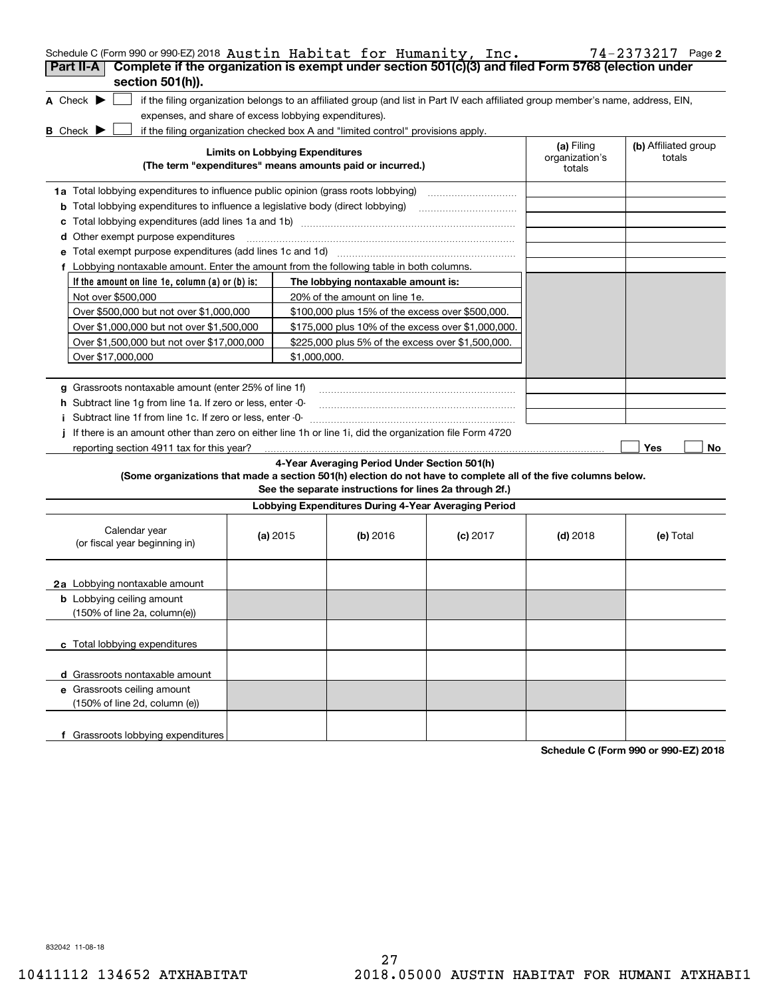| Schedule C (Form 990 or 990-EZ) 2018 Austin Habitat for Humanity, Inc.                                                                                             |                                        |                                                         |            |                                        | 74-2373217 Page 2              |
|--------------------------------------------------------------------------------------------------------------------------------------------------------------------|----------------------------------------|---------------------------------------------------------|------------|----------------------------------------|--------------------------------|
| Complete if the organization is exempt under section 501(c)(3) and filed Form 5768 (election under<br>Part II-A                                                    |                                        |                                                         |            |                                        |                                |
| section 501(h)).                                                                                                                                                   |                                        |                                                         |            |                                        |                                |
| A Check $\blacktriangleright$<br>if the filing organization belongs to an affiliated group (and list in Part IV each affiliated group member's name, address, EIN, |                                        |                                                         |            |                                        |                                |
| expenses, and share of excess lobbying expenditures).                                                                                                              |                                        |                                                         |            |                                        |                                |
| <b>B</b> Check $\blacktriangleright$<br>if the filing organization checked box A and "limited control" provisions apply.                                           |                                        |                                                         |            |                                        |                                |
| (The term "expenditures" means amounts paid or incurred.)                                                                                                          | <b>Limits on Lobbying Expenditures</b> |                                                         |            | (a) Filing<br>organization's<br>totals | (b) Affiliated group<br>totals |
| 1a Total lobbying expenditures to influence public opinion (grass roots lobbying)                                                                                  |                                        |                                                         |            |                                        |                                |
| <b>b</b> Total lobbying expenditures to influence a legislative body (direct lobbying)                                                                             |                                        |                                                         |            |                                        |                                |
| c                                                                                                                                                                  |                                        |                                                         |            |                                        |                                |
| Other exempt purpose expenditures<br>d                                                                                                                             |                                        |                                                         |            |                                        |                                |
|                                                                                                                                                                    |                                        |                                                         |            |                                        |                                |
| f Lobbying nontaxable amount. Enter the amount from the following table in both columns.                                                                           |                                        |                                                         |            |                                        |                                |
| If the amount on line 1e, column $(a)$ or $(b)$ is:                                                                                                                |                                        | The lobbying nontaxable amount is:                      |            |                                        |                                |
| Not over \$500,000                                                                                                                                                 |                                        | 20% of the amount on line 1e.                           |            |                                        |                                |
| Over \$500,000 but not over \$1,000,000                                                                                                                            |                                        | \$100,000 plus 15% of the excess over \$500,000.        |            |                                        |                                |
| Over \$1,000,000 but not over \$1,500,000                                                                                                                          |                                        | \$175,000 plus 10% of the excess over \$1,000,000.      |            |                                        |                                |
| Over \$1,500,000 but not over \$17,000,000                                                                                                                         |                                        | \$225,000 plus 5% of the excess over \$1,500,000.       |            |                                        |                                |
| Over \$17,000,000                                                                                                                                                  | \$1,000,000.                           |                                                         |            |                                        |                                |
|                                                                                                                                                                    |                                        |                                                         |            |                                        |                                |
| g Grassroots nontaxable amount (enter 25% of line 1f)                                                                                                              |                                        |                                                         |            |                                        |                                |
| <b>h</b> Subtract line 1g from line 1a. If zero or less, enter -0-                                                                                                 |                                        |                                                         |            |                                        |                                |
| i Subtract line 1f from line 1c. If zero or less, enter 0                                                                                                          |                                        |                                                         |            |                                        |                                |
| If there is an amount other than zero on either line 1h or line 1i, did the organization file Form 4720                                                            |                                        |                                                         |            |                                        |                                |
| reporting section 4911 tax for this year?                                                                                                                          |                                        |                                                         |            |                                        | Yes<br>No                      |
|                                                                                                                                                                    |                                        | 4-Year Averaging Period Under Section 501(h)            |            |                                        |                                |
| (Some organizations that made a section 501(h) election do not have to complete all of the five columns below.                                                     |                                        | See the separate instructions for lines 2a through 2f.) |            |                                        |                                |
|                                                                                                                                                                    |                                        | Lobbying Expenditures During 4-Year Averaging Period    |            |                                        |                                |
| Calendar year<br>(or fiscal year beginning in)                                                                                                                     | (a) $2015$                             | $(b)$ 2016                                              | $(c)$ 2017 | $(d)$ 2018                             | (e) Total                      |
| 2a Lobbying nontaxable amount                                                                                                                                      |                                        |                                                         |            |                                        |                                |
| <b>b</b> Lobbying ceiling amount<br>(150% of line 2a, column(e))                                                                                                   |                                        |                                                         |            |                                        |                                |
| c Total lobbying expenditures                                                                                                                                      |                                        |                                                         |            |                                        |                                |
| d Grassroots nontaxable amount                                                                                                                                     |                                        |                                                         |            |                                        |                                |
| e Grassroots ceiling amount                                                                                                                                        |                                        |                                                         |            |                                        |                                |
| (150% of line 2d, column (e))                                                                                                                                      |                                        |                                                         |            |                                        |                                |
| f Grassroots lobbying expenditures                                                                                                                                 |                                        |                                                         |            |                                        |                                |

**Schedule C (Form 990 or 990-EZ) 2018**

832042 11-08-18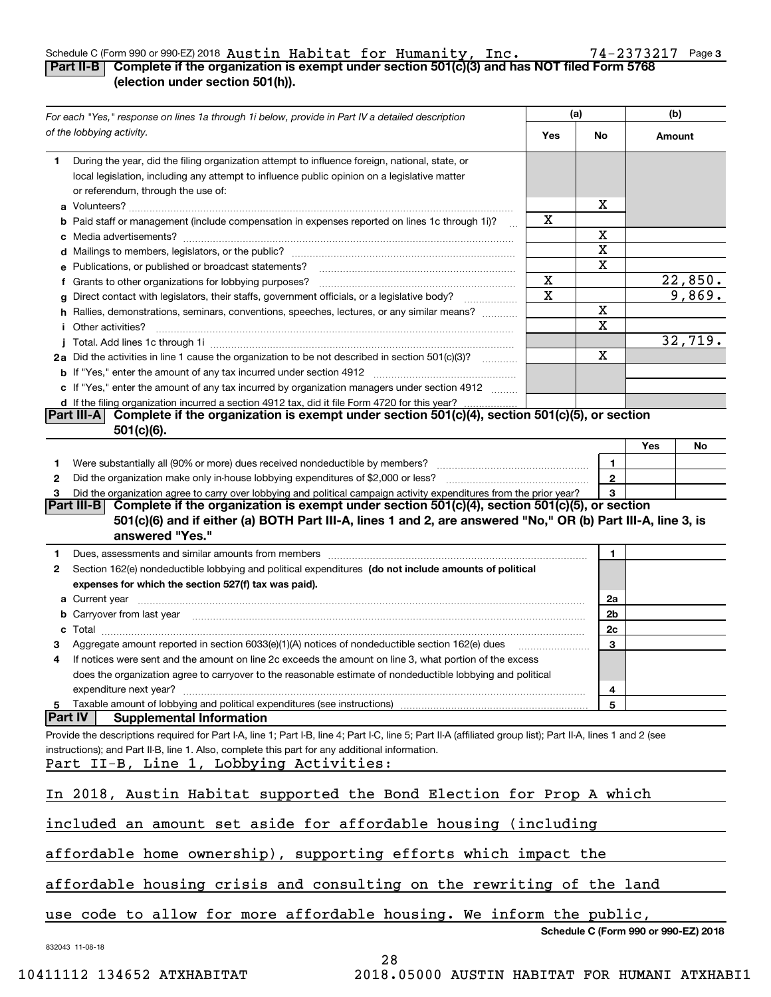### Schedule C (Form 990 or 990-EZ) 2018  ${\tt Austin}$   ${\tt Habitat}$   ${\tt for}$   ${\tt Humanity}$  ,  ${\tt Inc.}$   $\hphantom{a}$   $\hphantom{a}$   $\hphantom{a}$   $\hphantom{a}$   $\hphantom{a}$   $\hphantom{a}$   $\hphantom{a}$   $\hphantom{a}$   $\hphantom{a}$   $\hphantom{a}$   $\hphantom{a}$   $\hphantom{a}$   $\hphantom{a}$   $\hphantom{a}$   $\hphant$ Austin Habitat for Humanity, Inc. 74-2373217

| Part II-B $\mid$ Complete if the organization is exempt under section 501(c)(3) and has NOT filed Form 5768 |  |  |
|-------------------------------------------------------------------------------------------------------------|--|--|
| (election under section 501(h)).                                                                            |  |  |

|    | For each "Yes," response on lines 1a through 1i below, provide in Part IV a detailed description                                                                                                                                     |     | (a)                                  |     | (b)            |
|----|--------------------------------------------------------------------------------------------------------------------------------------------------------------------------------------------------------------------------------------|-----|--------------------------------------|-----|----------------|
|    | of the lobbying activity.                                                                                                                                                                                                            | Yes | No                                   |     | Amount         |
| 1. | During the year, did the filing organization attempt to influence foreign, national, state, or<br>local legislation, including any attempt to influence public opinion on a legislative matter<br>or referendum, through the use of: |     |                                      |     |                |
|    |                                                                                                                                                                                                                                      |     | х                                    |     |                |
|    | <b>b</b> Paid staff or management (include compensation in expenses reported on lines 1c through 1i)?                                                                                                                                | X   |                                      |     |                |
|    |                                                                                                                                                                                                                                      |     | Χ                                    |     |                |
|    |                                                                                                                                                                                                                                      |     | X                                    |     |                |
|    | e Publications, or published or broadcast statements?                                                                                                                                                                                |     | X                                    |     |                |
|    | f Grants to other organizations for lobbying purposes?                                                                                                                                                                               | X   |                                      |     | <u>22,850.</u> |
| g  | Direct contact with legislators, their staffs, government officials, or a legislative body?<br>.                                                                                                                                     | X   |                                      |     | 9,869.         |
|    | h Rallies, demonstrations, seminars, conventions, speeches, lectures, or any similar means?                                                                                                                                          |     | Χ                                    |     |                |
|    | <i>i</i> Other activities?                                                                                                                                                                                                           |     | X                                    |     |                |
|    |                                                                                                                                                                                                                                      |     |                                      |     | 32,719.        |
|    | 2a Did the activities in line 1 cause the organization to be not described in section 501(c)(3)?                                                                                                                                     |     | $\mathbf x$                          |     |                |
|    |                                                                                                                                                                                                                                      |     |                                      |     |                |
|    | c If "Yes," enter the amount of any tax incurred by organization managers under section 4912                                                                                                                                         |     |                                      |     |                |
|    | d If the filing organization incurred a section 4912 tax, did it file Form 4720 for this year?                                                                                                                                       |     |                                      |     |                |
|    | Complete if the organization is exempt under section 501(c)(4), section 501(c)(5), or section<br> Part III-A <br>$501(c)(6)$ .                                                                                                       |     |                                      |     |                |
|    |                                                                                                                                                                                                                                      |     |                                      | Yes | No             |
| 1. |                                                                                                                                                                                                                                      |     | 1                                    |     |                |
| 2  |                                                                                                                                                                                                                                      |     | $\mathbf{2}$                         |     |                |
|    | Did the organization agree to carry over lobbying and political campaign activity expenditures from the prior year?                                                                                                                  |     | 3                                    |     |                |
|    | Complete if the organization is exempt under section 501(c)(4), section 501(c)(5), or section<br> Part III-B                                                                                                                         |     |                                      |     |                |
|    | 501(c)(6) and if either (a) BOTH Part III-A, lines 1 and 2, are answered "No," OR (b) Part III-A, line 3, is                                                                                                                         |     |                                      |     |                |
|    | answered "Yes."                                                                                                                                                                                                                      |     |                                      |     |                |
| 1  | Dues, assessments and similar amounts from members [11] matter continuum matter and similar amounts and similar                                                                                                                      |     | 1                                    |     |                |
| 2  | Section 162(e) nondeductible lobbying and political expenditures (do not include amounts of political                                                                                                                                |     |                                      |     |                |
|    | expenses for which the section 527(f) tax was paid).                                                                                                                                                                                 |     |                                      |     |                |
|    |                                                                                                                                                                                                                                      |     | 2a                                   |     |                |
|    | b Carryover from last year [11] manufactured and the care of the care of the care of the care of the care of the care of the care of the care of the care of the care of the care of the care of the care of the care of the c       |     | 2b                                   |     |                |
| с  |                                                                                                                                                                                                                                      |     | 2c                                   |     |                |
|    | Aggregate amount reported in section 6033(e)(1)(A) notices of nondeductible section 162(e) dues                                                                                                                                      |     | 3                                    |     |                |
|    | If notices were sent and the amount on line 2c exceeds the amount on line 3, what portion of the excess                                                                                                                              |     |                                      |     |                |
|    | does the organization agree to carryover to the reasonable estimate of nondeductible lobbying and political                                                                                                                          |     |                                      |     |                |
|    | expenditure next year?                                                                                                                                                                                                               |     | 4                                    |     |                |
| 5  | Taxable amount of lobbying and political expenditures (see instructions)                                                                                                                                                             |     | 5                                    |     |                |
|    | <b>Part IV</b><br><b>Supplemental Information</b>                                                                                                                                                                                    |     |                                      |     |                |
|    | Provide the descriptions required for Part I-A, line 1; Part I-B, line 4; Part I-C, line 5; Part II-A (affiliated group list); Part II-A, lines 1 and 2 (see                                                                         |     |                                      |     |                |
|    | instructions); and Part II-B, line 1. Also, complete this part for any additional information.                                                                                                                                       |     |                                      |     |                |
|    | Part II-B, Line 1, Lobbying Activities:                                                                                                                                                                                              |     |                                      |     |                |
|    |                                                                                                                                                                                                                                      |     |                                      |     |                |
|    | In 2018, Austin Habitat supported the Bond Election for Prop A which                                                                                                                                                                 |     |                                      |     |                |
|    |                                                                                                                                                                                                                                      |     |                                      |     |                |
|    | included an amount set aside for affordable housing (including                                                                                                                                                                       |     |                                      |     |                |
|    |                                                                                                                                                                                                                                      |     |                                      |     |                |
|    | affordable home ownership), supporting efforts which impact the                                                                                                                                                                      |     |                                      |     |                |
|    |                                                                                                                                                                                                                                      |     |                                      |     |                |
|    | affordable housing crisis and consulting on the rewriting of the land                                                                                                                                                                |     |                                      |     |                |
|    |                                                                                                                                                                                                                                      |     |                                      |     |                |
|    | use code to allow for more affordable housing. We inform the public,                                                                                                                                                                 |     |                                      |     |                |
|    |                                                                                                                                                                                                                                      |     | Schedule C (Form 990 or 990-EZ) 2018 |     |                |
|    | 832043 11-08-18                                                                                                                                                                                                                      |     |                                      |     |                |
|    | 28                                                                                                                                                                                                                                   |     |                                      |     |                |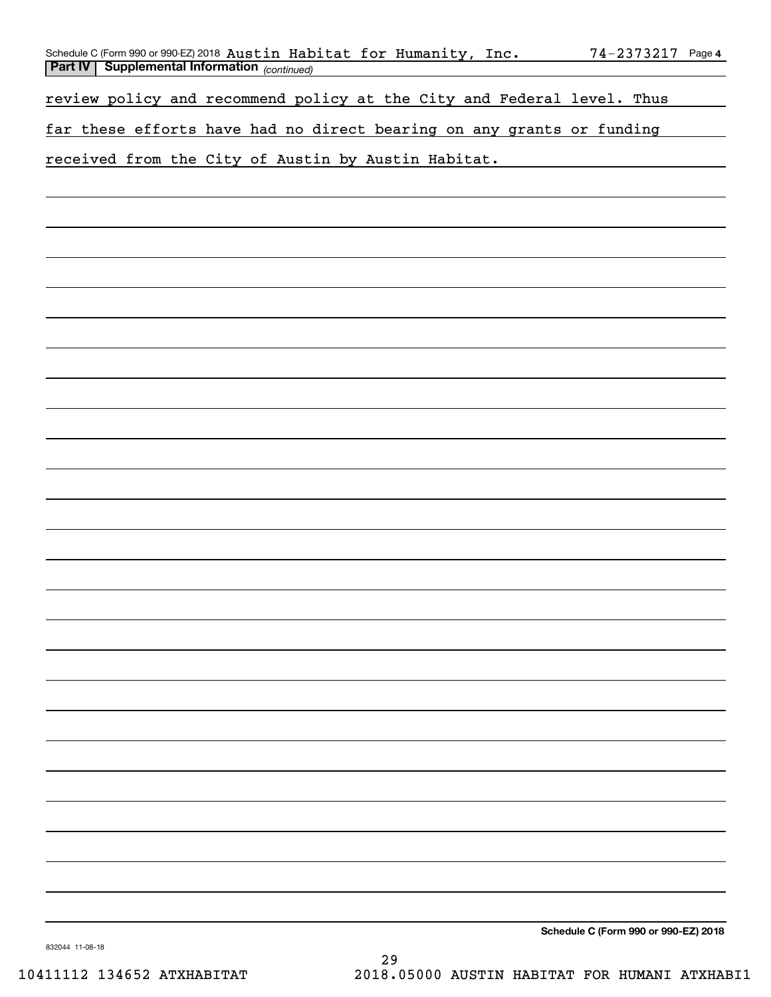| Schedule C (Form 990 or 990-EZ) 2018 Austin Habitat for Humanity, Inc. |  |  | $74 - 2373217$ Page 4 |  |
|------------------------------------------------------------------------|--|--|-----------------------|--|
| <b>Part IV Supplemental Information</b> (continued)                    |  |  |                       |  |

review policy and recommend policy at the City and Federal level. Thus

far these efforts have had no direct bearing on any grants or funding

received from the City of Austin by Austin Habitat.

**Schedule C (Form 990 or 990-EZ) 2018**

832044 11-08-18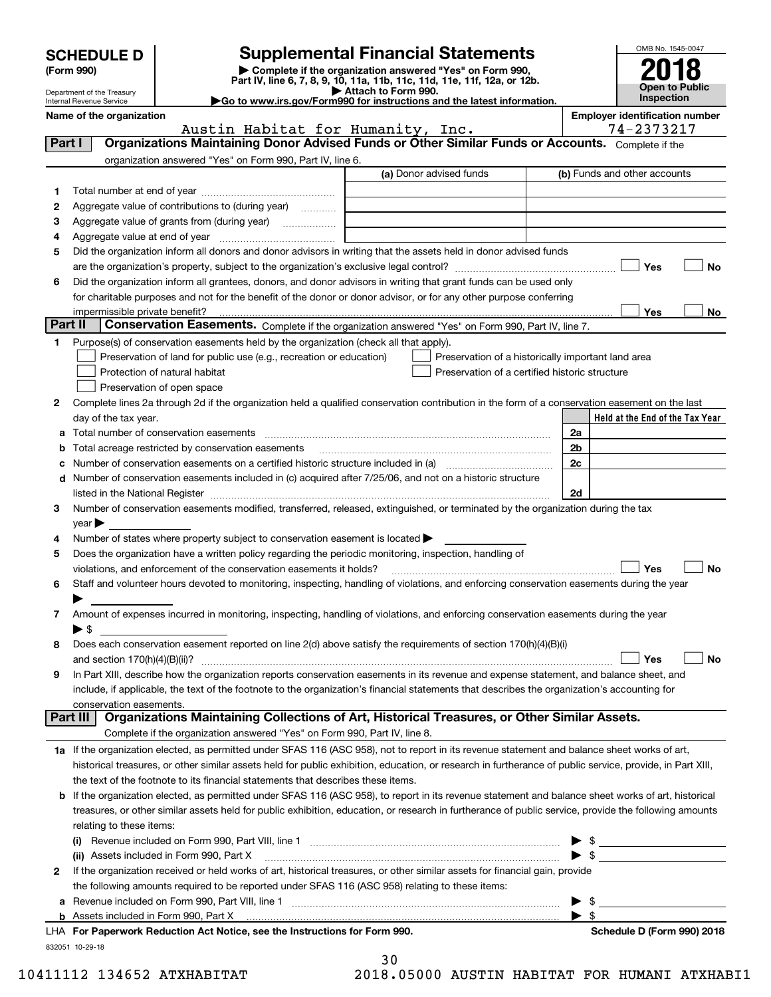| <b>SCHEDULE D</b> |  |
|-------------------|--|
|-------------------|--|

Department of the Treasury Internal Revenue Service

# **Supplemental Financial Statements**

(Form 990)<br>
Pepartment of the Treasury<br>
Department of the Treasury<br>
Department of the Treasury<br>
Department of the Treasury<br> **Co to www.irs.gov/Form990 for instructions and the latest information.**<br> **Co to www.irs.gov/Form9** 





**No**

| Name of the organization                                                                                    |                         | <b>Employer identification number</b> |
|-------------------------------------------------------------------------------------------------------------|-------------------------|---------------------------------------|
| Austin Habitat for Humanity, Inc.                                                                           |                         | 74-2373217                            |
| Organizations Maintaining Donor Advised Funds or Other Similar Funds or Accounts. Complete if the<br>Part I |                         |                                       |
| organization answered "Yes" on Form 990, Part IV, line 6.                                                   |                         |                                       |
|                                                                                                             | (a) Donor advised funds | (b) Funds and other accounts          |
| Total number at end of year                                                                                 |                         |                                       |
| Aggregate value of contributions to (during year)<br>2                                                      |                         |                                       |
| Aggregate value of grants from (during year)                                                                |                         |                                       |

|    | Aggregate value at end of year                                                                                     |     |  |
|----|--------------------------------------------------------------------------------------------------------------------|-----|--|
| 5. | Did the organization inform all donors and donor advisors in writing that the assets held in donor advised funds   |     |  |
|    | are the organization's property, subject to the organization's exclusive legal control?                            | Yes |  |
| 6. | Did the organization inform all grantees, donors, and donor advisors in writing that grant funds can be used only  |     |  |
|    | for charitable purposes and not for the benefit of the donor or donor advisor, or for any other purpose conferring |     |  |
|    | impermissible private benefit?                                                                                     | Yes |  |

| Part II   Conservation Easements. Complete if the organization answered "Yes" on Form 990, Part IV, line 7. |  |
|-------------------------------------------------------------------------------------------------------------|--|
| Purpose(s) of conservation easements held by the organization (check all that apply).                       |  |

| $\vert$ Preservation of land for public use (e.g., recreation or education)                                                                      | Preservation of a historically important land area |
|--------------------------------------------------------------------------------------------------------------------------------------------------|----------------------------------------------------|
| Protection of natural habitat                                                                                                                    | Preservation of a certified historic structure     |
| Preservation of open space                                                                                                                       |                                                    |
| 2 Complete lines 2a through 2d if the organization held a qualified conservation contribution in the form of a conservation easement on the last |                                                    |
|                                                                                                                                                  |                                                    |

| day of the tax year.                                                                                                                             |                | Held at the End of the Tax Year |
|--------------------------------------------------------------------------------------------------------------------------------------------------|----------------|---------------------------------|
| a Total number of conservation easements                                                                                                         | 2a             |                                 |
| <b>b</b> Total acreage restricted by conservation easements                                                                                      | 2 <sub>b</sub> |                                 |
| c Number of conservation easements on a certified historic structure included in (a)                                                             | 2c             |                                 |
| d Number of conservation easements included in (c) acquired after 7/25/06, and not on a historic structure                                       |                |                                 |
| listed in the National Register [111] [12] states and the National Property of the National Register [11] [12]                                   | 2d             |                                 |
| 3 Number of conservation easements modified, transferred, released, extinguished, or terminated by the organization during the tax<br>$\vee$ ear |                |                                 |
| 4 Number of states where property subject to conservation easement is located $\blacktriangleright$                                              |                |                                 |

| 5 Does the organization have a written policy regarding the periodic monitoring, inspection, handling of                                 |
|------------------------------------------------------------------------------------------------------------------------------------------|
| $\neg$ Yes<br>$\vert$ $\vert$ No<br>violations, and enforcement of the conservation easements it holds?                                  |
| a Chaff and volunteer hours devoted to monitoring inspecting bandling of violations and enforcing consensation easements during the vear |

| 6 Staff and volunteer hours devoted to monitoring, inspecting, handling of violations, and enforcing conservation easements during the year |
|---------------------------------------------------------------------------------------------------------------------------------------------|
|                                                                                                                                             |
| 7 Amount of expenses incurred in monitoring, inspecting, handling of violations, and enforcing conservation easements during the year       |

| 7 Amount of expenses incurred in monitoring, inspecting, handling of violations, and enforcing conservation easements during the year |
|---------------------------------------------------------------------------------------------------------------------------------------|
|                                                                                                                                       |
| 0 Deep cash conservation conservation reported on line $2(d)$ above estigfy the requirements of section 170(b)(A)(D)(i)               |

| 8 Does each conservation easement reported on line 2(d) above satisfy the requirements of section 170(h)(4)(B)(i)                         |        |                             |
|-------------------------------------------------------------------------------------------------------------------------------------------|--------|-----------------------------|
| and section $170(h)(4)(B)(ii)?$                                                                                                           | ∣ ∣Yes | $\mathcal{L}_{\mathcal{A}}$ |
| 9 In Part XIII, describe how the organization reports conservation easements in its revenue and expense statement, and balance sheet, and |        |                             |

|  | ant III. Annostrational Mainteinion Aellentinus of Ant-Historical Tuessumes on Atlant Aimilan Assatz                                         |
|--|----------------------------------------------------------------------------------------------------------------------------------------------|
|  | conservation easements.                                                                                                                      |
|  | include, if applicable, the text of the footnote to the organization's financial statements that describes the organization's accounting for |
|  | 9 In Part XIII, describe how the organization reports conservation easements in its revenue and expense statement, and balance sheet, and    |

## Complete if the organization answered "Yes" on Form 990, Part IV, line 8. **Part III Organizations Maintaining Collections of Art, Historical Treasures, or Other Similar Assets.**

| 1a If the organization elected, as permitted under SFAS 116 (ASC 958), not to report in its revenue statement and balance sheet works of art,             |  |  |  |  |  |  |  |
|-----------------------------------------------------------------------------------------------------------------------------------------------------------|--|--|--|--|--|--|--|
| historical treasures, or other similar assets held for public exhibition, education, or research in furtherance of public service, provide, in Part XIII, |  |  |  |  |  |  |  |
| the text of the footnote to its financial statements that describes these items.                                                                          |  |  |  |  |  |  |  |
| .<br>.                                                                                                                                                    |  |  |  |  |  |  |  |

| the text of the loothete to its illighelal statements that describes these items.                                                                          |  |
|------------------------------------------------------------------------------------------------------------------------------------------------------------|--|
| <b>b</b> If the organization elected, as permitted under SFAS 116 (ASC 958), to report in its revenue statement and balance sheet works of art, historical |  |
| treasures, or other similar assets held for public exhibition, education, or research in furtherance of public service, provide the following amounts      |  |
| relating to these items:                                                                                                                                   |  |
| (5) December in alcohol and Fauge 000, David VIII, line of                                                                                                 |  |

|   | Revenue included on Form 990, Part VIII, line 1<br>(i)                                                                       | $\blacktriangleright$ s |                            |  |  |  |
|---|------------------------------------------------------------------------------------------------------------------------------|-------------------------|----------------------------|--|--|--|
|   | (ii) Assets included in Form 990, Part X                                                                                     |                         |                            |  |  |  |
| 2 | If the organization received or held works of art, historical treasures, or other similar assets for financial gain, provide |                         |                            |  |  |  |
|   | the following amounts required to be reported under SFAS 116 (ASC 958) relating to these items:                              |                         |                            |  |  |  |
|   | a Revenue included on Form 990, Part VIII, line 1                                                                            |                         |                            |  |  |  |
|   |                                                                                                                              |                         |                            |  |  |  |
|   | LHA For Paperwork Reduction Act Notice, see the Instructions for Form 990.                                                   |                         | Schedule D (Form 990) 2018 |  |  |  |

832051 10-29-18

30

10411112 134652 ATXHABITAT 2018.05000 AUSTIN HABITAT FOR HUMANI ATXHABI1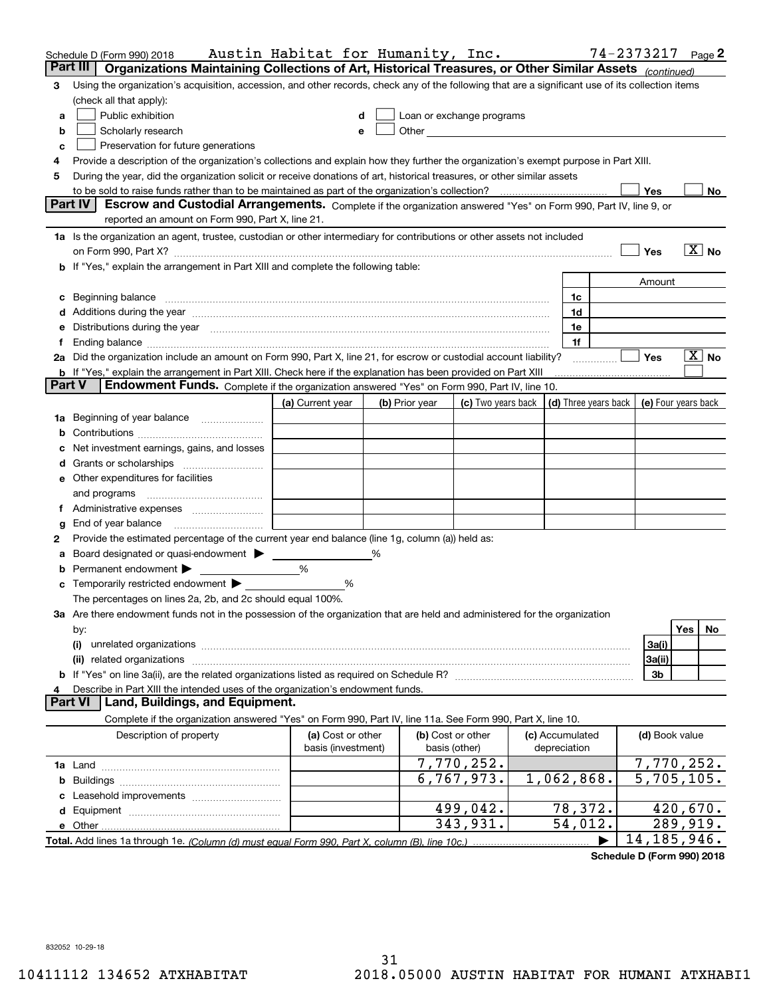|                | Schedule D (Form 990) 2018                                                                                                                                                                                                     | Austin Habitat for Humanity, Inc. |   |                |                            |                      | 74-2373217 Page 2 |                          |
|----------------|--------------------------------------------------------------------------------------------------------------------------------------------------------------------------------------------------------------------------------|-----------------------------------|---|----------------|----------------------------|----------------------|-------------------|--------------------------|
|                | Part III<br>Organizations Maintaining Collections of Art, Historical Treasures, or Other Similar Assets (continued)                                                                                                            |                                   |   |                |                            |                      |                   |                          |
| 3              | Using the organization's acquisition, accession, and other records, check any of the following that are a significant use of its collection items                                                                              |                                   |   |                |                            |                      |                   |                          |
|                | (check all that apply):                                                                                                                                                                                                        |                                   |   |                |                            |                      |                   |                          |
| a              | Public exhibition                                                                                                                                                                                                              |                                   |   |                | Loan or exchange programs  |                      |                   |                          |
| b              | Scholarly research                                                                                                                                                                                                             |                                   |   |                | Other <u>Communication</u> |                      |                   |                          |
| с              | Preservation for future generations                                                                                                                                                                                            |                                   |   |                |                            |                      |                   |                          |
|                | Provide a description of the organization's collections and explain how they further the organization's exempt purpose in Part XIII.                                                                                           |                                   |   |                |                            |                      |                   |                          |
| 5              | During the year, did the organization solicit or receive donations of art, historical treasures, or other similar assets                                                                                                       |                                   |   |                |                            |                      |                   |                          |
|                | to be sold to raise funds rather than to be maintained as part of the organization's collection?                                                                                                                               |                                   |   |                |                            |                      | Yes               | No                       |
|                | <b>Part IV</b><br>Escrow and Custodial Arrangements. Complete if the organization answered "Yes" on Form 990, Part IV, line 9, or                                                                                              |                                   |   |                |                            |                      |                   |                          |
|                | reported an amount on Form 990, Part X, line 21.                                                                                                                                                                               |                                   |   |                |                            |                      |                   |                          |
|                | 1a Is the organization an agent, trustee, custodian or other intermediary for contributions or other assets not included                                                                                                       |                                   |   |                |                            |                      |                   |                          |
|                | on Form 990, Part X? [11] matter continuum matter contract to the contract of the contract of the contract of the contract of the contract of the contract of the contract of the contract of the contract of the contract of  |                                   |   |                |                            |                      | Yes               | $\overline{X}$ No        |
|                | b If "Yes," explain the arrangement in Part XIII and complete the following table:                                                                                                                                             |                                   |   |                |                            |                      |                   |                          |
|                |                                                                                                                                                                                                                                |                                   |   |                |                            |                      | Amount            |                          |
|                | c Beginning balance measurements and the contract of the contract of the contract of the contract of the contract of the contract of the contract of the contract of the contract of the contract of the contract of the contr |                                   |   |                |                            | 1c                   |                   |                          |
|                |                                                                                                                                                                                                                                |                                   |   |                |                            | 1d                   |                   |                          |
|                | e Distributions during the year manufactured and continuum and contact the year manufactured and contact the year manufactured and contact the year manufactured and contact the year manufactured and contact the year manufa |                                   |   |                |                            | 1e                   |                   |                          |
| Ť.             |                                                                                                                                                                                                                                |                                   |   |                |                            | 1f                   |                   |                          |
|                | 2a Did the organization include an amount on Form 990, Part X, line 21, for escrow or custodial account liability?                                                                                                             |                                   |   |                |                            |                      | Yes               | $X \mid No$              |
| <b>Part V</b>  | <b>b</b> If "Yes," explain the arrangement in Part XIII. Check here if the explanation has been provided on Part XIII<br>Endowment Funds. Complete if the organization answered "Yes" on Form 990, Part IV, line 10.           |                                   |   |                |                            |                      |                   |                          |
|                |                                                                                                                                                                                                                                |                                   |   |                |                            | (d) Three years back |                   |                          |
|                |                                                                                                                                                                                                                                | (a) Current year                  |   | (b) Prior year | (c) Two years back         |                      |                   | (e) Four years back      |
| 1a             | Beginning of year balance                                                                                                                                                                                                      |                                   |   |                |                            |                      |                   |                          |
|                |                                                                                                                                                                                                                                |                                   |   |                |                            |                      |                   |                          |
|                | Net investment earnings, gains, and losses                                                                                                                                                                                     |                                   |   |                |                            |                      |                   |                          |
|                | e Other expenditures for facilities                                                                                                                                                                                            |                                   |   |                |                            |                      |                   |                          |
|                |                                                                                                                                                                                                                                |                                   |   |                |                            |                      |                   |                          |
| Ť.             | and programs                                                                                                                                                                                                                   |                                   |   |                |                            |                      |                   |                          |
| g              |                                                                                                                                                                                                                                |                                   |   |                |                            |                      |                   |                          |
| 2              | Provide the estimated percentage of the current year end balance (line 1g, column (a)) held as:                                                                                                                                |                                   |   |                |                            |                      |                   |                          |
|                | Board designated or quasi-endowment                                                                                                                                                                                            |                                   | % |                |                            |                      |                   |                          |
|                | Permanent endowment $\blacktriangleright$                                                                                                                                                                                      | %                                 |   |                |                            |                      |                   |                          |
|                | c Temporarily restricted endowment $\blacktriangleright$                                                                                                                                                                       | %                                 |   |                |                            |                      |                   |                          |
|                | The percentages on lines 2a, 2b, and 2c should equal 100%.                                                                                                                                                                     |                                   |   |                |                            |                      |                   |                          |
|                | 3a Are there endowment funds not in the possession of the organization that are held and administered for the organization                                                                                                     |                                   |   |                |                            |                      |                   |                          |
|                | by:                                                                                                                                                                                                                            |                                   |   |                |                            |                      |                   | <b>Yes</b><br>No.        |
|                | (i)                                                                                                                                                                                                                            |                                   |   |                |                            |                      | 3a(i)             |                          |
|                | related organizations<br>(ii)                                                                                                                                                                                                  |                                   |   |                |                            |                      | 3a(ii)            |                          |
|                |                                                                                                                                                                                                                                |                                   |   |                |                            |                      | 3b                |                          |
|                | Describe in Part XIII the intended uses of the organization's endowment funds.                                                                                                                                                 |                                   |   |                |                            |                      |                   |                          |
| <b>Part VI</b> | Land, Buildings, and Equipment.                                                                                                                                                                                                |                                   |   |                |                            |                      |                   |                          |
|                | Complete if the organization answered "Yes" on Form 990, Part IV, line 11a. See Form 990, Part X, line 10.                                                                                                                     |                                   |   |                |                            |                      |                   |                          |
|                | Description of property                                                                                                                                                                                                        | (a) Cost or other                 |   |                | (b) Cost or other          | (c) Accumulated      | (d) Book value    |                          |
|                |                                                                                                                                                                                                                                | basis (investment)                |   |                | basis (other)              | depreciation         |                   |                          |
|                |                                                                                                                                                                                                                                |                                   |   |                | 7,770,252.                 |                      |                   | 7,770,252.               |
|                |                                                                                                                                                                                                                                |                                   |   |                | 6,767,973.                 | 1,062,868.           |                   | $\overline{5,705}, 105.$ |
|                |                                                                                                                                                                                                                                |                                   |   |                |                            |                      |                   |                          |
|                |                                                                                                                                                                                                                                |                                   |   |                | 499,042.                   | 78,372.              |                   | 420,670.                 |
|                |                                                                                                                                                                                                                                |                                   |   |                | 343,931.                   | 54,012.              |                   | 289,919.                 |
|                |                                                                                                                                                                                                                                |                                   |   |                |                            |                      | 14, 185, 946.     |                          |

**Schedule D (Form 990) 2018**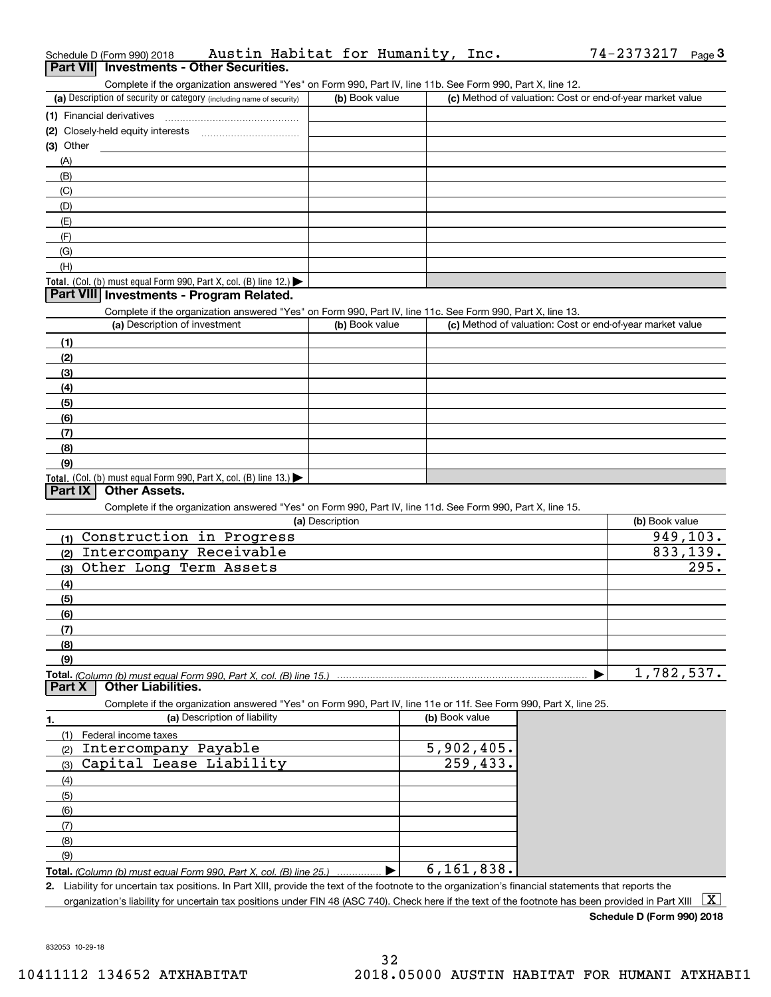|                  | Schedule D (Form 990) 2018                                                                                                                           | Austin Habitat for Humanity, Inc.                                                                                 |                 |                |                |              | 74-2373217                                                | Page $3$ |
|------------------|------------------------------------------------------------------------------------------------------------------------------------------------------|-------------------------------------------------------------------------------------------------------------------|-----------------|----------------|----------------|--------------|-----------------------------------------------------------|----------|
| <b>Part VIII</b> |                                                                                                                                                      | <b>Investments - Other Securities.</b>                                                                            |                 |                |                |              |                                                           |          |
|                  |                                                                                                                                                      | Complete if the organization answered "Yes" on Form 990, Part IV, line 11b. See Form 990, Part X, line 12.        |                 |                |                |              |                                                           |          |
|                  | (a) Description of security or category (including name of security)                                                                                 |                                                                                                                   |                 | (b) Book value |                |              | (c) Method of valuation: Cost or end-of-year market value |          |
|                  | (1) Financial derivatives                                                                                                                            |                                                                                                                   |                 |                |                |              |                                                           |          |
|                  |                                                                                                                                                      |                                                                                                                   |                 |                |                |              |                                                           |          |
| $(3)$ Other      |                                                                                                                                                      |                                                                                                                   |                 |                |                |              |                                                           |          |
| (A)              |                                                                                                                                                      |                                                                                                                   |                 |                |                |              |                                                           |          |
| (B)              |                                                                                                                                                      |                                                                                                                   |                 |                |                |              |                                                           |          |
| (C)              |                                                                                                                                                      |                                                                                                                   |                 |                |                |              |                                                           |          |
| (D)              |                                                                                                                                                      |                                                                                                                   |                 |                |                |              |                                                           |          |
| (E)              |                                                                                                                                                      |                                                                                                                   |                 |                |                |              |                                                           |          |
| (F)              |                                                                                                                                                      |                                                                                                                   |                 |                |                |              |                                                           |          |
| (G)              |                                                                                                                                                      |                                                                                                                   |                 |                |                |              |                                                           |          |
| (H)              |                                                                                                                                                      |                                                                                                                   |                 |                |                |              |                                                           |          |
|                  | Total. (Col. (b) must equal Form 990, Part X, col. (B) line 12.)                                                                                     |                                                                                                                   |                 |                |                |              |                                                           |          |
|                  | Part VIII Investments - Program Related.                                                                                                             |                                                                                                                   |                 |                |                |              |                                                           |          |
|                  |                                                                                                                                                      | Complete if the organization answered "Yes" on Form 990, Part IV, line 11c. See Form 990, Part X, line 13.        |                 |                |                |              |                                                           |          |
|                  | (a) Description of investment                                                                                                                        |                                                                                                                   |                 | (b) Book value |                |              | (c) Method of valuation: Cost or end-of-year market value |          |
| (1)              |                                                                                                                                                      |                                                                                                                   |                 |                |                |              |                                                           |          |
| (2)              |                                                                                                                                                      |                                                                                                                   |                 |                |                |              |                                                           |          |
| (3)              |                                                                                                                                                      |                                                                                                                   |                 |                |                |              |                                                           |          |
|                  |                                                                                                                                                      |                                                                                                                   |                 |                |                |              |                                                           |          |
| (4)              |                                                                                                                                                      |                                                                                                                   |                 |                |                |              |                                                           |          |
| (5)              |                                                                                                                                                      |                                                                                                                   |                 |                |                |              |                                                           |          |
| (6)              |                                                                                                                                                      |                                                                                                                   |                 |                |                |              |                                                           |          |
| (7)              |                                                                                                                                                      |                                                                                                                   |                 |                |                |              |                                                           |          |
| (8)              |                                                                                                                                                      |                                                                                                                   |                 |                |                |              |                                                           |          |
| (9)              |                                                                                                                                                      |                                                                                                                   |                 |                |                |              |                                                           |          |
| Part $ X $       | Total. (Col. (b) must equal Form 990, Part X, col. (B) line 13.)<br><b>Other Assets.</b>                                                             |                                                                                                                   |                 |                |                |              |                                                           |          |
|                  |                                                                                                                                                      |                                                                                                                   |                 |                |                |              |                                                           |          |
|                  |                                                                                                                                                      | Complete if the organization answered "Yes" on Form 990, Part IV, line 11d. See Form 990, Part X, line 15.        | (a) Description |                |                |              | (b) Book value                                            |          |
|                  | (1) Construction in Progress                                                                                                                         |                                                                                                                   |                 |                |                |              |                                                           | 949,103. |
|                  |                                                                                                                                                      |                                                                                                                   |                 |                |                |              |                                                           | 833,139. |
| (2)              | Intercompany Receivable                                                                                                                              |                                                                                                                   |                 |                |                |              |                                                           | 295.     |
| (3)              | Other Long Term Assets                                                                                                                               |                                                                                                                   |                 |                |                |              |                                                           |          |
| (4)              |                                                                                                                                                      |                                                                                                                   |                 |                |                |              |                                                           |          |
| (5)              |                                                                                                                                                      |                                                                                                                   |                 |                |                |              |                                                           |          |
| (6)              |                                                                                                                                                      |                                                                                                                   |                 |                |                |              |                                                           |          |
| (7)              |                                                                                                                                                      |                                                                                                                   |                 |                |                |              |                                                           |          |
| (8)              |                                                                                                                                                      |                                                                                                                   |                 |                |                |              |                                                           |          |
| (9)              |                                                                                                                                                      |                                                                                                                   |                 |                |                |              |                                                           |          |
|                  | Total. (Column (b) must equal Form 990. Part X, col. (B) line 15.)                                                                                   |                                                                                                                   |                 |                |                |              | 1,782,537.                                                |          |
| Part X           | <b>Other Liabilities.</b>                                                                                                                            |                                                                                                                   |                 |                |                |              |                                                           |          |
|                  |                                                                                                                                                      | Complete if the organization answered "Yes" on Form 990, Part IV, line 11e or 11f. See Form 990, Part X, line 25. |                 |                |                |              |                                                           |          |
| 1.               |                                                                                                                                                      | (a) Description of liability                                                                                      |                 |                | (b) Book value |              |                                                           |          |
| (1)              | Federal income taxes                                                                                                                                 |                                                                                                                   |                 |                |                |              |                                                           |          |
| (2)              | Intercompany Payable                                                                                                                                 |                                                                                                                   |                 |                |                | 5,902,405.   |                                                           |          |
| (3)              | Capital Lease Liability                                                                                                                              |                                                                                                                   |                 |                |                | 259,433.     |                                                           |          |
| (4)              |                                                                                                                                                      |                                                                                                                   |                 |                |                |              |                                                           |          |
| (5)              |                                                                                                                                                      |                                                                                                                   |                 |                |                |              |                                                           |          |
| (6)              |                                                                                                                                                      |                                                                                                                   |                 |                |                |              |                                                           |          |
| (7)              |                                                                                                                                                      |                                                                                                                   |                 |                |                |              |                                                           |          |
| (8)              |                                                                                                                                                      |                                                                                                                   |                 |                |                |              |                                                           |          |
| (9)              |                                                                                                                                                      |                                                                                                                   |                 |                |                |              |                                                           |          |
|                  | Total. (Column (b) must equal Form 990, Part X, col. (B) line 25.)                                                                                   |                                                                                                                   |                 |                |                | 6, 161, 838. |                                                           |          |
|                  | 2. Liability for uncertain tax positions. In Part XIII, provide the text of the footnote to the organization's financial statements that reports the |                                                                                                                   |                 |                |                |              |                                                           |          |
|                  | organization's liability for uncertain tax positions under FIN 48 (ASC 740). Check here if the text of the footnote has been provided in Part XIII   |                                                                                                                   |                 |                |                |              |                                                           | X        |

**Schedule D (Form 990) 2018**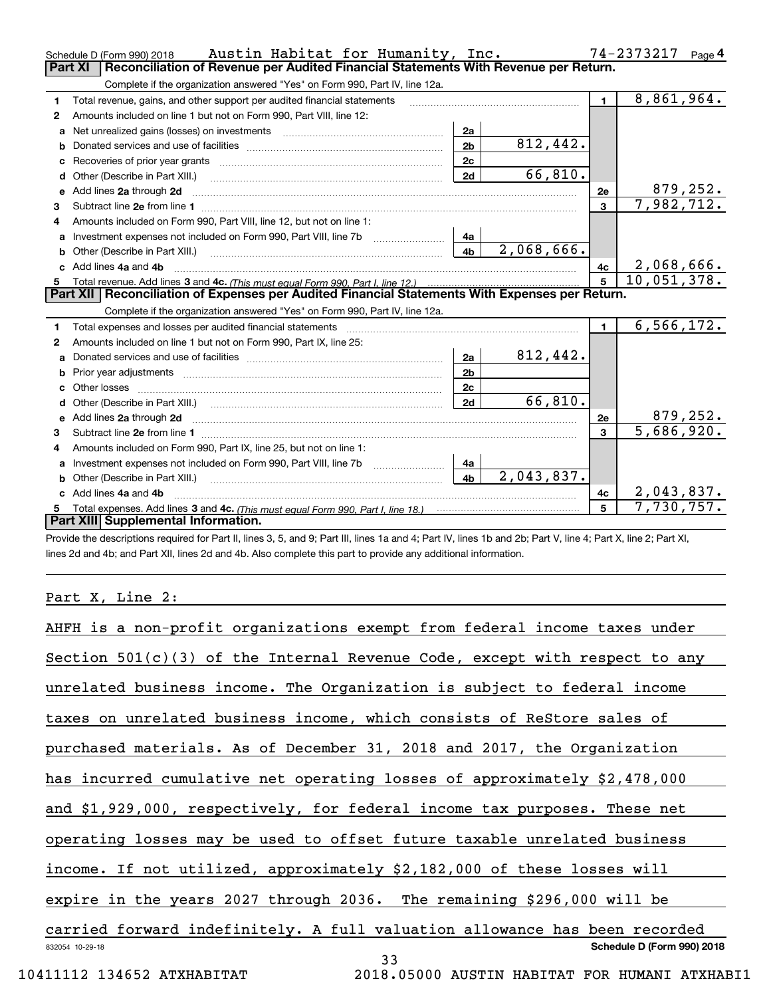|    | Austin Habitat for Humanity, Inc.<br>Schedule D (Form 990) 2018<br>Reconciliation of Revenue per Audited Financial Statements With Revenue per Return.<br>Part XI |                |            |              | $74 - 2373217$ Page 4   |
|----|-------------------------------------------------------------------------------------------------------------------------------------------------------------------|----------------|------------|--------------|-------------------------|
|    | Complete if the organization answered "Yes" on Form 990, Part IV, line 12a.                                                                                       |                |            |              |                         |
| 1. | Total revenue, gains, and other support per audited financial statements                                                                                          |                |            | $\mathbf{1}$ | 8,861,964.              |
| 2  | Amounts included on line 1 but not on Form 990, Part VIII, line 12:                                                                                               |                |            |              |                         |
| a  | Net unrealized gains (losses) on investments [11] matter contracts and the unrealized gains (losses) on investments                                               | 2a             |            |              |                         |
|    |                                                                                                                                                                   | 2 <sub>b</sub> | 812,442.   |              |                         |
| с  |                                                                                                                                                                   | 2c             |            |              |                         |
| d  | Other (Describe in Part XIII.)                                                                                                                                    | 2d             | 66,810.    |              |                         |
| е  | Add lines 2a through 2d                                                                                                                                           |                |            | <b>2e</b>    | <u>879,252.</u>         |
| 3  | Subtract line 2e from line 1 <b>Manual Community of the Community</b> Subtract line 2e from line 1                                                                |                |            | 3            | 7,982,712.              |
| 4  | Amounts included on Form 990, Part VIII, line 12, but not on line 1:                                                                                              |                |            |              |                         |
| a  | Investment expenses not included on Form 990, Part VIII, line 7b                                                                                                  | 4a             |            |              |                         |
|    | <b>b</b> Other (Describe in Part XIII.)                                                                                                                           | 4 <sub>b</sub> | 2,068,666. |              |                         |
|    | c Add lines 4a and 4b                                                                                                                                             |                |            | 4с           | 2,068,666.              |
|    |                                                                                                                                                                   |                |            |              | 10,051,378.             |
|    | Part XII   Reconciliation of Expenses per Audited Financial Statements With Expenses per Return.                                                                  |                |            |              |                         |
|    | Complete if the organization answered "Yes" on Form 990, Part IV, line 12a.                                                                                       |                |            |              |                         |
| 1. | Total expenses and losses per audited financial statements                                                                                                        |                |            | $\mathbf{1}$ | 6, 566, 172.            |
| 2  | Amounts included on line 1 but not on Form 990, Part IX, line 25:                                                                                                 |                |            |              |                         |
| a  |                                                                                                                                                                   | 2a             | 812,442.   |              |                         |
|    |                                                                                                                                                                   | 2 <sub>b</sub> |            |              |                         |
|    |                                                                                                                                                                   | 2c             |            |              |                         |
|    |                                                                                                                                                                   | 2d             | 66,810.    |              |                         |
|    |                                                                                                                                                                   |                |            | <b>2e</b>    | 879, 252.               |
| 3  |                                                                                                                                                                   |                |            | 3            | $\overline{5,686},920.$ |
| 4  | Amounts included on Form 990, Part IX, line 25, but not on line 1:                                                                                                |                |            |              |                         |
| a  | Investment expenses not included on Form 990, Part VIII, line 7b                                                                                                  | 4a             |            |              |                         |
| b  | Other (Describe in Part XIII.) [100] [100] [100] [100] [100] [100] [100] [100] [100] [100] [100] [100] [100] [                                                    | 4 <sub>h</sub> | 2,043,837. |              |                         |
|    | Add lines 4a and 4b                                                                                                                                               |                |            | 4с           | 2,043,837.              |
|    |                                                                                                                                                                   |                |            |              | 7,730,757.              |
|    | Part XIII Supplemental Information.                                                                                                                               |                |            |              |                         |

Provide the descriptions required for Part II, lines 3, 5, and 9; Part III, lines 1a and 4; Part IV, lines 1b and 2b; Part V, line 4; Part X, line 2; Part XI, lines 2d and 4b; and Part XII, lines 2d and 4b. Also complete this part to provide any additional information.

## Part X, Line 2:

| AHFH is a non-profit organizations exempt from federal income taxes under    |
|------------------------------------------------------------------------------|
| Section $501(c)(3)$ of the Internal Revenue Code, except with respect to any |
| unrelated business income. The Organization is subject to federal income     |
| taxes on unrelated business income, which consists of ReStore sales of       |
| purchased materials. As of December 31, 2018 and 2017, the Organization      |
| has incurred cumulative net operating losses of approximately \$2,478,000    |
| and \$1,929,000, respectively, for federal income tax purposes. These net    |
| operating losses may be used to offset future taxable unrelated business     |
| income. If not utilized, approximately \$2,182,000 of these losses will      |
| expire in the years 2027 through 2036. The remaining \$296,000 will be       |
| carried forward indefinitely. A full valuation allowance has been recorded   |
| Schedule D (Form 990) 2018<br>832054 10-29-18<br>33                          |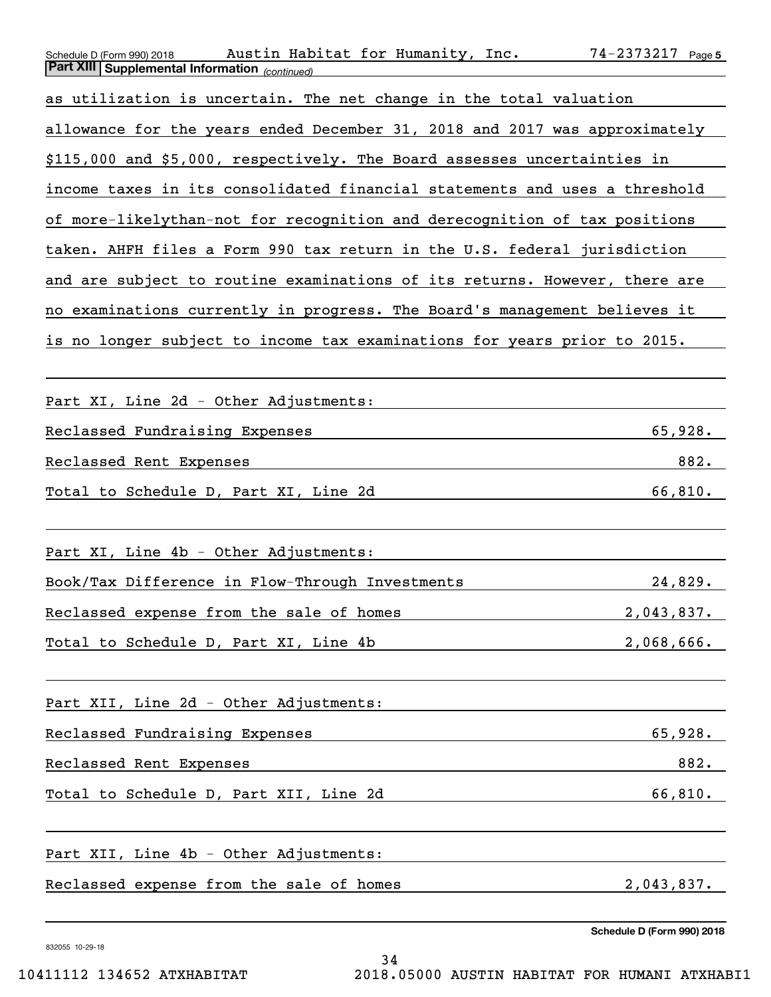| Austin Habitat for Humanity, Inc.<br>Schedule D (Form 990) 2018<br><b>Part XIII Supplemental Information</b> (continued) | $74 - 2373217$ Page 5      |
|--------------------------------------------------------------------------------------------------------------------------|----------------------------|
| as utilization is uncertain. The net change in the total valuation                                                       |                            |
| allowance for the years ended December 31, 2018 and 2017 was approximately                                               |                            |
| \$115,000 and \$5,000, respectively. The Board assesses uncertainties in                                                 |                            |
| income taxes in its consolidated financial statements and uses a threshold                                               |                            |
| of more-likelythan-not for recognition and derecognition of tax positions                                                |                            |
| taken. AHFH files a Form 990 tax return in the U.S. federal jurisdiction                                                 |                            |
| and are subject to routine examinations of its returns. However, there are                                               |                            |
| no examinations currently in progress. The Board's management believes it                                                |                            |
| is no longer subject to income tax examinations for years prior to 2015.                                                 |                            |
|                                                                                                                          |                            |
| Part XI, Line 2d - Other Adjustments:                                                                                    |                            |
| Reclassed Fundraising Expenses                                                                                           | 65,928.                    |
| Reclassed Rent Expenses                                                                                                  | 882.                       |
| Total to Schedule D, Part XI, Line 2d                                                                                    | 66,810.                    |
|                                                                                                                          |                            |
| Part XI, Line 4b - Other Adjustments:                                                                                    |                            |
| Book/Tax Difference in Flow-Through Investments                                                                          | 24,829.                    |
| Reclassed expense from the sale of homes                                                                                 | 2,043,837.                 |
| Total to Schedule D, Part XI, Line 4b                                                                                    | 2,068,666.                 |
|                                                                                                                          |                            |
| Part XII, Line 2d - Other Adjustments:                                                                                   |                            |
| Reclassed Fundraising Expenses                                                                                           | 65,928.                    |
| Reclassed Rent Expenses                                                                                                  | 882.                       |
| Total to Schedule D, Part XII, Line 2d                                                                                   | 66,810.                    |
|                                                                                                                          |                            |
| Part XII, Line 4b - Other Adjustments:                                                                                   |                            |
| Reclassed expense from the sale of homes                                                                                 | 2,043,837.                 |
|                                                                                                                          | Schedule D (Form 990) 2018 |

34

832055 10-29-18

10411112 134652 ATXHABITAT 2018.05000 AUSTIN HABITAT FOR HUMANI ATXHABI1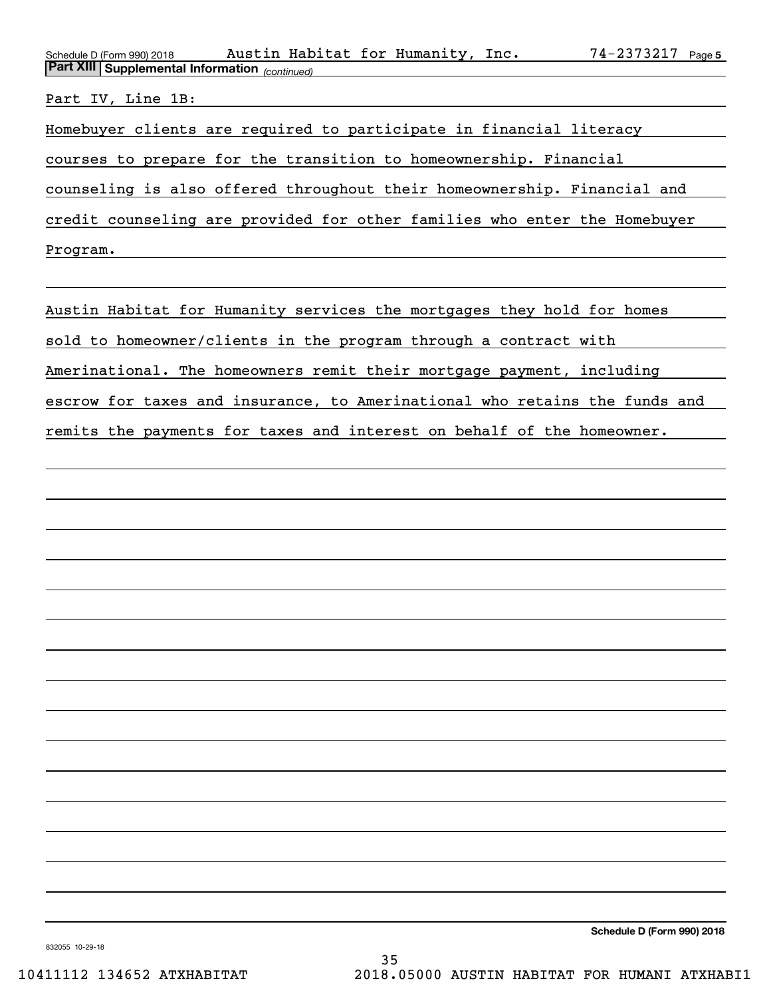| Schedule D (Form 990) 2018                                                | Austin Habitat for Humanity, Inc. |  |  |  | 74-2373217 Page 5 |  |  |
|---------------------------------------------------------------------------|-----------------------------------|--|--|--|-------------------|--|--|
| <b>Part XIII Supplemental Information</b> (continued)                     |                                   |  |  |  |                   |  |  |
|                                                                           |                                   |  |  |  |                   |  |  |
| Part IV, Line 1B:                                                         |                                   |  |  |  |                   |  |  |
| Homebuyer clients are required to participate in financial literacy       |                                   |  |  |  |                   |  |  |
| courses to prepare for the transition to homeownership. Financial         |                                   |  |  |  |                   |  |  |
| counseling is also offered throughout their homeownership. Financial and  |                                   |  |  |  |                   |  |  |
| credit counseling are provided for other families who enter the Homebuyer |                                   |  |  |  |                   |  |  |
| Program.                                                                  |                                   |  |  |  |                   |  |  |
|                                                                           |                                   |  |  |  |                   |  |  |

Austin Habitat for Humanity services the mortgages they hold for homes sold to homeowner/clients in the program through a contract with Amerinational. The homeowners remit their mortgage payment, including escrow for taxes and insurance, to Amerinational who retains the funds and remits the payments for taxes and interest on behalf of the homeowner.

**Schedule D (Form 990) 2018**

832055 10-29-18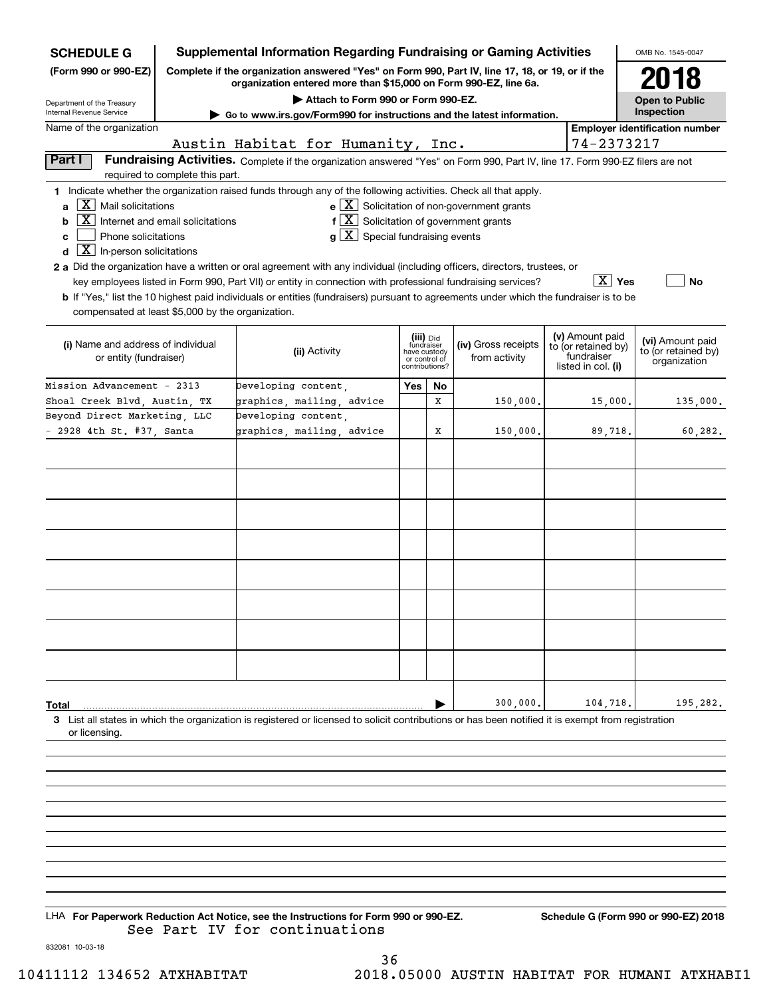| (Form 990 or 990-EZ)<br>Complete if the organization answered "Yes" on Form 990, Part IV, line 17, 18, or 19, or if the<br>2018<br>organization entered more than \$15,000 on Form 990-EZ, line 6a.<br>Attach to Form 990 or Form 990-EZ.<br><b>Open to Public</b><br>Inspection<br>Internal Revenue Service<br>Go to www.irs.gov/Form990 for instructions and the latest information.<br>Name of the organization<br><b>Employer identification number</b><br>Austin Habitat for Humanity, Inc.<br>74-2373217<br>Part I<br>Fundraising Activities. Complete if the organization answered "Yes" on Form 990, Part IV, line 17. Form 990-EZ filers are not<br>required to complete this part.<br>1 Indicate whether the organization raised funds through any of the following activities. Check all that apply.<br>$e$ $\boxed{X}$ Solicitation of non-government grants<br>$\mid$ $\rm X$ $\mid$ Mail solicitations<br>a<br>$f\left[\overline{X}\right]$ Solicitation of government grants<br>  X  <br>Internet and email solicitations<br>b<br>$g\mid X$ Special fundraising events<br>Phone solicitations<br>c<br>$\boxed{\textbf{X}}$ In-person solicitations<br>d<br>2 a Did the organization have a written or oral agreement with any individual (including officers, directors, trustees, or<br>$\boxed{\text{X}}$ Yes<br>key employees listed in Form 990, Part VII) or entity in connection with professional fundraising services?<br>No<br><b>b</b> If "Yes," list the 10 highest paid individuals or entities (fundraisers) pursuant to agreements under which the fundraiser is to be<br>compensated at least \$5,000 by the organization.<br>(v) Amount paid<br>(iii) Did<br>fundraiser<br>(vi) Amount paid<br>(i) Name and address of individual<br>(iv) Gross receipts<br>to (or retained by)<br>(ii) Activity<br>to (or retained by)<br>have custody<br>fundraiser<br>from activity<br>or entity (fundraiser)<br>or control of<br>organization<br>listed in col. (i)<br>contributions?<br>Yes<br>Developing content,<br>No<br>graphics, mailing, advice<br>Shoal Creek Blvd, Austin, TX<br>x<br>150,000.<br>135,000.<br>15,000.<br>Developing content,<br>Beyond Direct Marketing, LLC<br>graphics, mailing, advice<br>- 2928 4th St. #37, Santa<br>Х<br>150,000.<br>89,718.<br>60,282.<br>300,000,<br>104,718.<br>195,282.<br>Total<br>3 List all states in which the organization is registered or licensed to solicit contributions or has been notified it is exempt from registration<br>or licensing. | <b>SCHEDULE G</b>          |  |  |  |  |  |  | <b>Supplemental Information Regarding Fundraising or Gaming Activities</b> |  |  | OMB No. 1545-0047 |
|-------------------------------------------------------------------------------------------------------------------------------------------------------------------------------------------------------------------------------------------------------------------------------------------------------------------------------------------------------------------------------------------------------------------------------------------------------------------------------------------------------------------------------------------------------------------------------------------------------------------------------------------------------------------------------------------------------------------------------------------------------------------------------------------------------------------------------------------------------------------------------------------------------------------------------------------------------------------------------------------------------------------------------------------------------------------------------------------------------------------------------------------------------------------------------------------------------------------------------------------------------------------------------------------------------------------------------------------------------------------------------------------------------------------------------------------------------------------------------------------------------------------------------------------------------------------------------------------------------------------------------------------------------------------------------------------------------------------------------------------------------------------------------------------------------------------------------------------------------------------------------------------------------------------------------------------------------------------------------------------------------------------------------------------------------------------------------------------------------------------------------------------------------------------------------------------------------------------------------------------------------------------------------------------------------------------------------------------------------------------------------------------------------------------------------------------------------------------------------------------------------------------------------|----------------------------|--|--|--|--|--|--|----------------------------------------------------------------------------|--|--|-------------------|
|                                                                                                                                                                                                                                                                                                                                                                                                                                                                                                                                                                                                                                                                                                                                                                                                                                                                                                                                                                                                                                                                                                                                                                                                                                                                                                                                                                                                                                                                                                                                                                                                                                                                                                                                                                                                                                                                                                                                                                                                                                                                                                                                                                                                                                                                                                                                                                                                                                                                                                                               |                            |  |  |  |  |  |  |                                                                            |  |  |                   |
|                                                                                                                                                                                                                                                                                                                                                                                                                                                                                                                                                                                                                                                                                                                                                                                                                                                                                                                                                                                                                                                                                                                                                                                                                                                                                                                                                                                                                                                                                                                                                                                                                                                                                                                                                                                                                                                                                                                                                                                                                                                                                                                                                                                                                                                                                                                                                                                                                                                                                                                               | Department of the Treasury |  |  |  |  |  |  |                                                                            |  |  |                   |
|                                                                                                                                                                                                                                                                                                                                                                                                                                                                                                                                                                                                                                                                                                                                                                                                                                                                                                                                                                                                                                                                                                                                                                                                                                                                                                                                                                                                                                                                                                                                                                                                                                                                                                                                                                                                                                                                                                                                                                                                                                                                                                                                                                                                                                                                                                                                                                                                                                                                                                                               |                            |  |  |  |  |  |  |                                                                            |  |  |                   |
|                                                                                                                                                                                                                                                                                                                                                                                                                                                                                                                                                                                                                                                                                                                                                                                                                                                                                                                                                                                                                                                                                                                                                                                                                                                                                                                                                                                                                                                                                                                                                                                                                                                                                                                                                                                                                                                                                                                                                                                                                                                                                                                                                                                                                                                                                                                                                                                                                                                                                                                               |                            |  |  |  |  |  |  |                                                                            |  |  |                   |
|                                                                                                                                                                                                                                                                                                                                                                                                                                                                                                                                                                                                                                                                                                                                                                                                                                                                                                                                                                                                                                                                                                                                                                                                                                                                                                                                                                                                                                                                                                                                                                                                                                                                                                                                                                                                                                                                                                                                                                                                                                                                                                                                                                                                                                                                                                                                                                                                                                                                                                                               |                            |  |  |  |  |  |  |                                                                            |  |  |                   |
|                                                                                                                                                                                                                                                                                                                                                                                                                                                                                                                                                                                                                                                                                                                                                                                                                                                                                                                                                                                                                                                                                                                                                                                                                                                                                                                                                                                                                                                                                                                                                                                                                                                                                                                                                                                                                                                                                                                                                                                                                                                                                                                                                                                                                                                                                                                                                                                                                                                                                                                               |                            |  |  |  |  |  |  |                                                                            |  |  |                   |
|                                                                                                                                                                                                                                                                                                                                                                                                                                                                                                                                                                                                                                                                                                                                                                                                                                                                                                                                                                                                                                                                                                                                                                                                                                                                                                                                                                                                                                                                                                                                                                                                                                                                                                                                                                                                                                                                                                                                                                                                                                                                                                                                                                                                                                                                                                                                                                                                                                                                                                                               |                            |  |  |  |  |  |  |                                                                            |  |  |                   |
|                                                                                                                                                                                                                                                                                                                                                                                                                                                                                                                                                                                                                                                                                                                                                                                                                                                                                                                                                                                                                                                                                                                                                                                                                                                                                                                                                                                                                                                                                                                                                                                                                                                                                                                                                                                                                                                                                                                                                                                                                                                                                                                                                                                                                                                                                                                                                                                                                                                                                                                               |                            |  |  |  |  |  |  |                                                                            |  |  |                   |
|                                                                                                                                                                                                                                                                                                                                                                                                                                                                                                                                                                                                                                                                                                                                                                                                                                                                                                                                                                                                                                                                                                                                                                                                                                                                                                                                                                                                                                                                                                                                                                                                                                                                                                                                                                                                                                                                                                                                                                                                                                                                                                                                                                                                                                                                                                                                                                                                                                                                                                                               | Mission Advancement - 2313 |  |  |  |  |  |  |                                                                            |  |  |                   |
|                                                                                                                                                                                                                                                                                                                                                                                                                                                                                                                                                                                                                                                                                                                                                                                                                                                                                                                                                                                                                                                                                                                                                                                                                                                                                                                                                                                                                                                                                                                                                                                                                                                                                                                                                                                                                                                                                                                                                                                                                                                                                                                                                                                                                                                                                                                                                                                                                                                                                                                               |                            |  |  |  |  |  |  |                                                                            |  |  |                   |
|                                                                                                                                                                                                                                                                                                                                                                                                                                                                                                                                                                                                                                                                                                                                                                                                                                                                                                                                                                                                                                                                                                                                                                                                                                                                                                                                                                                                                                                                                                                                                                                                                                                                                                                                                                                                                                                                                                                                                                                                                                                                                                                                                                                                                                                                                                                                                                                                                                                                                                                               |                            |  |  |  |  |  |  |                                                                            |  |  |                   |
|                                                                                                                                                                                                                                                                                                                                                                                                                                                                                                                                                                                                                                                                                                                                                                                                                                                                                                                                                                                                                                                                                                                                                                                                                                                                                                                                                                                                                                                                                                                                                                                                                                                                                                                                                                                                                                                                                                                                                                                                                                                                                                                                                                                                                                                                                                                                                                                                                                                                                                                               |                            |  |  |  |  |  |  |                                                                            |  |  |                   |
|                                                                                                                                                                                                                                                                                                                                                                                                                                                                                                                                                                                                                                                                                                                                                                                                                                                                                                                                                                                                                                                                                                                                                                                                                                                                                                                                                                                                                                                                                                                                                                                                                                                                                                                                                                                                                                                                                                                                                                                                                                                                                                                                                                                                                                                                                                                                                                                                                                                                                                                               |                            |  |  |  |  |  |  |                                                                            |  |  |                   |
|                                                                                                                                                                                                                                                                                                                                                                                                                                                                                                                                                                                                                                                                                                                                                                                                                                                                                                                                                                                                                                                                                                                                                                                                                                                                                                                                                                                                                                                                                                                                                                                                                                                                                                                                                                                                                                                                                                                                                                                                                                                                                                                                                                                                                                                                                                                                                                                                                                                                                                                               |                            |  |  |  |  |  |  |                                                                            |  |  |                   |
|                                                                                                                                                                                                                                                                                                                                                                                                                                                                                                                                                                                                                                                                                                                                                                                                                                                                                                                                                                                                                                                                                                                                                                                                                                                                                                                                                                                                                                                                                                                                                                                                                                                                                                                                                                                                                                                                                                                                                                                                                                                                                                                                                                                                                                                                                                                                                                                                                                                                                                                               |                            |  |  |  |  |  |  |                                                                            |  |  |                   |
|                                                                                                                                                                                                                                                                                                                                                                                                                                                                                                                                                                                                                                                                                                                                                                                                                                                                                                                                                                                                                                                                                                                                                                                                                                                                                                                                                                                                                                                                                                                                                                                                                                                                                                                                                                                                                                                                                                                                                                                                                                                                                                                                                                                                                                                                                                                                                                                                                                                                                                                               |                            |  |  |  |  |  |  |                                                                            |  |  |                   |
|                                                                                                                                                                                                                                                                                                                                                                                                                                                                                                                                                                                                                                                                                                                                                                                                                                                                                                                                                                                                                                                                                                                                                                                                                                                                                                                                                                                                                                                                                                                                                                                                                                                                                                                                                                                                                                                                                                                                                                                                                                                                                                                                                                                                                                                                                                                                                                                                                                                                                                                               |                            |  |  |  |  |  |  |                                                                            |  |  |                   |
|                                                                                                                                                                                                                                                                                                                                                                                                                                                                                                                                                                                                                                                                                                                                                                                                                                                                                                                                                                                                                                                                                                                                                                                                                                                                                                                                                                                                                                                                                                                                                                                                                                                                                                                                                                                                                                                                                                                                                                                                                                                                                                                                                                                                                                                                                                                                                                                                                                                                                                                               |                            |  |  |  |  |  |  |                                                                            |  |  |                   |

LHA For Paperwork Reduction Act Notice, see the Instructions for Form 990 or 990-EZ. Schedule G (Form 990 or 990-EZ) 2018 See Part IV for continuations

832081 10-03-18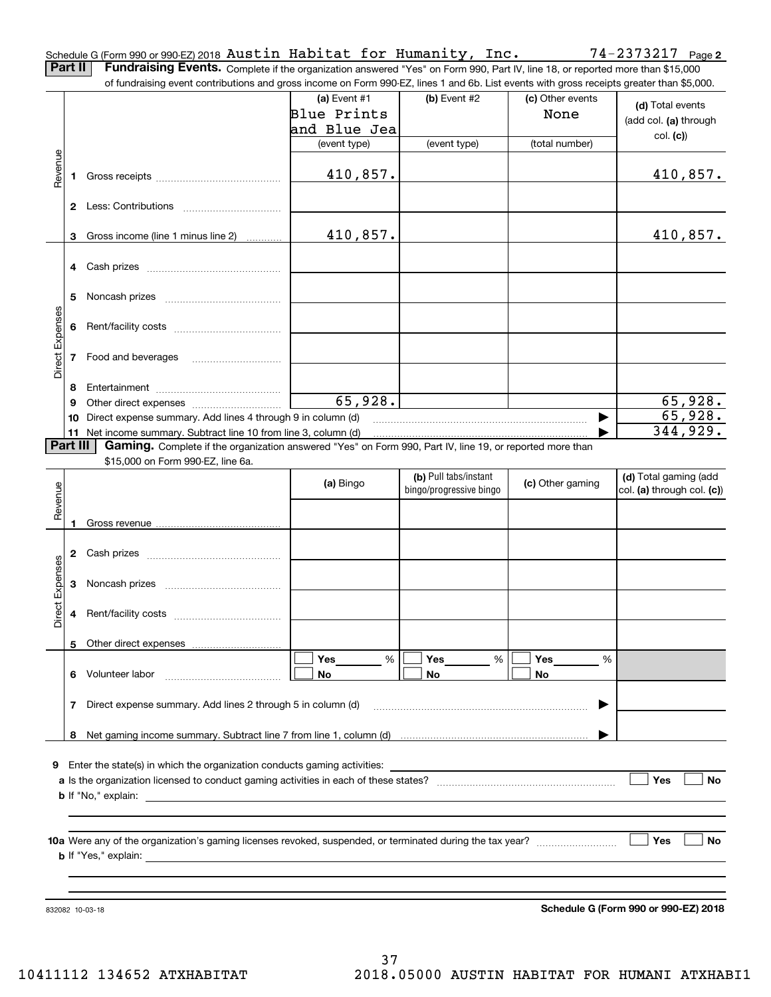| Schedule G (Form 990 or 990-EZ) 2018 Austin Habitat for Humanity, Inc. |  |  |  |  |
|------------------------------------------------------------------------|--|--|--|--|
|                                                                        |  |  |  |  |

**Part II** | Fundraising Events. Complete if the organization answered "Yes" on Form 990, Part IV, line 18, or reported more than \$15,000 of fundraising event contributions and gross income on Form 990-EZ, lines 1 and 6b. List events with gross receipts greater than \$5,000.

|                 |              | of fundraising event contributions and gross income on Form 990-EZ, lines 1 and 6b. List events with gross receipts greater than \$5,000. |                |                         |                  |                                      |
|-----------------|--------------|-------------------------------------------------------------------------------------------------------------------------------------------|----------------|-------------------------|------------------|--------------------------------------|
|                 |              |                                                                                                                                           | (a) Event $#1$ | (b) Event #2            | (c) Other events | (d) Total events                     |
|                 |              |                                                                                                                                           | Blue Prints    |                         | None             |                                      |
|                 |              |                                                                                                                                           | and Blue Jea   |                         |                  | (add col. (a) through                |
|                 |              |                                                                                                                                           | (event type)   | (event type)            | (total number)   | col. (c)                             |
|                 |              |                                                                                                                                           |                |                         |                  |                                      |
| Revenue         |              |                                                                                                                                           |                |                         |                  |                                      |
|                 | 1            |                                                                                                                                           | 410,857.       |                         |                  | 410,857.                             |
|                 |              |                                                                                                                                           |                |                         |                  |                                      |
|                 |              |                                                                                                                                           |                |                         |                  |                                      |
|                 |              |                                                                                                                                           |                |                         |                  |                                      |
|                 | 3            | Gross income (line 1 minus line 2)                                                                                                        | 410,857.       |                         |                  | 410,857.                             |
|                 |              |                                                                                                                                           |                |                         |                  |                                      |
|                 |              |                                                                                                                                           |                |                         |                  |                                      |
|                 |              |                                                                                                                                           |                |                         |                  |                                      |
|                 |              |                                                                                                                                           |                |                         |                  |                                      |
|                 | 5            |                                                                                                                                           |                |                         |                  |                                      |
|                 |              |                                                                                                                                           |                |                         |                  |                                      |
|                 | 6            |                                                                                                                                           |                |                         |                  |                                      |
|                 |              |                                                                                                                                           |                |                         |                  |                                      |
| Direct Expenses | 7            | Food and beverages                                                                                                                        |                |                         |                  |                                      |
|                 |              |                                                                                                                                           |                |                         |                  |                                      |
|                 |              |                                                                                                                                           |                |                         |                  |                                      |
|                 | 8            |                                                                                                                                           |                |                         |                  |                                      |
|                 | 9            |                                                                                                                                           | 65,928.        |                         |                  | 65,928.                              |
|                 | 10           | Direct expense summary. Add lines 4 through 9 in column (d)                                                                               |                |                         | ▶                | 65,928.                              |
|                 | 11           | Net income summary. Subtract line 10 from line 3, column (d)                                                                              |                |                         |                  | 344,929.                             |
|                 | Part III     | Gaming. Complete if the organization answered "Yes" on Form 990, Part IV, line 19, or reported more than                                  |                |                         |                  |                                      |
|                 |              | \$15,000 on Form 990-EZ, line 6a.                                                                                                         |                |                         |                  |                                      |
|                 |              |                                                                                                                                           |                | (b) Pull tabs/instant   |                  | (d) Total gaming (add                |
|                 |              |                                                                                                                                           | (a) Bingo      | bingo/progressive bingo | (c) Other gaming | col. (a) through col. (c))           |
| Revenue         |              |                                                                                                                                           |                |                         |                  |                                      |
|                 |              |                                                                                                                                           |                |                         |                  |                                      |
|                 | 1            |                                                                                                                                           |                |                         |                  |                                      |
|                 |              |                                                                                                                                           |                |                         |                  |                                      |
|                 | $\mathbf{2}$ |                                                                                                                                           |                |                         |                  |                                      |
|                 |              |                                                                                                                                           |                |                         |                  |                                      |
|                 | 3            |                                                                                                                                           |                |                         |                  |                                      |
| Direct Expenses |              |                                                                                                                                           |                |                         |                  |                                      |
|                 | 4            |                                                                                                                                           |                |                         |                  |                                      |
|                 |              |                                                                                                                                           |                |                         |                  |                                      |
|                 |              |                                                                                                                                           |                |                         |                  |                                      |
|                 |              | 5 Other direct expenses                                                                                                                   |                |                         |                  |                                      |
|                 |              |                                                                                                                                           | %<br>Yes       | $\%$<br>Yes             | Yes<br>%         |                                      |
|                 |              | 6 Volunteer labor                                                                                                                         | No             | No                      | No               |                                      |
|                 |              |                                                                                                                                           |                |                         |                  |                                      |
|                 | 7            | Direct expense summary. Add lines 2 through 5 in column (d)                                                                               |                |                         |                  |                                      |
|                 |              |                                                                                                                                           |                |                         |                  |                                      |
|                 |              |                                                                                                                                           |                |                         |                  |                                      |
|                 |              |                                                                                                                                           |                |                         |                  |                                      |
|                 |              |                                                                                                                                           |                |                         |                  |                                      |
|                 |              | <b>9</b> Enter the state(s) in which the organization conducts gaming activities:                                                         |                |                         |                  |                                      |
|                 |              |                                                                                                                                           |                |                         |                  | Yes<br>No                            |
|                 |              |                                                                                                                                           |                |                         |                  |                                      |
|                 |              |                                                                                                                                           |                |                         |                  |                                      |
|                 |              |                                                                                                                                           |                |                         |                  |                                      |
|                 |              |                                                                                                                                           |                |                         |                  |                                      |
|                 |              |                                                                                                                                           |                |                         |                  | Yes<br>No                            |
|                 |              |                                                                                                                                           |                |                         |                  |                                      |
|                 |              |                                                                                                                                           |                |                         |                  |                                      |
|                 |              |                                                                                                                                           |                |                         |                  |                                      |
|                 |              |                                                                                                                                           |                |                         |                  |                                      |
|                 |              | 832082 10-03-18                                                                                                                           |                |                         |                  | Schedule G (Form 990 or 990-EZ) 2018 |

**Schedule G (Form 990 or 990-EZ) 2018**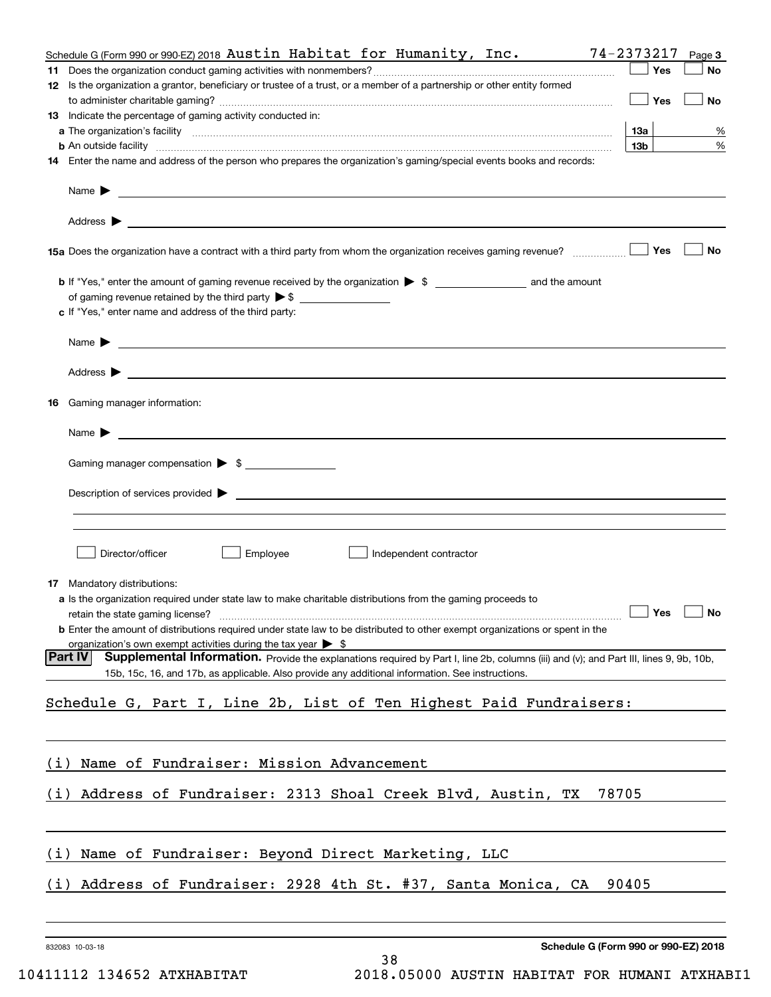|     | Schedule G (Form 990 or 990-EZ) 2018 Austin Habitat for Humanity, Inc.                                                                                                                                                                                | 74-2373217             | Page 3 |
|-----|-------------------------------------------------------------------------------------------------------------------------------------------------------------------------------------------------------------------------------------------------------|------------------------|--------|
|     |                                                                                                                                                                                                                                                       | Yes                    | No     |
|     | 12 Is the organization a grantor, beneficiary or trustee of a trust, or a member of a partnership or other entity formed                                                                                                                              |                        |        |
|     |                                                                                                                                                                                                                                                       | Yes                    | No     |
|     | 13 Indicate the percentage of gaming activity conducted in:                                                                                                                                                                                           |                        |        |
|     |                                                                                                                                                                                                                                                       | 13а<br>13 <sub>b</sub> | %<br>% |
|     | <b>b</b> An outside facility <i>www.communicality www.communicality.communicality www.communicality www.communicality.com</i><br>14 Enter the name and address of the person who prepares the organization's gaming/special events books and records: |                        |        |
|     |                                                                                                                                                                                                                                                       |                        |        |
|     | Name $\triangleright$ $\square$                                                                                                                                                                                                                       |                        |        |
|     |                                                                                                                                                                                                                                                       |                        |        |
|     |                                                                                                                                                                                                                                                       | Yes                    | No     |
|     |                                                                                                                                                                                                                                                       |                        |        |
|     | of gaming revenue retained by the third party $\triangleright$ \$                                                                                                                                                                                     |                        |        |
|     | c If "Yes," enter name and address of the third party:                                                                                                                                                                                                |                        |        |
|     |                                                                                                                                                                                                                                                       |                        |        |
|     |                                                                                                                                                                                                                                                       |                        |        |
| 16  | Gaming manager information:                                                                                                                                                                                                                           |                        |        |
|     |                                                                                                                                                                                                                                                       |                        |        |
|     | $Name \rightarrow$                                                                                                                                                                                                                                    |                        |        |
|     | Gaming manager compensation > \$                                                                                                                                                                                                                      |                        |        |
|     | $Description of services provided$ $\triangleright$                                                                                                                                                                                                   |                        |        |
|     |                                                                                                                                                                                                                                                       |                        |        |
|     |                                                                                                                                                                                                                                                       |                        |        |
|     | Director/officer<br>Employee<br>Independent contractor                                                                                                                                                                                                |                        |        |
|     | <b>17</b> Mandatory distributions:                                                                                                                                                                                                                    |                        |        |
|     | <b>a</b> Is the organization required under state law to make charitable distributions from the gaming proceeds to                                                                                                                                    |                        |        |
|     |                                                                                                                                                                                                                                                       | $\Box$ Yes $\Box$ No   |        |
|     | <b>b</b> Enter the amount of distributions required under state law to be distributed to other exempt organizations or spent in the                                                                                                                   |                        |        |
|     | organization's own exempt activities during the tax year $\triangleright$ \$                                                                                                                                                                          |                        |        |
|     | Part IV<br>Supplemental Information. Provide the explanations required by Part I, line 2b, columns (iii) and (v); and Part III, lines 9, 9b, 10b,<br>15b, 15c, 16, and 17b, as applicable. Also provide any additional information. See instructions. |                        |        |
|     |                                                                                                                                                                                                                                                       |                        |        |
|     | Schedule G, Part I, Line 2b, List of Ten Highest Paid Fundraisers:                                                                                                                                                                                    |                        |        |
|     |                                                                                                                                                                                                                                                       |                        |        |
| (1) | Name of Fundraiser: Mission Advancement                                                                                                                                                                                                               |                        |        |
|     | (i) Address of Fundraiser: 2313 Shoal Creek Blvd, Austin, TX<br>78705                                                                                                                                                                                 |                        |        |
| (1) | Name of Fundraiser: Beyond Direct Marketing, LLC                                                                                                                                                                                                      |                        |        |
|     |                                                                                                                                                                                                                                                       |                        |        |
| (i) | Address of Fundraiser: 2928 4th St. #37, Santa Monica, CA                                                                                                                                                                                             | 90405                  |        |
|     |                                                                                                                                                                                                                                                       |                        |        |
|     | Schedule G (Form 990 or 990-EZ) 2018<br>832083 10-03-18<br>38                                                                                                                                                                                         |                        |        |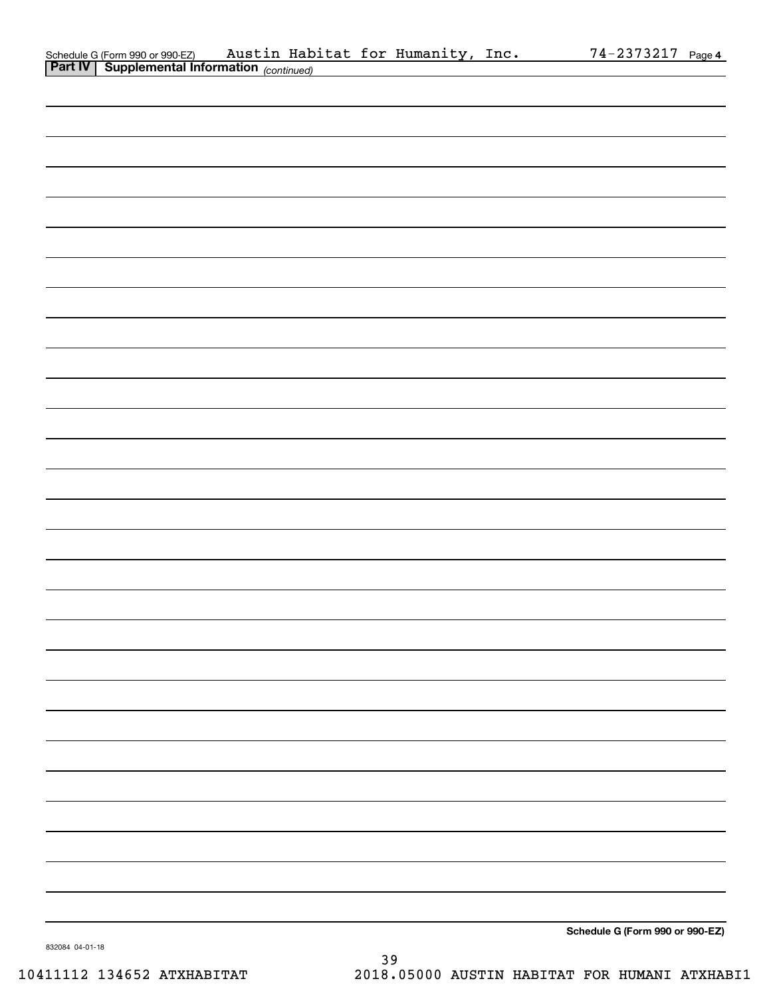| Schedule G (Form 990 or 990-EZ)                       |  | Austin Habitat for Humanity, Inc. | $74 - 2373217$ Page 4 |  |
|-------------------------------------------------------|--|-----------------------------------|-----------------------|--|
| <b>Part IV   Supplemental Information</b> (continued) |  |                                   |                       |  |

| <b>Part IV Supplemental Information</b> (continued) |  |                                 |
|-----------------------------------------------------|--|---------------------------------|
|                                                     |  |                                 |
|                                                     |  |                                 |
|                                                     |  |                                 |
|                                                     |  |                                 |
|                                                     |  |                                 |
|                                                     |  |                                 |
|                                                     |  |                                 |
|                                                     |  |                                 |
|                                                     |  |                                 |
|                                                     |  |                                 |
|                                                     |  |                                 |
|                                                     |  |                                 |
|                                                     |  |                                 |
|                                                     |  |                                 |
|                                                     |  |                                 |
|                                                     |  |                                 |
|                                                     |  |                                 |
|                                                     |  |                                 |
|                                                     |  |                                 |
|                                                     |  |                                 |
|                                                     |  |                                 |
|                                                     |  |                                 |
|                                                     |  |                                 |
|                                                     |  |                                 |
|                                                     |  |                                 |
|                                                     |  |                                 |
|                                                     |  |                                 |
|                                                     |  |                                 |
|                                                     |  |                                 |
|                                                     |  |                                 |
|                                                     |  |                                 |
|                                                     |  |                                 |
|                                                     |  |                                 |
|                                                     |  | Schedule G (Form 990 or 990-EZ) |

832084 04-01-18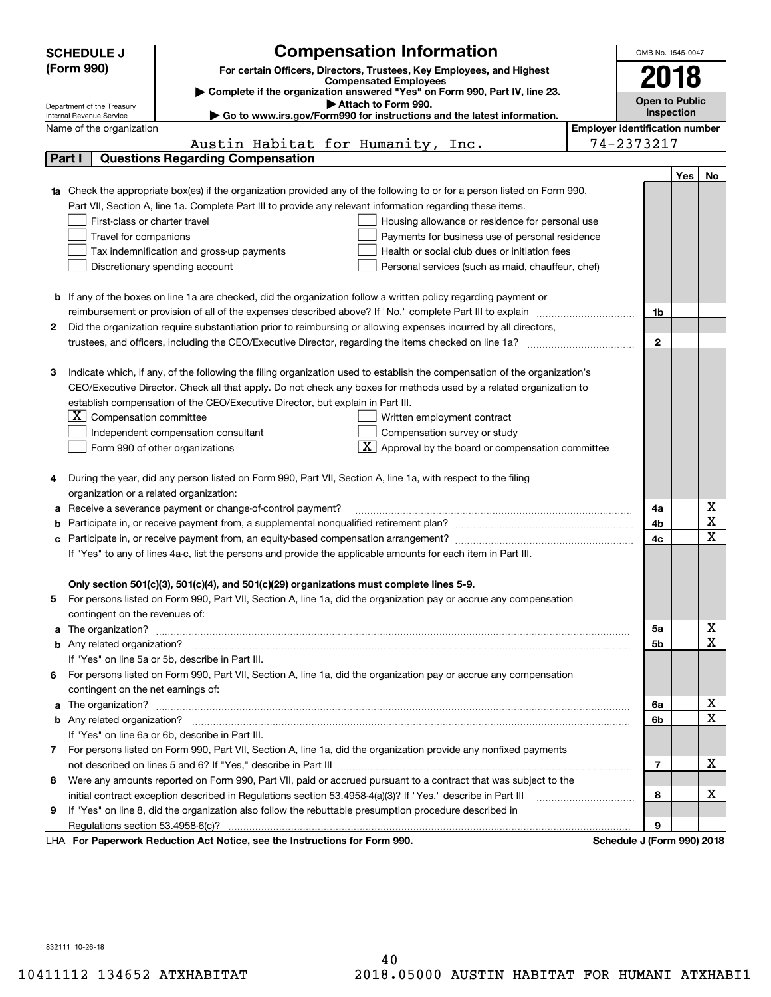|   | <b>SCHEDULE J</b>                                      | <b>Compensation Information</b>                                                                                                                                                |                                       | OMB No. 1545-0047          |     |                                                    |
|---|--------------------------------------------------------|--------------------------------------------------------------------------------------------------------------------------------------------------------------------------------|---------------------------------------|----------------------------|-----|----------------------------------------------------|
|   | (Form 990)                                             | For certain Officers, Directors, Trustees, Key Employees, and Highest                                                                                                          |                                       |                            |     |                                                    |
|   |                                                        | <b>Compensated Employees</b>                                                                                                                                                   |                                       | 2018                       |     |                                                    |
|   |                                                        | Complete if the organization answered "Yes" on Form 990, Part IV, line 23.                                                                                                     |                                       | <b>Open to Public</b>      |     |                                                    |
|   | Department of the Treasury<br>Internal Revenue Service | Attach to Form 990.<br>Go to www.irs.gov/Form990 for instructions and the latest information.                                                                                  |                                       | Inspection                 |     |                                                    |
|   | Name of the organization                               |                                                                                                                                                                                | <b>Employer identification number</b> |                            |     |                                                    |
|   |                                                        | Austin Habitat for Humanity, Inc.                                                                                                                                              |                                       | 74-2373217                 |     |                                                    |
|   | Part I                                                 | <b>Questions Regarding Compensation</b>                                                                                                                                        |                                       |                            |     |                                                    |
|   |                                                        |                                                                                                                                                                                |                                       |                            | Yes | No                                                 |
|   |                                                        | <b>1a</b> Check the appropriate box(es) if the organization provided any of the following to or for a person listed on Form 990,                                               |                                       |                            |     |                                                    |
|   |                                                        | Part VII, Section A, line 1a. Complete Part III to provide any relevant information regarding these items.                                                                     |                                       |                            |     |                                                    |
|   | First-class or charter travel                          | Housing allowance or residence for personal use                                                                                                                                |                                       |                            |     |                                                    |
|   | Travel for companions                                  | Payments for business use of personal residence                                                                                                                                |                                       |                            |     |                                                    |
|   | Tax indemnification and gross-up payments              | Health or social club dues or initiation fees                                                                                                                                  |                                       |                            |     |                                                    |
|   |                                                        | Discretionary spending account<br>Personal services (such as maid, chauffeur, chef)                                                                                            |                                       |                            |     |                                                    |
|   |                                                        |                                                                                                                                                                                |                                       |                            |     |                                                    |
|   |                                                        | <b>b</b> If any of the boxes on line 1a are checked, did the organization follow a written policy regarding payment or                                                         |                                       |                            |     |                                                    |
|   |                                                        |                                                                                                                                                                                |                                       | 1b                         |     |                                                    |
| 2 |                                                        | Did the organization require substantiation prior to reimbursing or allowing expenses incurred by all directors,                                                               |                                       |                            |     |                                                    |
|   |                                                        |                                                                                                                                                                                |                                       | $\overline{2}$             |     |                                                    |
|   |                                                        |                                                                                                                                                                                |                                       |                            |     |                                                    |
| З |                                                        | Indicate which, if any, of the following the filing organization used to establish the compensation of the organization's                                                      |                                       |                            |     |                                                    |
|   |                                                        | CEO/Executive Director. Check all that apply. Do not check any boxes for methods used by a related organization to                                                             |                                       |                            |     |                                                    |
|   |                                                        | establish compensation of the CEO/Executive Director, but explain in Part III.                                                                                                 |                                       |                            |     |                                                    |
|   | Compensation committee<br>ΣI.                          | Written employment contract                                                                                                                                                    |                                       |                            |     |                                                    |
|   |                                                        | Compensation survey or study<br>Independent compensation consultant                                                                                                            |                                       |                            |     |                                                    |
|   |                                                        | Approval by the board or compensation committee<br>Form 990 of other organizations                                                                                             |                                       |                            |     |                                                    |
|   |                                                        |                                                                                                                                                                                |                                       |                            |     |                                                    |
|   |                                                        | During the year, did any person listed on Form 990, Part VII, Section A, line 1a, with respect to the filing                                                                   |                                       |                            |     |                                                    |
|   | organization or a related organization:                |                                                                                                                                                                                |                                       |                            |     |                                                    |
|   |                                                        | a Receive a severance payment or change-of-control payment?                                                                                                                    |                                       | 4a                         |     | x                                                  |
|   |                                                        | Participate in, or receive payment from, a supplemental nonqualified retirement plan?<br>Farticipate in, or receive payment from, a supplemental nonqualified retirement plan? |                                       | 4b                         |     | $\overline{\mathbf{x}}$<br>$\overline{\mathbf{x}}$ |
|   |                                                        |                                                                                                                                                                                |                                       | 4c                         |     |                                                    |
|   |                                                        | If "Yes" to any of lines 4a-c, list the persons and provide the applicable amounts for each item in Part III.                                                                  |                                       |                            |     |                                                    |
|   |                                                        |                                                                                                                                                                                |                                       |                            |     |                                                    |
|   |                                                        | Only section 501(c)(3), 501(c)(4), and 501(c)(29) organizations must complete lines 5-9.                                                                                       |                                       |                            |     |                                                    |
| 5 |                                                        | For persons listed on Form 990, Part VII, Section A, line 1a, did the organization pay or accrue any compensation                                                              |                                       |                            |     |                                                    |
|   | contingent on the revenues of:                         |                                                                                                                                                                                |                                       |                            |     | x                                                  |
|   |                                                        |                                                                                                                                                                                |                                       | 5a                         |     | $\overline{\mathbf{x}}$                            |
|   |                                                        |                                                                                                                                                                                |                                       | 5b                         |     |                                                    |
|   |                                                        | If "Yes" on line 5a or 5b, describe in Part III.                                                                                                                               |                                       |                            |     |                                                    |
|   | contingent on the net earnings of:                     | 6 For persons listed on Form 990, Part VII, Section A, line 1a, did the organization pay or accrue any compensation                                                            |                                       |                            |     |                                                    |
|   |                                                        |                                                                                                                                                                                |                                       | 6a                         |     | x                                                  |
|   |                                                        |                                                                                                                                                                                |                                       | 6b                         |     | $\overline{\mathbf{x}}$                            |
|   |                                                        | If "Yes" on line 6a or 6b, describe in Part III.                                                                                                                               |                                       |                            |     |                                                    |
|   |                                                        | 7 For persons listed on Form 990, Part VII, Section A, line 1a, did the organization provide any nonfixed payments                                                             |                                       |                            |     |                                                    |
|   |                                                        |                                                                                                                                                                                |                                       | 7                          |     | х                                                  |
| 8 |                                                        | Were any amounts reported on Form 990, Part VII, paid or accrued pursuant to a contract that was subject to the                                                                |                                       |                            |     |                                                    |
|   |                                                        |                                                                                                                                                                                |                                       | 8                          |     | х                                                  |
| 9 |                                                        | If "Yes" on line 8, did the organization also follow the rebuttable presumption procedure described in                                                                         |                                       |                            |     |                                                    |
|   |                                                        |                                                                                                                                                                                |                                       | 9                          |     |                                                    |
|   |                                                        | LHA For Paperwork Reduction Act Notice, see the Instructions for Form 990.                                                                                                     |                                       | Schedule J (Form 990) 2018 |     |                                                    |

832111 10-26-18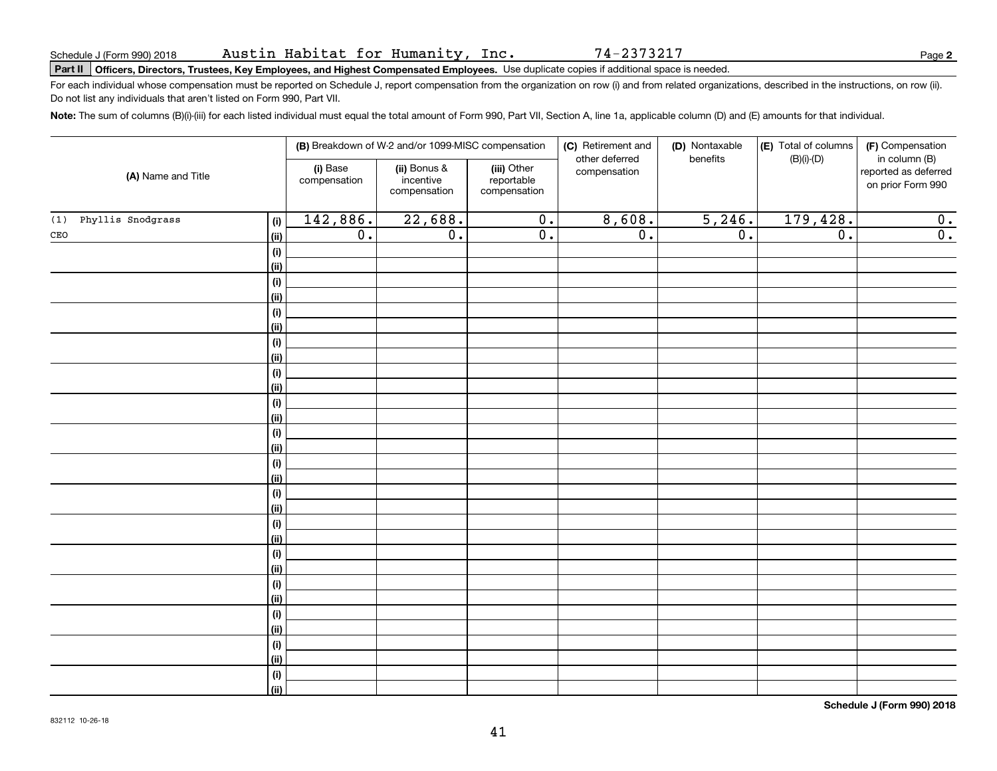74-2373217

# **Part II Officers, Directors, Trustees, Key Employees, and Highest Compensated Employees.**  Schedule J (Form 990) 2018 Page Use duplicate copies if additional space is needed.

For each individual whose compensation must be reported on Schedule J, report compensation from the organization on row (i) and from related organizations, described in the instructions, on row (ii). Do not list any individuals that aren't listed on Form 990, Part VII.

**Note:**  The sum of columns (B)(i)-(iii) for each listed individual must equal the total amount of Form 990, Part VII, Section A, line 1a, applicable column (D) and (E) amounts for that individual.

|                                 |                          | (B) Breakdown of W-2 and/or 1099-MISC compensation |                                           | (C) Retirement and<br>other deferred | (D) Nontaxable   | (E) Total of columns | (F) Compensation                                           |
|---------------------------------|--------------------------|----------------------------------------------------|-------------------------------------------|--------------------------------------|------------------|----------------------|------------------------------------------------------------|
| (A) Name and Title              | (i) Base<br>compensation | (ii) Bonus &<br>incentive<br>compensation          | (iii) Other<br>reportable<br>compensation | compensation                         | benefits         | $(B)(i)-(D)$         | in column (B)<br>reported as deferred<br>on prior Form 990 |
| Phyllis Snodgrass<br>(1)<br>(i) | 142,886.                 | 22,688.                                            | $\overline{0}$ .                          | 8,608.                               | 5,246.           | 179,428.             | $\overline{0}$ .                                           |
| $\mathtt{CEO}$<br>(ii)          | $\overline{0}$ .         | $\overline{0}$ .                                   | $\overline{0}$ .                          | $\overline{0}$ .                     | $\overline{0}$ . | $\overline{0}$ .     | $\overline{0}$ .                                           |
| $(\sf{i})$                      |                          |                                                    |                                           |                                      |                  |                      |                                                            |
| (ii)                            |                          |                                                    |                                           |                                      |                  |                      |                                                            |
| (i)                             |                          |                                                    |                                           |                                      |                  |                      |                                                            |
| (ii)                            |                          |                                                    |                                           |                                      |                  |                      |                                                            |
| (i)                             |                          |                                                    |                                           |                                      |                  |                      |                                                            |
| (ii)                            |                          |                                                    |                                           |                                      |                  |                      |                                                            |
| (i)                             |                          |                                                    |                                           |                                      |                  |                      |                                                            |
| (ii)                            |                          |                                                    |                                           |                                      |                  |                      |                                                            |
| $(\sf{i})$                      |                          |                                                    |                                           |                                      |                  |                      |                                                            |
| (ii)                            |                          |                                                    |                                           |                                      |                  |                      |                                                            |
| (i)                             |                          |                                                    |                                           |                                      |                  |                      |                                                            |
| (ii)                            |                          |                                                    |                                           |                                      |                  |                      |                                                            |
| (i)                             |                          |                                                    |                                           |                                      |                  |                      |                                                            |
| (ii)                            |                          |                                                    |                                           |                                      |                  |                      |                                                            |
| (i)                             |                          |                                                    |                                           |                                      |                  |                      |                                                            |
| (ii)                            |                          |                                                    |                                           |                                      |                  |                      |                                                            |
| $(\sf{i})$                      |                          |                                                    |                                           |                                      |                  |                      |                                                            |
| (ii)                            |                          |                                                    |                                           |                                      |                  |                      |                                                            |
| (i)                             |                          |                                                    |                                           |                                      |                  |                      |                                                            |
| (ii)                            |                          |                                                    |                                           |                                      |                  |                      |                                                            |
| (i)                             |                          |                                                    |                                           |                                      |                  |                      |                                                            |
| (ii)                            |                          |                                                    |                                           |                                      |                  |                      |                                                            |
| (i)                             |                          |                                                    |                                           |                                      |                  |                      |                                                            |
| (ii)                            |                          |                                                    |                                           |                                      |                  |                      |                                                            |
| (i)                             |                          |                                                    |                                           |                                      |                  |                      |                                                            |
| (ii)                            |                          |                                                    |                                           |                                      |                  |                      |                                                            |
| $(\sf{i})$                      |                          |                                                    |                                           |                                      |                  |                      |                                                            |
| (ii)                            |                          |                                                    |                                           |                                      |                  |                      |                                                            |
| (i)                             |                          |                                                    |                                           |                                      |                  |                      |                                                            |
| (ii)                            |                          |                                                    |                                           |                                      |                  |                      |                                                            |

**Schedule J (Form 990) 2018**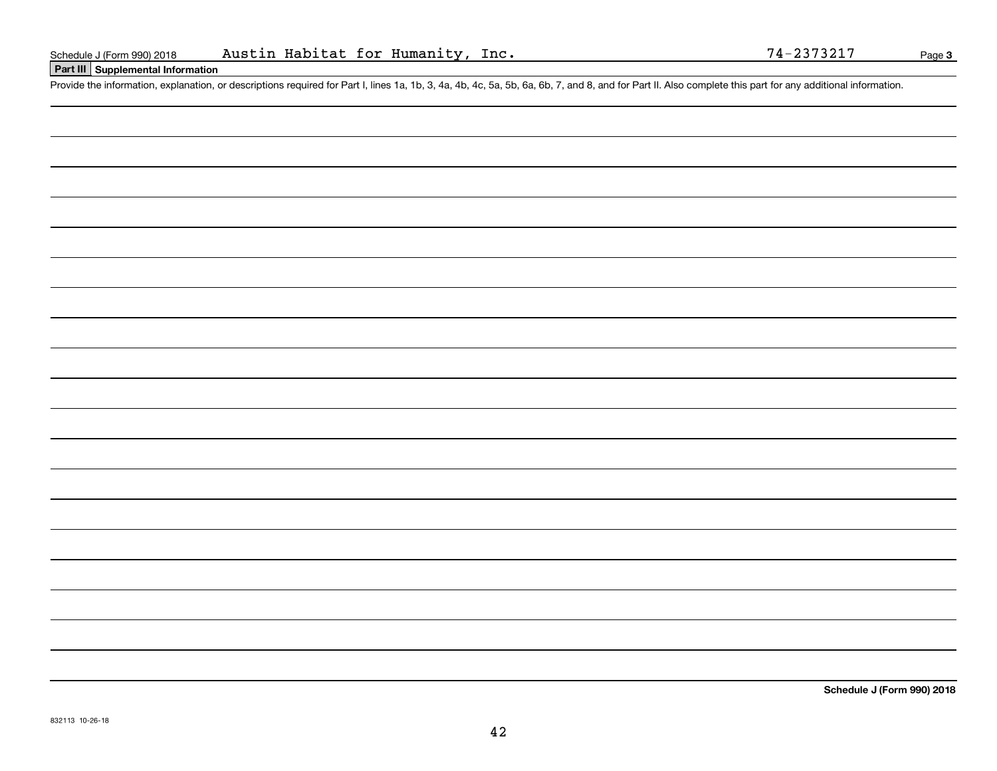## **Part III Supplemental Information**

Schedule J (Form 990) 2018 Austin Habitat for Humanity, Inc. 74-2373217<br>Part III Supplemental Information<br>Provide the information, explanation, or descriptions required for Part I, lines 1a, 1b, 3, 4a, 4b, 4c, 5a, 5b, 6a,

**Schedule J (Form 990) 2018**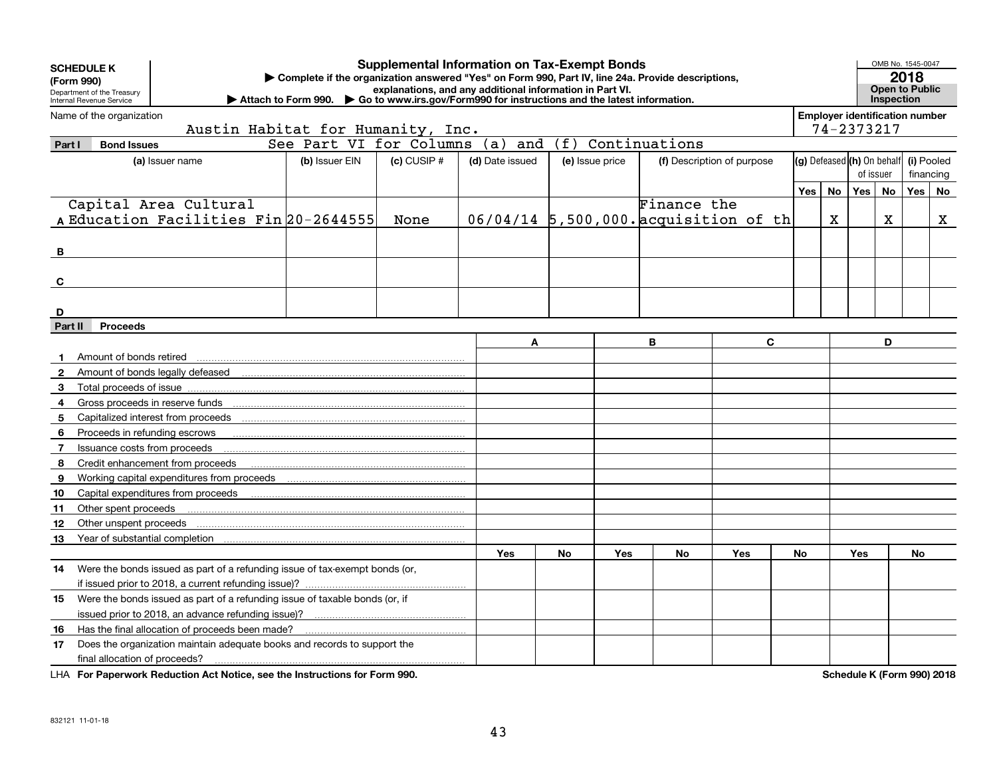| <b>Supplemental Information on Tax-Exempt Bonds</b><br><b>SCHEDULE K</b><br>Complete if the organization answered "Yes" on Form 990, Part IV, line 24a. Provide descriptions,<br>(Form 990)<br>explanations, and any additional information in Part VI.<br>Department of the Treasury<br>Go to www.irs.gov/Form990 for instructions and the latest information.<br>Attach to Form 990.<br>Internal Revenue Service |                                                 |                                                                             |                         |                 |                 |     |                                       |               |                            |    |                                         | Inspection                                          | OMB No. 1545-0047<br>2018<br><b>Open to Public</b> |                         |    |
|--------------------------------------------------------------------------------------------------------------------------------------------------------------------------------------------------------------------------------------------------------------------------------------------------------------------------------------------------------------------------------------------------------------------|-------------------------------------------------|-----------------------------------------------------------------------------|-------------------------|-----------------|-----------------|-----|---------------------------------------|---------------|----------------------------|----|-----------------------------------------|-----------------------------------------------------|----------------------------------------------------|-------------------------|----|
|                                                                                                                                                                                                                                                                                                                                                                                                                    | Name of the organization                        | Austin Habitat for Humanity, Inc.                                           |                         |                 |                 |     |                                       |               |                            |    |                                         | <b>Employer identification number</b><br>74-2373217 |                                                    |                         |    |
| Part I                                                                                                                                                                                                                                                                                                                                                                                                             | <b>Bond Issues</b>                              |                                                                             | See Part VI for Columns |                 | (a)<br>and      | (f) |                                       | Continuations |                            |    |                                         |                                                     |                                                    |                         |    |
|                                                                                                                                                                                                                                                                                                                                                                                                                    |                                                 | (a) Issuer name                                                             | (b) Issuer EIN          | $(c)$ CUSIP $#$ | (d) Date issued |     | (e) Issue price                       |               | (f) Description of purpose |    | (g) Defeased (h) On behalf<br>of issuer |                                                     |                                                    | (i) Pooled<br>financing |    |
|                                                                                                                                                                                                                                                                                                                                                                                                                    |                                                 |                                                                             |                         |                 |                 |     |                                       |               |                            |    | Yes   No                                | Yes <sub>1</sub>                                    | No                                                 | Yes                     | No |
|                                                                                                                                                                                                                                                                                                                                                                                                                    |                                                 | Capital Area Cultural                                                       |                         |                 |                 |     |                                       | Finance the   |                            |    |                                         |                                                     |                                                    |                         |    |
|                                                                                                                                                                                                                                                                                                                                                                                                                    | A Education Facilities Fin 20-2644555           | None                                                                        |                         |                 |                 |     | 06/04/14 5,500,000. acquisition of th |               | X                          |    | $\mathbf X$                             |                                                     | X                                                  |                         |    |
|                                                                                                                                                                                                                                                                                                                                                                                                                    |                                                 |                                                                             |                         |                 |                 |     |                                       |               |                            |    |                                         |                                                     |                                                    |                         |    |
| в                                                                                                                                                                                                                                                                                                                                                                                                                  |                                                 |                                                                             |                         |                 |                 |     |                                       |               |                            |    |                                         |                                                     |                                                    |                         |    |
|                                                                                                                                                                                                                                                                                                                                                                                                                    |                                                 |                                                                             |                         |                 |                 |     |                                       |               |                            |    |                                         |                                                     |                                                    |                         |    |
| C                                                                                                                                                                                                                                                                                                                                                                                                                  |                                                 |                                                                             |                         |                 |                 |     |                                       |               |                            |    |                                         |                                                     |                                                    |                         |    |
| D                                                                                                                                                                                                                                                                                                                                                                                                                  |                                                 |                                                                             |                         |                 |                 |     |                                       |               |                            |    |                                         |                                                     |                                                    |                         |    |
| Part II                                                                                                                                                                                                                                                                                                                                                                                                            | <b>Proceeds</b>                                 |                                                                             |                         |                 |                 |     |                                       |               |                            |    |                                         |                                                     |                                                    |                         |    |
|                                                                                                                                                                                                                                                                                                                                                                                                                    |                                                 |                                                                             |                         |                 | A               |     |                                       | B             | C                          |    |                                         |                                                     | D                                                  |                         |    |
|                                                                                                                                                                                                                                                                                                                                                                                                                    | Amount of bonds retired                         |                                                                             |                         |                 |                 |     |                                       |               |                            |    |                                         |                                                     |                                                    |                         |    |
| $\mathbf{2}$                                                                                                                                                                                                                                                                                                                                                                                                       |                                                 |                                                                             |                         |                 |                 |     |                                       |               |                            |    |                                         |                                                     |                                                    |                         |    |
| 3                                                                                                                                                                                                                                                                                                                                                                                                                  |                                                 |                                                                             |                         |                 |                 |     |                                       |               |                            |    |                                         |                                                     |                                                    |                         |    |
| 4                                                                                                                                                                                                                                                                                                                                                                                                                  |                                                 | Gross proceeds in reserve funds                                             |                         |                 |                 |     |                                       |               |                            |    |                                         |                                                     |                                                    |                         |    |
| 5                                                                                                                                                                                                                                                                                                                                                                                                                  |                                                 |                                                                             |                         |                 |                 |     |                                       |               |                            |    |                                         |                                                     |                                                    |                         |    |
| 6                                                                                                                                                                                                                                                                                                                                                                                                                  |                                                 | Proceeds in refunding escrows                                               |                         |                 |                 |     |                                       |               |                            |    |                                         |                                                     |                                                    |                         |    |
| $\overline{7}$                                                                                                                                                                                                                                                                                                                                                                                                     | Issuance costs from proceeds                    |                                                                             |                         |                 |                 |     |                                       |               |                            |    |                                         |                                                     |                                                    |                         |    |
| 8                                                                                                                                                                                                                                                                                                                                                                                                                  |                                                 | Credit enhancement from proceeds                                            |                         |                 |                 |     |                                       |               |                            |    |                                         |                                                     |                                                    |                         |    |
| 9                                                                                                                                                                                                                                                                                                                                                                                                                  |                                                 | Working capital expenditures from proceeds                                  |                         |                 |                 |     |                                       |               |                            |    |                                         |                                                     |                                                    |                         |    |
| 10                                                                                                                                                                                                                                                                                                                                                                                                                 |                                                 |                                                                             |                         |                 |                 |     |                                       |               |                            |    |                                         |                                                     |                                                    |                         |    |
| 11                                                                                                                                                                                                                                                                                                                                                                                                                 | Other spent proceeds                            |                                                                             |                         |                 |                 |     |                                       |               |                            |    |                                         |                                                     |                                                    |                         |    |
| 12                                                                                                                                                                                                                                                                                                                                                                                                                 | Other unspent proceeds                          |                                                                             |                         |                 |                 |     |                                       |               |                            |    |                                         |                                                     |                                                    |                         |    |
| 13                                                                                                                                                                                                                                                                                                                                                                                                                 |                                                 |                                                                             |                         |                 |                 |     |                                       |               |                            |    |                                         |                                                     |                                                    |                         |    |
|                                                                                                                                                                                                                                                                                                                                                                                                                    |                                                 |                                                                             |                         |                 | <b>Yes</b>      | No  | <b>Yes</b>                            | No            | Yes                        | No |                                         | <b>Yes</b>                                          |                                                    | No                      |    |
| 14                                                                                                                                                                                                                                                                                                                                                                                                                 |                                                 | Were the bonds issued as part of a refunding issue of tax-exempt bonds (or, |                         |                 |                 |     |                                       |               |                            |    |                                         |                                                     |                                                    |                         |    |
|                                                                                                                                                                                                                                                                                                                                                                                                                    |                                                 |                                                                             |                         |                 |                 |     |                                       |               |                            |    |                                         |                                                     |                                                    |                         |    |
| 15                                                                                                                                                                                                                                                                                                                                                                                                                 |                                                 | Were the bonds issued as part of a refunding issue of taxable bonds (or, if |                         |                 |                 |     |                                       |               |                            |    |                                         |                                                     |                                                    |                         |    |
|                                                                                                                                                                                                                                                                                                                                                                                                                    |                                                 |                                                                             |                         |                 |                 |     |                                       |               |                            |    |                                         |                                                     |                                                    |                         |    |
| 16                                                                                                                                                                                                                                                                                                                                                                                                                 | Has the final allocation of proceeds been made? |                                                                             |                         |                 |                 |     |                                       |               |                            |    |                                         |                                                     |                                                    |                         |    |
| 17                                                                                                                                                                                                                                                                                                                                                                                                                 |                                                 | Does the organization maintain adequate books and records to support the    |                         |                 |                 |     |                                       |               |                            |    |                                         |                                                     |                                                    |                         |    |
|                                                                                                                                                                                                                                                                                                                                                                                                                    | final allocation of proceeds?                   |                                                                             |                         |                 |                 |     |                                       |               |                            |    |                                         |                                                     |                                                    |                         |    |

**For Paperwork Reduction Act Notice, see the Instructions for Form 990. Schedule K (Form 990) 2018** LHA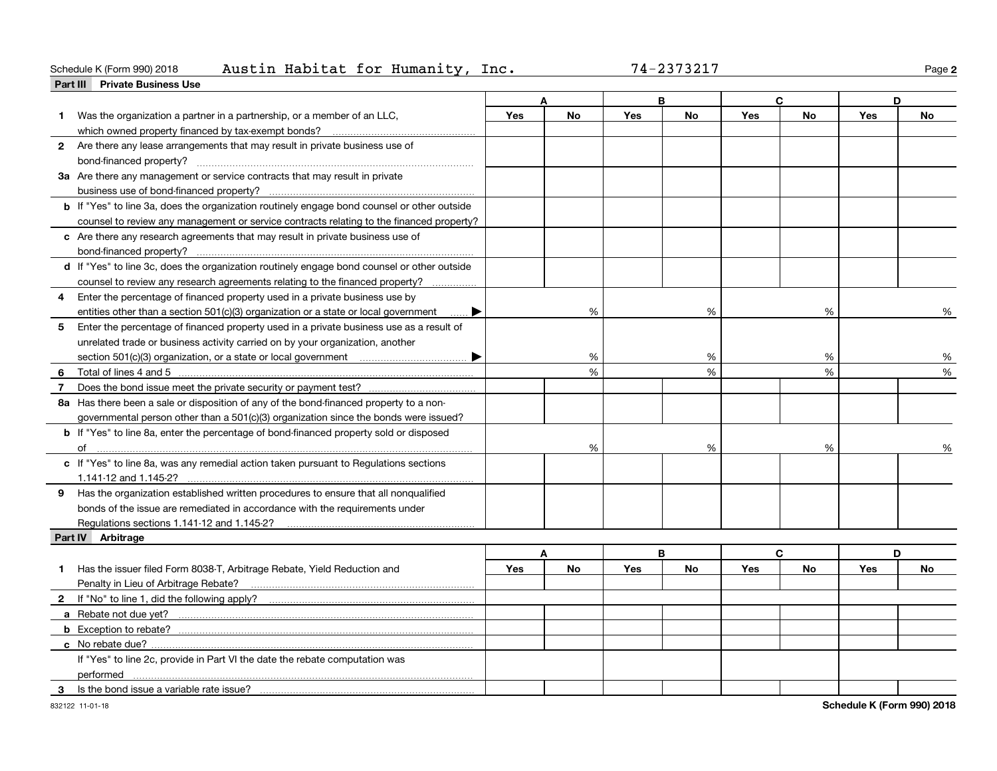### **Part III Private Business Use** Schedule K (Form 990) 2018 Page Austin Habitat for Humanity, Inc. 74-2373217

| 74-2373217 |  |  |  |  |
|------------|--|--|--|--|
|------------|--|--|--|--|

**2**

| <b>Fail III</b> Filvale Dubliess Ose                                                               |            |           |            | B         |            | C             | D   |           |
|----------------------------------------------------------------------------------------------------|------------|-----------|------------|-----------|------------|---------------|-----|-----------|
| Was the organization a partner in a partnership, or a member of an LLC,                            | Yes        | No        | <b>Yes</b> | <b>No</b> | <b>Yes</b> | No            | Yes | <b>No</b> |
|                                                                                                    |            |           |            |           |            |               |     |           |
| 2 Are there any lease arrangements that may result in private business use of                      |            |           |            |           |            |               |     |           |
|                                                                                                    |            |           |            |           |            |               |     |           |
| 3a Are there any management or service contracts that may result in private                        |            |           |            |           |            |               |     |           |
|                                                                                                    |            |           |            |           |            |               |     |           |
| <b>b</b> If "Yes" to line 3a, does the organization routinely engage bond counsel or other outside |            |           |            |           |            |               |     |           |
| counsel to review any management or service contracts relating to the financed property?           |            |           |            |           |            |               |     |           |
| c Are there any research agreements that may result in private business use of                     |            |           |            |           |            |               |     |           |
| bond-financed property?                                                                            |            |           |            |           |            |               |     |           |
| d If "Yes" to line 3c, does the organization routinely engage bond counsel or other outside        |            |           |            |           |            |               |     |           |
| counsel to review any research agreements relating to the financed property?                       |            |           |            |           |            |               |     |           |
| Enter the percentage of financed property used in a private business use by<br>4                   |            |           |            |           |            |               |     |           |
| entities other than a section $501(c)(3)$ organization or a state or local government              |            | %         |            | %         |            | %             |     | ℅         |
| Enter the percentage of financed property used in a private business use as a result of<br>5       |            |           |            |           |            |               |     |           |
| unrelated trade or business activity carried on by your organization, another                      |            |           |            |           |            |               |     |           |
|                                                                                                    |            | %         |            | %         |            | %             |     | %         |
|                                                                                                    |            | %         |            | %         |            | $\frac{0}{0}$ |     | %         |
| Does the bond issue meet the private security or payment test?<br>7                                |            |           |            |           |            |               |     |           |
| 8a Has there been a sale or disposition of any of the bond-financed property to a non-             |            |           |            |           |            |               |     |           |
| governmental person other than a 501(c)(3) organization since the bonds were issued?               |            |           |            |           |            |               |     |           |
| b If "Yes" to line 8a, enter the percentage of bond-financed property sold or disposed             |            |           |            |           |            |               |     |           |
|                                                                                                    |            | %         |            | %         |            | %             |     | %         |
| c If "Yes" to line 8a, was any remedial action taken pursuant to Regulations sections              |            |           |            |           |            |               |     |           |
| 1.141-12 and 1.145-2?                                                                              |            |           |            |           |            |               |     |           |
| 9 Has the organization established written procedures to ensure that all nonqualified              |            |           |            |           |            |               |     |           |
| bonds of the issue are remediated in accordance with the requirements under                        |            |           |            |           |            |               |     |           |
|                                                                                                    |            |           |            |           |            |               |     |           |
| Part IV Arbitrage                                                                                  |            |           |            |           |            |               |     |           |
|                                                                                                    |            | A         |            | B         |            | C             |     | D         |
| Has the issuer filed Form 8038-T, Arbitrage Rebate, Yield Reduction and<br>1                       | <b>Yes</b> | <b>No</b> | <b>Yes</b> | <b>No</b> | Yes        | <b>No</b>     | Yes | No        |
| Penalty in Lieu of Arbitrage Rebate?                                                               |            |           |            |           |            |               |     |           |
|                                                                                                    |            |           |            |           |            |               |     |           |
| a Rebate not due yet?                                                                              |            |           |            |           |            |               |     |           |
| <b>b</b> Exception to rebate?                                                                      |            |           |            |           |            |               |     |           |
| c No rebate due?                                                                                   |            |           |            |           |            |               |     |           |
| If "Yes" to line 2c, provide in Part VI the date the rebate computation was                        |            |           |            |           |            |               |     |           |
| performed                                                                                          |            |           |            |           |            |               |     |           |
| Is the bond issue a variable rate issue?<br>3                                                      |            |           |            |           |            |               |     |           |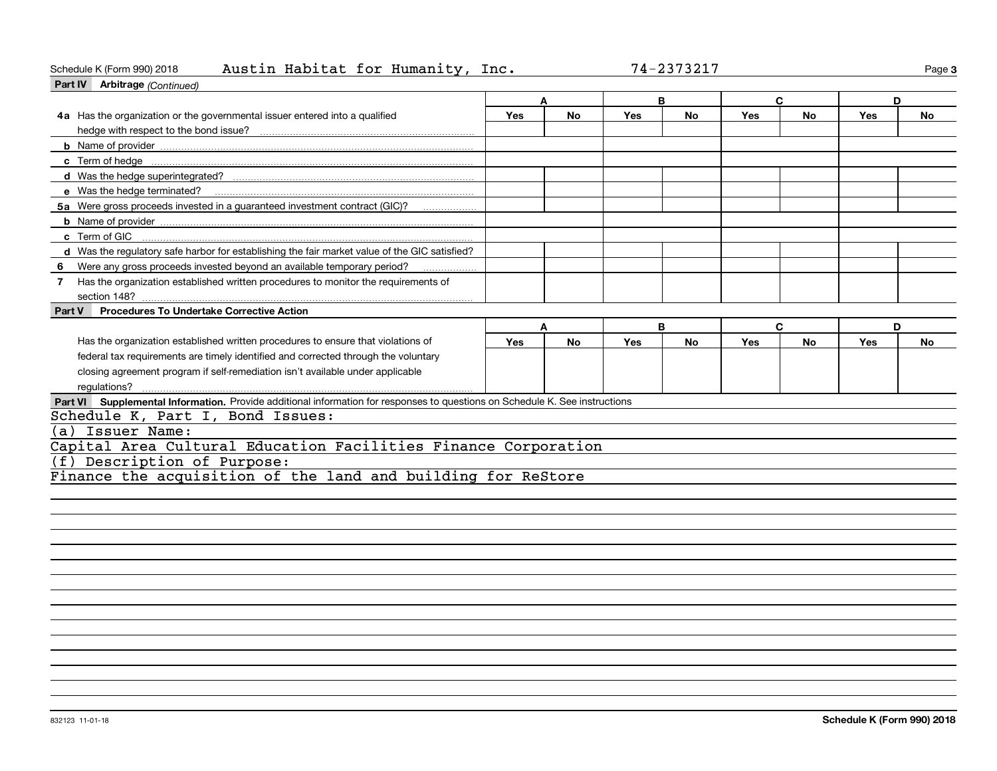## Schedule K (Form 990) 2018 Page Austin Habitat for Humanity, Inc. 74-2373217

|        | Part IV Arbitrage (Continued)                                                                                               |     |           |            |           |            |           |     |           |
|--------|-----------------------------------------------------------------------------------------------------------------------------|-----|-----------|------------|-----------|------------|-----------|-----|-----------|
|        |                                                                                                                             |     |           | B          |           | C          |           | D   |           |
|        | 4a Has the organization or the governmental issuer entered into a qualified                                                 | Yes | <b>No</b> | Yes        | No        | Yes        | No        | Yes | No        |
|        |                                                                                                                             |     |           |            |           |            |           |     |           |
|        |                                                                                                                             |     |           |            |           |            |           |     |           |
|        |                                                                                                                             |     |           |            |           |            |           |     |           |
|        |                                                                                                                             |     |           |            |           |            |           |     |           |
|        |                                                                                                                             |     |           |            |           |            |           |     |           |
|        | 5a Were gross proceeds invested in a guaranteed investment contract (GIC)?                                                  |     |           |            |           |            |           |     |           |
|        |                                                                                                                             |     |           |            |           |            |           |     |           |
|        | c Term of GIC                                                                                                               |     |           |            |           |            |           |     |           |
|        | d Was the regulatory safe harbor for establishing the fair market value of the GIC satisfied?                               |     |           |            |           |            |           |     |           |
| 6      | Were any gross proceeds invested beyond an available temporary period?                                                      |     |           |            |           |            |           |     |           |
| 7      | Has the organization established written procedures to monitor the requirements of                                          |     |           |            |           |            |           |     |           |
|        |                                                                                                                             |     |           |            |           |            |           |     |           |
| Part V | <b>Procedures To Undertake Corrective Action</b>                                                                            |     |           |            |           |            |           |     |           |
|        |                                                                                                                             |     | A         |            | B         |            | C         | D   |           |
|        | Has the organization established written procedures to ensure that violations of                                            | Yes | <b>No</b> | <b>Yes</b> | <b>No</b> | <b>Yes</b> | <b>No</b> | Yes | <b>No</b> |
|        | federal tax requirements are timely identified and corrected through the voluntary                                          |     |           |            |           |            |           |     |           |
|        | closing agreement program if self-remediation isn't available under applicable                                              |     |           |            |           |            |           |     |           |
|        | regulations?                                                                                                                |     |           |            |           |            |           |     |           |
|        | Part VI Supplemental Information. Provide additional information for responses to questions on Schedule K. See instructions |     |           |            |           |            |           |     |           |
|        | Schedule K, Part I, Bond Issues:                                                                                            |     |           |            |           |            |           |     |           |
| (a)    | Issuer Name:                                                                                                                |     |           |            |           |            |           |     |           |
|        | Capital Area Cultural Education Facilities Finance Corporation                                                              |     |           |            |           |            |           |     |           |
| (f)    | Description of Purpose:                                                                                                     |     |           |            |           |            |           |     |           |
|        | Finance the acquisition of the land and building for ReStore                                                                |     |           |            |           |            |           |     |           |
|        |                                                                                                                             |     |           |            |           |            |           |     |           |
|        |                                                                                                                             |     |           |            |           |            |           |     |           |

**3**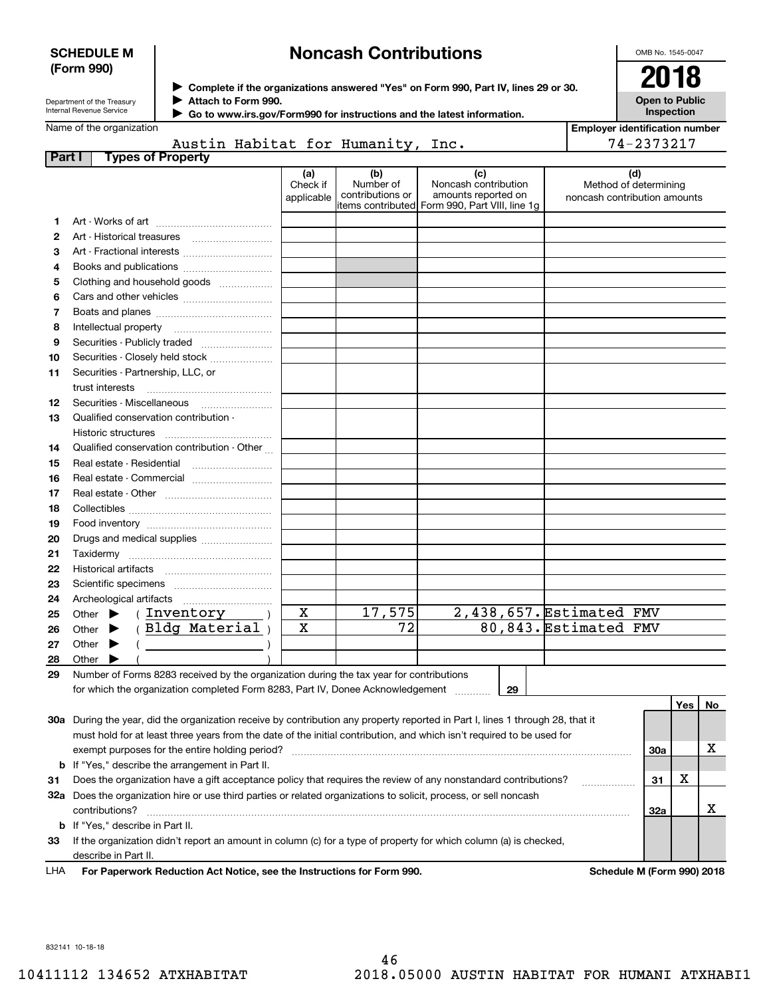## **SCHEDULE M (Form 990)**

# **Noncash Contributions**

OMB No. 1545-0047

| Department of the Treasury      |
|---------------------------------|
| <b>Internal Revenue Service</b> |

**Complete if the organizations answered "Yes" on Form 990, Part IV, lines 29 or 30.** <sup>J</sup>**2018**

|  | <b>Inspection</b> | <b>Open to Public</b> |  |
|--|-------------------|-----------------------|--|
|  |                   |                       |  |

|           | Attach to Form 990.<br>Department of the Treasury<br>Internal Revenue Service                                                         |                               |                                      | Go to www.irs.gov/Form990 for instructions and the latest information.                               |                       | <b>Open to Public</b><br>Inspection                          |
|-----------|---------------------------------------------------------------------------------------------------------------------------------------|-------------------------------|--------------------------------------|------------------------------------------------------------------------------------------------------|-----------------------|--------------------------------------------------------------|
|           | Name of the organization                                                                                                              |                               |                                      |                                                                                                      |                       | <b>Employer identification number</b>                        |
|           | Austin Habitat for Humanity, Inc.                                                                                                     |                               |                                      |                                                                                                      |                       | 74-2373217                                                   |
|           | <b>Types of Property</b><br>Part I                                                                                                    |                               |                                      |                                                                                                      |                       |                                                              |
|           |                                                                                                                                       | (a)<br>Check if<br>applicable | (b)<br>Number of<br>contributions or | (c)<br>Noncash contribution<br>amounts reported on<br>items contributed Form 990, Part VIII, line 1g |                       | (d)<br>Method of determining<br>noncash contribution amounts |
| 1         |                                                                                                                                       |                               |                                      |                                                                                                      |                       |                                                              |
| 2         |                                                                                                                                       |                               |                                      |                                                                                                      |                       |                                                              |
| з         |                                                                                                                                       |                               |                                      |                                                                                                      |                       |                                                              |
| 4         |                                                                                                                                       |                               |                                      |                                                                                                      |                       |                                                              |
| 5         | Clothing and household goods                                                                                                          |                               |                                      |                                                                                                      |                       |                                                              |
| 6         |                                                                                                                                       |                               |                                      |                                                                                                      |                       |                                                              |
| 7         |                                                                                                                                       |                               |                                      |                                                                                                      |                       |                                                              |
| 8         |                                                                                                                                       |                               |                                      |                                                                                                      |                       |                                                              |
| 9         | Securities - Publicly traded                                                                                                          |                               |                                      |                                                                                                      |                       |                                                              |
| 10        | Securities - Closely held stock                                                                                                       |                               |                                      |                                                                                                      |                       |                                                              |
| 11        | Securities - Partnership, LLC, or                                                                                                     |                               |                                      |                                                                                                      |                       |                                                              |
|           | trust interests                                                                                                                       |                               |                                      |                                                                                                      |                       |                                                              |
| 12        | Securities - Miscellaneous                                                                                                            |                               |                                      |                                                                                                      |                       |                                                              |
| 13        | Qualified conservation contribution -                                                                                                 |                               |                                      |                                                                                                      |                       |                                                              |
|           | Historic structures                                                                                                                   |                               |                                      |                                                                                                      |                       |                                                              |
| 14        | Qualified conservation contribution - Other                                                                                           |                               |                                      |                                                                                                      |                       |                                                              |
| 15        | Real estate - Residential                                                                                                             |                               |                                      |                                                                                                      |                       |                                                              |
| 16        |                                                                                                                                       |                               |                                      |                                                                                                      |                       |                                                              |
| 17        |                                                                                                                                       |                               |                                      |                                                                                                      |                       |                                                              |
| 18        |                                                                                                                                       |                               |                                      |                                                                                                      |                       |                                                              |
| 19        |                                                                                                                                       |                               |                                      |                                                                                                      |                       |                                                              |
| 20        | Drugs and medical supplies                                                                                                            |                               |                                      |                                                                                                      |                       |                                                              |
| 21        |                                                                                                                                       |                               |                                      |                                                                                                      |                       |                                                              |
| 22        |                                                                                                                                       |                               |                                      |                                                                                                      |                       |                                                              |
| 23        |                                                                                                                                       |                               |                                      |                                                                                                      |                       |                                                              |
| 24        |                                                                                                                                       |                               |                                      |                                                                                                      |                       |                                                              |
| 25        | (Inventory<br>Other $\blacktriangleright$                                                                                             | $\overline{\mathbf{x}}$       | 17,575                               | 2,438,657. Estimated FMV                                                                             |                       |                                                              |
| 26        | (Bldg Material)<br>Other $\blacktriangleright$                                                                                        | $\overline{\mathbf{x}}$       | $\overline{72}$                      |                                                                                                      | 80,843. Estimated FMV |                                                              |
| 27        | Other $\blacktriangleright$                                                                                                           |                               |                                      |                                                                                                      |                       |                                                              |
|           | $\overline{a}$                                                                                                                        |                               |                                      |                                                                                                      |                       |                                                              |
| 28<br>nn. | Other $\blacktriangleright$<br>Number of Female 0000 measured built a consideration during the territorian female in the constitution |                               |                                      |                                                                                                      |                       |                                                              |

**29**Number of Forms 8283 received by the organization during the tax year for contributions for which the organization completed Form 8283, Part IV, Donee Acknowledgement ............

**29**

|     |                                                                                                                            |     | Yes∣   | No. |
|-----|----------------------------------------------------------------------------------------------------------------------------|-----|--------|-----|
| 30a | During the year, did the organization receive by contribution any property reported in Part I, lines 1 through 28, that it |     |        |     |
|     | must hold for at least three years from the date of the initial contribution, and which isn't required to be used for      |     |        |     |
|     | exempt purposes for the entire holding period?                                                                             | 30a |        | х   |
|     | <b>b</b> If "Yes," describe the arrangement in Part II.                                                                    |     |        |     |
| 31  | Does the organization have a gift acceptance policy that requires the review of any nonstandard contributions?             | 31  | v<br>△ |     |
| 32а | Does the organization hire or use third parties or related organizations to solicit, process, or sell noncash              |     |        |     |
|     | contributions?                                                                                                             | 32a |        |     |
|     | <b>b</b> If "Yes," describe in Part II.                                                                                    |     |        |     |
| 33  | If the organization didn't report an amount in column (c) for a type of property for which column (a) is checked,          |     |        |     |
|     | describe in Part II.                                                                                                       |     |        |     |
|     |                                                                                                                            |     |        |     |

**For Paperwork Reduction Act Notice, see the Instructions for Form 990. Schedule M (Form 990) 2018** LHA

832141 10-18-18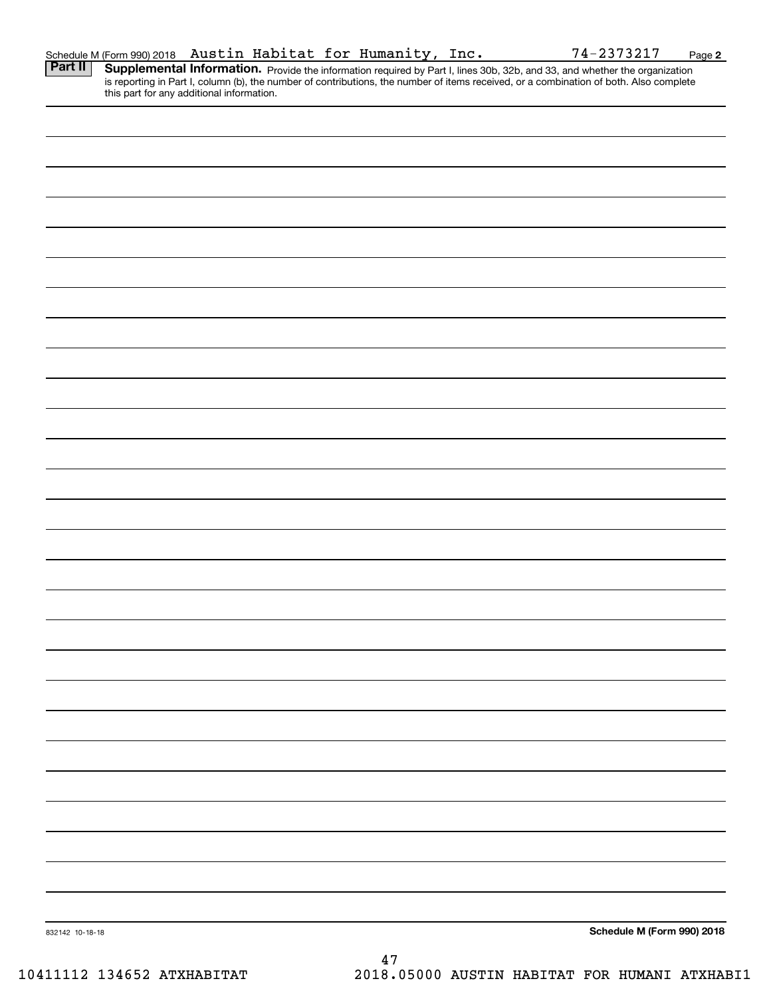| 832142 10-18-18 | Schedule M (Form 990) 2018 |
|-----------------|----------------------------|

Schedule M (Form 990) 2018 Page

Austin Habitat for Humanity, Inc. 74-2373217

**2**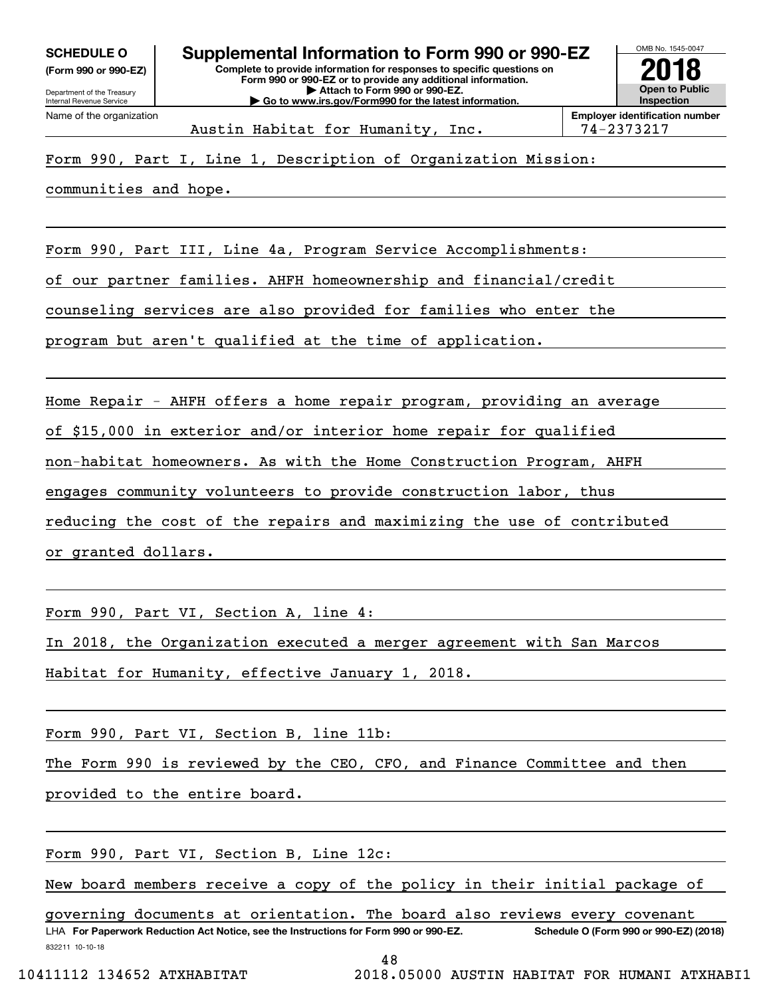**(Form 990 or 990-EZ)**

**Open to Public InspectionEmployer identification number** Austin Habitat for Humanity, Inc. 194-2373217

## Form 990, Part I, Line 1, Description of Organization Mission:

communities and hope.

Form 990, Part III, Line 4a, Program Service Accomplishments:

of our partner families. AHFH homeownership and financial/credit

counseling services are also provided for families who enter the

program but aren't qualified at the time of application.

Home Repair - AHFH offers a home repair program, providing an average

of \$15,000 in exterior and/or interior home repair for qualified

non-habitat homeowners. As with the Home Construction Program, AHFH

engages community volunteers to provide construction labor, thus

reducing the cost of the repairs and maximizing the use of contributed

or granted dollars.

Form 990, Part VI, Section A, line 4:

In 2018, the Organization executed a merger agreement with San Marcos

Habitat for Humanity, effective January 1, 2018.

Form 990, Part VI, Section B, line 11b:

The Form 990 is reviewed by the CEO, CFO, and Finance Committee and then

provided to the entire board.

Form 990, Part VI, Section B, Line 12c:

New board members receive a copy of the policy in their initial package of

832211 10-10-18 LHA For Paperwork Reduction Act Notice, see the Instructions for Form 990 or 990-EZ. Schedule O (Form 990 or 990-EZ) (2018) governing documents at orientation. The board also reviews every covenant

48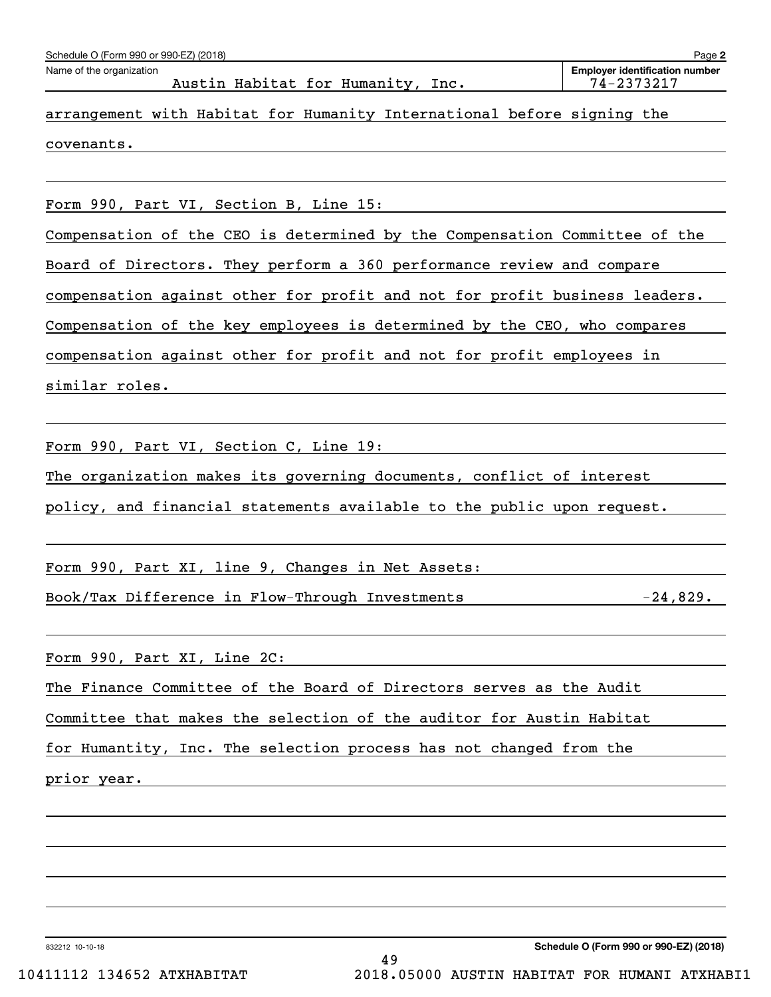| Schedule O (Form 990 or 990-EZ) (2018)                                     | Page 2                                              |
|----------------------------------------------------------------------------|-----------------------------------------------------|
| Name of the organization<br>Austin Habitat for Humanity, Inc.              | <b>Employer identification number</b><br>74-2373217 |
| arrangement with Habitat for Humanity International before signing the     |                                                     |
| covenants.                                                                 |                                                     |
|                                                                            |                                                     |
| Form 990, Part VI, Section B, Line 15:                                     |                                                     |
| Compensation of the CEO is determined by the Compensation Committee of the |                                                     |
| Board of Directors. They perform a 360 performance review and compare      |                                                     |
| compensation against other for profit and not for profit business leaders. |                                                     |
| Compensation of the key employees is determined by the CEO, who compares   |                                                     |
| compensation against other for profit and not for profit employees in      |                                                     |
| similar roles.                                                             |                                                     |
|                                                                            |                                                     |
| Form 990, Part VI, Section C, Line 19:                                     |                                                     |
| The organization makes its governing documents, conflict of interest       |                                                     |
| policy, and financial statements available to the public upon request.     |                                                     |
|                                                                            |                                                     |
| Form 990, Part XI, line 9, Changes in Net Assets:                          |                                                     |
| Book/Tax Difference in Flow-Through Investments                            | $-24,829.$                                          |
|                                                                            |                                                     |
| Form 990, Part XI, Line 2C:                                                |                                                     |
| The Finance Committee of the Board of Directors serves as the Audit        |                                                     |
| Committee that makes the selection of the auditor for Austin Habitat       |                                                     |
| for Humantity, Inc. The selection process has not changed from the         |                                                     |
| prior year.                                                                |                                                     |
|                                                                            |                                                     |
|                                                                            |                                                     |
|                                                                            |                                                     |

832212 10-10-18

**Schedule O (Form 990 or 990-EZ) (2018)**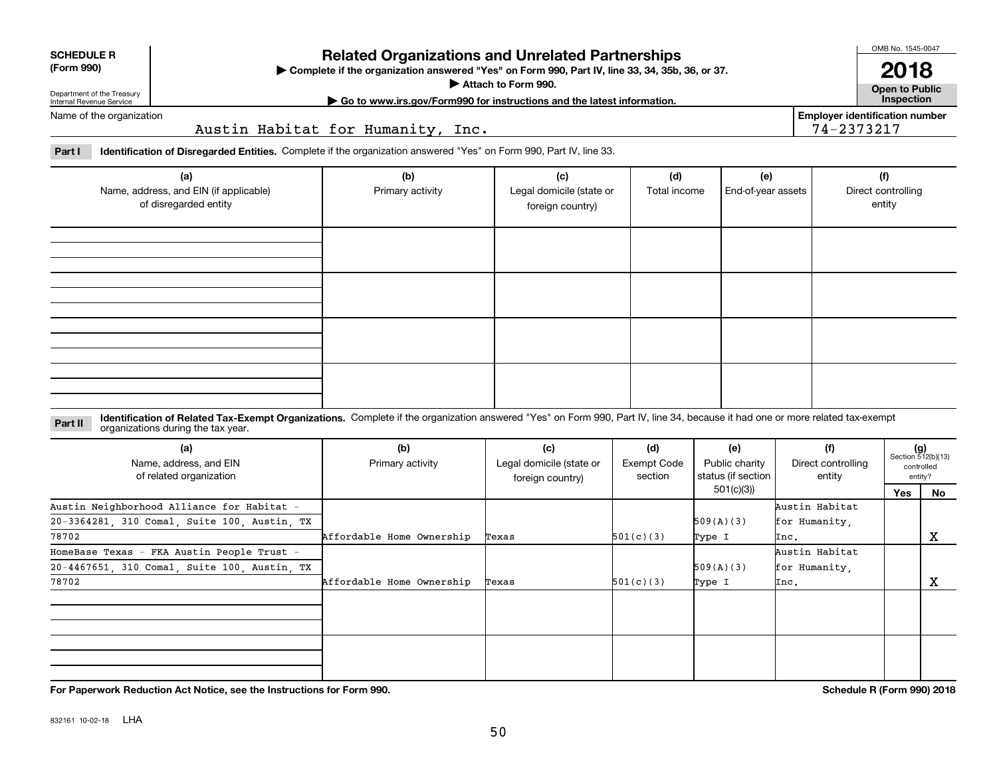| Department of the Treasury<br>Internal Revenue Service |
|--------------------------------------------------------|
| Milano de la falla de la concentración                 |

## **Related Organizations and Unrelated Partnerships**

**Complete if the organization answered "Yes" on Form 990, Part IV, line 33, 34, 35b, 36, or 37.** |

**Attach to Form 990.**  |

OMB No. 1545-0047 **2018**

**Open to Public**

**| Go to www.irs.gov/Form990 for instructions and the latest information. Inspection**

**Employer identification number**

74-2373217

Name of the organization

**SCHEDULE R (Form 990)**

Austin Habitat for Humanity, Inc.

**Part I Identification of Disregarded Entities.**  Complete if the organization answered "Yes" on Form 990, Part IV, line 33.

| (a)<br>Name, address, and EIN (if applicable)<br>of disregarded entity | (b)<br>Primary activity | (c)<br>Legal domicile (state or<br>foreign country) | (d)<br>Total income | (e)<br>End-of-year assets | (f)<br>Direct controlling<br>entity |
|------------------------------------------------------------------------|-------------------------|-----------------------------------------------------|---------------------|---------------------------|-------------------------------------|
|                                                                        |                         |                                                     |                     |                           |                                     |
|                                                                        |                         |                                                     |                     |                           |                                     |
|                                                                        |                         |                                                     |                     |                           |                                     |
|                                                                        |                         |                                                     |                     |                           |                                     |

**Identification of Related Tax-Exempt Organizations.** Complete if the organization answered "Yes" on Form 990, Part IV, line 34, because it had one or more related tax-exempt **Part II** organizations during the tax year.

| (a)<br>Name, address, and EIN<br>of related organization | (b)<br>Primary activity   | (c)<br>Legal domicile (state or<br>foreign country) | (d)<br>Exempt Code<br>section | (e)<br>Public charity<br>status (if section | (f)<br>Direct controlling<br>entity |     | $(g)$<br>Section 512(b)(13)<br>controlled<br>entity? |
|----------------------------------------------------------|---------------------------|-----------------------------------------------------|-------------------------------|---------------------------------------------|-------------------------------------|-----|------------------------------------------------------|
|                                                          |                           |                                                     |                               | 501(c)(3))                                  |                                     | Yes | No                                                   |
| Austin Neighborhood Alliance for Habitat -               |                           |                                                     |                               |                                             | Austin Habitat                      |     |                                                      |
| 20-3364281, 310 Comal, Suite 100, Austin, TX             |                           |                                                     |                               | 509(A)(3)                                   | for Humanity.                       |     |                                                      |
| 78702                                                    | Affordable Home Ownership | Texas                                               | 501(c)(3)                     | Type I                                      | Inc.                                |     | х                                                    |
| HomeBase Texas - FKA Austin People Trust -               |                           |                                                     |                               |                                             | Austin Habitat                      |     |                                                      |
| 20-4467651, 310 Comal, Suite 100, Austin, TX             |                           |                                                     |                               | 509(A)(3)                                   | for Humanity,                       |     |                                                      |
| 78702                                                    | Affordable Home Ownership | Texas                                               | 501(c)(3)                     | Type I                                      | Inc.                                |     | х                                                    |
|                                                          |                           |                                                     |                               |                                             |                                     |     |                                                      |
|                                                          |                           |                                                     |                               |                                             |                                     |     |                                                      |

**For Paperwork Reduction Act Notice, see the Instructions for Form 990. Schedule R (Form 990) 2018**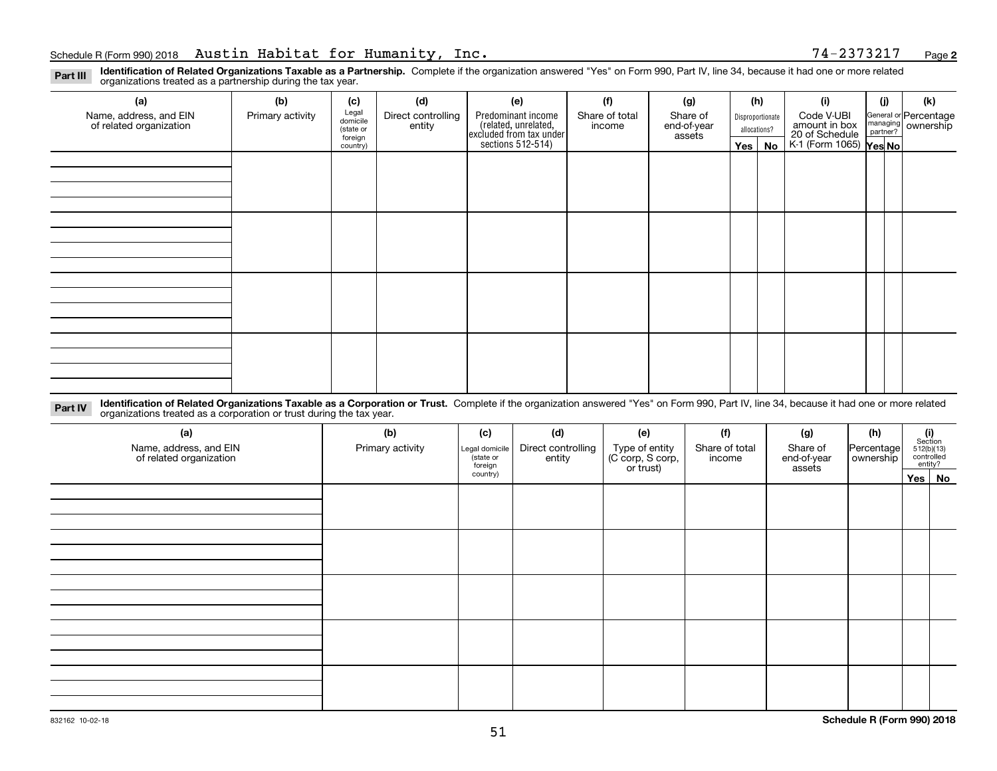**2**

**Identification of Related Organizations Taxable as a Partnership.** Complete if the organization answered "Yes" on Form 990, Part IV, line 34, because it had one or more related **Part III** organizations treated as a partnership during the tax year.

| (a)                                               | (b)              | (c)                  | (d)                          | (e)                                                                 | (f)                      | (g)                     |            | (h)              | (i)                                      | (i) | (k)                   |
|---------------------------------------------------|------------------|----------------------|------------------------------|---------------------------------------------------------------------|--------------------------|-------------------------|------------|------------------|------------------------------------------|-----|-----------------------|
| Name, address, and EIN<br>of related organization | Primary activity | Legal<br>domicile    | Direct controlling<br>entity | Predominant income                                                  | Share of total<br>income | Share of<br>end-of-year |            | Disproportionate | Code V-UBI<br>amount in box              |     | General or Percentage |
|                                                   |                  | (state or<br>foreign |                              | related, unrelated,<br>excluded from tax under<br>sections 512-514) |                          | assets                  |            | allocations?     |                                          |     | managing ownership    |
|                                                   |                  | country)             |                              |                                                                     |                          |                         | $Yes \mid$ | No               | 20 of Schedule<br>K-1 (Form 1065) Yes No |     |                       |
|                                                   |                  |                      |                              |                                                                     |                          |                         |            |                  |                                          |     |                       |
|                                                   |                  |                      |                              |                                                                     |                          |                         |            |                  |                                          |     |                       |
|                                                   |                  |                      |                              |                                                                     |                          |                         |            |                  |                                          |     |                       |
|                                                   |                  |                      |                              |                                                                     |                          |                         |            |                  |                                          |     |                       |
|                                                   |                  |                      |                              |                                                                     |                          |                         |            |                  |                                          |     |                       |
|                                                   |                  |                      |                              |                                                                     |                          |                         |            |                  |                                          |     |                       |
|                                                   |                  |                      |                              |                                                                     |                          |                         |            |                  |                                          |     |                       |
|                                                   |                  |                      |                              |                                                                     |                          |                         |            |                  |                                          |     |                       |
|                                                   |                  |                      |                              |                                                                     |                          |                         |            |                  |                                          |     |                       |
|                                                   |                  |                      |                              |                                                                     |                          |                         |            |                  |                                          |     |                       |
|                                                   |                  |                      |                              |                                                                     |                          |                         |            |                  |                                          |     |                       |
|                                                   |                  |                      |                              |                                                                     |                          |                         |            |                  |                                          |     |                       |
|                                                   |                  |                      |                              |                                                                     |                          |                         |            |                  |                                          |     |                       |
|                                                   |                  |                      |                              |                                                                     |                          |                         |            |                  |                                          |     |                       |
|                                                   |                  |                      |                              |                                                                     |                          |                         |            |                  |                                          |     |                       |
|                                                   |                  |                      |                              |                                                                     |                          |                         |            |                  |                                          |     |                       |
|                                                   |                  |                      |                              |                                                                     |                          |                         |            |                  |                                          |     |                       |
|                                                   |                  |                      |                              |                                                                     |                          |                         |            |                  |                                          |     |                       |

**Identification of Related Organizations Taxable as a Corporation or Trust.** Complete if the organization answered "Yes" on Form 990, Part IV, line 34, because it had one or more related **Part IV** organizations treated as a corporation or trust during the tax year.

| (a)<br>Name, address, and EIN<br>of related organization | (b)<br>Primary activity | (c)<br>Legal domicile<br>state or<br>foreign | (d)<br>(f)<br>(e)<br>Direct controlling<br>Share of total<br>entity<br>income |  | (g)<br>Type of entity<br>(C corp, S corp,<br>or trust)<br>Share of<br>Percentage<br>end-of-year<br>ownership<br>assets |  |  |        |  | $(i)$ Section<br>512(b)(13)<br>controlled<br>entity? |  |
|----------------------------------------------------------|-------------------------|----------------------------------------------|-------------------------------------------------------------------------------|--|------------------------------------------------------------------------------------------------------------------------|--|--|--------|--|------------------------------------------------------|--|
|                                                          |                         | country)                                     |                                                                               |  |                                                                                                                        |  |  | Yes No |  |                                                      |  |
|                                                          |                         |                                              |                                                                               |  |                                                                                                                        |  |  |        |  |                                                      |  |
|                                                          |                         |                                              |                                                                               |  |                                                                                                                        |  |  |        |  |                                                      |  |
|                                                          |                         |                                              |                                                                               |  |                                                                                                                        |  |  |        |  |                                                      |  |
|                                                          |                         |                                              |                                                                               |  |                                                                                                                        |  |  |        |  |                                                      |  |
|                                                          |                         |                                              |                                                                               |  |                                                                                                                        |  |  |        |  |                                                      |  |
|                                                          |                         |                                              |                                                                               |  |                                                                                                                        |  |  |        |  |                                                      |  |
|                                                          |                         |                                              |                                                                               |  |                                                                                                                        |  |  |        |  |                                                      |  |
|                                                          |                         |                                              |                                                                               |  |                                                                                                                        |  |  |        |  |                                                      |  |
|                                                          |                         |                                              |                                                                               |  |                                                                                                                        |  |  |        |  |                                                      |  |
|                                                          |                         |                                              |                                                                               |  |                                                                                                                        |  |  |        |  |                                                      |  |
|                                                          |                         |                                              |                                                                               |  |                                                                                                                        |  |  |        |  |                                                      |  |
|                                                          |                         |                                              |                                                                               |  |                                                                                                                        |  |  |        |  |                                                      |  |
|                                                          |                         |                                              |                                                                               |  |                                                                                                                        |  |  |        |  |                                                      |  |
|                                                          |                         |                                              |                                                                               |  |                                                                                                                        |  |  |        |  |                                                      |  |
|                                                          |                         |                                              |                                                                               |  |                                                                                                                        |  |  |        |  |                                                      |  |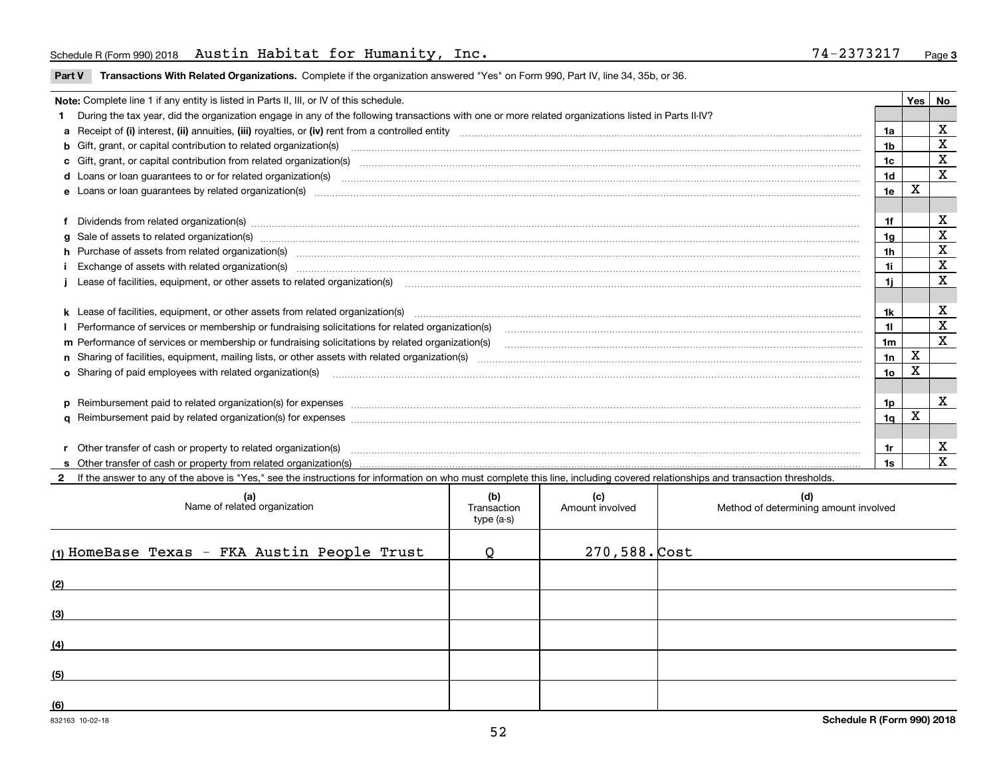## Schedule R (Form 990) 2018 Austin Habitat for Humanity, Inc. 74-2373217 Page

**Part V** T**ransactions With Related Organizations.** Complete if the organization answered "Yes" on Form 990, Part IV, line 34, 35b, or 36.

| Note: Complete line 1 if any entity is listed in Parts II, III, or IV of this schedule.                                                                                                                                        |                 | Yes | No                      |
|--------------------------------------------------------------------------------------------------------------------------------------------------------------------------------------------------------------------------------|-----------------|-----|-------------------------|
| During the tax year, did the organization engage in any of the following transactions with one or more related organizations listed in Parts II-IV?                                                                            |                 |     |                         |
|                                                                                                                                                                                                                                | 1a              |     | $\mathbf X$             |
| b Gift, grant, or capital contribution to related organization(s) mature and contained and contribution to related organization(s) matures are contained and contribution to related organization(s) matures are contained and | 1b              |     | X                       |
|                                                                                                                                                                                                                                | 1c              |     | $\mathbf X$             |
|                                                                                                                                                                                                                                | 1d              |     | $\mathbf{x}$            |
|                                                                                                                                                                                                                                | 1e              | X   |                         |
|                                                                                                                                                                                                                                |                 |     |                         |
|                                                                                                                                                                                                                                | 1f              |     | х                       |
| g Sale of assets to related organization(s) www.assettion.com/www.assettion.com/www.assettion.com/www.assettion.com/www.assettion.com/www.assettion.com/www.assettion.com/www.assettion.com/www.assettion.com/www.assettion.co | 1g              |     | $\mathbf X$             |
| h Purchase of assets from related organization(s) manufactured and content to content the content of assets from related organization(s)                                                                                       | 1h              |     | $\mathbf X$             |
|                                                                                                                                                                                                                                | 1i.             |     | $\mathbf X$             |
| Lease of facilities, equipment, or other assets to related organization(s) [11] manufactured manufactured manufactured manufactured manufactured manufactured manufactured manufactured manufactured manufactured manufactured | 11              |     | X                       |
|                                                                                                                                                                                                                                |                 |     |                         |
|                                                                                                                                                                                                                                | 1k              |     | х                       |
| Performance of services or membership or fundraising solicitations for related organization(s) [11] manufaction(s) and accordination in the service of services or membership or fundraising solicitations for related organiz | 11              |     | $\mathbf X$             |
| m Performance of services or membership or fundraising solicitations by related organization(s)                                                                                                                                | 1 <sub>m</sub>  |     | $\overline{\mathbf{x}}$ |
|                                                                                                                                                                                                                                | 1n              | X   |                         |
| <b>o</b> Sharing of paid employees with related organization(s)                                                                                                                                                                | 10 <sub>o</sub> | х   |                         |
|                                                                                                                                                                                                                                |                 |     |                         |
| p Reimbursement paid to related organization(s) for expenses [1111] and the content of the content of the content of the content of the content of the content of the content of the content of the content of the content of  | 1p.             |     | X                       |
|                                                                                                                                                                                                                                | 1q              | X   |                         |
|                                                                                                                                                                                                                                |                 |     |                         |
| r Other transfer of cash or property to related organization(s)                                                                                                                                                                | 1r              |     | х                       |
|                                                                                                                                                                                                                                | 1s              |     | $\overline{\mathbf{x}}$ |
| 2 If the answer to any of the above is "Yes," see the instructions for information on who must complete this line, including covered relationships and transaction thresholds.                                                 |                 |     |                         |

| (a)<br>Name of related organization          | (b)<br>Transaction<br>type (a-s) | (c)<br>Amount involved | (d)<br>Method of determining amount involved |
|----------------------------------------------|----------------------------------|------------------------|----------------------------------------------|
| (1) HomeBase Texas - FKA Austin People Trust | $\Omega$                         | $270,588.$ Cost        |                                              |
| (2)                                          |                                  |                        |                                              |
| (3)                                          |                                  |                        |                                              |
| (4)                                          |                                  |                        |                                              |
| (5)                                          |                                  |                        |                                              |
| (6)                                          |                                  |                        |                                              |

 $\overline{\phantom{a}}$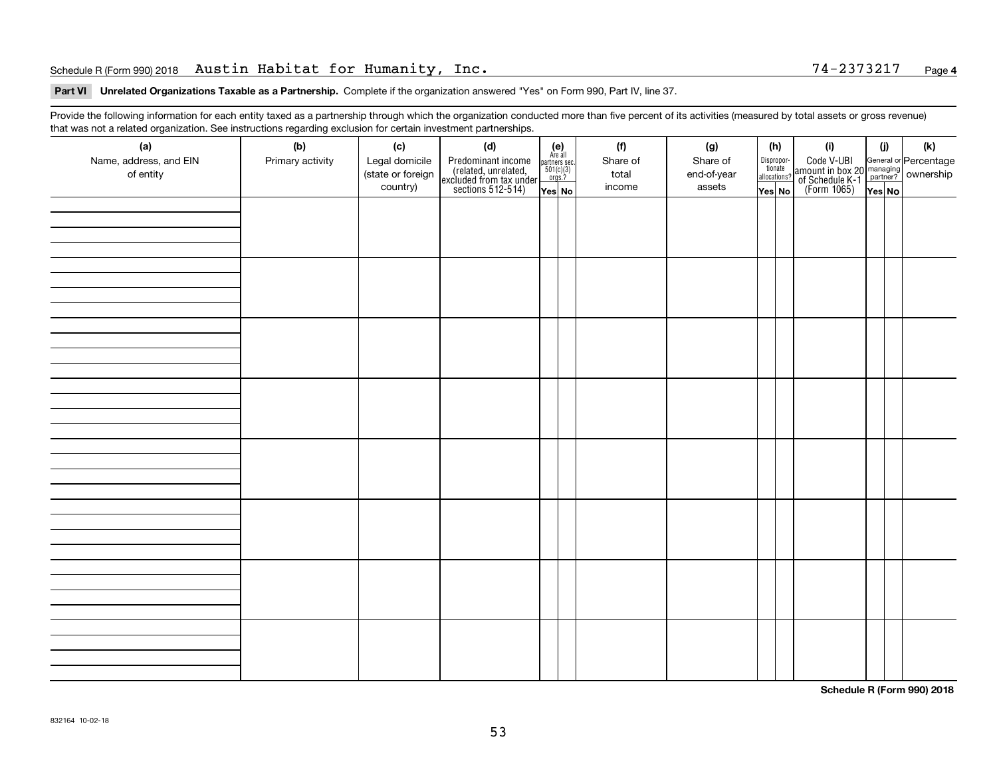## Schedule R (Form 990) 2018 Austin Habitat for Humanity, Inc. 74-2373217 Page

### **Part VI Unrelated Organizations Taxable as a Partnership. Complete if the organization answered "Yes" on Form 990, Part IV, line 37.**

Provide the following information for each entity taxed as a partnership through which the organization conducted more than five percent of its activities (measured by total assets or gross revenue) that was not a related organization. See instructions regarding exclusion for certain investment partnerships.

| (a)<br>Name, address, and EIN<br>of entity | (b)<br>Primary activity | (c)<br>Legal domicile<br>(state or foreign<br>country) | (d)<br>Predominant income<br>(related, unrelated,<br>excluded from tax under<br>sections 512-514) | $(e)$<br>Are all<br>partners sec.<br>$501(c)(3)$<br>orgs.?<br>Yes No | (f)<br>Share of<br>total<br>income | (g)<br>Share of<br>end-of-year<br>assets | (h)<br>Dispropor-<br>tionate<br>allocations?<br>$\sqrt{Y}$ es No | (i)<br>Code V-UBI<br>amount in box 20 managing<br>of Schedule K-1<br>(Form 1065)<br>$\overline{Yes}$ No | (i) | (k) |
|--------------------------------------------|-------------------------|--------------------------------------------------------|---------------------------------------------------------------------------------------------------|----------------------------------------------------------------------|------------------------------------|------------------------------------------|------------------------------------------------------------------|---------------------------------------------------------------------------------------------------------|-----|-----|
|                                            |                         |                                                        |                                                                                                   |                                                                      |                                    |                                          |                                                                  |                                                                                                         |     |     |
|                                            |                         |                                                        |                                                                                                   |                                                                      |                                    |                                          |                                                                  |                                                                                                         |     |     |
|                                            |                         |                                                        |                                                                                                   |                                                                      |                                    |                                          |                                                                  |                                                                                                         |     |     |
|                                            |                         |                                                        |                                                                                                   |                                                                      |                                    |                                          |                                                                  |                                                                                                         |     |     |
|                                            |                         |                                                        |                                                                                                   |                                                                      |                                    |                                          |                                                                  |                                                                                                         |     |     |
|                                            |                         |                                                        |                                                                                                   |                                                                      |                                    |                                          |                                                                  |                                                                                                         |     |     |
|                                            |                         |                                                        |                                                                                                   |                                                                      |                                    |                                          |                                                                  |                                                                                                         |     |     |
|                                            |                         |                                                        |                                                                                                   |                                                                      |                                    |                                          |                                                                  |                                                                                                         |     |     |

**Schedule R (Form 990) 2018**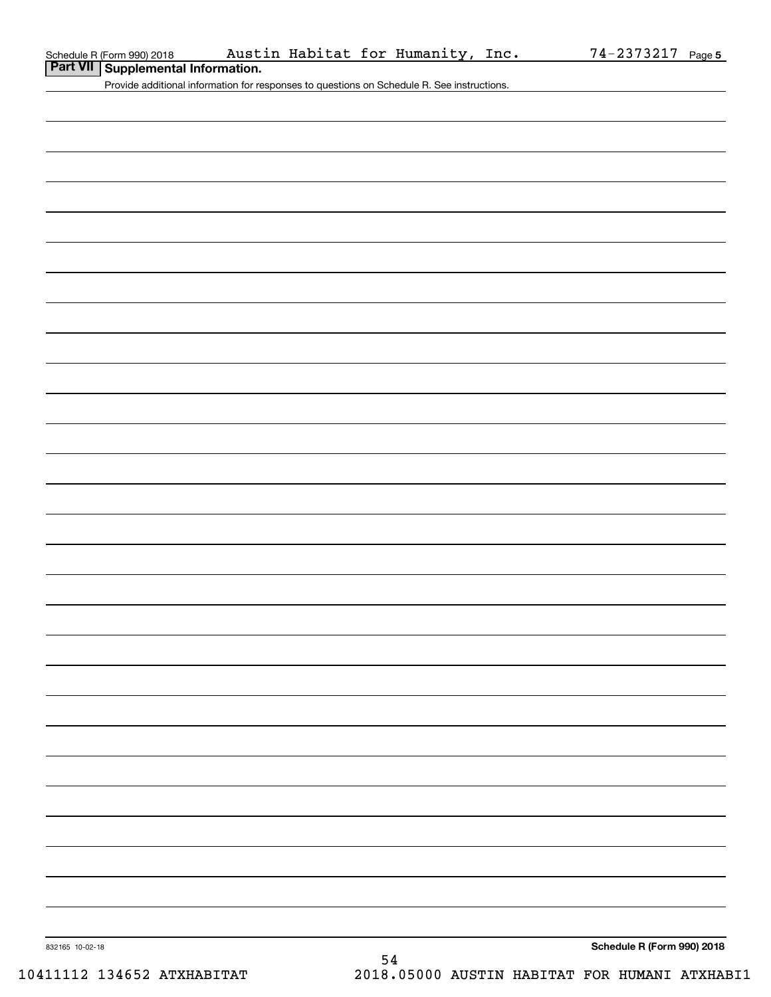Provide additional information for responses to questions on Schedule R. See instructions.

**Schedule R (Form 990) 2018**

832165 10-02-18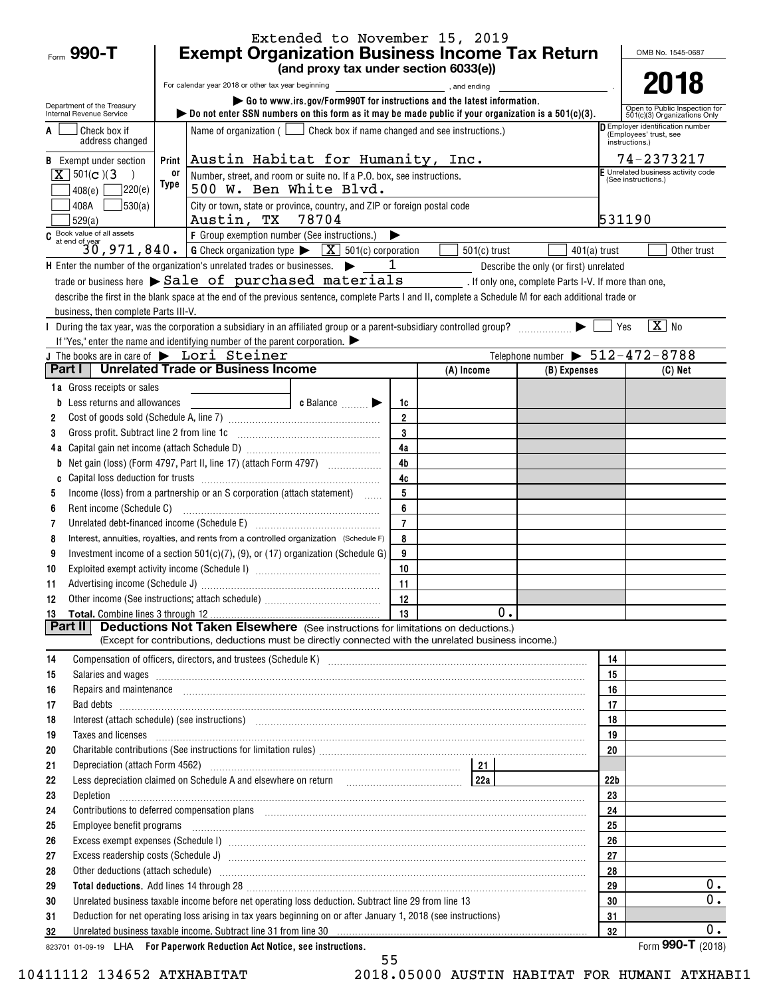| Form $990 - T$                                         | <b>Exempt Organization Business Income Tax Return</b>                                                                                                                                                                                                                                                                                  | Extended to November 15, 2019                                                  |                |                |                                                |                 | OMB No. 1545-0687                                              |  |  |
|--------------------------------------------------------|----------------------------------------------------------------------------------------------------------------------------------------------------------------------------------------------------------------------------------------------------------------------------------------------------------------------------------------|--------------------------------------------------------------------------------|----------------|----------------|------------------------------------------------|-----------------|----------------------------------------------------------------|--|--|
|                                                        |                                                                                                                                                                                                                                                                                                                                        | (and proxy tax under section 6033(e))                                          |                |                |                                                |                 |                                                                |  |  |
|                                                        | For calendar year 2018 or other tax year beginning                                                                                                                                                                                                                                                                                     |                                                                                |                |                |                                                |                 | 2018                                                           |  |  |
| Department of the Treasury<br>Internal Revenue Service | bo not enter SSN numbers on this form as it may be made public if your organization is a $501(c)(3)$ .                                                                                                                                                                                                                                 | Go to www.irs.gov/Form990T for instructions and the latest information.        |                |                |                                                |                 | Open to Public Inspection for                                  |  |  |
| Check box if                                           |                                                                                                                                                                                                                                                                                                                                        | Name of organization ( $\Box$ Check box if name changed and see instructions.) |                |                |                                                |                 | 501(c)(3) Organizations Only<br>Employer identification number |  |  |
| address changed                                        |                                                                                                                                                                                                                                                                                                                                        |                                                                                |                |                |                                                |                 | (Employees' trust, see<br>instructions.)                       |  |  |
| <b>B</b> Exempt under section                          | Print                                                                                                                                                                                                                                                                                                                                  | Austin Habitat for Humanity, Inc.                                              |                |                |                                                |                 |                                                                |  |  |
| $\overline{X}$ 501(c)(3)                               | 0ľ                                                                                                                                                                                                                                                                                                                                     | Number, street, and room or suite no. If a P.O. box, see instructions.         |                |                |                                                |                 |                                                                |  |  |
| ]220(e)<br>408(e)                                      | Type                                                                                                                                                                                                                                                                                                                                   | 500 W. Ben White Blvd.                                                         |                |                |                                                |                 | (See instructions.)                                            |  |  |
| 530(a) <br>408A                                        | City or town, state or province, country, and ZIP or foreign postal code                                                                                                                                                                                                                                                               |                                                                                |                |                |                                                |                 |                                                                |  |  |
| 529(a)                                                 | Austin, TX 78704                                                                                                                                                                                                                                                                                                                       |                                                                                |                |                |                                                | 531190          |                                                                |  |  |
|                                                        | C Book value of all assets<br>30, 971, 840.<br>6 Check organization type $\triangleright$ X 501(c) corporation                                                                                                                                                                                                                         |                                                                                |                |                |                                                |                 |                                                                |  |  |
|                                                        |                                                                                                                                                                                                                                                                                                                                        |                                                                                |                | $501(c)$ trust | $401(a)$ trust                                 |                 | Other trust                                                    |  |  |
|                                                        | <b>H</b> Enter the number of the organization's unrelated trades or businesses. $\triangleright$ $\square$                                                                                                                                                                                                                             |                                                                                |                |                | Describe the only (or first) unrelated         |                 |                                                                |  |  |
|                                                        | trade or business here > Sale of purchased materials (end one, complete Parts I-V. If more than one,<br>describe the first in the blank space at the end of the previous sentence, complete Parts I and II, complete a Schedule M for each additional trade or                                                                         |                                                                                |                |                |                                                |                 |                                                                |  |  |
| business, then complete Parts III-V.                   |                                                                                                                                                                                                                                                                                                                                        |                                                                                |                |                |                                                |                 |                                                                |  |  |
|                                                        | During the tax year, was the corporation a subsidiary in an affiliated group or a parent-subsidiary controlled group?                                                                                                                                                                                                                  |                                                                                |                |                |                                                | Yes             | $\boxed{\text{X}}$ No                                          |  |  |
|                                                        | If "Yes," enter the name and identifying number of the parent corporation.                                                                                                                                                                                                                                                             |                                                                                |                |                |                                                |                 |                                                                |  |  |
|                                                        | J The books are in care of $\blacktriangleright$ Lori Steiner                                                                                                                                                                                                                                                                          |                                                                                |                |                | Telephone number $\triangleright$ 512-472-8788 |                 |                                                                |  |  |
|                                                        | <b>Part I   Unrelated Trade or Business Income</b>                                                                                                                                                                                                                                                                                     |                                                                                |                | (A) Income     | (B) Expenses                                   |                 | $(C)$ Net                                                      |  |  |
| <b>1a</b> Gross receipts or sales                      |                                                                                                                                                                                                                                                                                                                                        |                                                                                |                |                |                                                |                 |                                                                |  |  |
| <b>b</b> Less returns and allowances                   |                                                                                                                                                                                                                                                                                                                                        | c Balance $\Box$                                                               | 1c             |                |                                                |                 |                                                                |  |  |
| 2                                                      |                                                                                                                                                                                                                                                                                                                                        |                                                                                | $\overline{2}$ |                |                                                |                 |                                                                |  |  |
| 3                                                      |                                                                                                                                                                                                                                                                                                                                        |                                                                                | 3              |                |                                                |                 |                                                                |  |  |
|                                                        |                                                                                                                                                                                                                                                                                                                                        |                                                                                | 4a             |                |                                                |                 |                                                                |  |  |
| b                                                      | Net gain (loss) (Form 4797, Part II, line 17) (attach Form 4797)                                                                                                                                                                                                                                                                       |                                                                                | 4 <sub>b</sub> |                |                                                |                 |                                                                |  |  |
| C                                                      |                                                                                                                                                                                                                                                                                                                                        |                                                                                | 4c<br>5        |                |                                                |                 |                                                                |  |  |
| 5                                                      | Income (loss) from a partnership or an S corporation (attach statement)                                                                                                                                                                                                                                                                |                                                                                | 6              |                |                                                |                 |                                                                |  |  |
| 6<br>7                                                 | Unrelated debt-financed income (Schedule E) [11] [2010] [2010] [2010] [2010] [2010] [2010] [2010] [2010] [2010                                                                                                                                                                                                                         |                                                                                | $\overline{7}$ |                |                                                |                 |                                                                |  |  |
| 8                                                      | Interest, annuities, royalties, and rents from a controlled organization (Schedule F)                                                                                                                                                                                                                                                  |                                                                                | 8              |                |                                                |                 |                                                                |  |  |
| 9                                                      | Investment income of a section 501(c)(7), (9), or (17) organization (Schedule G)                                                                                                                                                                                                                                                       |                                                                                | 9              |                |                                                |                 |                                                                |  |  |
| 10                                                     |                                                                                                                                                                                                                                                                                                                                        |                                                                                | 10             |                |                                                |                 |                                                                |  |  |
| 11                                                     |                                                                                                                                                                                                                                                                                                                                        |                                                                                | 11             |                |                                                |                 |                                                                |  |  |
| 12                                                     |                                                                                                                                                                                                                                                                                                                                        |                                                                                |                |                |                                                |                 |                                                                |  |  |
| 13                                                     |                                                                                                                                                                                                                                                                                                                                        |                                                                                |                | 0.             |                                                |                 |                                                                |  |  |
| Part II                                                | <b>Deductions Not Taken Elsewhere</b> (See instructions for limitations on deductions.)                                                                                                                                                                                                                                                |                                                                                |                |                |                                                |                 |                                                                |  |  |
|                                                        | (Except for contributions, deductions must be directly connected with the unrelated business income.)                                                                                                                                                                                                                                  |                                                                                |                |                |                                                |                 |                                                                |  |  |
| 14                                                     | Compensation of officers, directors, and trustees (Schedule K) [11] [2000] [2000] [2000] [2000] [2000] [2000] [3000] [3000] [3000] [3000] [3000] [3000] [3000] [3000] [3000] [3000] [3000] [3000] [3000] [3000] [3000] [3000]                                                                                                          |                                                                                |                |                |                                                | 14              |                                                                |  |  |
| 15                                                     | Salaries and wages information continuous contracts and wages in the salaries and wages incommutation of the salarities and wages in the salarities of the salarities and wages in the salarities of the salarities of the sal                                                                                                         |                                                                                |                |                |                                                | 15<br>16        |                                                                |  |  |
| 16<br>17                                               | Repairs and maintenance <i>[1] [1] [1] [1] [1] [1] [1] [1] [1] [1]</i> [1] <b>[1]</b> [1] <b>[1]</b> [1] <b>[1] [1] [1] [1] [1] [1] [1] [1] [1] [1] [1] [1] [1] [1] [1] [1] [1] [1] [1] [1] [1] [1]</b>                                                                                                                                |                                                                                |                |                |                                                | 17              |                                                                |  |  |
| 18                                                     | Interest (attach schedule) (see instructions) www.communications.communications.communications.communications.                                                                                                                                                                                                                         |                                                                                |                |                |                                                | 18              |                                                                |  |  |
| 19                                                     | Taxes and licenses <b>construction and construction of the construction of the construction</b> of the construction of the construction of the construction of the construction of the construction of the construction of the cons                                                                                                    |                                                                                |                |                |                                                | 19              |                                                                |  |  |
| 20                                                     |                                                                                                                                                                                                                                                                                                                                        |                                                                                |                |                |                                                | 20              |                                                                |  |  |
| 21                                                     |                                                                                                                                                                                                                                                                                                                                        |                                                                                |                |                |                                                |                 |                                                                |  |  |
| 22                                                     |                                                                                                                                                                                                                                                                                                                                        |                                                                                |                |                |                                                | 22 <sub>b</sub> |                                                                |  |  |
| 23                                                     |                                                                                                                                                                                                                                                                                                                                        |                                                                                |                |                |                                                | 23              |                                                                |  |  |
| 24                                                     |                                                                                                                                                                                                                                                                                                                                        |                                                                                |                |                |                                                | 24              |                                                                |  |  |
| 25                                                     | Employee benefit programs in the continuum contract of the contract of the contract of the contract of the contract of the contract of the contract of the contract of the contract of the contract of the contract of the con                                                                                                         |                                                                                |                |                |                                                | 25              |                                                                |  |  |
| 26                                                     |                                                                                                                                                                                                                                                                                                                                        |                                                                                |                |                |                                                | 26              |                                                                |  |  |
| 27                                                     |                                                                                                                                                                                                                                                                                                                                        |                                                                                |                |                |                                                | 27              |                                                                |  |  |
| 28                                                     |                                                                                                                                                                                                                                                                                                                                        |                                                                                |                |                |                                                | 28              | $0$ .                                                          |  |  |
| 29                                                     | Total deductions. Add lines 14 through 28 [11] manufactures in the contract of the contract of the contract of the contract of the contract of the contract of the contract of the contract of the contract of the contract of<br>Unrelated business taxable income before net operating loss deduction. Subtract line 29 from line 13 |                                                                                |                |                |                                                | 29<br>30        | $\overline{0}$ .                                               |  |  |
| 30<br>31                                               | Deduction for net operating loss arising in tax years beginning on or after January 1, 2018 (see instructions)                                                                                                                                                                                                                         |                                                                                |                |                |                                                | 31              |                                                                |  |  |
| 32                                                     | Unrelated business taxable income. Subtract line 31 from line 30 [11] [12] material contents and the state income state in the state of the state income state in the state of the state income state in the state in the stat                                                                                                         |                                                                                |                |                |                                                | 32              | $0$ .                                                          |  |  |
|                                                        | 823701 01-09-19 LHA For Paperwork Reduction Act Notice, see instructions.                                                                                                                                                                                                                                                              |                                                                                |                |                |                                                |                 | Form 990-T $(2018)$                                            |  |  |

<sup>55</sup>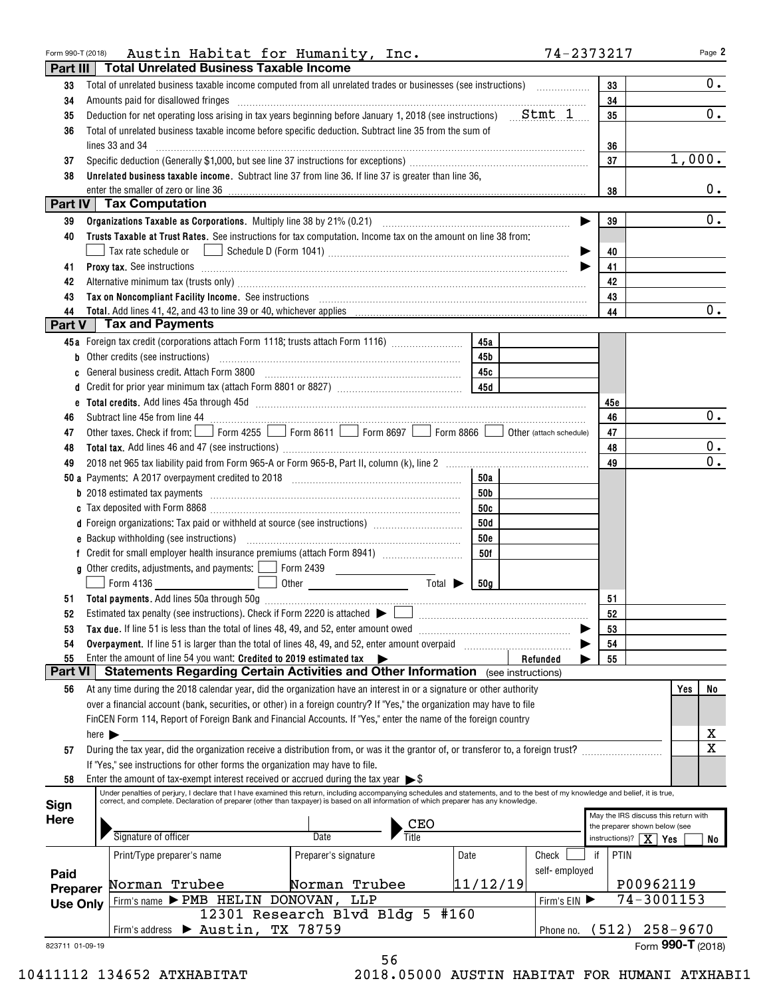| Form 990-T (2018)   | Austin Habitat for Humanity, Inc.                                                                                                                                                                                                                                                                                         |                                   |                 | 74-2373217    |                                    | Page 2                               |
|---------------------|---------------------------------------------------------------------------------------------------------------------------------------------------------------------------------------------------------------------------------------------------------------------------------------------------------------------------|-----------------------------------|-----------------|---------------|------------------------------------|--------------------------------------|
| Part III            | <b>Total Unrelated Business Taxable Income</b>                                                                                                                                                                                                                                                                            |                                   |                 |               |                                    |                                      |
| 33                  | Total of unrelated business taxable income computed from all unrelated trades or businesses (see instructions)                                                                                                                                                                                                            |                                   |                 |               | 33                                 | $0_{\cdot}$                          |
| 34                  | Amounts paid for disallowed fringes <b>contained and an intervention contained and an intervention contained</b>                                                                                                                                                                                                          |                                   |                 |               | 34                                 |                                      |
| 35                  | Deduction for net operating loss arising in tax years beginning before January 1, 2018 (see instructions) $Stmt 1$                                                                                                                                                                                                        |                                   |                 |               | 35                                 | $\overline{0}$ .                     |
| 36                  | Total of unrelated business taxable income before specific deduction. Subtract line 35 from the sum of                                                                                                                                                                                                                    |                                   |                 |               |                                    |                                      |
|                     | lines 33 and 34                                                                                                                                                                                                                                                                                                           |                                   |                 |               | 36                                 |                                      |
| 37                  |                                                                                                                                                                                                                                                                                                                           |                                   |                 |               | 37                                 | 1,000.                               |
| 38                  | Unrelated business taxable income. Subtract line 37 from line 36. If line 37 is greater than line 36,                                                                                                                                                                                                                     |                                   |                 |               |                                    |                                      |
|                     | enter the smaller of zero or line 36                                                                                                                                                                                                                                                                                      |                                   |                 |               | 38                                 | $0_{.}$                              |
|                     | Part IV   Tax Computation                                                                                                                                                                                                                                                                                                 |                                   |                 |               |                                    |                                      |
| 39                  |                                                                                                                                                                                                                                                                                                                           |                                   |                 |               | 39                                 | $\overline{0}$ .                     |
| 40                  | Trusts Taxable at Trust Rates. See instructions for tax computation. Income tax on the amount on line 38 from:                                                                                                                                                                                                            |                                   |                 |               |                                    |                                      |
|                     | Tax rate schedule or                                                                                                                                                                                                                                                                                                      |                                   |                 |               | 40                                 |                                      |
| 41                  | Proxy tax. See instructions information and contact the contract of the contract of the contract of the contract of the contract of the contract of the contract of the contract of the contract of the contract of the contra                                                                                            |                                   |                 |               | 41                                 |                                      |
| 42                  |                                                                                                                                                                                                                                                                                                                           |                                   |                 |               | 42                                 |                                      |
| 43                  | Tax on Noncompliant Facility Income. See instructions [11] [12] matter contracts and a set of Moncompliant Facility Income. See instructions [11] matter contracts and a set of Moncompliant Facility Income.                                                                                                             |                                   |                 |               | 43                                 |                                      |
| 44                  |                                                                                                                                                                                                                                                                                                                           |                                   |                 |               | 44                                 | $0$ .                                |
|                     | Part V   Tax and Payments                                                                                                                                                                                                                                                                                                 |                                   |                 |               |                                    |                                      |
|                     | 45a Foreign tax credit (corporations attach Form 1118; trusts attach Form 1116)                                                                                                                                                                                                                                           |                                   | 45a             |               |                                    |                                      |
|                     | <b>b</b> Other credits (see instructions)                                                                                                                                                                                                                                                                                 |                                   | 45 <sub>b</sub> |               |                                    |                                      |
|                     | General business credit. Attach Form 3800 [11] [11] Contract the substitution of the Seneral Dusiness credit.                                                                                                                                                                                                             |                                   | 45с             |               |                                    |                                      |
| d                   |                                                                                                                                                                                                                                                                                                                           |                                   |                 |               |                                    |                                      |
|                     |                                                                                                                                                                                                                                                                                                                           |                                   |                 |               | 45e                                |                                      |
| 46                  |                                                                                                                                                                                                                                                                                                                           |                                   |                 |               | 46                                 | 0.                                   |
| 47                  | Other taxes. Check if from: Form 4255 Form 8611 Form 8697 Form 8866 Obter (attach schedule)                                                                                                                                                                                                                               |                                   |                 |               | 47                                 |                                      |
| 48                  |                                                                                                                                                                                                                                                                                                                           |                                   |                 |               | 48                                 | 0.                                   |
| 49                  |                                                                                                                                                                                                                                                                                                                           |                                   |                 |               | 49                                 | $\overline{\mathbf{0}}$ .            |
|                     |                                                                                                                                                                                                                                                                                                                           |                                   | 50a             |               |                                    |                                      |
|                     |                                                                                                                                                                                                                                                                                                                           |                                   | 50b             |               |                                    |                                      |
|                     |                                                                                                                                                                                                                                                                                                                           |                                   | 50c             |               |                                    |                                      |
|                     | d Foreign organizations: Tax paid or withheld at source (see instructions) [                                                                                                                                                                                                                                              |                                   | 50d             |               |                                    |                                      |
|                     |                                                                                                                                                                                                                                                                                                                           |                                   | <b>50e</b>      |               |                                    |                                      |
|                     |                                                                                                                                                                                                                                                                                                                           |                                   | 50f             |               |                                    |                                      |
|                     | g Other credits, adjustments, and payments:   Form 2439                                                                                                                                                                                                                                                                   |                                   |                 |               |                                    |                                      |
|                     | Form 4136                                                                                                                                                                                                                                                                                                                 | Total $\blacktriangleright$       | 50g             |               |                                    |                                      |
|                     |                                                                                                                                                                                                                                                                                                                           |                                   |                 |               | 51                                 |                                      |
| 52                  | Estimated tax penalty (see instructions). Check if Form 2220 is attached $\blacktriangleright$                                                                                                                                                                                                                            |                                   |                 |               | 52                                 |                                      |
| 53                  | Tax due. If line 51 is less than the total of lines 48, 49, and 52, enter amount owed <i>manumeral infine 51</i> is less than the total of lines 48, 49, and 52, enter amount owed                                                                                                                                        |                                   |                 |               | 53                                 |                                      |
| 54                  | Overpayment. If line 51 is larger than the total of lines 48, 49, and 52, enter amount overpaid                                                                                                                                                                                                                           |                                   |                 |               | 54                                 |                                      |
| 55                  | Enter the amount of line 54 you want: Credited to 2019 estimated tax $\blacktriangleright$                                                                                                                                                                                                                                |                                   |                 | Refunded      | 55                                 |                                      |
| Part VI             | <b>Statements Regarding Certain Activities and Other Information</b> (see instructions)                                                                                                                                                                                                                                   |                                   |                 |               |                                    |                                      |
| 56                  | At any time during the 2018 calendar year, did the organization have an interest in or a signature or other authority                                                                                                                                                                                                     |                                   |                 |               |                                    | Yes<br>No                            |
|                     | over a financial account (bank, securities, or other) in a foreign country? If "Yes," the organization may have to file                                                                                                                                                                                                   |                                   |                 |               |                                    |                                      |
|                     | FinCEN Form 114, Report of Foreign Bank and Financial Accounts. If "Yes," enter the name of the foreign country                                                                                                                                                                                                           |                                   |                 |               |                                    |                                      |
|                     | here $\blacktriangleright$                                                                                                                                                                                                                                                                                                |                                   |                 |               |                                    | x                                    |
| 57                  | During the tax year, did the organization receive a distribution from, or was it the grantor of, or transferor to, a foreign trust?                                                                                                                                                                                       |                                   |                 |               |                                    | $\overline{\mathbf{x}}$              |
|                     | If "Yes," see instructions for other forms the organization may have to file.                                                                                                                                                                                                                                             |                                   |                 |               |                                    |                                      |
| 58                  | Enter the amount of tax-exempt interest received or accrued during the tax year $\triangleright$ \$                                                                                                                                                                                                                       |                                   |                 |               |                                    |                                      |
|                     | Under penalties of perjury, I declare that I have examined this return, including accompanying schedules and statements, and to the best of my knowledge and belief, it is true,<br>correct, and complete. Declaration of preparer (other than taxpayer) is based on all information of which preparer has any knowledge. |                                   |                 |               |                                    |                                      |
| Sign<br><b>Here</b> |                                                                                                                                                                                                                                                                                                                           |                                   |                 |               |                                    | May the IRS discuss this return with |
|                     |                                                                                                                                                                                                                                                                                                                           | $\frac{\text{CEO}}{\text{Title}}$ |                 |               | the preparer shown below (see      |                                      |
|                     | Signature of officer                                                                                                                                                                                                                                                                                                      | Date                              |                 |               | instructions)? $\mid$ $X \mid$ Yes | No                                   |
|                     | Print/Type preparer's name                                                                                                                                                                                                                                                                                                | Preparer's signature              | Date            | Check         | PTIN<br>if                         |                                      |
| Paid                |                                                                                                                                                                                                                                                                                                                           |                                   |                 | self-employed |                                    |                                      |
| Preparer            | Norman Trubee                                                                                                                                                                                                                                                                                                             | Norman Trubee                     | 11/12/19        |               |                                    | P00962119                            |
| <b>Use Only</b>     | Firm's name > PMB HELIN DONOVAN,                                                                                                                                                                                                                                                                                          | LLP                               |                 | Firm's EIN    |                                    | 74-3001153                           |
|                     |                                                                                                                                                                                                                                                                                                                           | 12301 Research Blvd Bldg 5 #160   |                 |               |                                    |                                      |
|                     | $\blacktriangleright$ Austin,<br>Firm's address                                                                                                                                                                                                                                                                           | TX 78759                          |                 | Phone no.     |                                    | $(512)$ 258-9670                     |
| 823711 01-09-19     |                                                                                                                                                                                                                                                                                                                           |                                   |                 |               |                                    | Form 990-T (2018)                    |
|                     |                                                                                                                                                                                                                                                                                                                           | 56                                |                 |               |                                    |                                      |

|  | 10411112 134652 ATXHABITAT |
|--|----------------------------|
|  |                            |

 <sup>10411112 134652</sup> ATXHABITAT 2018.05000 AUSTIN HABITAT FOR HUMANI ATXHABI1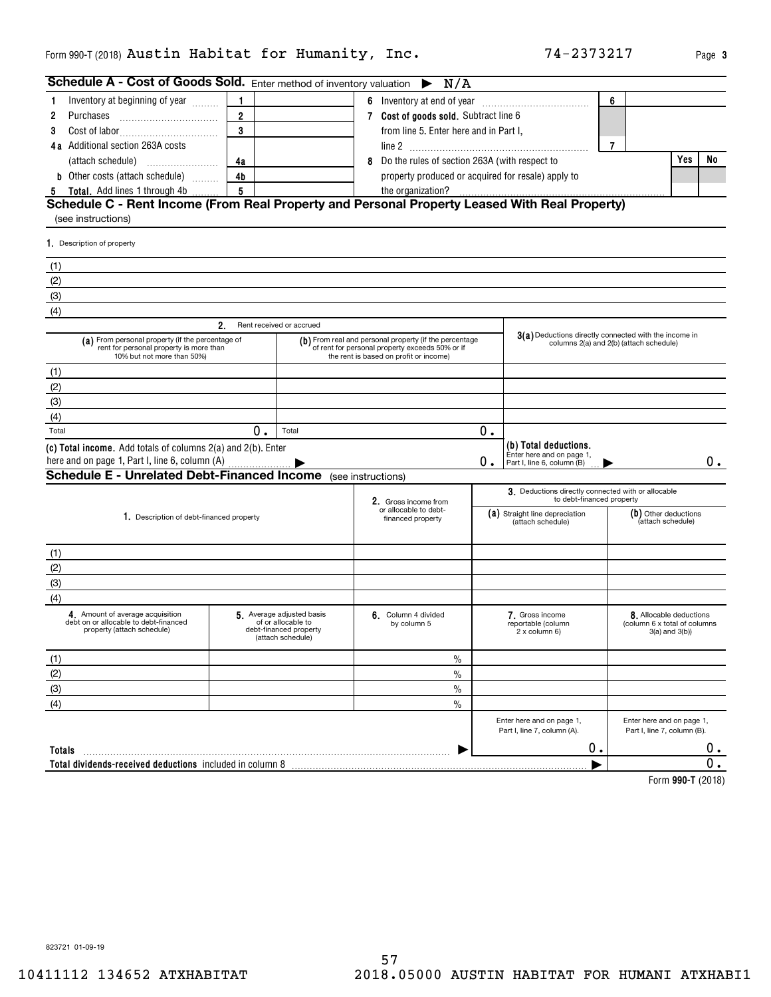**3**

| Schedule A - Cost of Goods Sold. Enter method of inventory valuation $\triangleright N/A$                                 |                                                                                                                                                     |                                                                                               |                                                                                                  |    |                                                                                  |                |                                                                               |    |
|---------------------------------------------------------------------------------------------------------------------------|-----------------------------------------------------------------------------------------------------------------------------------------------------|-----------------------------------------------------------------------------------------------|--------------------------------------------------------------------------------------------------|----|----------------------------------------------------------------------------------|----------------|-------------------------------------------------------------------------------|----|
| Inventory at beginning of year<br>1.                                                                                      | $\mathbf{1}$                                                                                                                                        |                                                                                               |                                                                                                  |    |                                                                                  | 6              |                                                                               |    |
| Purchases<br>2                                                                                                            | $\overline{2}$                                                                                                                                      |                                                                                               | 7 Cost of goods sold. Subtract line 6                                                            |    |                                                                                  |                |                                                                               |    |
| 3                                                                                                                         | 3                                                                                                                                                   |                                                                                               | from line 5. Enter here and in Part I,                                                           |    |                                                                                  |                |                                                                               |    |
| 4a Additional section 263A costs                                                                                          |                                                                                                                                                     |                                                                                               |                                                                                                  |    |                                                                                  | $\overline{7}$ |                                                                               |    |
|                                                                                                                           | 4a                                                                                                                                                  |                                                                                               | 8 Do the rules of section 263A (with respect to                                                  |    |                                                                                  |                | Yes                                                                           | No |
| <b>b</b> Other costs (attach schedule)                                                                                    | 4 <sub>b</sub>                                                                                                                                      |                                                                                               | property produced or acquired for resale) apply to                                               |    |                                                                                  |                |                                                                               |    |
| Total. Add lines 1 through 4b<br>5                                                                                        | 5                                                                                                                                                   |                                                                                               |                                                                                                  |    |                                                                                  |                |                                                                               |    |
| Schedule C - Rent Income (From Real Property and Personal Property Leased With Real Property)<br>(see instructions)       |                                                                                                                                                     |                                                                                               |                                                                                                  |    |                                                                                  |                |                                                                               |    |
| 1. Description of property                                                                                                |                                                                                                                                                     |                                                                                               |                                                                                                  |    |                                                                                  |                |                                                                               |    |
| (1)                                                                                                                       |                                                                                                                                                     |                                                                                               |                                                                                                  |    |                                                                                  |                |                                                                               |    |
| (2)                                                                                                                       |                                                                                                                                                     |                                                                                               |                                                                                                  |    |                                                                                  |                |                                                                               |    |
| (3)                                                                                                                       |                                                                                                                                                     |                                                                                               |                                                                                                  |    |                                                                                  |                |                                                                               |    |
| (4)                                                                                                                       |                                                                                                                                                     |                                                                                               |                                                                                                  |    |                                                                                  |                |                                                                               |    |
|                                                                                                                           | 2.                                                                                                                                                  | Rent received or accrued                                                                      |                                                                                                  |    |                                                                                  |                |                                                                               |    |
| (a) From personal property (if the percentage of<br>rent for personal property is more than<br>10% but not more than 50%) | (b) From real and personal property (if the percentage<br>of rent for personal property exceeds 50% or if<br>the rent is based on profit or income) |                                                                                               | 3(a) Deductions directly connected with the income in<br>columns 2(a) and 2(b) (attach schedule) |    |                                                                                  |                |                                                                               |    |
| (1)                                                                                                                       |                                                                                                                                                     |                                                                                               |                                                                                                  |    |                                                                                  |                |                                                                               |    |
| (2)                                                                                                                       |                                                                                                                                                     |                                                                                               |                                                                                                  |    |                                                                                  |                |                                                                               |    |
| (3)                                                                                                                       |                                                                                                                                                     |                                                                                               |                                                                                                  |    |                                                                                  |                |                                                                               |    |
| (4)                                                                                                                       |                                                                                                                                                     |                                                                                               |                                                                                                  |    |                                                                                  |                |                                                                               |    |
| Total                                                                                                                     | 0.                                                                                                                                                  | Total                                                                                         |                                                                                                  | 0. |                                                                                  |                |                                                                               |    |
| (c) Total income. Add totals of columns 2(a) and 2(b). Enter<br><b>Schedule E - Unrelated Debt-Financed Income</b>        |                                                                                                                                                     |                                                                                               |                                                                                                  | 0. | (b) Total deductions.<br>Enter here and on page 1,<br>Part I, line 6, column (B) |                |                                                                               | 0. |
|                                                                                                                           |                                                                                                                                                     |                                                                                               | (see instructions)                                                                               |    | 3. Deductions directly connected with or allocable                               |                |                                                                               |    |
|                                                                                                                           |                                                                                                                                                     |                                                                                               | 2. Gross income from<br>or allocable to debt-                                                    |    | to debt-financed property                                                        |                |                                                                               |    |
| 1. Description of debt-financed property                                                                                  |                                                                                                                                                     |                                                                                               | financed property                                                                                |    | (a) Straight line depreciation<br>(attach schedule)                              |                | (b) Other deductions<br>(attach schedule)                                     |    |
| (1)                                                                                                                       |                                                                                                                                                     |                                                                                               |                                                                                                  |    |                                                                                  |                |                                                                               |    |
| (2)                                                                                                                       |                                                                                                                                                     |                                                                                               |                                                                                                  |    |                                                                                  |                |                                                                               |    |
| (3)                                                                                                                       |                                                                                                                                                     |                                                                                               |                                                                                                  |    |                                                                                  |                |                                                                               |    |
| (4)                                                                                                                       |                                                                                                                                                     |                                                                                               |                                                                                                  |    |                                                                                  |                |                                                                               |    |
| 4. Amount of average acquisition<br>debt on or allocable to debt-financed<br>property (attach schedule)                   |                                                                                                                                                     | 5 Average adjusted basis<br>of or allocable to<br>debt-financed property<br>(attach schedule) | 6. Column 4 divided<br>by column 5                                                               |    | 7. Gross income<br>reportable (column<br>$2x$ column 6)                          |                | 8. Allocable deductions<br>(column 6 x total of columns)<br>$3(a)$ and $3(b)$ |    |
| (1)                                                                                                                       |                                                                                                                                                     |                                                                                               | $\frac{0}{0}$                                                                                    |    |                                                                                  |                |                                                                               |    |
| (2)                                                                                                                       |                                                                                                                                                     |                                                                                               | $\frac{0}{0}$                                                                                    |    |                                                                                  |                |                                                                               |    |
| (3)                                                                                                                       |                                                                                                                                                     |                                                                                               | $\%$                                                                                             |    |                                                                                  |                |                                                                               |    |
| (4)                                                                                                                       |                                                                                                                                                     |                                                                                               | $\frac{0}{0}$                                                                                    |    |                                                                                  |                |                                                                               |    |
|                                                                                                                           |                                                                                                                                                     |                                                                                               |                                                                                                  |    | Enter here and on page 1,<br>Part I, line 7, column (A).                         |                | Enter here and on page 1,<br>Part I, line 7, column (B).                      |    |
| Totals                                                                                                                    |                                                                                                                                                     |                                                                                               |                                                                                                  |    | Ο.                                                                               |                |                                                                               | 0. |
| Total dividends-received deductions included in column 8                                                                  |                                                                                                                                                     |                                                                                               |                                                                                                  |    |                                                                                  |                |                                                                               | О. |
|                                                                                                                           |                                                                                                                                                     |                                                                                               |                                                                                                  |    |                                                                                  |                |                                                                               |    |

**990-T**  Form (2018)

823721 01-09-19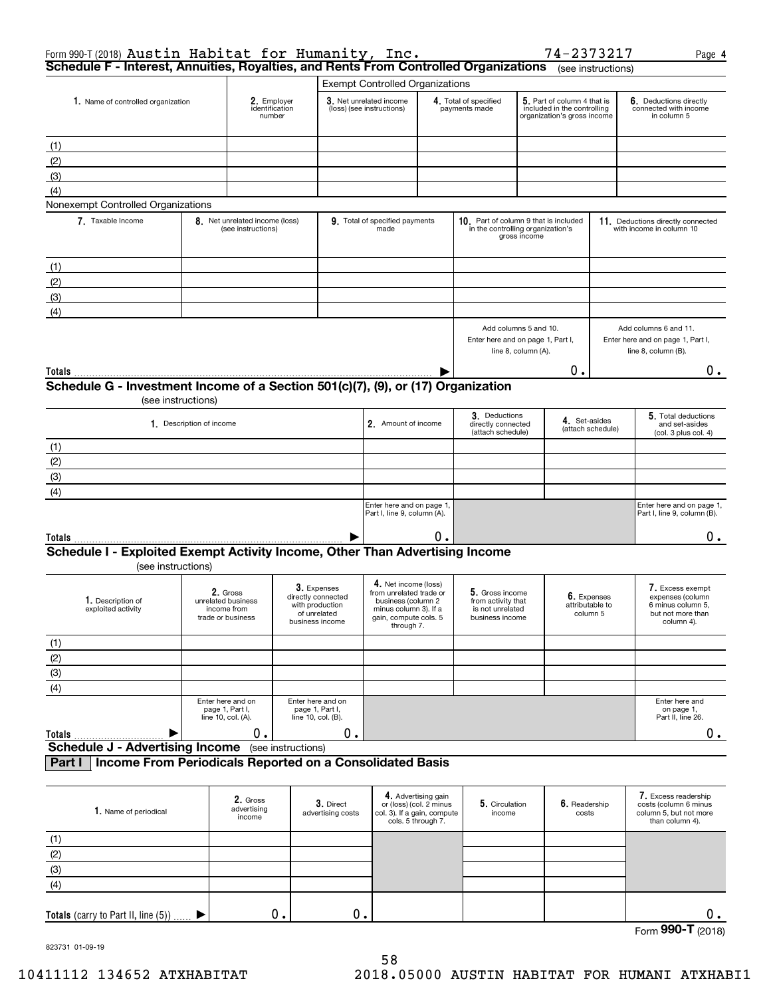| Form 990-T (2018) Austin Habitat for Humanity, Inc.<br>Schedule F - Interest, Annuities, Royalties, and Rents From Controlled Organizations |                          |                                                                    |                                                                                         |                                                                                                               |                                                                                                     |                                                                                            |    | 74-2373217                                                                                | (see instructions) | Page 4                                                                                       |
|---------------------------------------------------------------------------------------------------------------------------------------------|--------------------------|--------------------------------------------------------------------|-----------------------------------------------------------------------------------------|---------------------------------------------------------------------------------------------------------------|-----------------------------------------------------------------------------------------------------|--------------------------------------------------------------------------------------------|----|-------------------------------------------------------------------------------------------|--------------------|----------------------------------------------------------------------------------------------|
|                                                                                                                                             |                          |                                                                    |                                                                                         | <b>Exempt Controlled Organizations</b>                                                                        |                                                                                                     |                                                                                            |    |                                                                                           |                    |                                                                                              |
| 1. Name of controlled organization                                                                                                          |                          | 2. Employer<br>identification<br>number                            |                                                                                         | 3. Net unrelated income<br>(loss) (see instructions)                                                          |                                                                                                     | 4. Total of specified<br>payments made                                                     |    | 5. Part of column 4 that is<br>included in the controlling<br>organization's gross income |                    | 6. Deductions directly<br>connected with income<br>in column 5                               |
| (1)                                                                                                                                         |                          |                                                                    |                                                                                         |                                                                                                               |                                                                                                     |                                                                                            |    |                                                                                           |                    |                                                                                              |
| (2)                                                                                                                                         |                          |                                                                    |                                                                                         |                                                                                                               |                                                                                                     |                                                                                            |    |                                                                                           |                    |                                                                                              |
|                                                                                                                                             |                          |                                                                    |                                                                                         |                                                                                                               |                                                                                                     |                                                                                            |    |                                                                                           |                    |                                                                                              |
| (3)                                                                                                                                         |                          |                                                                    |                                                                                         |                                                                                                               |                                                                                                     |                                                                                            |    |                                                                                           |                    |                                                                                              |
| (4)<br>Nonexempt Controlled Organizations                                                                                                   |                          |                                                                    |                                                                                         |                                                                                                               |                                                                                                     |                                                                                            |    |                                                                                           |                    |                                                                                              |
| 7. Taxable Income                                                                                                                           |                          | 8. Net unrelated income (loss)<br>(see instructions)               |                                                                                         | 9. Total of specified payments<br>made                                                                        |                                                                                                     | 10. Part of column 9 that is included<br>in the controlling organization's<br>gross income |    | 11. Deductions directly connected<br>with income in column 10                             |                    |                                                                                              |
|                                                                                                                                             |                          |                                                                    |                                                                                         |                                                                                                               |                                                                                                     |                                                                                            |    |                                                                                           |                    |                                                                                              |
| (1)                                                                                                                                         |                          |                                                                    |                                                                                         |                                                                                                               |                                                                                                     |                                                                                            |    |                                                                                           |                    |                                                                                              |
| (2)                                                                                                                                         |                          |                                                                    |                                                                                         |                                                                                                               |                                                                                                     |                                                                                            |    |                                                                                           |                    |                                                                                              |
| (3)                                                                                                                                         |                          |                                                                    |                                                                                         |                                                                                                               |                                                                                                     |                                                                                            |    |                                                                                           |                    |                                                                                              |
| (4)                                                                                                                                         |                          |                                                                    |                                                                                         |                                                                                                               |                                                                                                     | Add columns 5 and 10.<br>Enter here and on page 1, Part I,                                 |    |                                                                                           |                    | Add columns 6 and 11.<br>Enter here and on page 1, Part I,<br>line 8, column (B).            |
|                                                                                                                                             |                          |                                                                    |                                                                                         |                                                                                                               |                                                                                                     | line 8, column (A).                                                                        |    |                                                                                           |                    |                                                                                              |
| Totals                                                                                                                                      |                          |                                                                    |                                                                                         |                                                                                                               |                                                                                                     |                                                                                            | Ο. |                                                                                           |                    | 0.                                                                                           |
| Schedule G - Investment Income of a Section 501(c)(7), (9), or (17) Organization                                                            | (see instructions)       |                                                                    |                                                                                         |                                                                                                               |                                                                                                     |                                                                                            |    |                                                                                           |                    |                                                                                              |
|                                                                                                                                             | 1. Description of income |                                                                    |                                                                                         | 2. Amount of income                                                                                           |                                                                                                     | 3. Deductions<br>directly connected<br>(attach schedule)                                   |    | 4. Set-asides                                                                             | (attach schedule)  | 5. Total deductions<br>and set-asides<br>(col. 3 plus col. 4)                                |
| (1)                                                                                                                                         |                          |                                                                    |                                                                                         |                                                                                                               |                                                                                                     |                                                                                            |    |                                                                                           |                    |                                                                                              |
| (2)                                                                                                                                         |                          |                                                                    |                                                                                         |                                                                                                               |                                                                                                     |                                                                                            |    |                                                                                           |                    |                                                                                              |
| (3)                                                                                                                                         |                          |                                                                    |                                                                                         |                                                                                                               |                                                                                                     |                                                                                            |    |                                                                                           |                    |                                                                                              |
|                                                                                                                                             |                          |                                                                    |                                                                                         |                                                                                                               |                                                                                                     |                                                                                            |    |                                                                                           |                    |                                                                                              |
| (4)                                                                                                                                         |                          |                                                                    |                                                                                         | Enter here and on page 1,                                                                                     |                                                                                                     |                                                                                            |    |                                                                                           |                    | Enter here and on page 1,                                                                    |
|                                                                                                                                             |                          |                                                                    |                                                                                         | Part I, line 9, column (A).                                                                                   |                                                                                                     |                                                                                            |    |                                                                                           |                    | Part I, line 9, column (B).                                                                  |
| <b>Totals</b>                                                                                                                               |                          |                                                                    |                                                                                         |                                                                                                               | О.                                                                                                  |                                                                                            |    |                                                                                           |                    | 0.                                                                                           |
| Schedule I - Exploited Exempt Activity Income, Other Than Advertising Income<br>(see instructions)                                          |                          |                                                                    |                                                                                         |                                                                                                               |                                                                                                     |                                                                                            |    |                                                                                           |                    |                                                                                              |
|                                                                                                                                             |                          |                                                                    |                                                                                         | 4. Net income (loss)                                                                                          |                                                                                                     |                                                                                            |    |                                                                                           |                    |                                                                                              |
| 1. Description of<br>exploited activity                                                                                                     |                          | 2. Gross<br>unrelated business<br>income from<br>trade or business | 3. Expenses<br>directly connected<br>with production<br>of unrelated<br>business income | from unrelated trade or<br>business (column 2<br>minus column 3). If a<br>gain, compute cols. 5<br>through 7. |                                                                                                     | 5. Gross income<br>from activity that<br>is not unrelated<br>business income               |    | 6. Expenses<br>attributable to<br>column 5                                                |                    | /. Excess exempt<br>expenses (column<br>6 minus column 5,<br>but not more than<br>column 4). |
| (1)                                                                                                                                         |                          |                                                                    |                                                                                         |                                                                                                               |                                                                                                     |                                                                                            |    |                                                                                           |                    |                                                                                              |
| $\frac{(2)}{(3)}$                                                                                                                           |                          |                                                                    |                                                                                         |                                                                                                               |                                                                                                     |                                                                                            |    |                                                                                           |                    |                                                                                              |
|                                                                                                                                             |                          |                                                                    |                                                                                         |                                                                                                               |                                                                                                     |                                                                                            |    |                                                                                           |                    |                                                                                              |
| (4)                                                                                                                                         |                          |                                                                    |                                                                                         |                                                                                                               |                                                                                                     |                                                                                            |    |                                                                                           |                    |                                                                                              |
|                                                                                                                                             |                          | Enter here and on<br>page 1, Part I,<br>line 10, col. (A).         | Enter here and on<br>page 1, Part I,<br>line 10, col. (B).                              |                                                                                                               |                                                                                                     |                                                                                            |    |                                                                                           |                    | Enter here and<br>on page 1,<br>Part II, line 26.                                            |
| Totals                                                                                                                                      |                          | 0.                                                                 | 0.                                                                                      |                                                                                                               |                                                                                                     |                                                                                            |    |                                                                                           |                    | 0.                                                                                           |
| <b>Schedule J - Advertising Income</b>                                                                                                      |                          |                                                                    | (see instructions)                                                                      |                                                                                                               |                                                                                                     |                                                                                            |    |                                                                                           |                    |                                                                                              |
| Income From Periodicals Reported on a Consolidated Basis<br>Part I                                                                          |                          |                                                                    |                                                                                         |                                                                                                               |                                                                                                     |                                                                                            |    |                                                                                           |                    |                                                                                              |
| 1. Name of periodical                                                                                                                       |                          | 2. Gross<br>advertising<br>income                                  | 3. Direct<br>advertising costs                                                          |                                                                                                               | 4. Advertising gain<br>or (loss) (col. 2 minus<br>col. 3). If a gain, compute<br>cols. 5 through 7. | 5. Circulation<br>income                                                                   |    | 6. Readership<br>costs                                                                    |                    | 7. Excess readership<br>costs (column 6 minus<br>column 5, but not more<br>than column 4).   |
| (1)                                                                                                                                         |                          |                                                                    |                                                                                         |                                                                                                               |                                                                                                     |                                                                                            |    |                                                                                           |                    |                                                                                              |

| $\overline{\phantom{a}}$<br>ບ ເ |  |  |            |                          |
|---------------------------------|--|--|------------|--------------------------|
|                                 |  |  | Form 990-T | 018)<br>$\sim$<br>$\sim$ |

823731 01-09-19

(2) (3) (4)

**Totals** (carry to Part II, line (5))

 $\blacktriangleright$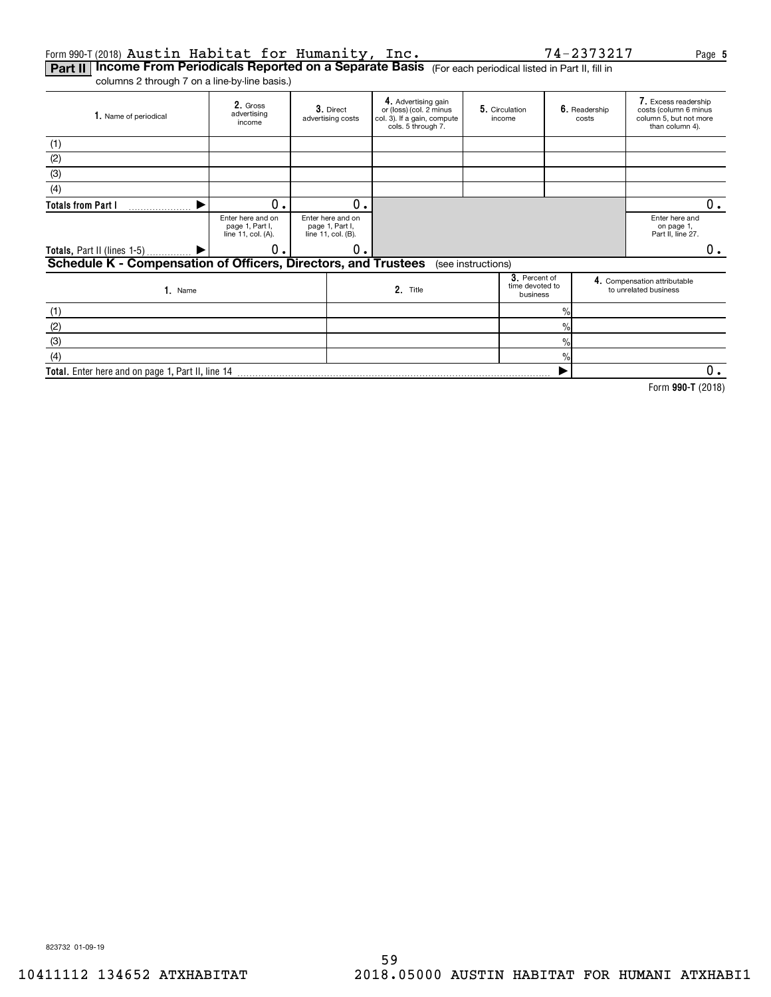### Form 990-T(2018)  $\rm{AusLin}$   $\rm{Habilat}$  for  $\rm{Humanity}$ ,  $\rm{Inc}$  , which are the state of  $14$  –  $2373217$  . Page Austin Habitat for Humanity, Inc. 74-2373217

**Part II | Income From Periodicals Reported on a Separate Basis** (For each periodical listed in Part II, fill in

columns 2 through 7 on a line-by-line basis.)

| 1. Name of periodical                                          | 2. Gross<br>advertising<br>income                          | 3. Direct<br>advertising costs                             | 4. Advertising gain<br>or (loss) (col. 2 minus<br>col. 3). If a gain, compute<br>cols. 5 through 7. | 5. Circulation<br>income                     |               | 6. Readership<br>costs | 7. Excess readership<br>costs (column 6 minus<br>column 5, but not more<br>than column 4). |
|----------------------------------------------------------------|------------------------------------------------------------|------------------------------------------------------------|-----------------------------------------------------------------------------------------------------|----------------------------------------------|---------------|------------------------|--------------------------------------------------------------------------------------------|
| (1)                                                            |                                                            |                                                            |                                                                                                     |                                              |               |                        |                                                                                            |
| (2)                                                            |                                                            |                                                            |                                                                                                     |                                              |               |                        |                                                                                            |
| (3)                                                            |                                                            |                                                            |                                                                                                     |                                              |               |                        |                                                                                            |
| (4)                                                            |                                                            |                                                            |                                                                                                     |                                              |               |                        |                                                                                            |
| <b>Totals from Part I</b>                                      | 0.                                                         | О.                                                         |                                                                                                     |                                              |               |                        | 0.                                                                                         |
|                                                                | Enter here and on<br>page 1, Part I,<br>line 11, col. (A). | Enter here and on<br>page 1, Part I,<br>line 11, col. (B). |                                                                                                     |                                              |               |                        | Enter here and<br>on page 1.<br>Part II, line 27.                                          |
| <b>Totals, Part II (lines 1-5)</b>                             | 0                                                          | 0                                                          |                                                                                                     |                                              |               |                        | 0.                                                                                         |
| Schedule K - Compensation of Officers, Directors, and Trustees |                                                            |                                                            |                                                                                                     | (see instructions)                           |               |                        |                                                                                            |
| 1. Name                                                        |                                                            |                                                            | 2. Title                                                                                            | 3. Percent of<br>time devoted to<br>business |               |                        | 4. Compensation attributable<br>to unrelated business                                      |
| (1)                                                            |                                                            |                                                            |                                                                                                     |                                              | $\frac{0}{0}$ |                        |                                                                                            |
| (2)                                                            |                                                            |                                                            |                                                                                                     |                                              | $\%$          |                        |                                                                                            |
| (3)                                                            |                                                            |                                                            |                                                                                                     |                                              | $\frac{0}{0}$ |                        |                                                                                            |
| (4)                                                            |                                                            |                                                            |                                                                                                     |                                              | $\frac{0}{0}$ |                        |                                                                                            |
| Total. Enter here and on page 1, Part II, line 14              |                                                            |                                                            |                                                                                                     |                                              |               |                        | 0.                                                                                         |

**990-T**  Form (2018)

823732 01-09-19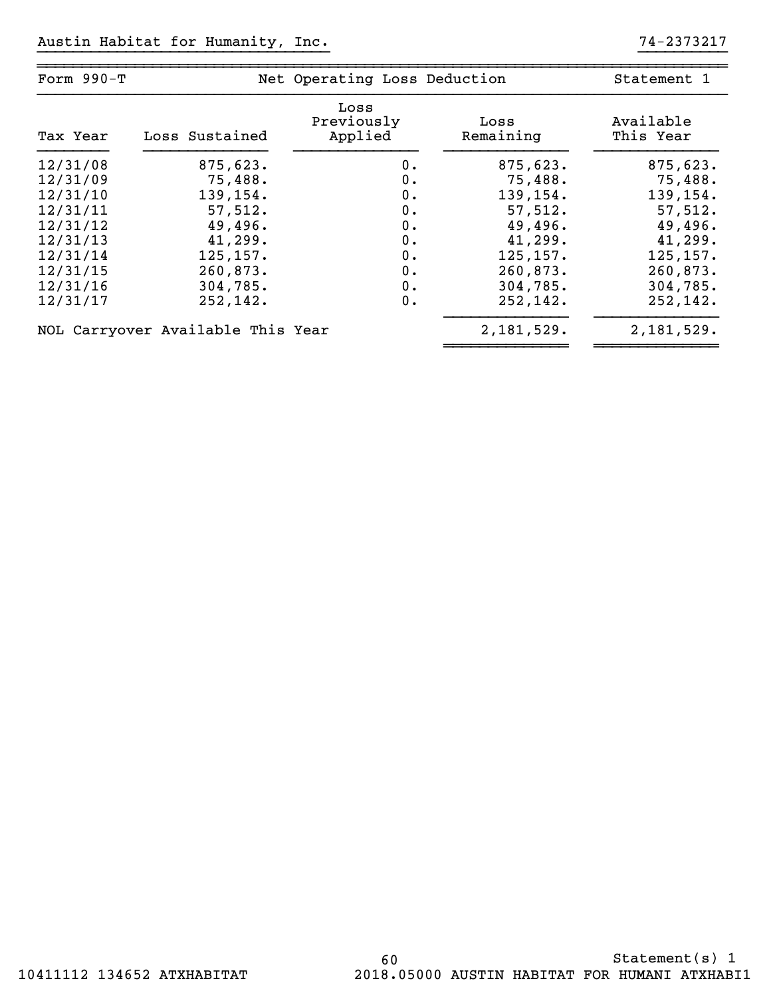| Form 990-T |                                   | Net Operating Loss Deduction  |                   | Statement 1            |  |  |
|------------|-----------------------------------|-------------------------------|-------------------|------------------------|--|--|
| Tax Year   | Loss Sustained                    | Loss<br>Previously<br>Applied | Loss<br>Remaining | Available<br>This Year |  |  |
| 12/31/08   | 875,623.                          | 0.                            | 875,623.          | 875,623.               |  |  |
| 12/31/09   | 75,488.                           | $0$ .                         | 75,488.           | 75,488.                |  |  |
| 12/31/10   | 139,154.                          | 0.                            | 139,154.          | 139,154.               |  |  |
| 12/31/11   | 57,512.                           | $0$ .                         | 57,512.           | 57,512.                |  |  |
| 12/31/12   | 49,496.                           | 0.                            | 49,496.           | 49,496.                |  |  |
| 12/31/13   | 41,299.                           | $0$ .                         | 41,299.           | 41,299.                |  |  |
| 12/31/14   | 125, 157.                         | 0.                            | 125, 157.         | 125, 157.              |  |  |
| 12/31/15   | 260,873.                          | $0$ .                         | 260,873.          | 260,873.               |  |  |
| 12/31/16   | 304,785.                          | $0$ .                         | 304,785.          | 304,785.               |  |  |
| 12/31/17   | 252,142.                          | 0.                            | 252, 142.         | 252,142.               |  |  |
|            | NOL Carryover Available This Year |                               | 2,181,529.        | 2,181,529.             |  |  |

~~~~~~~~~~~~~~ ~~~~~~~~~~~~~~

}}}}}}}}}}}}}}}}}}}}}}}}}}}}}}}}} }}}}}}}}}}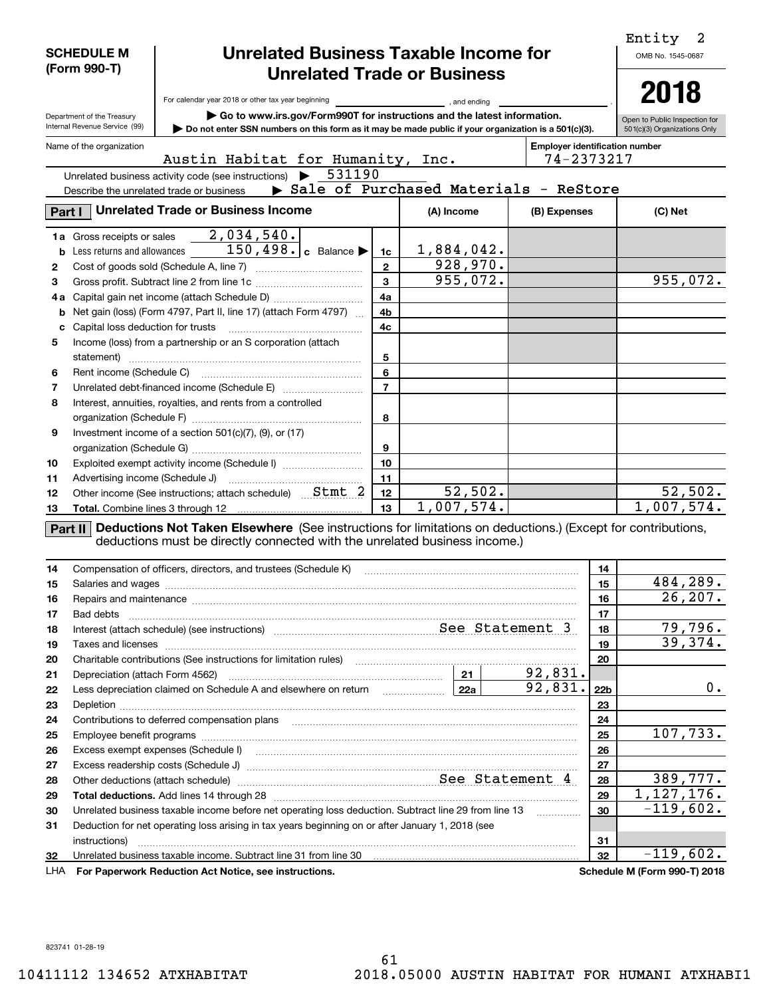|          | <b>SCHEDULE M</b><br>(Form 990-T)                                                                | <b>Unrelated Business Taxable Income for</b>                                                                                                                                                                                   |                         | Entity<br>2<br>OMB No. 1545-0687 |  |                      |                 |                               |  |
|----------|--------------------------------------------------------------------------------------------------|--------------------------------------------------------------------------------------------------------------------------------------------------------------------------------------------------------------------------------|-------------------------|----------------------------------|--|----------------------|-----------------|-------------------------------|--|
|          |                                                                                                  | <b>Unrelated Trade or Business</b>                                                                                                                                                                                             |                         |                                  |  |                      |                 |                               |  |
|          |                                                                                                  | For calendar year 2018 or other tax year beginning                                                                                                                                                                             |                         | , and ending                     |  |                      |                 | 2018                          |  |
|          | Department of the Treasury                                                                       | Go to www.irs.gov/Form990T for instructions and the latest information.                                                                                                                                                        |                         |                                  |  |                      |                 | Open to Public Inspection for |  |
|          | Internal Revenue Service (99)                                                                    | Do not enter SSN numbers on this form as it may be made public if your organization is a 501(c)(3).                                                                                                                            |                         |                                  |  |                      |                 | 501(c)(3) Organizations Only  |  |
|          | Name of the organization                                                                         | <b>Employer identification number</b>                                                                                                                                                                                          |                         |                                  |  |                      |                 |                               |  |
|          |                                                                                                  | Austin Habitat for Humanity, Inc.                                                                                                                                                                                              |                         |                                  |  | 74-2373217           |                 |                               |  |
|          |                                                                                                  | 531190<br>Unrelated business activity code (see instructions)                                                                                                                                                                  |                         |                                  |  |                      |                 |                               |  |
|          | Describe the unrelated trade or business                                                         | Sale of Purchased Materials - ReStore                                                                                                                                                                                          |                         |                                  |  |                      |                 |                               |  |
|          |                                                                                                  | Part I   Unrelated Trade or Business Income                                                                                                                                                                                    |                         | (A) Income                       |  | (B) Expenses         | (C) Net         |                               |  |
|          | 1a Gross receipts or sales                                                                       | 2,034,540.                                                                                                                                                                                                                     |                         |                                  |  |                      |                 |                               |  |
|          |                                                                                                  | <b>b</b> Less returns and allowances $\overline{150, 498 \cdot c}$ Balance                                                                                                                                                     | 1c                      | 1,884,042.                       |  |                      |                 |                               |  |
| 2        |                                                                                                  |                                                                                                                                                                                                                                | $\mathbf{2}$            | 928,970.                         |  |                      |                 |                               |  |
| 3        |                                                                                                  |                                                                                                                                                                                                                                | $\overline{\mathbf{3}}$ | 955,072.                         |  |                      |                 | 955,072.                      |  |
| 4а       |                                                                                                  |                                                                                                                                                                                                                                | 4a                      |                                  |  |                      |                 |                               |  |
| b        |                                                                                                  | Net gain (loss) (Form 4797, Part II, line 17) (attach Form 4797)                                                                                                                                                               | 4b                      |                                  |  |                      |                 |                               |  |
| с        |                                                                                                  |                                                                                                                                                                                                                                | 4c                      |                                  |  |                      |                 |                               |  |
| 5        |                                                                                                  | Income (loss) from a partnership or an S corporation (attach                                                                                                                                                                   | 5                       |                                  |  |                      |                 |                               |  |
| 6        |                                                                                                  |                                                                                                                                                                                                                                | 6                       |                                  |  |                      |                 |                               |  |
| 7        |                                                                                                  |                                                                                                                                                                                                                                | $\overline{7}$          |                                  |  |                      |                 |                               |  |
| 8        |                                                                                                  | Interest, annuities, royalties, and rents from a controlled                                                                                                                                                                    |                         |                                  |  |                      |                 |                               |  |
|          |                                                                                                  |                                                                                                                                                                                                                                | 8                       |                                  |  |                      |                 |                               |  |
| 9        |                                                                                                  | Investment income of a section $501(c)(7)$ , $(9)$ , or $(17)$                                                                                                                                                                 |                         |                                  |  |                      |                 |                               |  |
|          |                                                                                                  |                                                                                                                                                                                                                                | 9                       |                                  |  |                      |                 |                               |  |
| 10       |                                                                                                  | Exploited exempt activity income (Schedule I)                                                                                                                                                                                  | 10                      |                                  |  |                      |                 |                               |  |
| 11       |                                                                                                  |                                                                                                                                                                                                                                | 11                      |                                  |  |                      |                 |                               |  |
| 12       |                                                                                                  |                                                                                                                                                                                                                                | 12                      | 52,502.                          |  |                      |                 | 52,502.                       |  |
| 13       |                                                                                                  |                                                                                                                                                                                                                                | 13                      | 1,007,574.                       |  |                      |                 | 1,007,574.                    |  |
|          |                                                                                                  | Part II Deductions Not Taken Elsewhere (See instructions for limitations on deductions.) (Except for contributions,<br>deductions must be directly connected with the unrelated business income.)                              |                         |                                  |  |                      |                 |                               |  |
| 14       |                                                                                                  | Compensation of officers, directors, and trustees (Schedule K)                                                                                                                                                                 |                         |                                  |  |                      | 14              |                               |  |
| 15       |                                                                                                  |                                                                                                                                                                                                                                |                         |                                  |  |                      | 15              | 484,289.<br>26, 207.          |  |
| 16       |                                                                                                  | Repairs and maintenance material continuum contracts and material contracts and maintenance material contracts                                                                                                                 |                         |                                  |  |                      | 16              |                               |  |
| 17       |                                                                                                  |                                                                                                                                                                                                                                |                         |                                  |  |                      | 17              | 79,796.                       |  |
| 18       |                                                                                                  | Interest (attach schedule) (see instructions) material material material material schedule 3 and See Statement 3                                                                                                               |                         |                                  |  |                      | 18              | 39,374.                       |  |
| 19       |                                                                                                  |                                                                                                                                                                                                                                |                         |                                  |  |                      | 19              |                               |  |
| 20       |                                                                                                  | Charitable contributions (See instructions for limitation rules) [11] manufacture contributions (See instructions for limitation rules) [11] manufacture contributions (See instructions for limitation rules) [11] manufactur |                         |                                  |  |                      | 20              |                               |  |
| 21<br>22 |                                                                                                  | Depreciation (attach Form 4562) 3831.<br>Less depreciation claimed on Schedule A and elsewhere on return <b>Formall Constant Lava   Theory Constant</b>                                                                        |                         |                                  |  | $\overline{92,831.}$ | 22 <sub>b</sub> | 0.                            |  |
| 23       |                                                                                                  |                                                                                                                                                                                                                                |                         |                                  |  |                      | 23              |                               |  |
| 24       |                                                                                                  |                                                                                                                                                                                                                                |                         |                                  |  |                      | 24              |                               |  |
| 25       |                                                                                                  |                                                                                                                                                                                                                                |                         |                                  |  |                      | 25              | 107,733.                      |  |
| 26       |                                                                                                  |                                                                                                                                                                                                                                |                         |                                  |  |                      |                 |                               |  |
| 27       |                                                                                                  |                                                                                                                                                                                                                                |                         |                                  |  |                      | 26<br>27        |                               |  |
| 28       |                                                                                                  | Other deductions (attach schedule) material material material schedule Statement 4                                                                                                                                             |                         |                                  |  |                      | 28              | 389,777.                      |  |
| 29       |                                                                                                  |                                                                                                                                                                                                                                |                         |                                  |  |                      | 29              | 1, 127, 176.                  |  |
| 30       |                                                                                                  | Unrelated business taxable income before net operating loss deduction. Subtract line 29 from line 13                                                                                                                           |                         |                                  |  |                      | 30              | $-119,602.$                   |  |
| 31       | Deduction for net operating loss arising in tax years beginning on or after January 1, 2018 (see |                                                                                                                                                                                                                                |                         |                                  |  |                      |                 |                               |  |

**For Paperwork Reduction Act Notice, see instructions. Schedule M (Form 990-T) 2018** LHA

Unrelated business taxable income. Subtract line 31 from line 30

instructions) ~~~~~~~~~~~~~~~~~~~~~~~~~~~~~~~~~~~~~~~~~~~~~~~~~

 $-119,602.$ 

**3132**

823741 01-28-19

**32**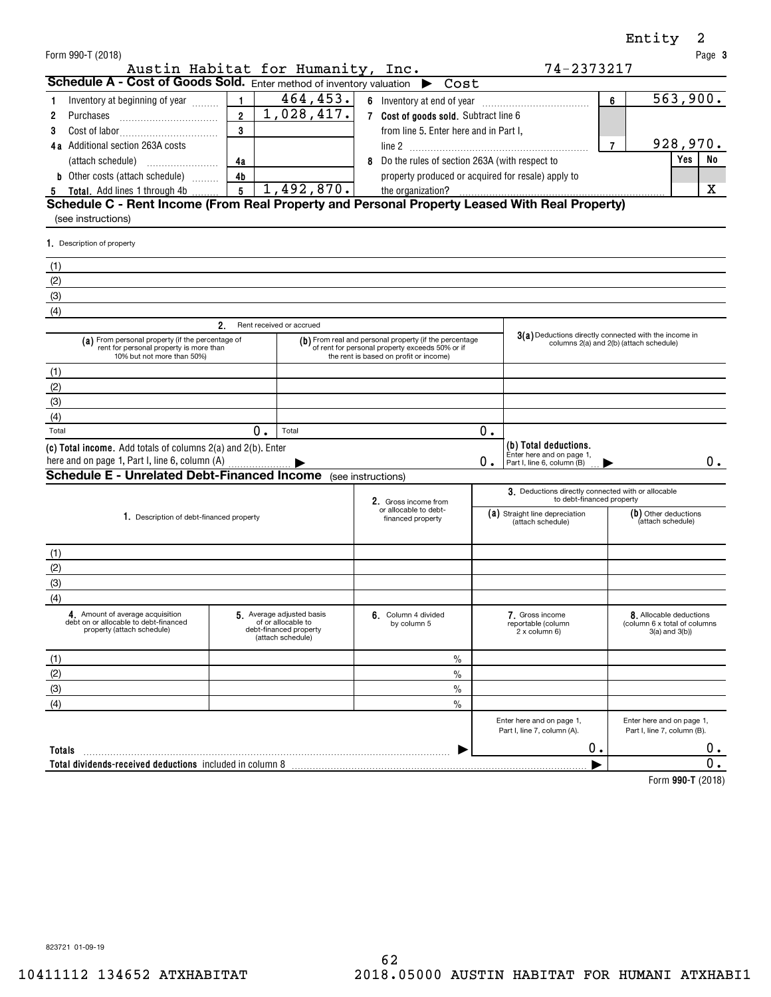| Form 990-T (2018)<br>Austin Habitat for Humanity, Inc.                                                                                                                                                   |                |                                                     |                                                                                                                                                     |                                                        | 74-2373217                                                                      |                                                                                      | Page 3                                                   |
|----------------------------------------------------------------------------------------------------------------------------------------------------------------------------------------------------------|----------------|-----------------------------------------------------|-----------------------------------------------------------------------------------------------------------------------------------------------------|--------------------------------------------------------|---------------------------------------------------------------------------------|--------------------------------------------------------------------------------------|----------------------------------------------------------|
| Schedule A - Cost of Goods Sold. Enter method of inventory valuation $\rightarrow$ Cost                                                                                                                  |                |                                                     |                                                                                                                                                     |                                                        |                                                                                 |                                                                                      |                                                          |
| Inventory at beginning of year<br>1.                                                                                                                                                                     | $\mathbf{1}$   | 464, 453.                                           |                                                                                                                                                     |                                                        |                                                                                 | 6                                                                                    | 563,900.                                                 |
| 2<br>Purchases                                                                                                                                                                                           | $\overline{2}$ | 1,028,417.<br>7 Cost of goods sold. Subtract line 6 |                                                                                                                                                     |                                                        |                                                                                 |                                                                                      |                                                          |
| 3                                                                                                                                                                                                        | 3              |                                                     | from line 5. Enter here and in Part I,                                                                                                              |                                                        |                                                                                 |                                                                                      |                                                          |
| 4a Additional section 263A costs                                                                                                                                                                         |                |                                                     |                                                                                                                                                     |                                                        |                                                                                 | $\overline{7}$                                                                       | 928,970.                                                 |
|                                                                                                                                                                                                          | 4a             | Do the rules of section 263A (with respect to       |                                                                                                                                                     |                                                        |                                                                                 |                                                                                      | <b>Yes</b><br>No                                         |
| <b>b</b> Other costs (attach schedule)                                                                                                                                                                   | 4 <sub>b</sub> |                                                     | property produced or acquired for resale) apply to                                                                                                  |                                                        |                                                                                 |                                                                                      |                                                          |
| 5 Total. Add lines 1 through 4b                                                                                                                                                                          | 5 <sup>1</sup> | 1,492,870.                                          |                                                                                                                                                     |                                                        |                                                                                 |                                                                                      | X                                                        |
| Schedule C - Rent Income (From Real Property and Personal Property Leased With Real Property)                                                                                                            |                |                                                     |                                                                                                                                                     |                                                        |                                                                                 |                                                                                      |                                                          |
| (see instructions)                                                                                                                                                                                       |                |                                                     |                                                                                                                                                     |                                                        |                                                                                 |                                                                                      |                                                          |
| 1. Description of property                                                                                                                                                                               |                |                                                     |                                                                                                                                                     |                                                        |                                                                                 |                                                                                      |                                                          |
| (1)                                                                                                                                                                                                      |                |                                                     |                                                                                                                                                     |                                                        |                                                                                 |                                                                                      |                                                          |
| (2)                                                                                                                                                                                                      |                |                                                     |                                                                                                                                                     |                                                        |                                                                                 |                                                                                      |                                                          |
| (3)                                                                                                                                                                                                      |                |                                                     |                                                                                                                                                     |                                                        |                                                                                 |                                                                                      |                                                          |
| (4)                                                                                                                                                                                                      |                |                                                     |                                                                                                                                                     |                                                        |                                                                                 |                                                                                      |                                                          |
|                                                                                                                                                                                                          | 2.             | Rent received or accrued                            |                                                                                                                                                     |                                                        | 3(a) Deductions directly connected with the income in                           |                                                                                      |                                                          |
| (a) From personal property (if the percentage of<br>rent for personal property is more than<br>10% but not more than 50%)                                                                                |                |                                                     | (b) From real and personal property (if the percentage<br>of rent for personal property exceeds 50% or if<br>the rent is based on profit or income) | columns 2(a) and 2(b) (attach schedule)                |                                                                                 |                                                                                      |                                                          |
| (1)                                                                                                                                                                                                      |                |                                                     |                                                                                                                                                     |                                                        |                                                                                 |                                                                                      |                                                          |
| (2)                                                                                                                                                                                                      |                |                                                     |                                                                                                                                                     |                                                        |                                                                                 |                                                                                      |                                                          |
| (3)                                                                                                                                                                                                      |                |                                                     |                                                                                                                                                     |                                                        |                                                                                 |                                                                                      |                                                          |
| (4)                                                                                                                                                                                                      |                |                                                     |                                                                                                                                                     |                                                        |                                                                                 |                                                                                      |                                                          |
| Total                                                                                                                                                                                                    | $\mathbf 0$ .  | Total                                               |                                                                                                                                                     | $0$ .                                                  |                                                                                 |                                                                                      |                                                          |
| (c) Total income. Add totals of columns 2(a) and 2(b). Enter                                                                                                                                             |                |                                                     |                                                                                                                                                     |                                                        | (b) Total deductions.<br>Enter here and on page 1,                              |                                                                                      |                                                          |
| here and on page 1, Part I, line 6, column (A)<br><b>Schedule E - Unrelated Debt-Financed Income</b>                                                                                                     |                |                                                     |                                                                                                                                                     | 0.                                                     | Part I, line 6, column (B)                                                      |                                                                                      | $0$ .                                                    |
|                                                                                                                                                                                                          |                |                                                     | (see instructions)                                                                                                                                  |                                                        |                                                                                 |                                                                                      |                                                          |
|                                                                                                                                                                                                          |                |                                                     | 2. Gross income from                                                                                                                                |                                                        | 3. Deductions directly connected with or allocable<br>to debt-financed property |                                                                                      |                                                          |
| 1. Description of debt-financed property                                                                                                                                                                 |                |                                                     | or allocable to debt-<br>financed property                                                                                                          |                                                        | (a) Straight line depreciation<br>(attach schedule)                             | (b) Other deductions<br>(attach schedule)                                            |                                                          |
|                                                                                                                                                                                                          |                |                                                     |                                                                                                                                                     |                                                        |                                                                                 |                                                                                      |                                                          |
| (1)                                                                                                                                                                                                      |                |                                                     |                                                                                                                                                     |                                                        |                                                                                 |                                                                                      |                                                          |
| (2)                                                                                                                                                                                                      |                |                                                     |                                                                                                                                                     |                                                        |                                                                                 |                                                                                      |                                                          |
| (3)                                                                                                                                                                                                      |                |                                                     |                                                                                                                                                     |                                                        |                                                                                 |                                                                                      |                                                          |
| (4)                                                                                                                                                                                                      |                |                                                     |                                                                                                                                                     |                                                        |                                                                                 |                                                                                      |                                                          |
| 4. Amount of average acquisition<br>5 Average adjusted basis<br>debt on or allocable to debt-financed<br>of or allocable to<br>property (attach schedule)<br>debt-financed property<br>(attach schedule) |                |                                                     | 6. Column 4 divided<br>by column 5                                                                                                                  | 7. Gross income<br>reportable (column<br>2 x column 6) |                                                                                 | <b>8</b> Allocable deductions<br>(column 6 x total of columns<br>$3(a)$ and $3(b)$ ) |                                                          |
| (1)                                                                                                                                                                                                      |                |                                                     | $\frac{0}{0}$                                                                                                                                       |                                                        |                                                                                 |                                                                                      |                                                          |
| (2)                                                                                                                                                                                                      |                |                                                     | $\frac{0}{0}$                                                                                                                                       |                                                        |                                                                                 |                                                                                      |                                                          |
| (3)                                                                                                                                                                                                      |                |                                                     | $\frac{0}{0}$                                                                                                                                       |                                                        |                                                                                 |                                                                                      |                                                          |
| (4)                                                                                                                                                                                                      |                |                                                     | $\%$                                                                                                                                                |                                                        |                                                                                 |                                                                                      |                                                          |
|                                                                                                                                                                                                          |                |                                                     |                                                                                                                                                     |                                                        | Enter here and on page 1,<br>Part I, line 7, column (A).                        |                                                                                      | Enter here and on page 1,<br>Part I, line 7, column (B). |
| Totals                                                                                                                                                                                                   |                |                                                     |                                                                                                                                                     |                                                        | Ο.                                                                              |                                                                                      | 0.                                                       |
| Total dividends-received deductions included in column 8                                                                                                                                                 |                |                                                     |                                                                                                                                                     |                                                        |                                                                                 |                                                                                      |                                                          |
|                                                                                                                                                                                                          |                |                                                     |                                                                                                                                                     |                                                        |                                                                                 |                                                                                      |                                                          |

**990-T**  Form (2018)

Entity 2

823721 01-09-19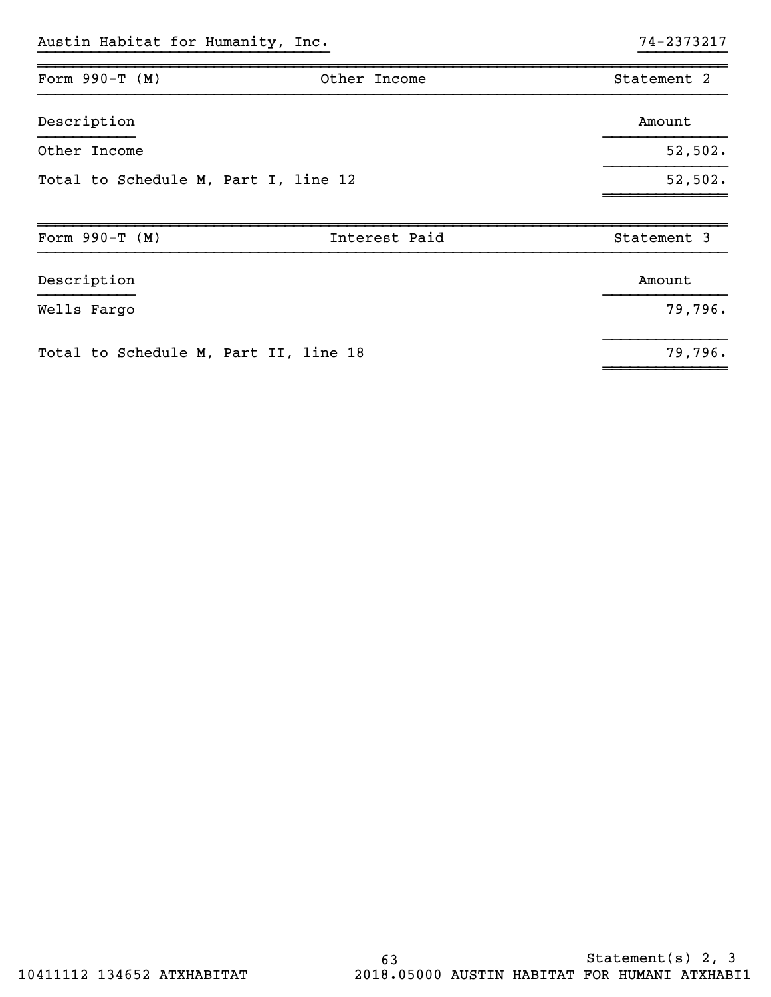| Form $990-T$ (M)                      | Other Income  | Statement 2 |
|---------------------------------------|---------------|-------------|
| Description                           |               | Amount      |
| Other Income                          |               | 52,502.     |
| Total to Schedule M, Part I, line 12  |               | 52,502.     |
| Form $990-T (M)$                      | Interest Paid | Statement 3 |
| Description                           |               | Amount      |
| Wells Fargo                           |               | 79,796.     |
| Total to Schedule M, Part II, line 18 |               | 79,796.     |

~~~~~~~~~~~~~~

}}}}}}}}}}}}}}}}}}}}}}}}}}}}}}}}} }}}}}}}}}}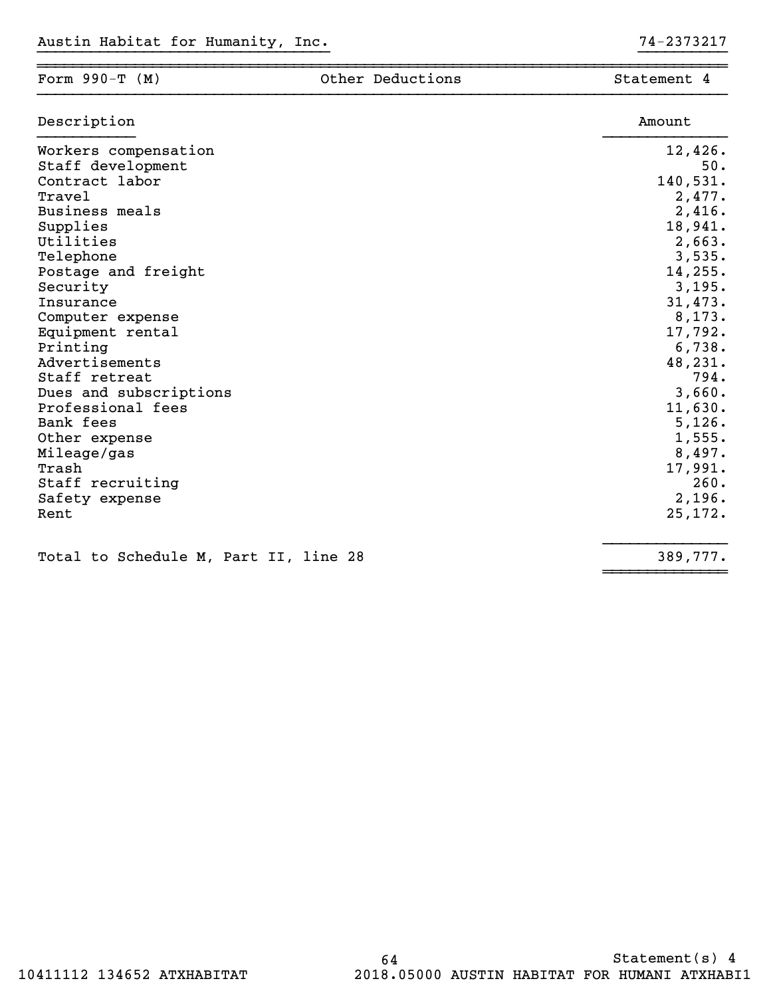| Form $990-T$ (M)                                                                                                                                                                                                                                                                                                                        | Other Deductions | Statement 4                                                                                                                                                                                    |
|-----------------------------------------------------------------------------------------------------------------------------------------------------------------------------------------------------------------------------------------------------------------------------------------------------------------------------------------|------------------|------------------------------------------------------------------------------------------------------------------------------------------------------------------------------------------------|
| Description                                                                                                                                                                                                                                                                                                                             |                  | Amount                                                                                                                                                                                         |
| Workers compensation<br>Staff development<br>Contract labor<br><b>Travel</b><br>Business meals<br>Supplies<br>Utilities<br>Telephone<br>Postage and freight<br>Security<br>Insurance<br>Computer expense<br>Equipment rental<br>Printing<br>Advertisements<br>Staff retreat<br>Dues and subscriptions<br>Professional fees<br>Bank fees |                  | 12,426.<br>50.<br>140,531.<br>2,477.<br>2,416.<br>18,941.<br>2,663.<br>3,535.<br>14,255.<br>3,195.<br>31,473.<br>8,173.<br>17,792.<br>6,738.<br>48,231.<br>794.<br>3,660.<br>11,630.<br>5,126. |
| Other expense<br>Mileage/gas<br>Trash<br>Staff recruiting<br>Safety expense<br>Rent                                                                                                                                                                                                                                                     |                  | 1,555.<br>8,497.<br>17,991.<br>260.<br>2,196.<br>25,172.                                                                                                                                       |

}}}}}}}}}}}}}}

~~~~~~~~~~~~~~

Total to Schedule M, Part II, line 28 389,777.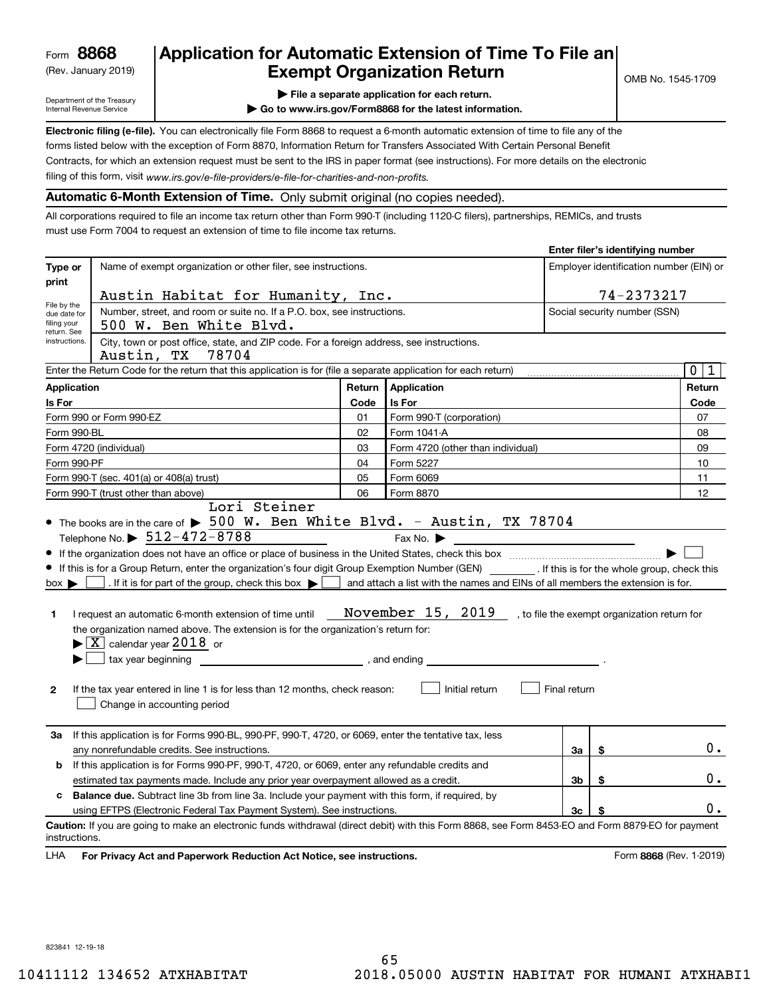(Rev. January 2019)

## **Application for Automatic Extension of Time To File an Exempt Organization Return**

**Enter filer's identifying number**

Department of the Treasury Internal Revenue Service

**| File a separate application for each return.**

**| Go to www.irs.gov/Form8868 for the latest information.**

**Electronic filing (e-file).**  You can electronically file Form 8868 to request a 6-month automatic extension of time to file any of the filing of this form, visit www.irs.gov/e-file-providers/e-file-for-charities-and-non-profits. forms listed below with the exception of Form 8870, Information Return for Transfers Associated With Certain Personal Benefit Contracts, for which an extension request must be sent to the IRS in paper format (see instructions). For more details on the electronic

**Automatic 6-Month Extension of Time.** Only submit original (no copies needed).

All corporations required to file an income tax return other than Form 990-T (including 1120-C filers), partnerships, REMICs, and trusts must use Form 7004 to request an extension of time to file income tax returns.

|                                            |                                                                                                                                                                                                                                |        |                                                                |                | $L$ nter mer 3 identifying number       |                            |  |
|--------------------------------------------|--------------------------------------------------------------------------------------------------------------------------------------------------------------------------------------------------------------------------------|--------|----------------------------------------------------------------|----------------|-----------------------------------------|----------------------------|--|
| Type or<br>print                           | Name of exempt organization or other filer, see instructions.                                                                                                                                                                  |        |                                                                |                | Employer identification number (EIN) or |                            |  |
|                                            | Austin Habitat for Humanity, Inc.                                                                                                                                                                                              |        |                                                                |                | 74-2373217                              |                            |  |
| File by the<br>due date for<br>filing your | Number, street, and room or suite no. If a P.O. box, see instructions.<br>500 W. Ben White Blvd.                                                                                                                               |        |                                                                |                | Social security number (SSN)            |                            |  |
| return. See<br>instructions.               | City, town or post office, state, and ZIP code. For a foreign address, see instructions.<br>Austin, TX<br>78704                                                                                                                |        |                                                                |                |                                         |                            |  |
|                                            | Enter the Return Code for the return that this application is for (file a separate application for each return)                                                                                                                |        |                                                                |                |                                         | $\mathbf 0$<br>$\mathbf 1$ |  |
| <b>Application</b>                         |                                                                                                                                                                                                                                | Return | Application                                                    |                |                                         | Return                     |  |
| Is For                                     |                                                                                                                                                                                                                                | Code   | Is For                                                         |                |                                         | Code                       |  |
|                                            | Form 990 or Form 990-EZ                                                                                                                                                                                                        | 01     | Form 990-T (corporation)                                       |                |                                         | 07                         |  |
| Form 990-BL                                |                                                                                                                                                                                                                                | 02     | Form 1041-A                                                    |                |                                         | 08                         |  |
|                                            | Form 4720 (individual)                                                                                                                                                                                                         | 03     | Form 4720 (other than individual)                              |                |                                         | 09                         |  |
| Form 990-PF                                |                                                                                                                                                                                                                                | 04     | Form 5227                                                      |                |                                         | 10                         |  |
|                                            | Form 990-T (sec. 401(a) or 408(a) trust)                                                                                                                                                                                       | 05     | Form 6069                                                      |                |                                         | 11                         |  |
|                                            | Form 990-T (trust other than above)                                                                                                                                                                                            | 06     | Form 8870                                                      |                |                                         | 12                         |  |
|                                            | Lori Steiner                                                                                                                                                                                                                   |        |                                                                |                |                                         |                            |  |
|                                            | • The books are in the care of $\blacktriangleright$ 500 W. Ben White Blvd. - Austin, TX 78704                                                                                                                                 |        |                                                                |                |                                         |                            |  |
|                                            | Telephone No. $\triangleright$ 512-472-8788                                                                                                                                                                                    |        | Fax No. $\blacktriangleright$                                  |                |                                         |                            |  |
|                                            |                                                                                                                                                                                                                                |        |                                                                |                |                                         |                            |  |
|                                            | If this is for a Group Return, enter the organization's four digit Group Exemption Number (GEN) [f this is for the whole group, check this                                                                                     |        |                                                                |                |                                         |                            |  |
| $box \rightarrow$                          | If it is for part of the group, check this box $\blacktriangleright$ and attach a list with the names and EINs of all members the extension is for.                                                                            |        |                                                                |                |                                         |                            |  |
|                                            |                                                                                                                                                                                                                                |        |                                                                |                |                                         |                            |  |
| 1                                          | I request an automatic 6-month extension of time until                                                                                                                                                                         |        | November 15, 2019 , to file the exempt organization return for |                |                                         |                            |  |
|                                            | the organization named above. The extension is for the organization's return for:                                                                                                                                              |        |                                                                |                |                                         |                            |  |
|                                            | $\blacktriangleright$ $\boxed{\text{X}}$ calendar year 2018 or                                                                                                                                                                 |        |                                                                |                |                                         |                            |  |
|                                            | tax year beginning the state of the state of the state of the state of the state of the state of the state of the state of the state of the state of the state of the state of the state of the state of the state of the stat |        |                                                                |                |                                         |                            |  |
|                                            |                                                                                                                                                                                                                                |        |                                                                |                |                                         |                            |  |
| 2                                          | If the tax year entered in line 1 is for less than 12 months, check reason:<br>Change in accounting period                                                                                                                     |        | Initial return                                                 | Final return   |                                         |                            |  |
| За                                         | If this application is for Forms 990-BL, 990-PF, 990-T, 4720, or 6069, enter the tentative tax, less                                                                                                                           |        |                                                                |                |                                         |                            |  |
|                                            | any nonrefundable credits. See instructions.                                                                                                                                                                                   |        |                                                                | За             | \$                                      | 0.                         |  |
| b                                          | If this application is for Forms 990-PF, 990-T, 4720, or 6069, enter any refundable credits and                                                                                                                                |        |                                                                |                |                                         |                            |  |
|                                            | estimated tax payments made. Include any prior year overpayment allowed as a credit.                                                                                                                                           |        |                                                                | 3b             | \$                                      | $0$ .                      |  |
| c                                          | <b>Balance due.</b> Subtract line 3b from line 3a. Include your payment with this form, if required, by                                                                                                                        |        |                                                                |                |                                         |                            |  |
|                                            | using EFTPS (Electronic Federal Tax Payment System). See instructions.                                                                                                                                                         |        |                                                                | 3 <sub>c</sub> | \$                                      | 0.                         |  |
| instructions.                              | Caution: If you are going to make an electronic funds withdrawal (direct debit) with this Form 8868, see Form 8453-EO and Form 8879-EO for payment                                                                             |        |                                                                |                |                                         |                            |  |
| LHA                                        | For Privacy Act and Paperwork Reduction Act Notice, see instructions.                                                                                                                                                          |        |                                                                |                |                                         | Form 8868 (Rev. 1-2019)    |  |